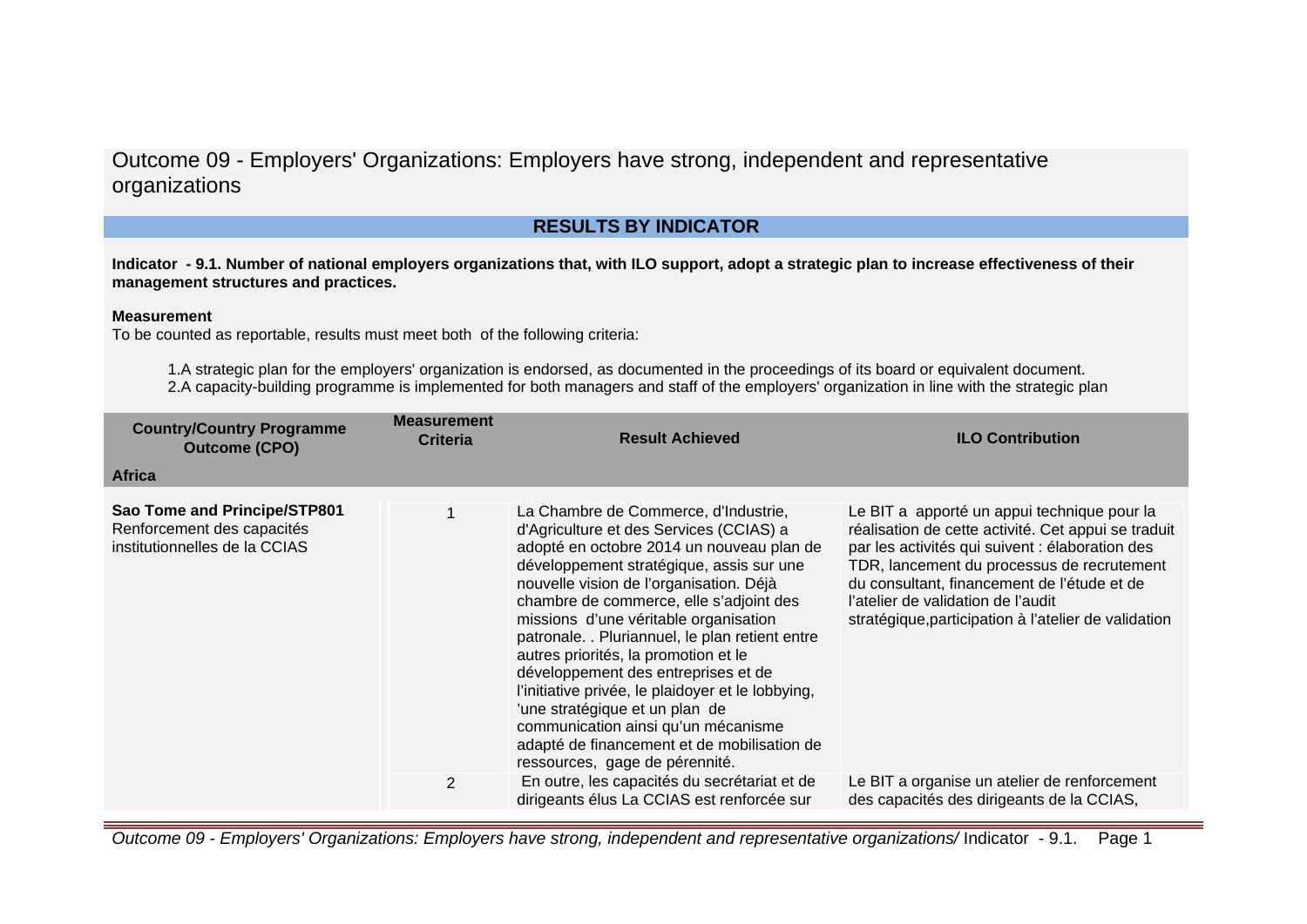## **RESULTS BY INDICATOR**

**Indicator - 9.1. Number of national employers organizations that, with ILO support, adopt a strategic plan to increase effectiveness of their management structures and practices.**

#### **Measurement**

To be counted as reportable, results must meet both of the following criteria:

1.A strategic plan for the employers' organization is endorsed, as documented in the proceedings of its board or equivalent document. 2.A capacity-building programme is implemented for both managers and staff of the employers' organization in line with the strategic plan

| <b>Country/Country Programme</b><br><b>Outcome (CPO)</b>                                    | <b>Measurement</b><br><b>Criteria</b> | <b>Result Achieved</b>                                                                                                                                                                                                                                                                                                                                                                                                                                                                                                                                                                                                                                   | <b>ILO Contribution</b>                                                                                                                                                                                                                                                                                                                          |
|---------------------------------------------------------------------------------------------|---------------------------------------|----------------------------------------------------------------------------------------------------------------------------------------------------------------------------------------------------------------------------------------------------------------------------------------------------------------------------------------------------------------------------------------------------------------------------------------------------------------------------------------------------------------------------------------------------------------------------------------------------------------------------------------------------------|--------------------------------------------------------------------------------------------------------------------------------------------------------------------------------------------------------------------------------------------------------------------------------------------------------------------------------------------------|
| <b>Africa</b>                                                                               |                                       |                                                                                                                                                                                                                                                                                                                                                                                                                                                                                                                                                                                                                                                          |                                                                                                                                                                                                                                                                                                                                                  |
| Sao Tome and Principe/STP801<br>Renforcement des capacités<br>institutionnelles de la CCIAS |                                       | La Chambre de Commerce, d'Industrie,<br>d'Agriculture et des Services (CCIAS) a<br>adopté en octobre 2014 un nouveau plan de<br>développement stratégique, assis sur une<br>nouvelle vision de l'organisation. Déjà<br>chambre de commerce, elle s'adjoint des<br>missions d'une véritable organisation<br>patronale. . Pluriannuel, le plan retient entre<br>autres priorités, la promotion et le<br>développement des entreprises et de<br>l'initiative privée, le plaidoyer et le lobbying,<br>'une stratégique et un plan de<br>communication ainsi qu'un mécanisme<br>adapté de financement et de mobilisation de<br>ressources, gage de pérennité. | Le BIT a apporté un appui technique pour la<br>réalisation de cette activité. Cet appui se traduit<br>par les activités qui suivent : élaboration des<br>TDR, lancement du processus de recrutement<br>du consultant, financement de l'étude et de<br>l'atelier de validation de l'audit<br>stratégique, participation à l'atelier de validation |
|                                                                                             | $\overline{2}$                        | En outre, les capacités du secrétariat et de<br>dirigeants élus La CCIAS est renforcée sur                                                                                                                                                                                                                                                                                                                                                                                                                                                                                                                                                               | Le BIT a organise un atelier de renforcement<br>des capacités des dirigeants de la CCIAS,                                                                                                                                                                                                                                                        |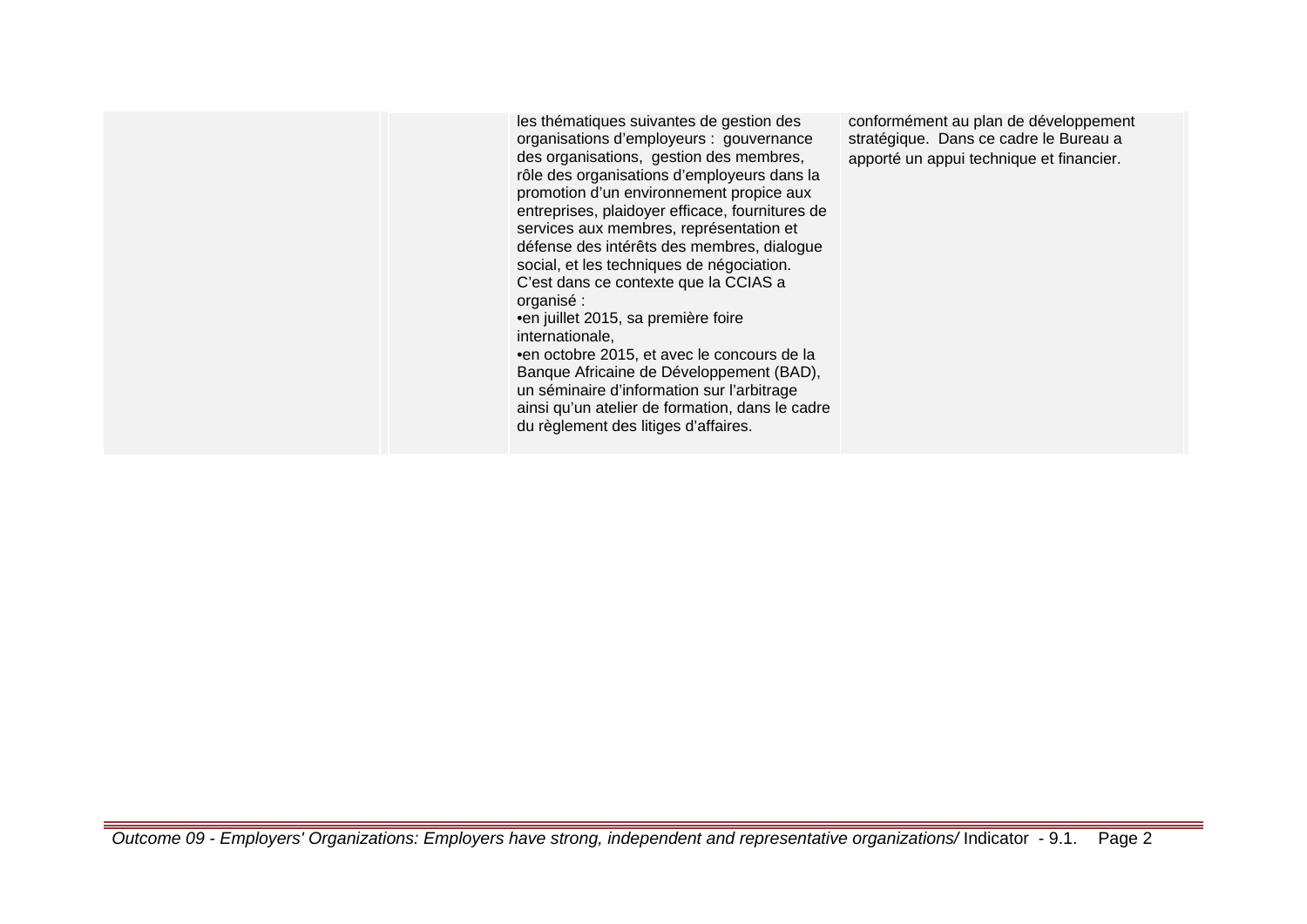les thématiques suivantes de gestion des organisations d'employeurs : gouvernance des organisations, gestion des membres, rôle des organisations d'employeurs dans la promotion d'un environnement propice aux entreprises, plaidoyer efficace, fournitures de services aux membres, représentation et défense des intérêts des membres, dialogue social, et les techniques de négociation. C'est dans ce contexte que la CCIAS a organisé : • en juillet 2015, sa première foire

internationale,

• en octobre 2015, et avec le concours de la Banque Africaine de Développement (BAD), un séminaire d'information sur l'arbitrage ainsi qu'un atelier de formation, dans le cadre du règlement des litiges d'affaires.

conformément au plan de développement stratégique. Dans ce cadre le Bureau a apporté un appui technique et financier.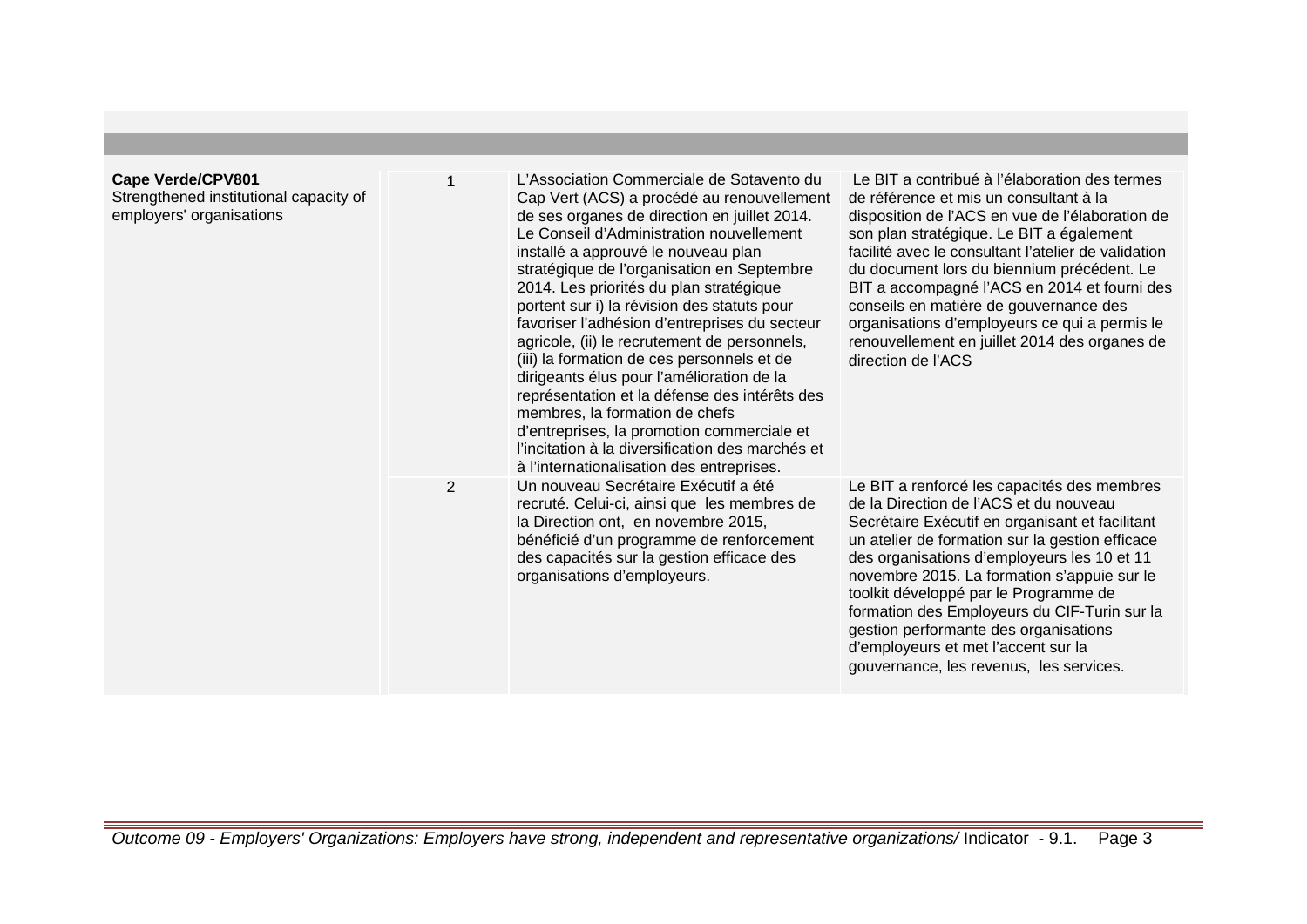| Cape Verde/CPV801<br>Strengthened institutional capacity of<br>employers' organisations |                | L'Association Commerciale de Sotavento du<br>Cap Vert (ACS) a procédé au renouvellement<br>de ses organes de direction en juillet 2014.<br>Le Conseil d'Administration nouvellement<br>installé a approuvé le nouveau plan<br>stratégique de l'organisation en Septembre<br>2014. Les priorités du plan stratégique<br>portent sur i) la révision des statuts pour<br>favoriser l'adhésion d'entreprises du secteur<br>agricole, (ii) le recrutement de personnels,<br>(iii) la formation de ces personnels et de<br>dirigeants élus pour l'amélioration de la<br>représentation et la défense des intérêts des<br>membres, la formation de chefs<br>d'entreprises, la promotion commerciale et<br>l'incitation à la diversification des marchés et<br>à l'internationalisation des entreprises. | Le BIT a contribué à l'élaboration des termes<br>de référence et mis un consultant à la<br>disposition de l'ACS en vue de l'élaboration de<br>son plan stratégique. Le BIT a également<br>facilité avec le consultant l'atelier de validation<br>du document lors du biennium précédent. Le<br>BIT a accompagné l'ACS en 2014 et fourni des<br>conseils en matière de gouvernance des<br>organisations d'employeurs ce qui a permis le<br>renouvellement en juillet 2014 des organes de<br>direction de l'ACS |
|-----------------------------------------------------------------------------------------|----------------|--------------------------------------------------------------------------------------------------------------------------------------------------------------------------------------------------------------------------------------------------------------------------------------------------------------------------------------------------------------------------------------------------------------------------------------------------------------------------------------------------------------------------------------------------------------------------------------------------------------------------------------------------------------------------------------------------------------------------------------------------------------------------------------------------|---------------------------------------------------------------------------------------------------------------------------------------------------------------------------------------------------------------------------------------------------------------------------------------------------------------------------------------------------------------------------------------------------------------------------------------------------------------------------------------------------------------|
|                                                                                         | $\overline{2}$ | Un nouveau Secrétaire Exécutif a été<br>recruté. Celui-ci, ainsi que les membres de<br>la Direction ont, en novembre 2015,<br>bénéficié d'un programme de renforcement<br>des capacités sur la gestion efficace des<br>organisations d'employeurs.                                                                                                                                                                                                                                                                                                                                                                                                                                                                                                                                               | Le BIT a renforcé les capacités des membres<br>de la Direction de l'ACS et du nouveau<br>Secrétaire Exécutif en organisant et facilitant<br>un atelier de formation sur la gestion efficace<br>des organisations d'employeurs les 10 et 11<br>novembre 2015. La formation s'appuie sur le<br>toolkit développé par le Programme de<br>formation des Employeurs du CIF-Turin sur la<br>gestion performante des organisations<br>d'employeurs et met l'accent sur la<br>gouvernance, les revenus, les services. |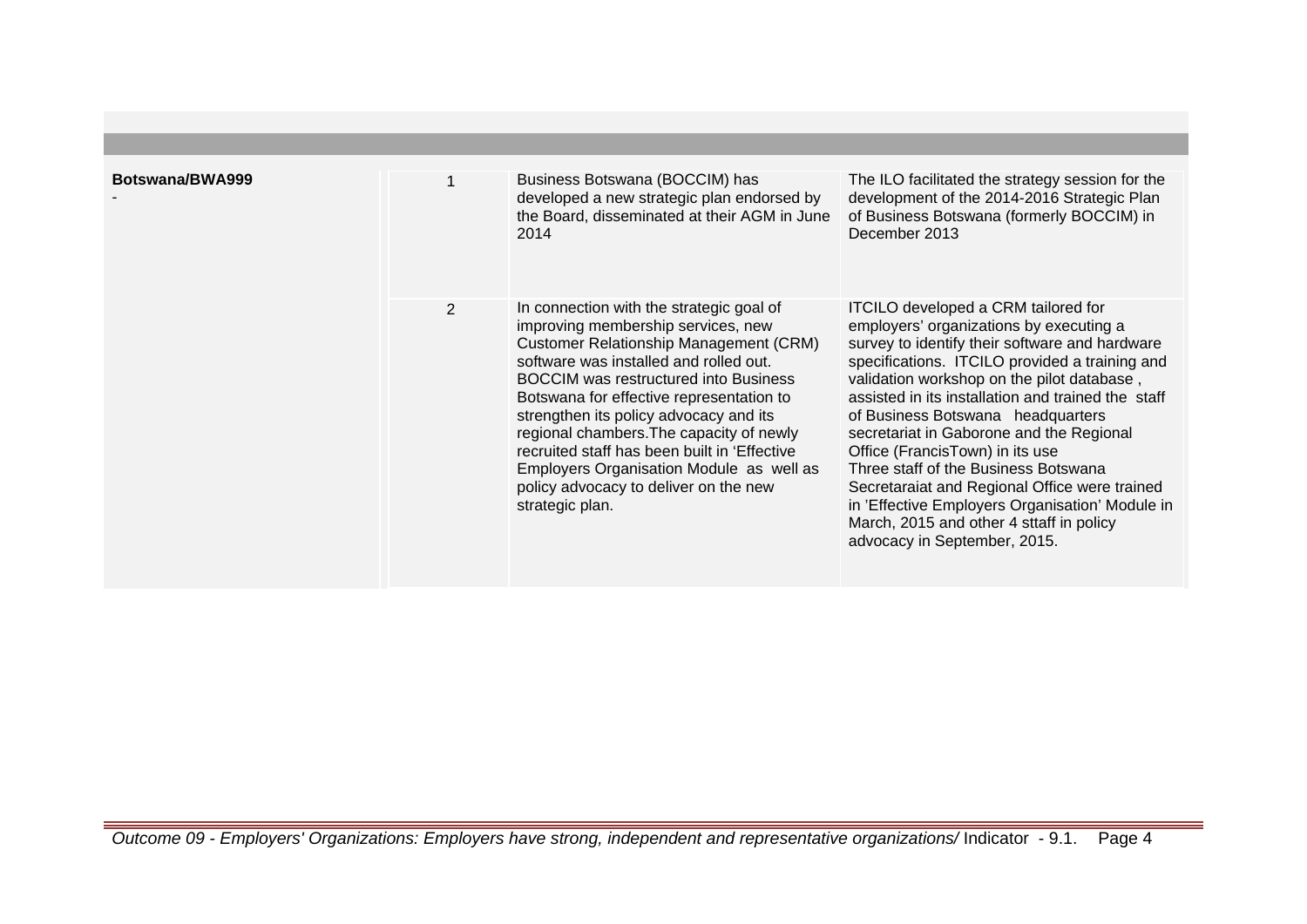| Botswana/BWA999 |                | Business Botswana (BOCCIM) has<br>developed a new strategic plan endorsed by<br>the Board, disseminated at their AGM in June<br>2014                                                                                                                                                                                                                                                                                                                                                                                | The ILO facilitated the strategy session for the<br>development of the 2014-2016 Strategic Plan<br>of Business Botswana (formerly BOCCIM) in<br>December 2013                                                                                                                                                                                                                                                                                                                                                                                                                                                                             |
|-----------------|----------------|---------------------------------------------------------------------------------------------------------------------------------------------------------------------------------------------------------------------------------------------------------------------------------------------------------------------------------------------------------------------------------------------------------------------------------------------------------------------------------------------------------------------|-------------------------------------------------------------------------------------------------------------------------------------------------------------------------------------------------------------------------------------------------------------------------------------------------------------------------------------------------------------------------------------------------------------------------------------------------------------------------------------------------------------------------------------------------------------------------------------------------------------------------------------------|
|                 | $\overline{2}$ | In connection with the strategic goal of<br>improving membership services, new<br><b>Customer Relationship Management (CRM)</b><br>software was installed and rolled out.<br><b>BOCCIM</b> was restructured into Business<br>Botswana for effective representation to<br>strengthen its policy advocacy and its<br>regional chambers. The capacity of newly<br>recruited staff has been built in 'Effective<br>Employers Organisation Module as well as<br>policy advocacy to deliver on the new<br>strategic plan. | <b>ITCILO</b> developed a CRM tailored for<br>employers' organizations by executing a<br>survey to identify their software and hardware<br>specifications. ITCILO provided a training and<br>validation workshop on the pilot database,<br>assisted in its installation and trained the staff<br>of Business Botswana headquarters<br>secretariat in Gaborone and the Regional<br>Office (FrancisTown) in its use<br>Three staff of the Business Botswana<br>Secretaraiat and Regional Office were trained<br>in 'Effective Employers Organisation' Module in<br>March, 2015 and other 4 sttaff in policy<br>advocacy in September, 2015. |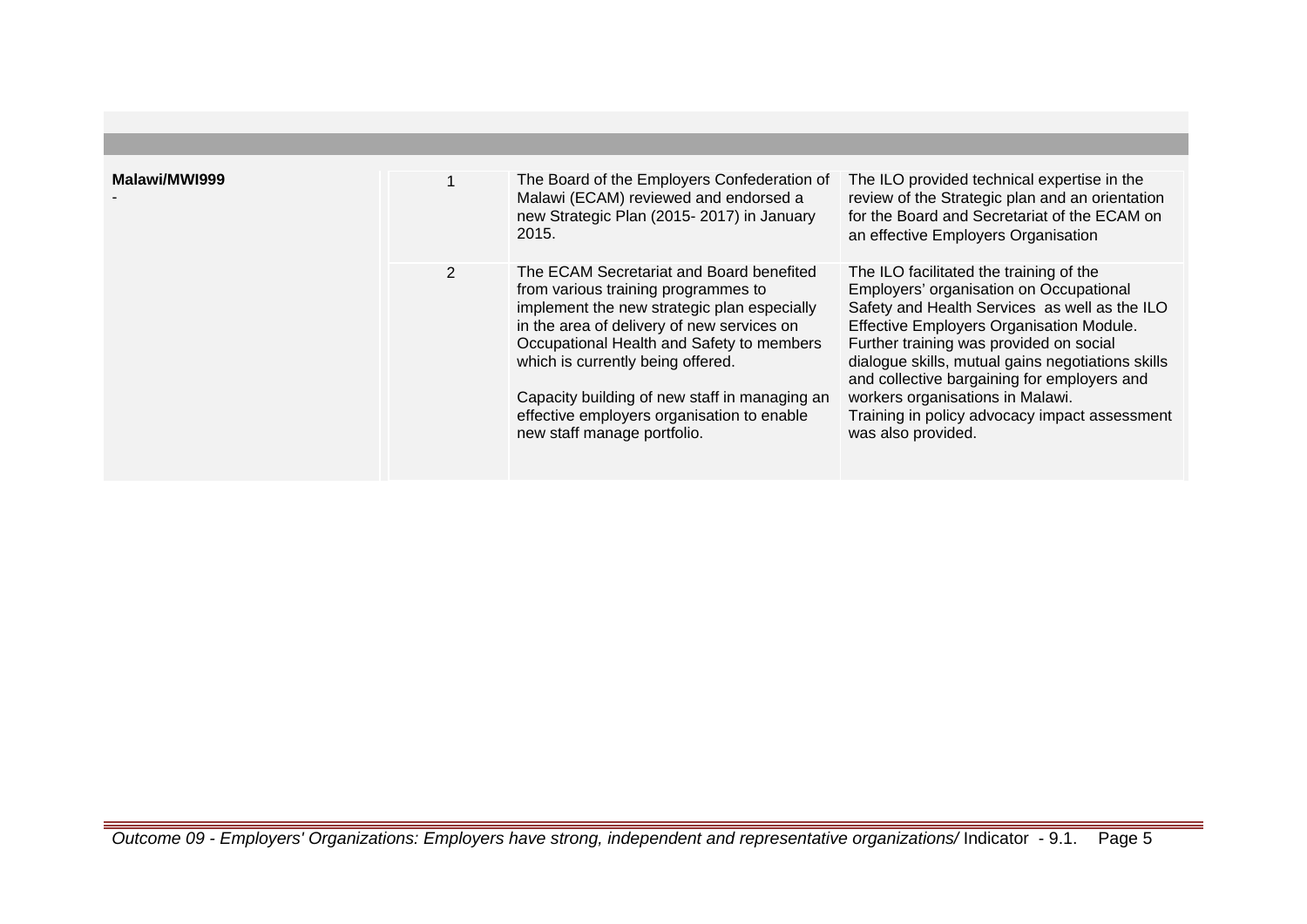| Malawi/MWI999 |                | The Board of the Employers Confederation of<br>Malawi (ECAM) reviewed and endorsed a<br>new Strategic Plan (2015-2017) in January<br>2015.                                                                                                                                                                                                                                                   | The ILO provided technical expertise in the<br>review of the Strategic plan and an orientation<br>for the Board and Secretariat of the ECAM on<br>an effective Employers Organisation                                                                                                                                                                                                                                                     |
|---------------|----------------|----------------------------------------------------------------------------------------------------------------------------------------------------------------------------------------------------------------------------------------------------------------------------------------------------------------------------------------------------------------------------------------------|-------------------------------------------------------------------------------------------------------------------------------------------------------------------------------------------------------------------------------------------------------------------------------------------------------------------------------------------------------------------------------------------------------------------------------------------|
|               | $\overline{2}$ | The ECAM Secretariat and Board benefited<br>from various training programmes to<br>implement the new strategic plan especially<br>in the area of delivery of new services on<br>Occupational Health and Safety to members<br>which is currently being offered.<br>Capacity building of new staff in managing an<br>effective employers organisation to enable<br>new staff manage portfolio. | The ILO facilitated the training of the<br>Employers' organisation on Occupational<br>Safety and Health Services as well as the ILO<br>Effective Employers Organisation Module.<br>Further training was provided on social<br>dialogue skills, mutual gains negotiations skills<br>and collective bargaining for employers and<br>workers organisations in Malawi.<br>Training in policy advocacy impact assessment<br>was also provided. |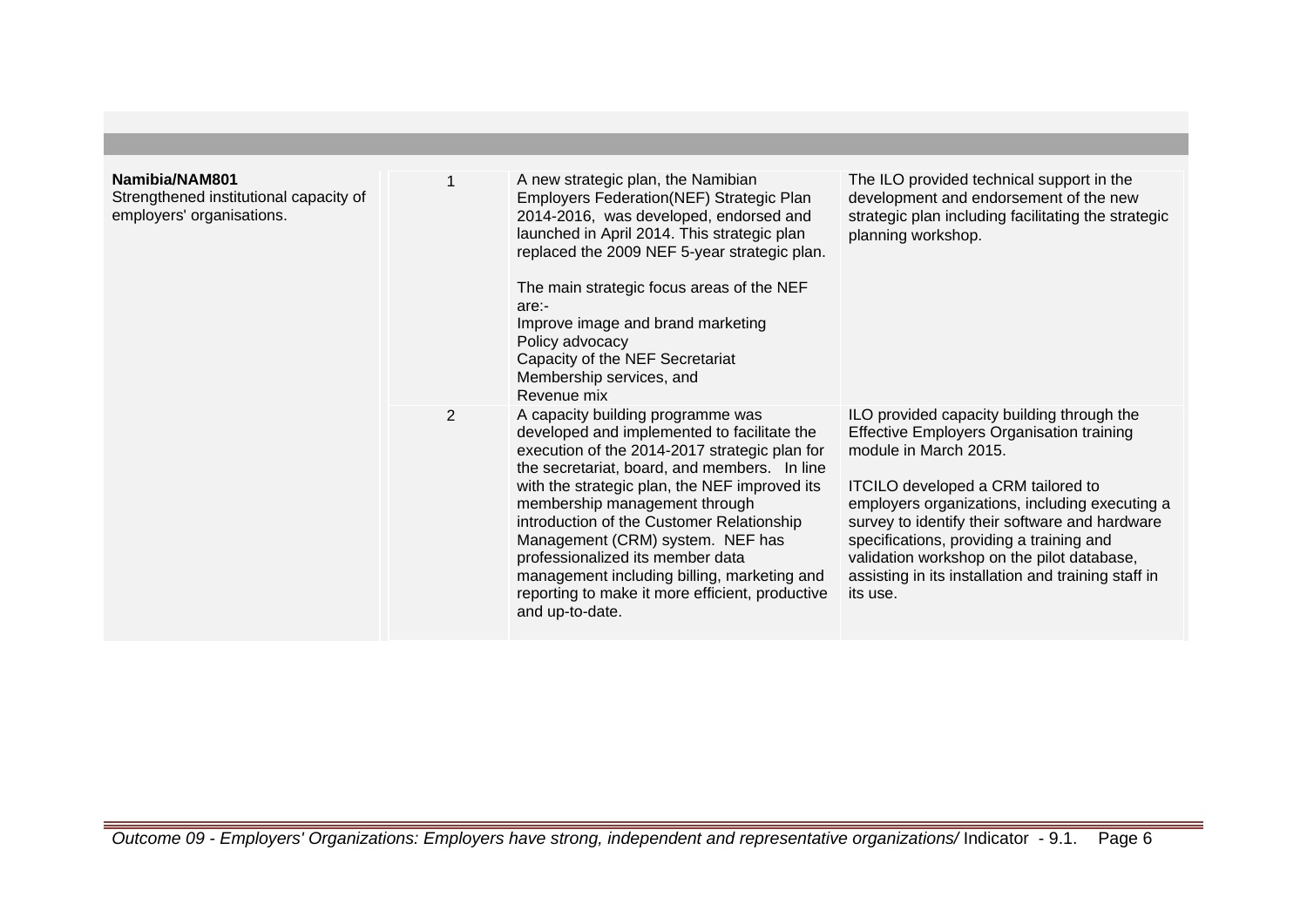| Namibia/NAM801<br>Strengthened institutional capacity of<br>employers' organisations. |                | A new strategic plan, the Namibian<br>Employers Federation(NEF) Strategic Plan<br>2014-2016, was developed, endorsed and<br>launched in April 2014. This strategic plan<br>replaced the 2009 NEF 5-year strategic plan.<br>The main strategic focus areas of the NEF<br>are:-<br>Improve image and brand marketing<br>Policy advocacy<br>Capacity of the NEF Secretariat<br>Membership services, and<br>Revenue mix                                                                                           | The ILO provided technical support in the<br>development and endorsement of the new<br>strategic plan including facilitating the strategic<br>planning workshop.                                                                                                                                                                                                                                                               |
|---------------------------------------------------------------------------------------|----------------|---------------------------------------------------------------------------------------------------------------------------------------------------------------------------------------------------------------------------------------------------------------------------------------------------------------------------------------------------------------------------------------------------------------------------------------------------------------------------------------------------------------|--------------------------------------------------------------------------------------------------------------------------------------------------------------------------------------------------------------------------------------------------------------------------------------------------------------------------------------------------------------------------------------------------------------------------------|
|                                                                                       | $\overline{2}$ | A capacity building programme was<br>developed and implemented to facilitate the<br>execution of the 2014-2017 strategic plan for<br>the secretariat, board, and members. In line<br>with the strategic plan, the NEF improved its<br>membership management through<br>introduction of the Customer Relationship<br>Management (CRM) system. NEF has<br>professionalized its member data<br>management including billing, marketing and<br>reporting to make it more efficient, productive<br>and up-to-date. | ILO provided capacity building through the<br>Effective Employers Organisation training<br>module in March 2015.<br><b>ITCILO</b> developed a CRM tailored to<br>employers organizations, including executing a<br>survey to identify their software and hardware<br>specifications, providing a training and<br>validation workshop on the pilot database,<br>assisting in its installation and training staff in<br>its use. |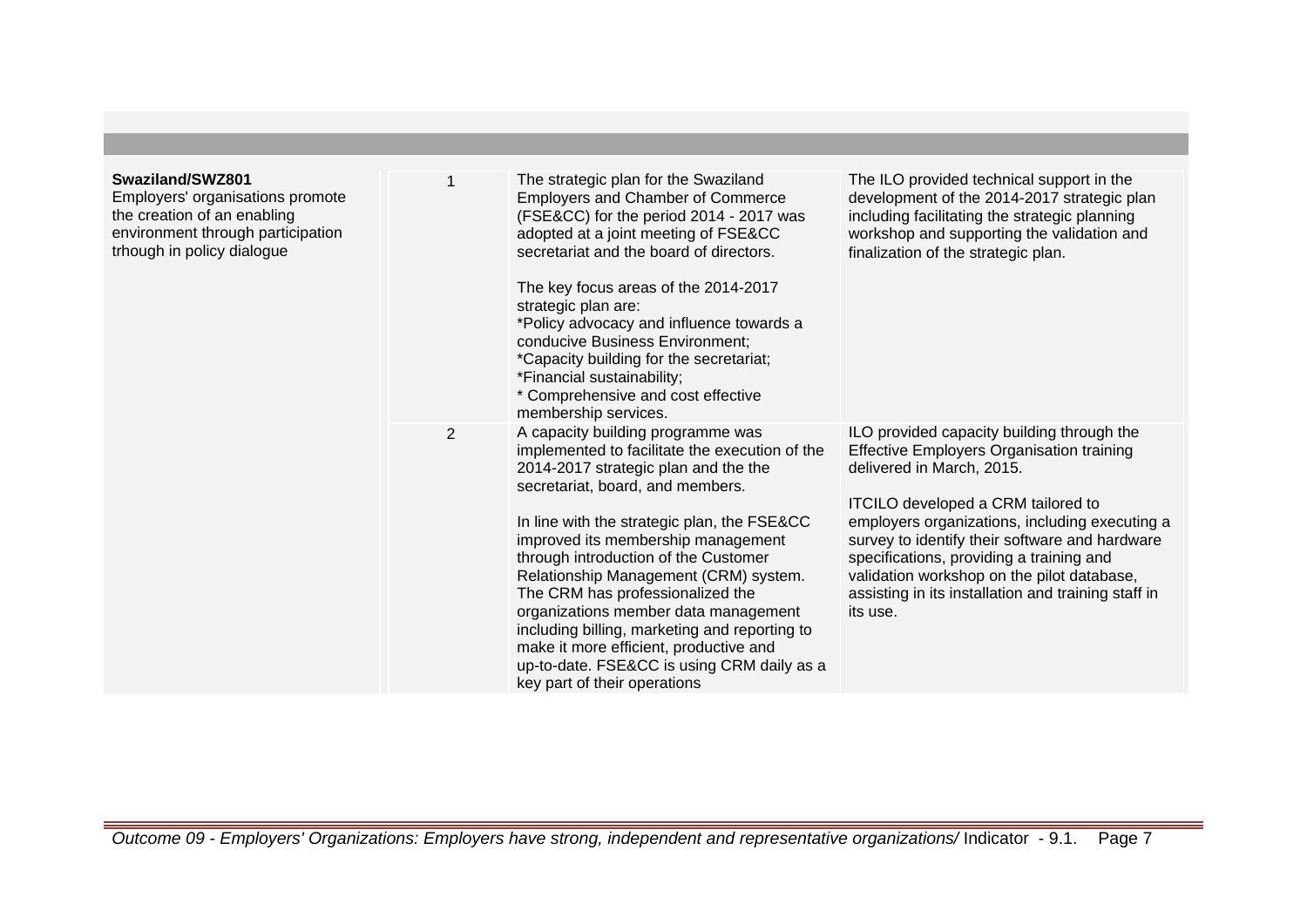| Swaziland/SWZ801<br>Employers' organisations promote<br>the creation of an enabling<br>environment through participation<br>trhough in policy dialogue |                | The strategic plan for the Swaziland<br><b>Employers and Chamber of Commerce</b><br>(FSE&CC) for the period 2014 - 2017 was<br>adopted at a joint meeting of FSE&CC<br>secretariat and the board of directors.<br>The key focus areas of the 2014-2017<br>strategic plan are:<br>*Policy advocacy and influence towards a<br>conducive Business Environment;<br>*Capacity building for the secretariat;<br>*Financial sustainability;<br>* Comprehensive and cost effective<br>membership services.                                                                                        | The ILO provided technical support in the<br>development of the 2014-2017 strategic plan<br>including facilitating the strategic planning<br>workshop and supporting the validation and<br>finalization of the strategic plan.                                                                                                                                                                                                     |
|--------------------------------------------------------------------------------------------------------------------------------------------------------|----------------|--------------------------------------------------------------------------------------------------------------------------------------------------------------------------------------------------------------------------------------------------------------------------------------------------------------------------------------------------------------------------------------------------------------------------------------------------------------------------------------------------------------------------------------------------------------------------------------------|------------------------------------------------------------------------------------------------------------------------------------------------------------------------------------------------------------------------------------------------------------------------------------------------------------------------------------------------------------------------------------------------------------------------------------|
|                                                                                                                                                        | $\overline{2}$ | A capacity building programme was<br>implemented to facilitate the execution of the<br>2014-2017 strategic plan and the the<br>secretariat, board, and members.<br>In line with the strategic plan, the FSE&CC<br>improved its membership management<br>through introduction of the Customer<br>Relationship Management (CRM) system.<br>The CRM has professionalized the<br>organizations member data management<br>including billing, marketing and reporting to<br>make it more efficient, productive and<br>up-to-date. FSE&CC is using CRM daily as a<br>key part of their operations | ILO provided capacity building through the<br><b>Effective Employers Organisation training</b><br>delivered in March, 2015.<br>ITCILO developed a CRM tailored to<br>employers organizations, including executing a<br>survey to identify their software and hardware<br>specifications, providing a training and<br>validation workshop on the pilot database,<br>assisting in its installation and training staff in<br>its use. |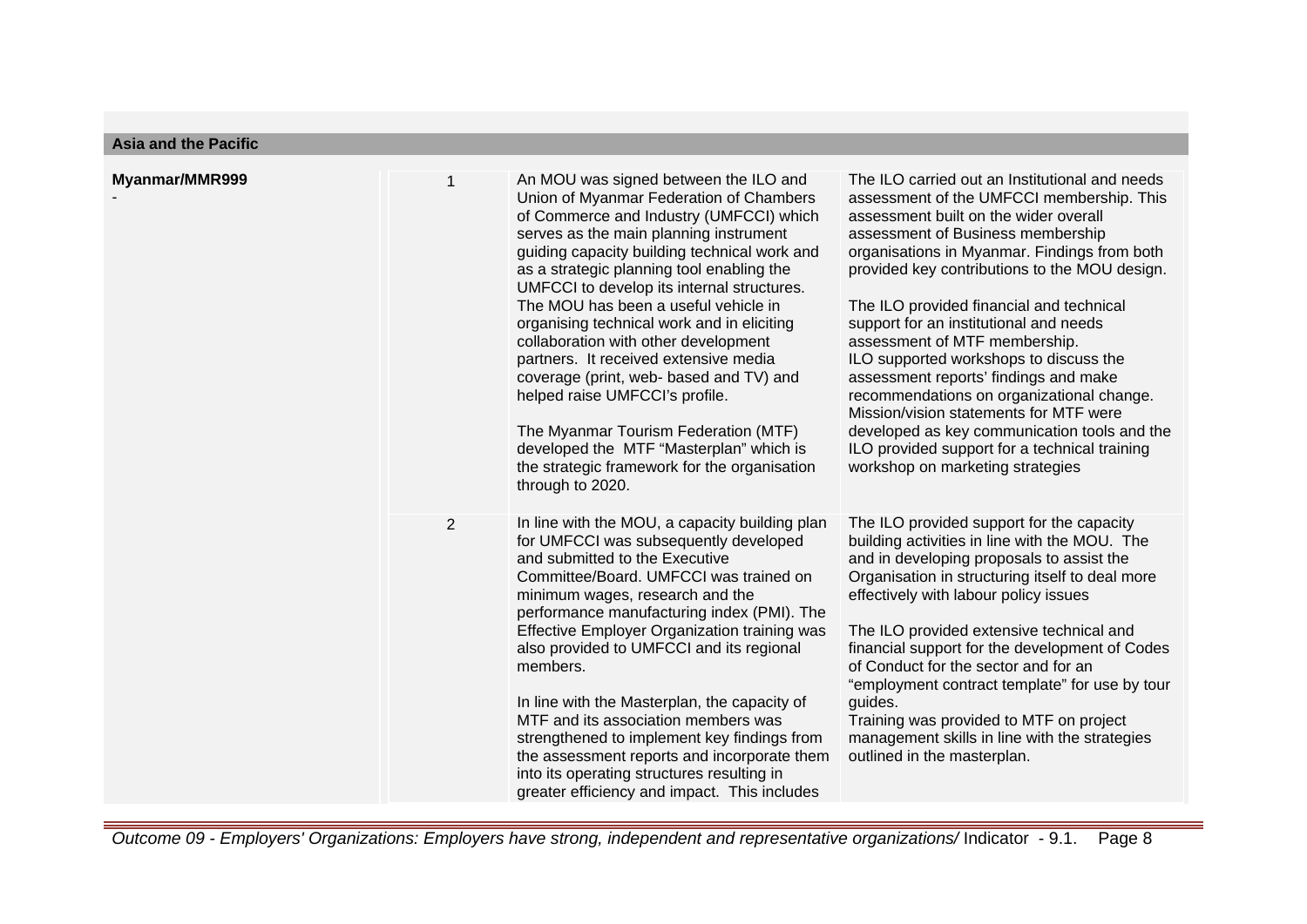| <b>Asia and the Pacific</b> |  |
|-----------------------------|--|
|-----------------------------|--|

| Myanmar/MMR999 |                | An MOU was signed between the ILO and<br>Union of Myanmar Federation of Chambers<br>of Commerce and Industry (UMFCCI) which<br>serves as the main planning instrument<br>guiding capacity building technical work and<br>as a strategic planning tool enabling the<br>UMFCCI to develop its internal structures.<br>The MOU has been a useful vehicle in<br>organising technical work and in eliciting<br>collaboration with other development<br>partners. It received extensive media<br>coverage (print, web- based and TV) and<br>helped raise UMFCCI's profile.<br>The Myanmar Tourism Federation (MTF)<br>developed the MTF "Masterplan" which is<br>the strategic framework for the organisation<br>through to 2020. | The ILO carried out an Institutional and needs<br>assessment of the UMFCCI membership. This<br>assessment built on the wider overall<br>assessment of Business membership<br>organisations in Myanmar. Findings from both<br>provided key contributions to the MOU design.<br>The ILO provided financial and technical<br>support for an institutional and needs<br>assessment of MTF membership.<br>ILO supported workshops to discuss the<br>assessment reports' findings and make<br>recommendations on organizational change.<br>Mission/vision statements for MTF were<br>developed as key communication tools and the<br>ILO provided support for a technical training<br>workshop on marketing strategies |
|----------------|----------------|-----------------------------------------------------------------------------------------------------------------------------------------------------------------------------------------------------------------------------------------------------------------------------------------------------------------------------------------------------------------------------------------------------------------------------------------------------------------------------------------------------------------------------------------------------------------------------------------------------------------------------------------------------------------------------------------------------------------------------|------------------------------------------------------------------------------------------------------------------------------------------------------------------------------------------------------------------------------------------------------------------------------------------------------------------------------------------------------------------------------------------------------------------------------------------------------------------------------------------------------------------------------------------------------------------------------------------------------------------------------------------------------------------------------------------------------------------|
|                | $\overline{2}$ | In line with the MOU, a capacity building plan<br>for UMFCCI was subsequently developed<br>and submitted to the Executive<br>Committee/Board. UMFCCI was trained on<br>minimum wages, research and the<br>performance manufacturing index (PMI). The<br>Effective Employer Organization training was<br>also provided to UMFCCI and its regional<br>members.<br>In line with the Masterplan, the capacity of<br>MTF and its association members was<br>strengthened to implement key findings from<br>the assessment reports and incorporate them<br>into its operating structures resulting in<br>greater efficiency and impact. This includes                                                                             | The ILO provided support for the capacity<br>building activities in line with the MOU. The<br>and in developing proposals to assist the<br>Organisation in structuring itself to deal more<br>effectively with labour policy issues<br>The ILO provided extensive technical and<br>financial support for the development of Codes<br>of Conduct for the sector and for an<br>"employment contract template" for use by tour<br>guides.<br>Training was provided to MTF on project<br>management skills in line with the strategies<br>outlined in the masterplan.                                                                                                                                                |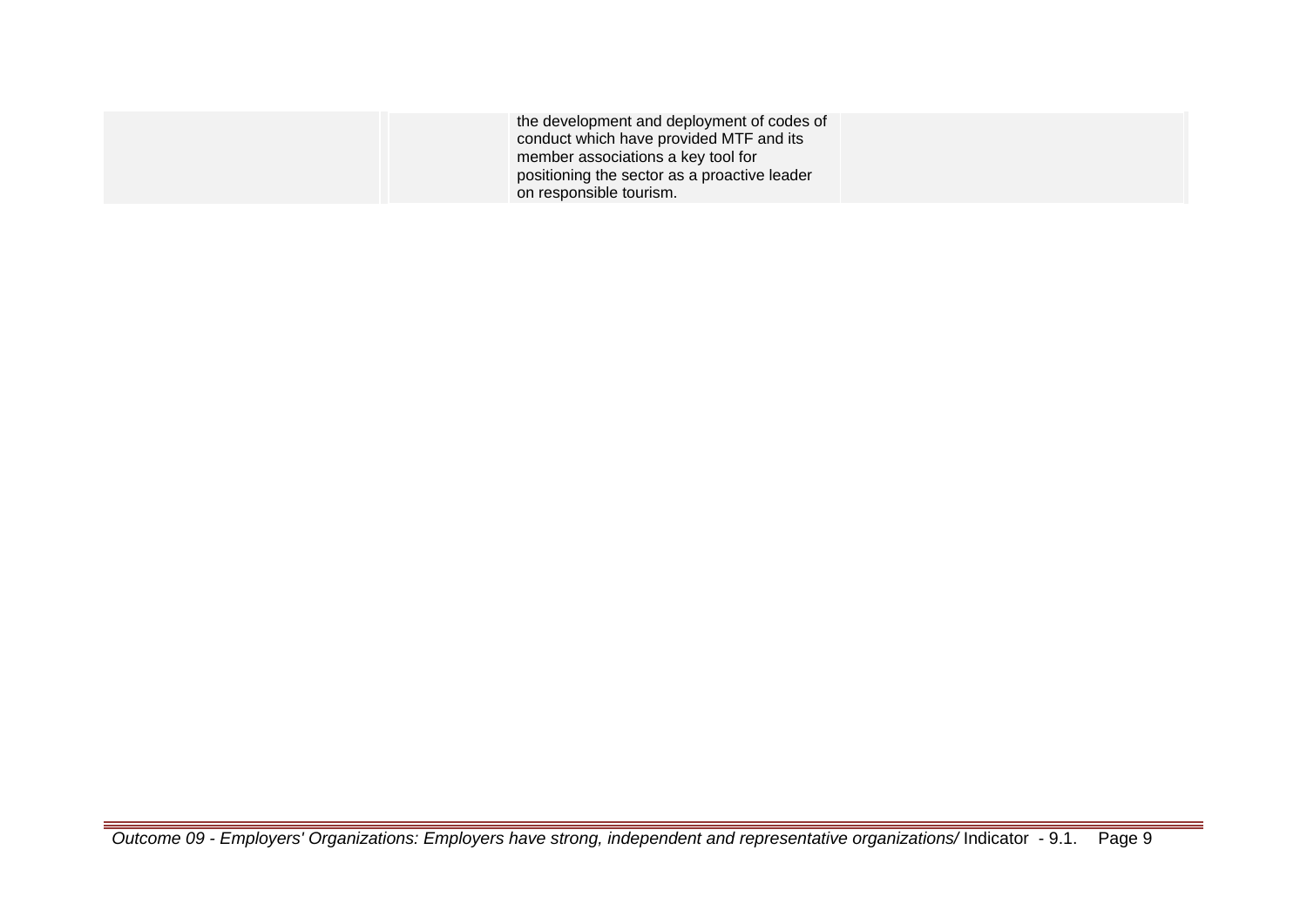| the development and deployment of codes of   |  |
|----------------------------------------------|--|
| conduct which have provided MTF and its      |  |
| member associations a key tool for           |  |
| positioning the sector as a proactive leader |  |
| on responsible tourism.                      |  |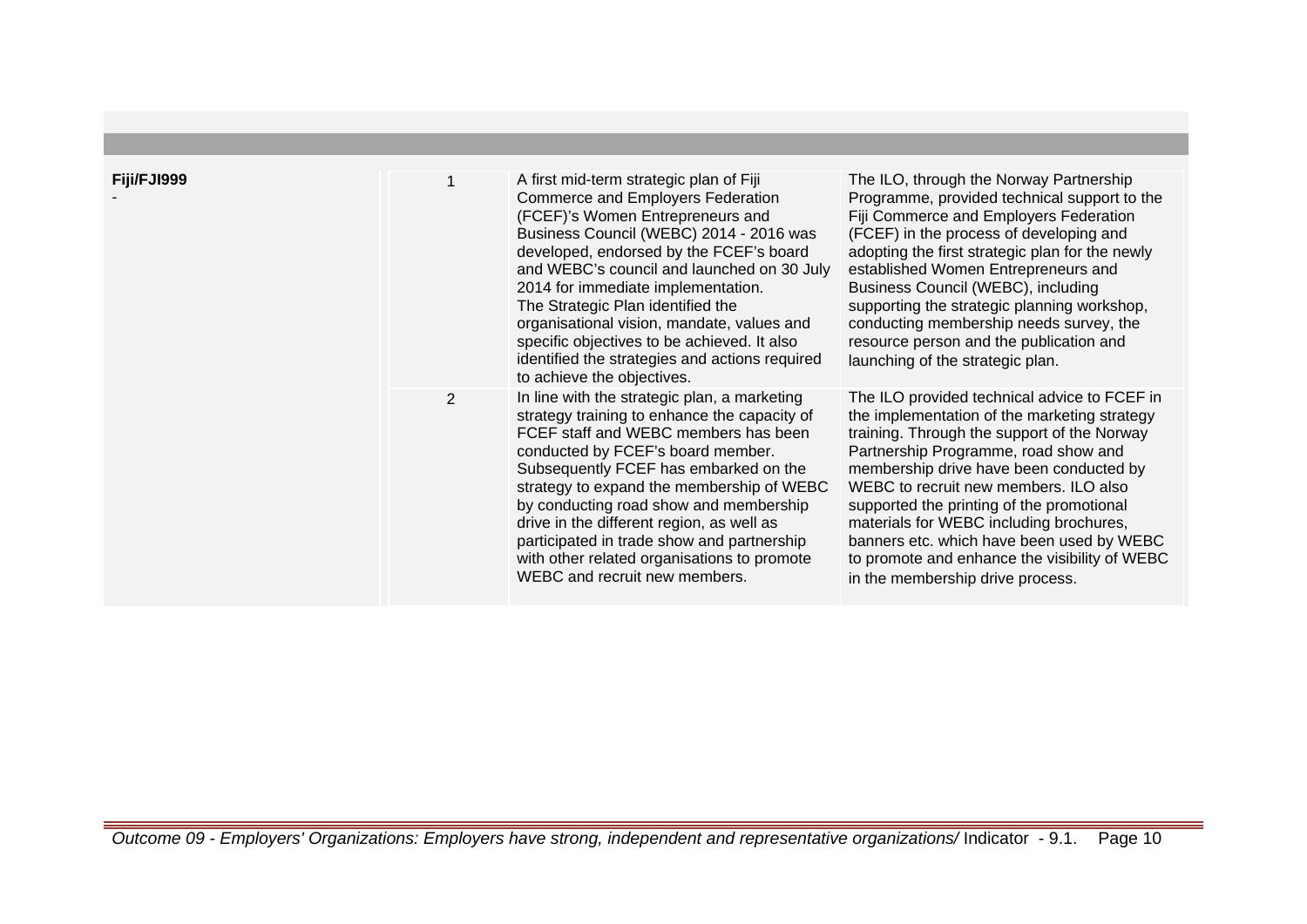| Fiji/FJI999 |                | A first mid-term strategic plan of Fiji<br>Commerce and Employers Federation<br>(FCEF)'s Women Entrepreneurs and<br>Business Council (WEBC) 2014 - 2016 was<br>developed, endorsed by the FCEF's board<br>and WEBC's council and launched on 30 July<br>2014 for immediate implementation.<br>The Strategic Plan identified the<br>organisational vision, mandate, values and<br>specific objectives to be achieved. It also<br>identified the strategies and actions required<br>to achieve the objectives. | The ILO, through the Norway Partnership<br>Programme, provided technical support to the<br>Fiji Commerce and Employers Federation<br>(FCEF) in the process of developing and<br>adopting the first strategic plan for the newly<br>established Women Entrepreneurs and<br>Business Council (WEBC), including<br>supporting the strategic planning workshop,<br>conducting membership needs survey, the<br>resource person and the publication and<br>launching of the strategic plan.             |
|-------------|----------------|--------------------------------------------------------------------------------------------------------------------------------------------------------------------------------------------------------------------------------------------------------------------------------------------------------------------------------------------------------------------------------------------------------------------------------------------------------------------------------------------------------------|---------------------------------------------------------------------------------------------------------------------------------------------------------------------------------------------------------------------------------------------------------------------------------------------------------------------------------------------------------------------------------------------------------------------------------------------------------------------------------------------------|
|             | $\overline{2}$ | In line with the strategic plan, a marketing<br>strategy training to enhance the capacity of<br>FCEF staff and WEBC members has been<br>conducted by FCEF's board member.<br>Subsequently FCEF has embarked on the<br>strategy to expand the membership of WEBC<br>by conducting road show and membership<br>drive in the different region, as well as<br>participated in trade show and partnership<br>with other related organisations to promote<br>WEBC and recruit new members.                         | The ILO provided technical advice to FCEF in<br>the implementation of the marketing strategy<br>training. Through the support of the Norway<br>Partnership Programme, road show and<br>membership drive have been conducted by<br>WEBC to recruit new members. ILO also<br>supported the printing of the promotional<br>materials for WEBC including brochures,<br>banners etc. which have been used by WEBC<br>to promote and enhance the visibility of WEBC<br>in the membership drive process. |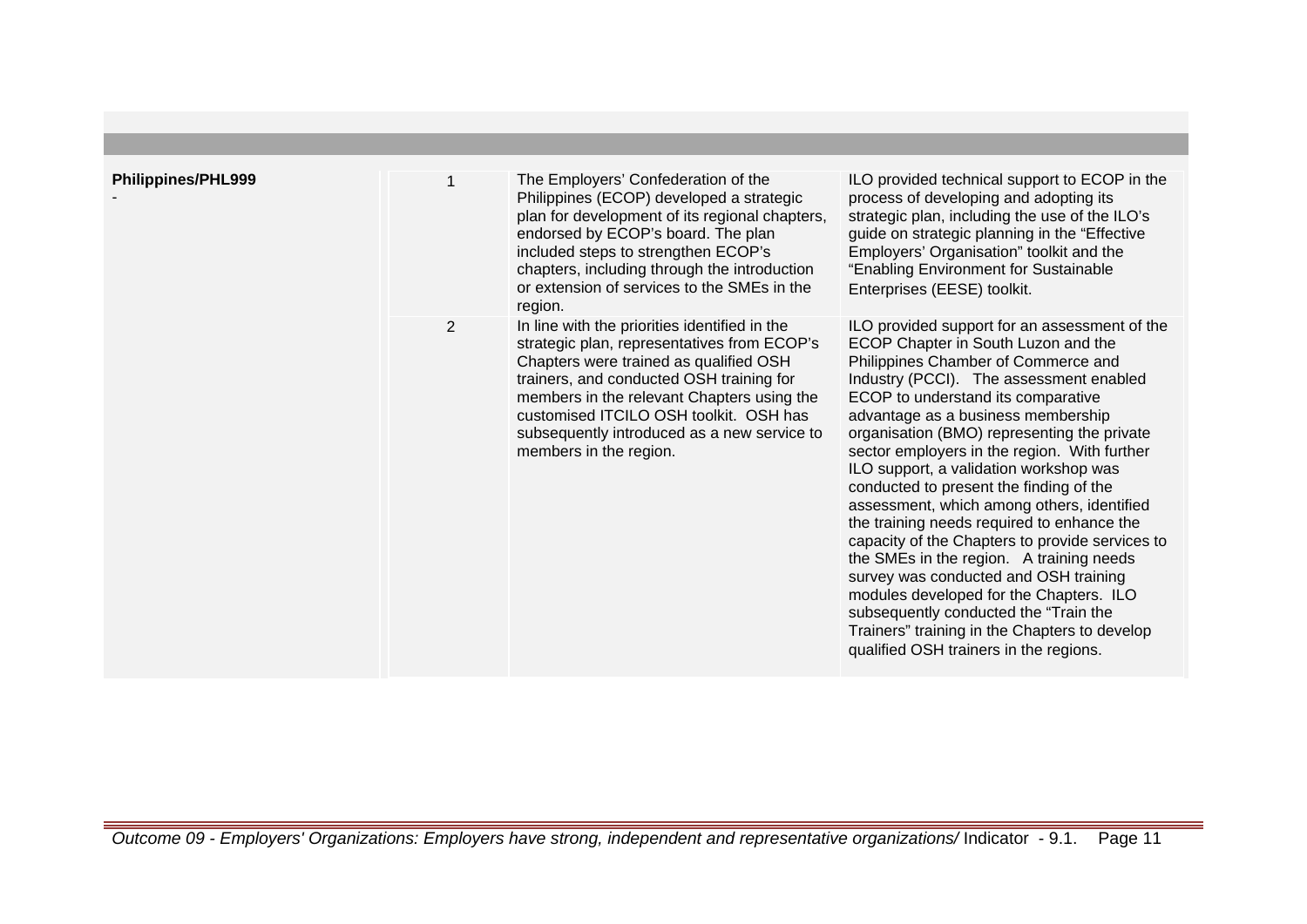| <b>Philippines/PHL999</b> |                | The Employers' Confederation of the<br>Philippines (ECOP) developed a strategic<br>plan for development of its regional chapters,<br>endorsed by ECOP's board. The plan<br>included steps to strengthen ECOP's<br>chapters, including through the introduction<br>or extension of services to the SMEs in the<br>region.                            | ILO provided technical support to ECOP in the<br>process of developing and adopting its<br>strategic plan, including the use of the ILO's<br>guide on strategic planning in the "Effective<br>Employers' Organisation" toolkit and the<br>"Enabling Environment for Sustainable<br>Enterprises (EESE) toolkit.                                                                                                                                                                                                                                                                                                                                                                                                                                                                                                                                            |
|---------------------------|----------------|-----------------------------------------------------------------------------------------------------------------------------------------------------------------------------------------------------------------------------------------------------------------------------------------------------------------------------------------------------|-----------------------------------------------------------------------------------------------------------------------------------------------------------------------------------------------------------------------------------------------------------------------------------------------------------------------------------------------------------------------------------------------------------------------------------------------------------------------------------------------------------------------------------------------------------------------------------------------------------------------------------------------------------------------------------------------------------------------------------------------------------------------------------------------------------------------------------------------------------|
|                           | $\overline{2}$ | In line with the priorities identified in the<br>strategic plan, representatives from ECOP's<br>Chapters were trained as qualified OSH<br>trainers, and conducted OSH training for<br>members in the relevant Chapters using the<br>customised ITCILO OSH toolkit. OSH has<br>subsequently introduced as a new service to<br>members in the region. | ILO provided support for an assessment of the<br>ECOP Chapter in South Luzon and the<br>Philippines Chamber of Commerce and<br>Industry (PCCI). The assessment enabled<br>ECOP to understand its comparative<br>advantage as a business membership<br>organisation (BMO) representing the private<br>sector employers in the region. With further<br>ILO support, a validation workshop was<br>conducted to present the finding of the<br>assessment, which among others, identified<br>the training needs required to enhance the<br>capacity of the Chapters to provide services to<br>the SMEs in the region. A training needs<br>survey was conducted and OSH training<br>modules developed for the Chapters. ILO<br>subsequently conducted the "Train the<br>Trainers" training in the Chapters to develop<br>qualified OSH trainers in the regions. |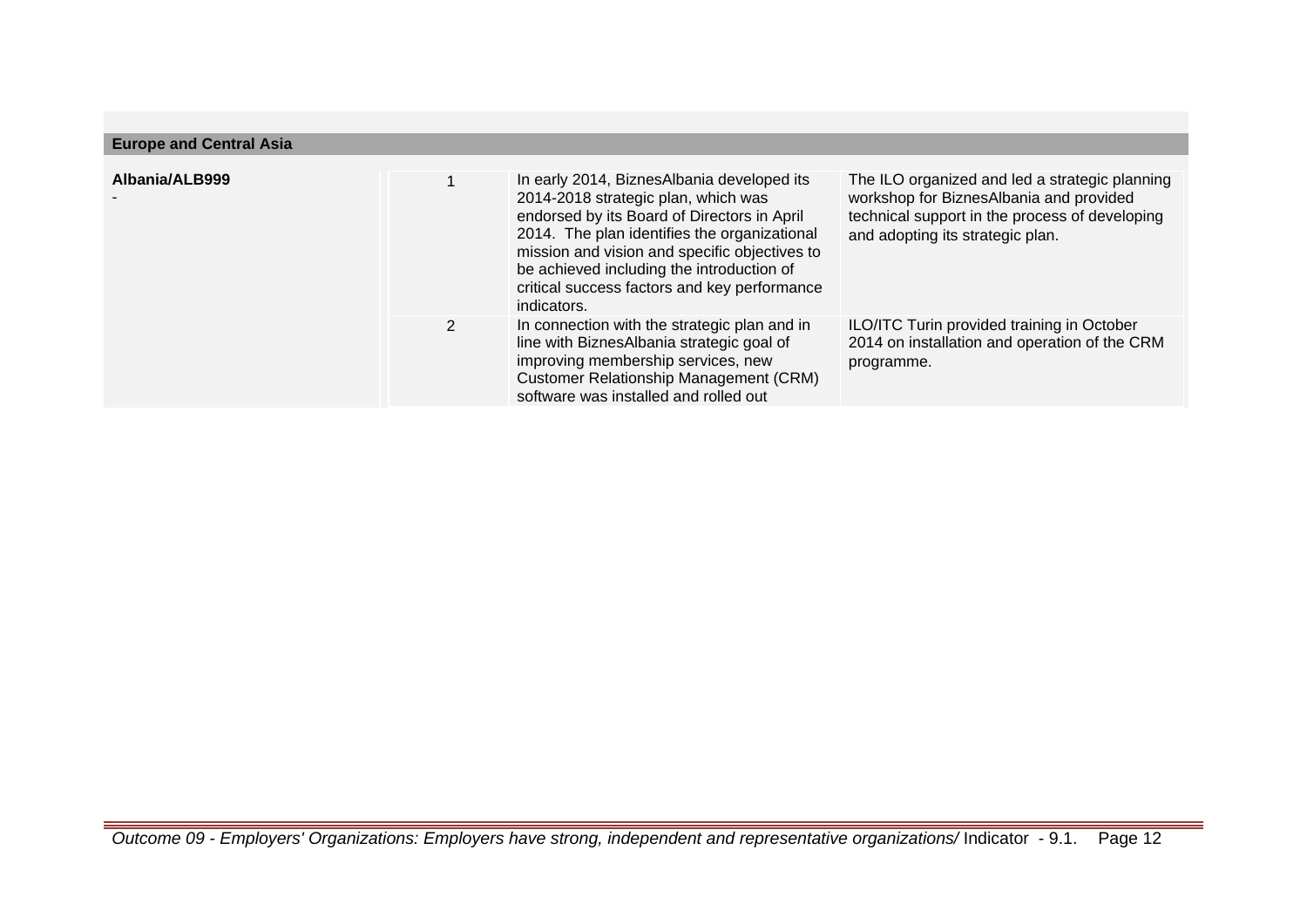| <b>Europe and Central Asia</b> |   |                                                                                                                                                                                                                                                                                                                                               |                                                                                                                                                                                 |  |
|--------------------------------|---|-----------------------------------------------------------------------------------------------------------------------------------------------------------------------------------------------------------------------------------------------------------------------------------------------------------------------------------------------|---------------------------------------------------------------------------------------------------------------------------------------------------------------------------------|--|
| Albania/ALB999                 |   | In early 2014, BiznesAlbania developed its<br>2014-2018 strategic plan, which was<br>endorsed by its Board of Directors in April<br>2014. The plan identifies the organizational<br>mission and vision and specific objectives to<br>be achieved including the introduction of<br>critical success factors and key performance<br>indicators. | The ILO organized and led a strategic planning<br>workshop for BiznesAlbania and provided<br>technical support in the process of developing<br>and adopting its strategic plan. |  |
|                                | 2 | In connection with the strategic plan and in<br>line with BiznesAlbania strategic goal of<br>improving membership services, new<br><b>Customer Relationship Management (CRM)</b><br>software was installed and rolled out                                                                                                                     | ILO/ITC Turin provided training in October<br>2014 on installation and operation of the CRM<br>programme.                                                                       |  |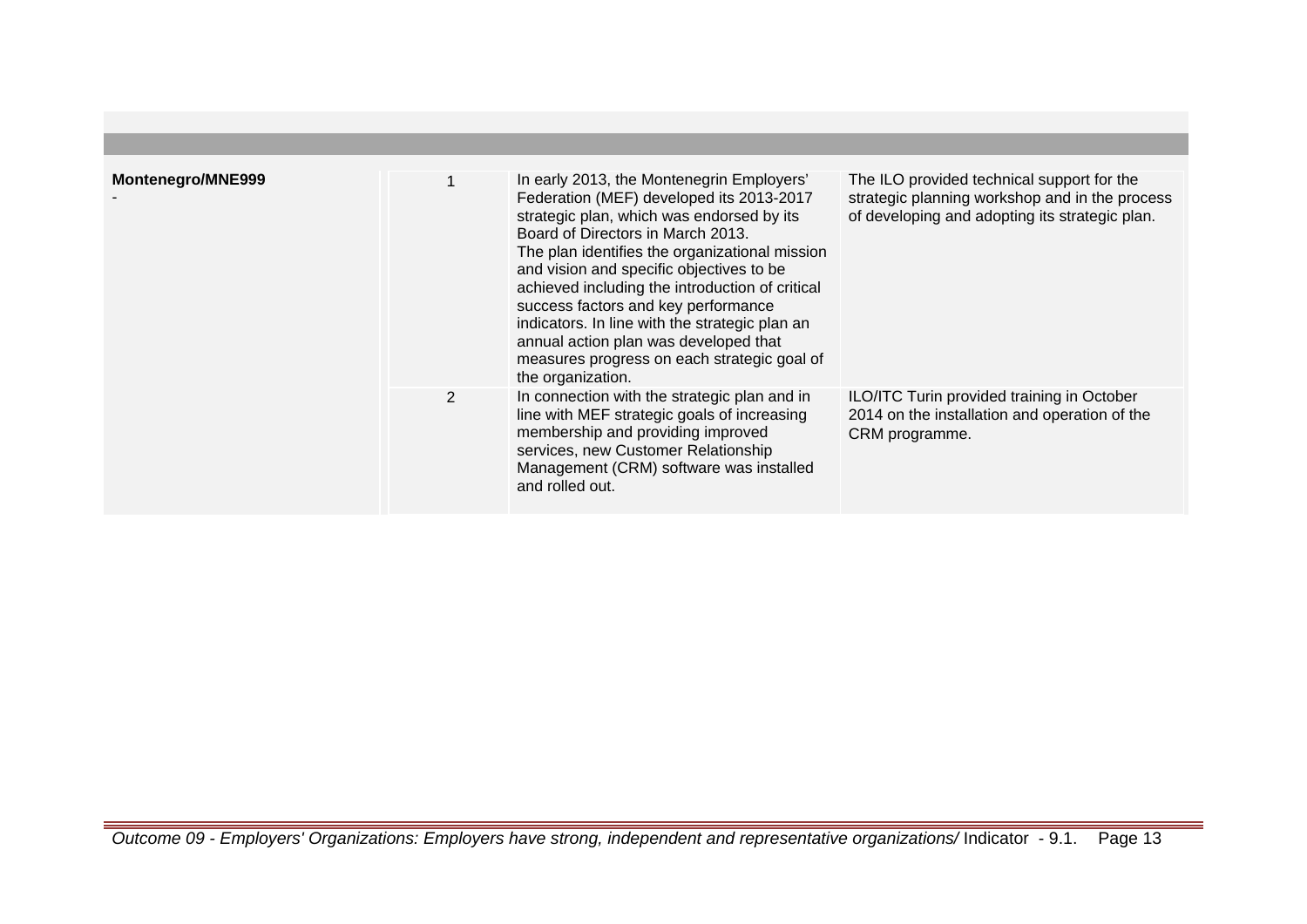| Montenegro/MNE999 |   | In early 2013, the Montenegrin Employers'<br>Federation (MEF) developed its 2013-2017<br>strategic plan, which was endorsed by its<br>Board of Directors in March 2013.<br>The plan identifies the organizational mission<br>and vision and specific objectives to be<br>achieved including the introduction of critical<br>success factors and key performance<br>indicators. In line with the strategic plan an<br>annual action plan was developed that<br>measures progress on each strategic goal of<br>the organization. | The ILO provided technical support for the<br>strategic planning workshop and in the process<br>of developing and adopting its strategic plan. |
|-------------------|---|--------------------------------------------------------------------------------------------------------------------------------------------------------------------------------------------------------------------------------------------------------------------------------------------------------------------------------------------------------------------------------------------------------------------------------------------------------------------------------------------------------------------------------|------------------------------------------------------------------------------------------------------------------------------------------------|
|                   | 2 | In connection with the strategic plan and in<br>line with MEF strategic goals of increasing<br>membership and providing improved<br>services, new Customer Relationship<br>Management (CRM) software was installed<br>and rolled out.                                                                                                                                                                                                                                                                                          | ILO/ITC Turin provided training in October<br>2014 on the installation and operation of the<br>CRM programme.                                  |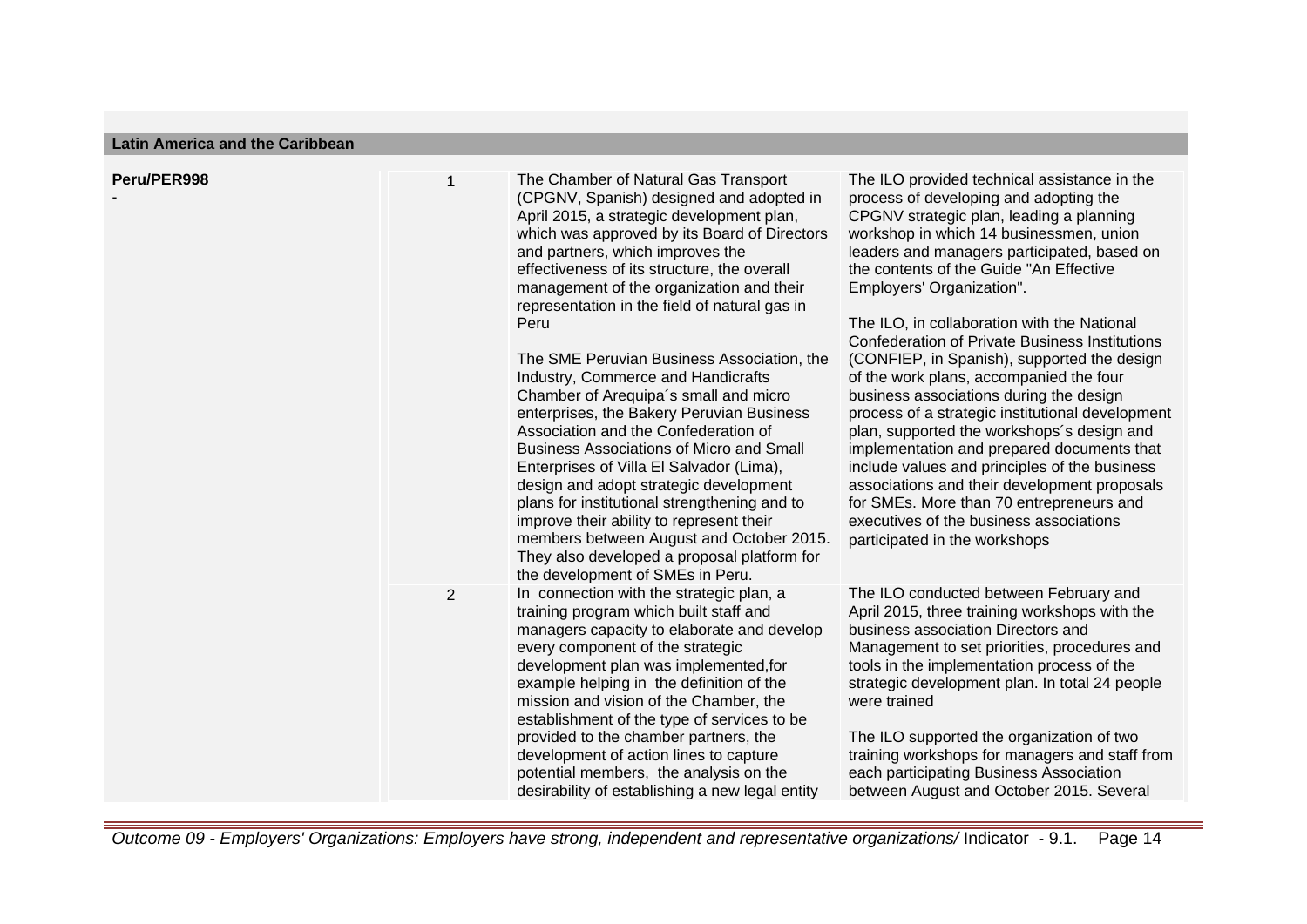**Latin America and the Caribbean**

| Peru/PER998 | $\mathbf{1}$   | The Chamber of Natural Gas Transport<br>(CPGNV, Spanish) designed and adopted in                                                                                                                                                                                                                                                                                                                                                                                                                                                                                                                                                                                                                                                                                                                                                                                        | The ILO provided technical assistance in the<br>process of developing and adopting the                                                                                                                                                                                                                                                                                                                                                                                                                                                                                                                                                                                                                                                                                                                                           |
|-------------|----------------|-------------------------------------------------------------------------------------------------------------------------------------------------------------------------------------------------------------------------------------------------------------------------------------------------------------------------------------------------------------------------------------------------------------------------------------------------------------------------------------------------------------------------------------------------------------------------------------------------------------------------------------------------------------------------------------------------------------------------------------------------------------------------------------------------------------------------------------------------------------------------|----------------------------------------------------------------------------------------------------------------------------------------------------------------------------------------------------------------------------------------------------------------------------------------------------------------------------------------------------------------------------------------------------------------------------------------------------------------------------------------------------------------------------------------------------------------------------------------------------------------------------------------------------------------------------------------------------------------------------------------------------------------------------------------------------------------------------------|
|             |                | April 2015, a strategic development plan,<br>which was approved by its Board of Directors<br>and partners, which improves the<br>effectiveness of its structure, the overall<br>management of the organization and their<br>representation in the field of natural gas in<br>Peru<br>The SME Peruvian Business Association, the<br>Industry, Commerce and Handicrafts<br>Chamber of Arequipa's small and micro<br>enterprises, the Bakery Peruvian Business<br>Association and the Confederation of<br><b>Business Associations of Micro and Small</b><br>Enterprises of Villa El Salvador (Lima),<br>design and adopt strategic development<br>plans for institutional strengthening and to<br>improve their ability to represent their<br>members between August and October 2015.<br>They also developed a proposal platform for<br>the development of SMEs in Peru. | CPGNV strategic plan, leading a planning<br>workshop in which 14 businessmen, union<br>leaders and managers participated, based on<br>the contents of the Guide "An Effective<br>Employers' Organization".<br>The ILO, in collaboration with the National<br><b>Confederation of Private Business Institutions</b><br>(CONFIEP, in Spanish), supported the design<br>of the work plans, accompanied the four<br>business associations during the design<br>process of a strategic institutional development<br>plan, supported the workshops's design and<br>implementation and prepared documents that<br>include values and principles of the business<br>associations and their development proposals<br>for SMEs. More than 70 entrepreneurs and<br>executives of the business associations<br>participated in the workshops |
|             | $\overline{2}$ | In connection with the strategic plan, a<br>training program which built staff and<br>managers capacity to elaborate and develop<br>every component of the strategic<br>development plan was implemented, for<br>example helping in the definition of the<br>mission and vision of the Chamber, the<br>establishment of the type of services to be                                                                                                                                                                                                                                                                                                                                                                                                                                                                                                                      | The ILO conducted between February and<br>April 2015, three training workshops with the<br>business association Directors and<br>Management to set priorities, procedures and<br>tools in the implementation process of the<br>strategic development plan. In total 24 people<br>were trained                                                                                                                                                                                                                                                                                                                                                                                                                                                                                                                                    |
|             |                | provided to the chamber partners, the<br>development of action lines to capture<br>potential members, the analysis on the<br>desirability of establishing a new legal entity                                                                                                                                                                                                                                                                                                                                                                                                                                                                                                                                                                                                                                                                                            | The ILO supported the organization of two<br>training workshops for managers and staff from<br>each participating Business Association<br>between August and October 2015. Several                                                                                                                                                                                                                                                                                                                                                                                                                                                                                                                                                                                                                                               |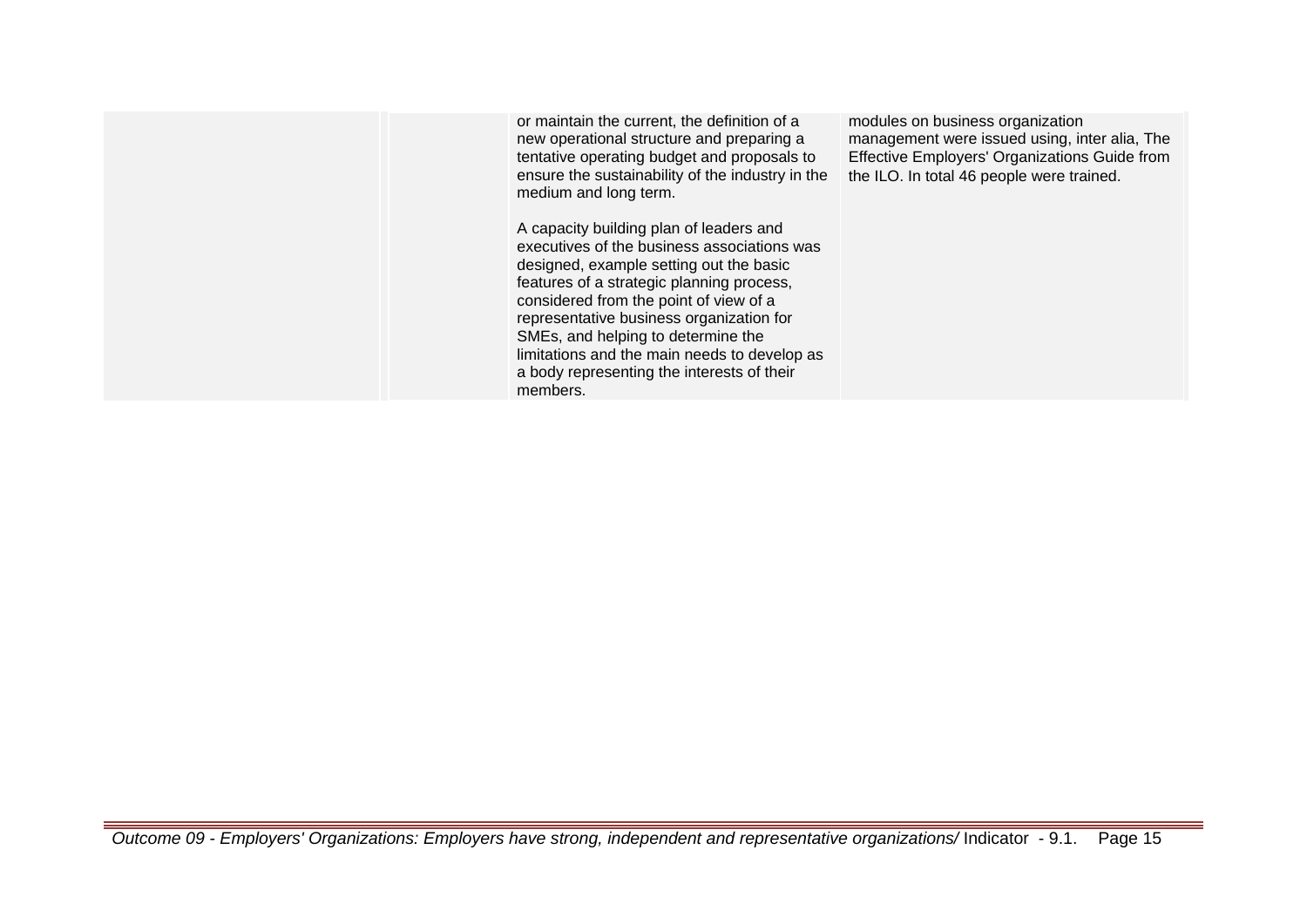or maintain the current, the definition of a new operational structure and preparing a tentative operating budget and proposals to ensure the sustainability of the industry in the medium and long term. A capacity building plan of leaders and executives of the business associations was designed, example setting out the basic features of a strategic planning process, considered from the point of view of a representative business organization for SMEs, and helping to determine the limitations and the main needs to develop as a body representing the interests of their members. modules on business organization management were issued using, inter alia, The Effective Employers' Organizations Guide from the ILO. In total 46 people were trained.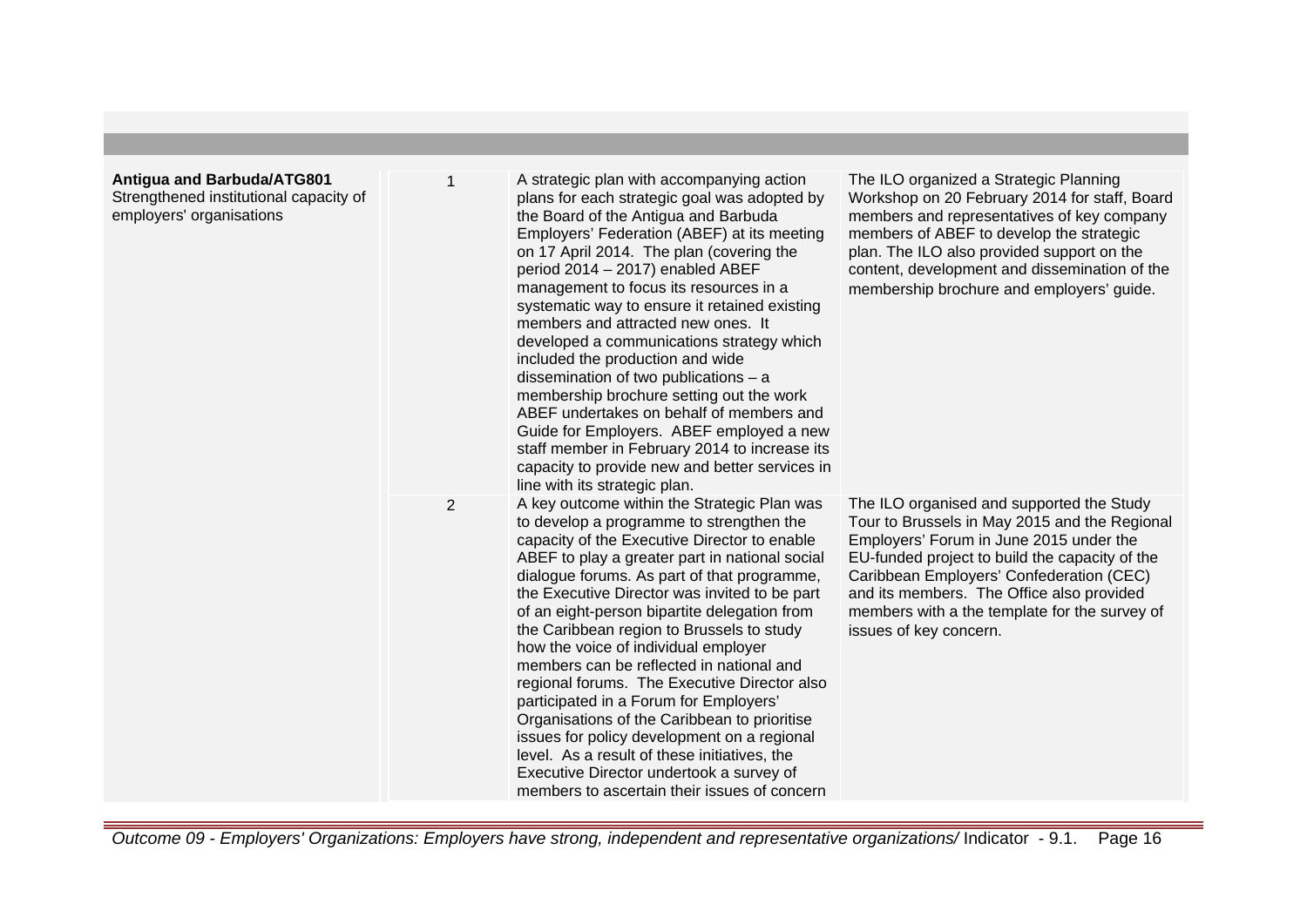| <b>Antigua and Barbuda/ATG801</b><br>Strengthened institutional capacity of<br>employers' organisations |                | A strategic plan with accompanying action<br>plans for each strategic goal was adopted by<br>the Board of the Antigua and Barbuda<br>Employers' Federation (ABEF) at its meeting<br>on 17 April 2014. The plan (covering the<br>period 2014 - 2017) enabled ABEF<br>management to focus its resources in a<br>systematic way to ensure it retained existing<br>members and attracted new ones. It<br>developed a communications strategy which<br>included the production and wide<br>dissemination of two publications $-$ a<br>membership brochure setting out the work<br>ABEF undertakes on behalf of members and<br>Guide for Employers. ABEF employed a new<br>staff member in February 2014 to increase its<br>capacity to provide new and better services in<br>line with its strategic plan.           | The ILO organized a Strategic Planning<br>Workshop on 20 February 2014 for staff, Board<br>members and representatives of key company<br>members of ABEF to develop the strategic<br>plan. The ILO also provided support on the<br>content, development and dissemination of the<br>membership brochure and employers' guide.                               |
|---------------------------------------------------------------------------------------------------------|----------------|-----------------------------------------------------------------------------------------------------------------------------------------------------------------------------------------------------------------------------------------------------------------------------------------------------------------------------------------------------------------------------------------------------------------------------------------------------------------------------------------------------------------------------------------------------------------------------------------------------------------------------------------------------------------------------------------------------------------------------------------------------------------------------------------------------------------|-------------------------------------------------------------------------------------------------------------------------------------------------------------------------------------------------------------------------------------------------------------------------------------------------------------------------------------------------------------|
|                                                                                                         | $\overline{2}$ | A key outcome within the Strategic Plan was<br>to develop a programme to strengthen the<br>capacity of the Executive Director to enable<br>ABEF to play a greater part in national social<br>dialogue forums. As part of that programme,<br>the Executive Director was invited to be part<br>of an eight-person bipartite delegation from<br>the Caribbean region to Brussels to study<br>how the voice of individual employer<br>members can be reflected in national and<br>regional forums. The Executive Director also<br>participated in a Forum for Employers'<br>Organisations of the Caribbean to prioritise<br>issues for policy development on a regional<br>level. As a result of these initiatives, the<br>Executive Director undertook a survey of<br>members to ascertain their issues of concern | The ILO organised and supported the Study<br>Tour to Brussels in May 2015 and the Regional<br>Employers' Forum in June 2015 under the<br>EU-funded project to build the capacity of the<br>Caribbean Employers' Confederation (CEC)<br>and its members. The Office also provided<br>members with a the template for the survey of<br>issues of key concern. |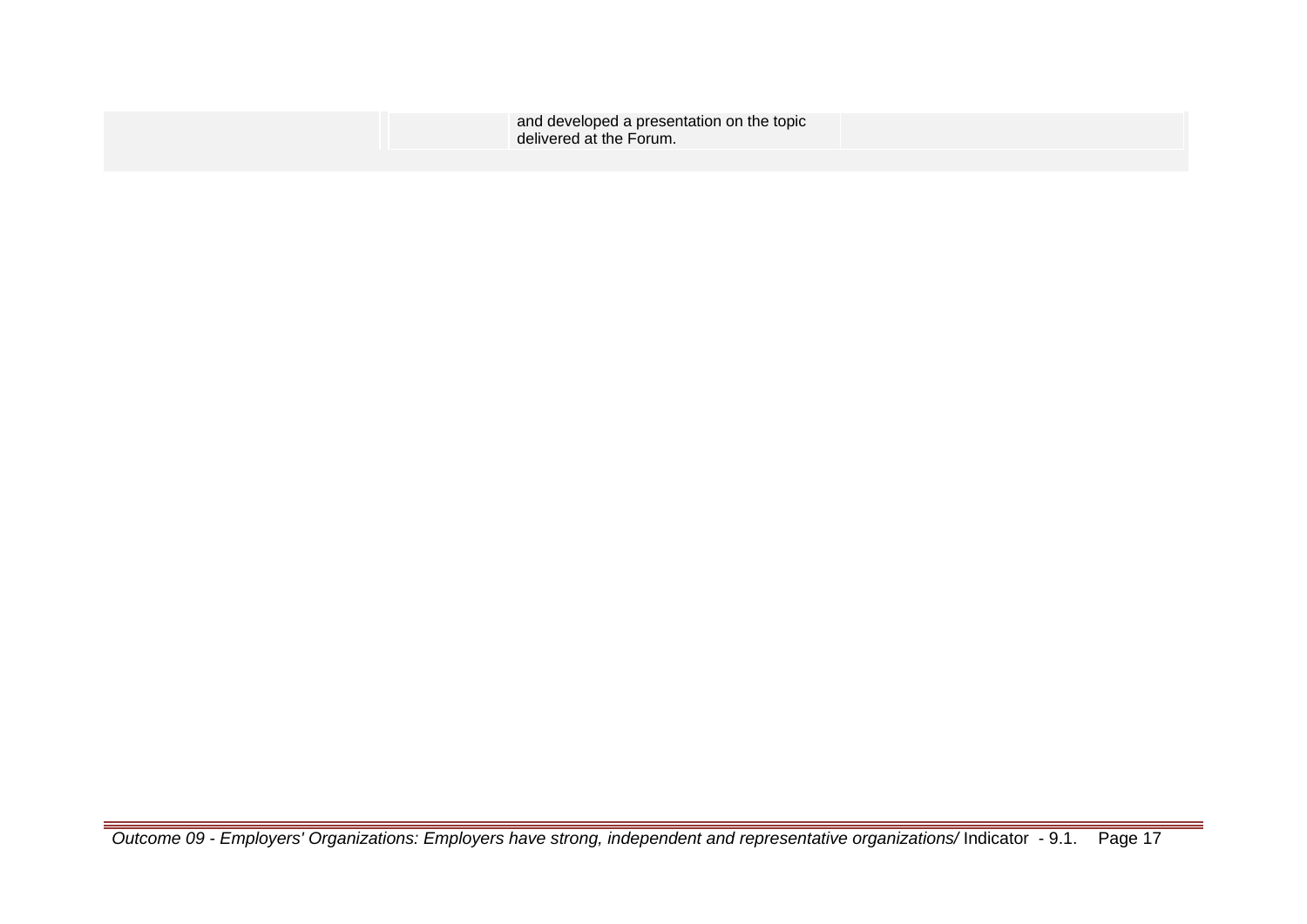| and developed a presentation on the topic |
|-------------------------------------------|
| delivered at the Forum.                   |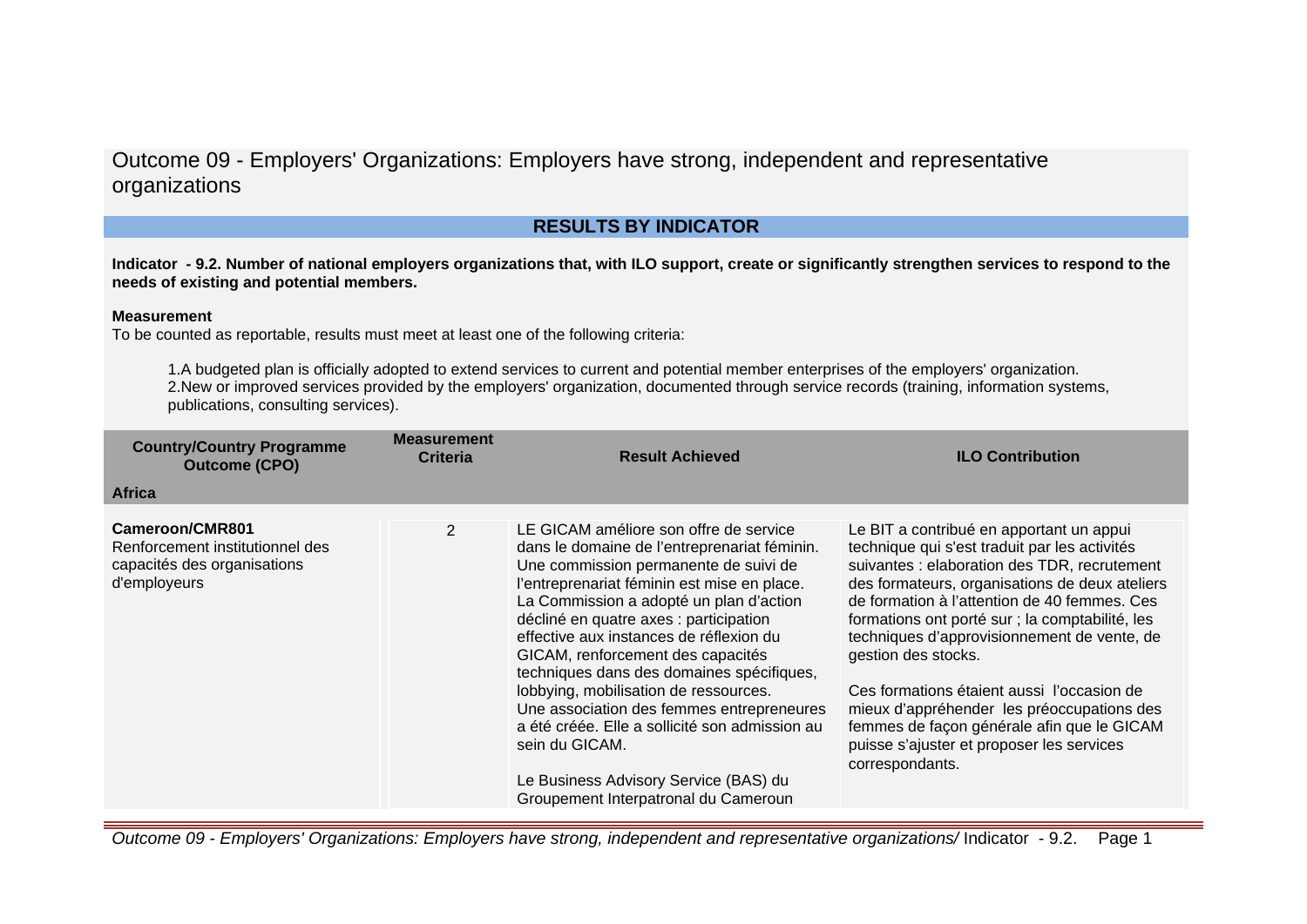## **RESULTS BY INDICATOR**

**Indicator - 9.2. Number of national employers organizations that, with ILO support, create or significantly strengthen services to respond to the needs of existing and potential members.**

#### **Measurement**

To be counted as reportable, results must meet at least one of the following criteria:

1.A budgeted plan is officially adopted to extend services to current and potential member enterprises of the employers' organization. 2.New or improved services provided by the employers' organization, documented through service records (training, information systems, publications, consulting services).

| <b>Country/Country Programme</b><br><b>Outcome (CPO)</b>                                          | <b>Measurement</b><br><b>Criteria</b> | <b>Result Achieved</b>                                                                                                                                                                                                                                                                                                                                                                                                                                                                                                                                                                                                                      | <b>ILO Contribution</b>                                                                                                                                                                                                                                                                                                                                                                                                                                                                                                                                                        |
|---------------------------------------------------------------------------------------------------|---------------------------------------|---------------------------------------------------------------------------------------------------------------------------------------------------------------------------------------------------------------------------------------------------------------------------------------------------------------------------------------------------------------------------------------------------------------------------------------------------------------------------------------------------------------------------------------------------------------------------------------------------------------------------------------------|--------------------------------------------------------------------------------------------------------------------------------------------------------------------------------------------------------------------------------------------------------------------------------------------------------------------------------------------------------------------------------------------------------------------------------------------------------------------------------------------------------------------------------------------------------------------------------|
| <b>Africa</b>                                                                                     |                                       |                                                                                                                                                                                                                                                                                                                                                                                                                                                                                                                                                                                                                                             |                                                                                                                                                                                                                                                                                                                                                                                                                                                                                                                                                                                |
| Cameroon/CMR801<br>Renforcement institutionnel des<br>capacités des organisations<br>d'employeurs | $\mathcal{P}$                         | LE GICAM améliore son offre de service<br>dans le domaine de l'entreprenariat féminin.<br>Une commission permanente de suivi de<br>l'entreprenariat féminin est mise en place.<br>La Commission a adopté un plan d'action<br>décliné en quatre axes : participation<br>effective aux instances de réflexion du<br>GICAM, renforcement des capacités<br>techniques dans des domaines spécifiques,<br>lobbying, mobilisation de ressources.<br>Une association des femmes entrepreneures<br>a été créée. Elle a sollicité son admission au<br>sein du GICAM.<br>Le Business Advisory Service (BAS) du<br>Groupement Interpatronal du Cameroun | Le BIT a contribué en apportant un appui<br>technique qui s'est traduit par les activités<br>suivantes : elaboration des TDR, recrutement<br>des formateurs, organisations de deux ateliers<br>de formation à l'attention de 40 femmes. Ces<br>formations ont porté sur ; la comptabilité, les<br>techniques d'approvisionnement de vente, de<br>gestion des stocks.<br>Ces formations étaient aussi l'occasion de<br>mieux d'appréhender les préoccupations des<br>femmes de façon générale afin que le GICAM<br>puisse s'ajuster et proposer les services<br>correspondants. |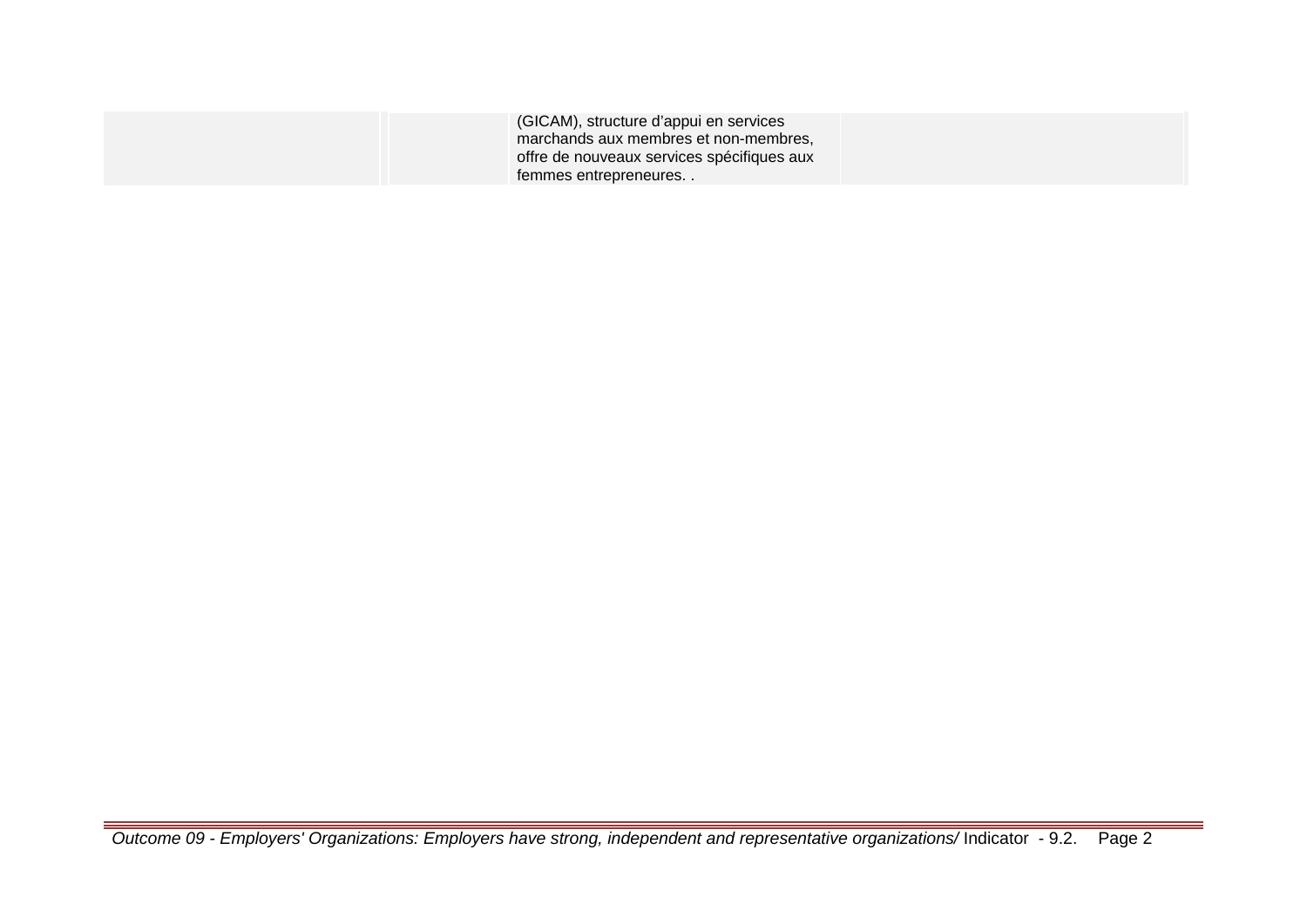| (GICAM), structure d'appui en services<br>marchands aux membres et non-membres, |  |
|---------------------------------------------------------------------------------|--|
| offre de nouveaux services spécifiques aux                                      |  |
| temmes entrepreneures                                                           |  |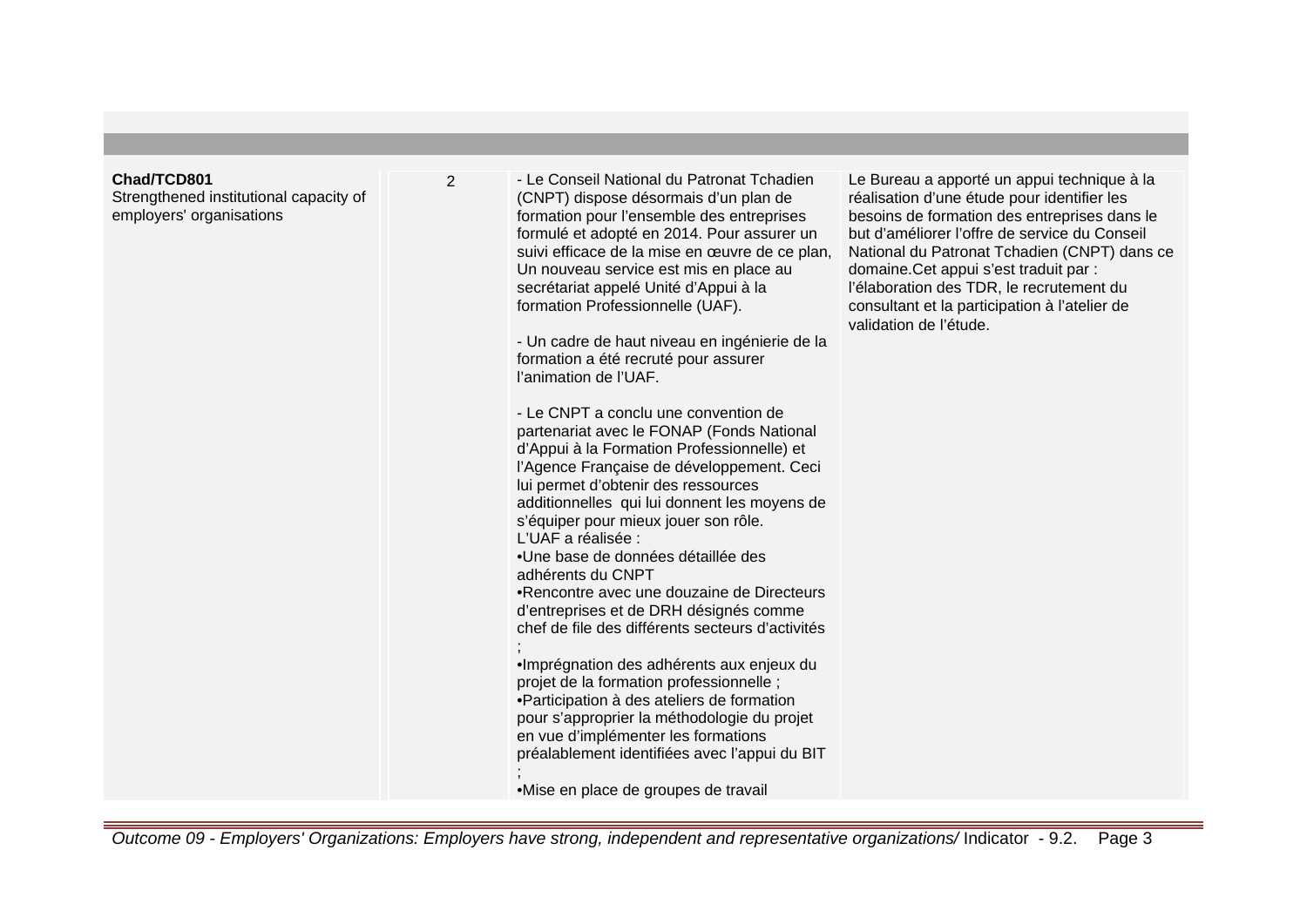## **Chad/TCD801**

Strengthened institutional capacity of employers' organisations

2 - Le Conseil National du Patronat Tchadien (CNPT) dispose désormais d'un plan de formation pour l'ensemble des entreprises formulé et adopté en 2014. Pour assurer un suivi efficace de la mise en œuvre de ce plan, Un nouveau service est mis en place au secrétariat appelé Unité d'Appui à la formation Professionnelle (UAF).

> - Un cadre de haut niveau en ingénierie de la formation a été recruté pour assurer l'animation de l'UAF.

- Le CNPT a conclu une convention de partenariat avec le FONAP (Fonds National d'Appui à la Formation Professionnelle) et l'Agence Française de développement. Ceci lui permet d'obtenir des ressources additionnelles qui lui donnent les moyens de s'équiper pour mieux jouer son rôle. L'UAF a réalisée : • Une base de données détaillée des adhérents du CNPT

• Rencontre avec une douzaine de Directeurs d'entreprises et de DRH désignés comme chef de file des différents secteurs d'activités

; • Imprégnation des adhérents aux enjeux du projet de la formation professionnelle ;

• Participation à des ateliers de formation pour s'approprier la méthodologie du projet en vue d'implémenter les formations préalablement identifiées avec l'appui du BIT

; • Mise en place de groupes de travail Le Bureau a apporté un appui technique à la réalisation d'une étude pour identifier les besoins de formation des entreprises dans le but d'améliorer l'offre de service du Conseil National du Patronat Tchadien (CNPT) dans ce domaine.Cet appui s'est traduit par : l'élaboration des TDR, le recrutement du consultant et la participation à l'atelier de validation de l'étude.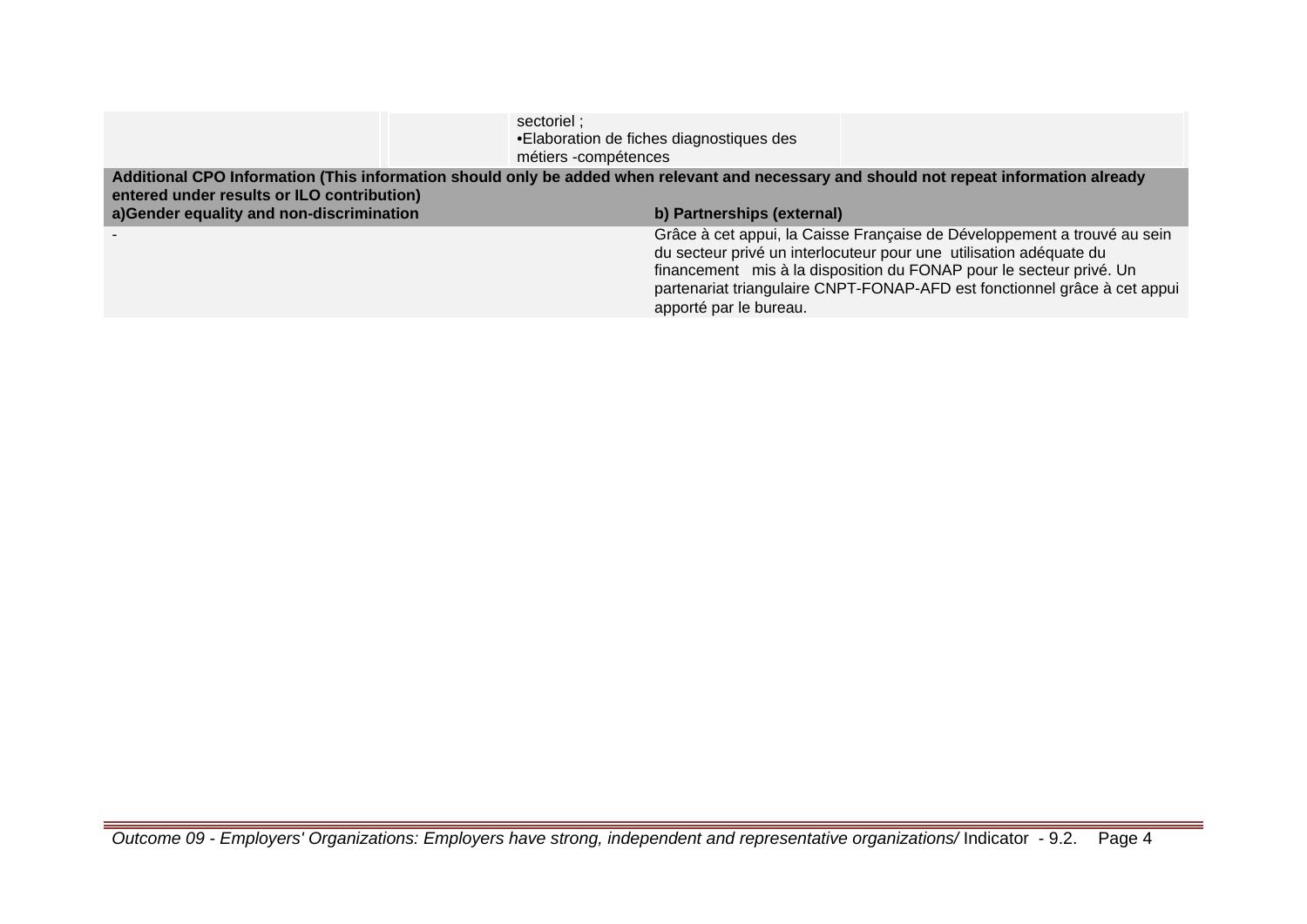|                                            | sectoriel;<br>• Elaboration de fiches diagnostiques des<br>métiers -compétences                                                                                                                                                                                                                                              |
|--------------------------------------------|------------------------------------------------------------------------------------------------------------------------------------------------------------------------------------------------------------------------------------------------------------------------------------------------------------------------------|
| entered under results or ILO contribution) | Additional CPO Information (This information should only be added when relevant and necessary and should not repeat information already                                                                                                                                                                                      |
| a)Gender equality and non-discrimination   | b) Partnerships (external)                                                                                                                                                                                                                                                                                                   |
|                                            | Grâce à cet appui, la Caisse Française de Développement a trouvé au sein<br>du secteur privé un interlocuteur pour une utilisation adéquate du<br>financement mis à la disposition du FONAP pour le secteur privé. Un<br>partenariat triangulaire CNPT-FONAP-AFD est fonctionnel grâce à cet appui<br>apporté par le bureau. |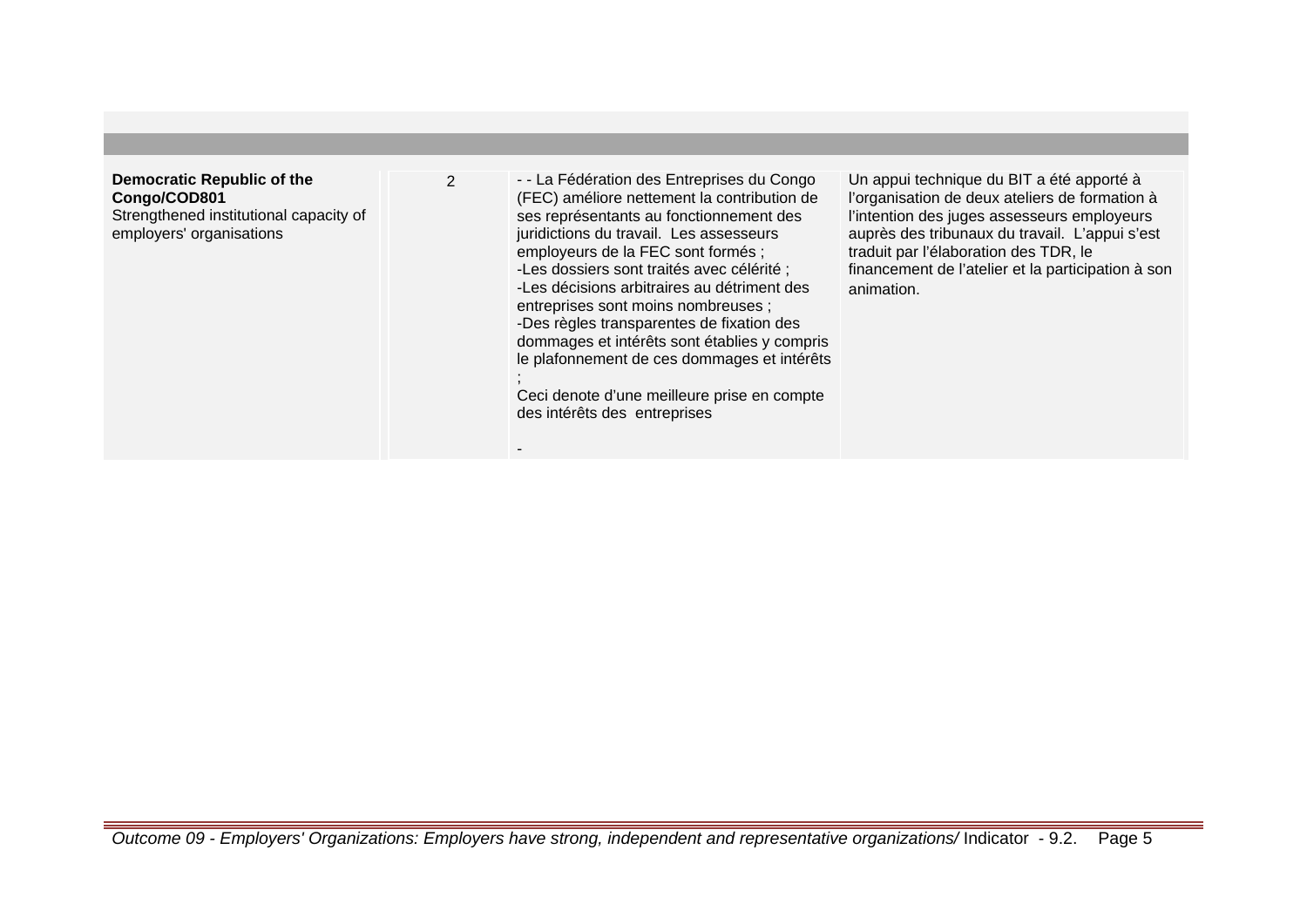#### **Democratic Republic of the Congo/COD801** Strengthened institutional capacity of employers' organisations

2 - La Fédération des Entreprises du Congo (FEC) améliore nettement la contribution de ses représentants au fonctionnement des juridictions du travail. Les assesseurs employeurs de la FEC sont formés ; -Les dossiers sont traités avec célérité ; -Les décisions arbitraires au détriment des entreprises sont moins nombreuses ; -Des règles transparentes de fixation des dommages et intérêts sont établies y compris le plafonnement de ces dommages et intérêts ;

Ceci denote d'une meilleure prise en compte des intérêts des entreprises

-

Un appui technique du BIT a été apporté à l'organisation de deux ateliers de formation à l'intention des juges assesseurs employeurs auprès des tribunaux du travail. L'appui s'est traduit par l'élaboration des TDR, le financement de l'atelier et la participation à son animation.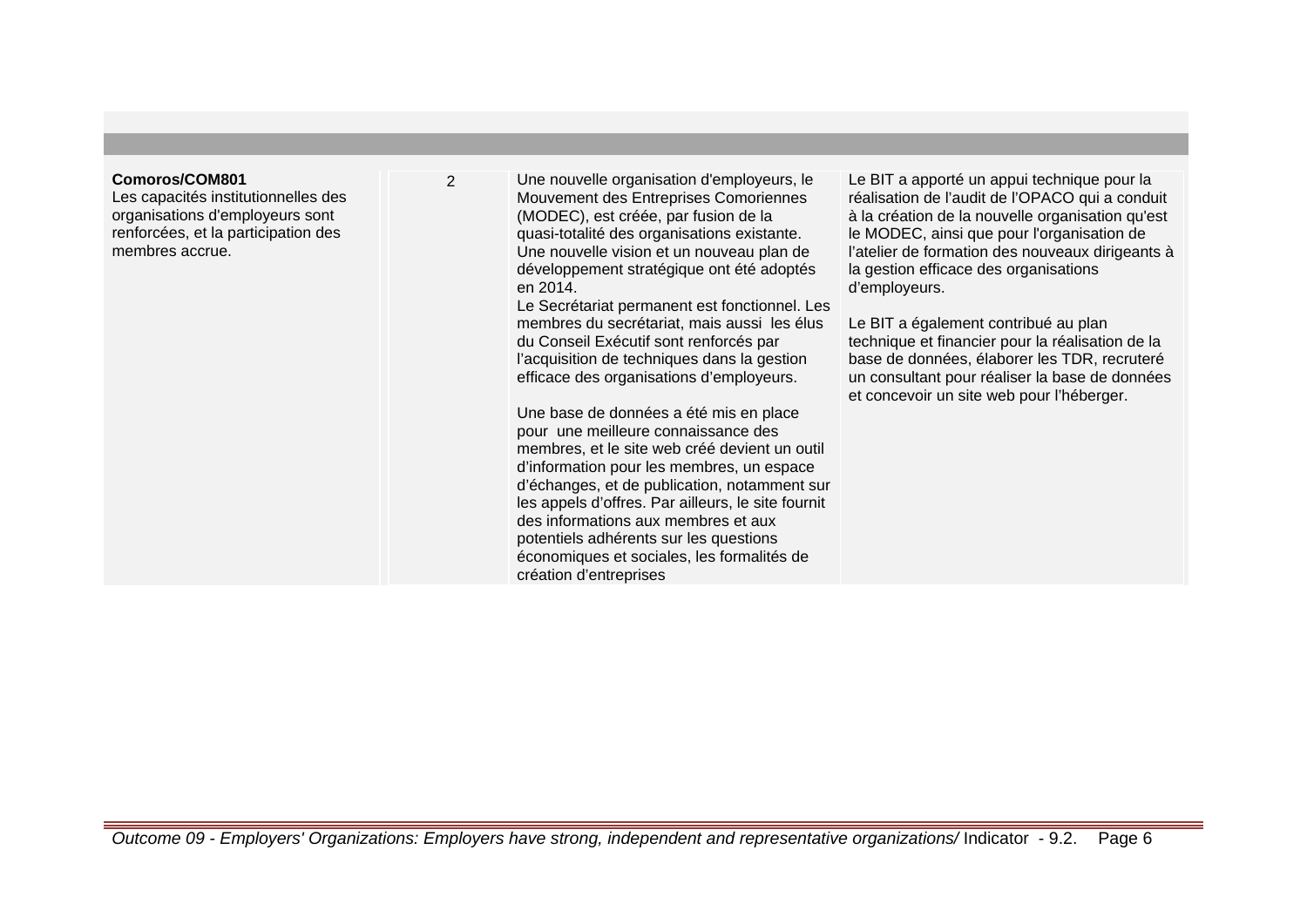#### **Comoros/COM801**

Les capacités institutionnelles des organisations d'employeurs sont renforcées, et la participation des membres accrue.

2 Une nouvelle organisation d'employeurs, le Mouvement des Entreprises Comoriennes (MODEC), est créée, par fusion de la quasi-totalité des organisations existante. Une nouvelle vision et un nouveau plan de développement stratégique ont été adoptés en 2014.

Le Secrétariat permanent est fonctionnel. Les membres du secrétariat, mais aussi les élus du Conseil Exécutif sont renforcés par l'acquisition de techniques dans la gestion efficace des organisations d'employeurs.

Une base de données a été mis en place pour une meilleure connaissance des membres, et le site web créé devient un outil d'information pour les membres, un espace d'échanges, et de publication, notamment sur les appels d'offres. Par ailleurs, le site fournit des informations aux membres et aux potentiels adhérents sur les questions économiques et sociales, les formalités de création d'entreprises

Le BIT a apporté un appui technique pour la réalisation de l'audit de l'OPACO qui a conduit à la création de la nouvelle organisation qu'est le MODEC, ainsi que pour l'organisation de l'atelier de formation des nouveaux dirigeants à la gestion efficace des organisations d'employeurs.

Le BIT a également contribué au plan technique et financier pour la réalisation de la base de données, élaborer les TDR, recruteré un consultant pour réaliser la base de données et concevoir un site web pour l'héberger.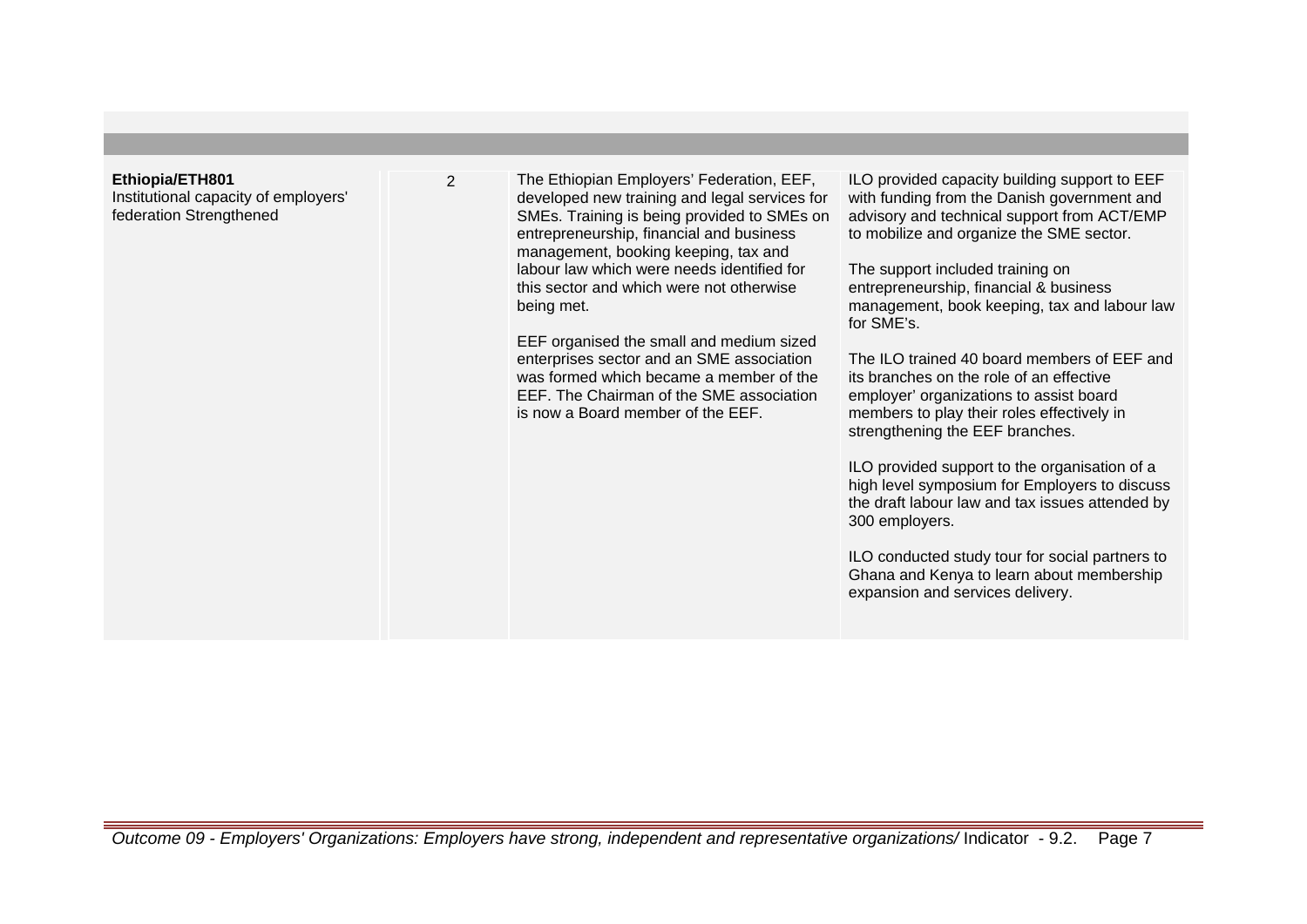#### **Ethiopia/ETH801**

Institutional capacity of employers' federation Strengthened

2 The Ethiopian Employers' Federation, EEF, developed new training and legal services for SMEs. Training is being provided to SMEs on entrepreneurship, financial and business management, booking keeping, tax and labour law which were needs identified for this sector and which were not otherwise being met.

> EEF organised the small and medium sized enterprises sector and an SME association was formed which became a member of the EEF. The Chairman of the SME association is now a Board member of the EEF.

ILO provided capacity building support to EEF with funding from the Danish government and advisory and technical support from ACT/EMP to mobilize and organize the SME sector.

The support included training on entrepreneurship, financial & business management, book keeping, tax and labour law for SME's.

The ILO trained 40 board members of EEF and its branches on the role of an effective employer' organizations to assist board members to play their roles effectively in strengthening the EEF branches.

ILO provided support to the organisation of a high level symposium for Employers to discuss the draft labour law and tax issues attended by 300 employers.

ILO conducted study tour for social partners to Ghana and Kenya to learn about membership expansion and services delivery.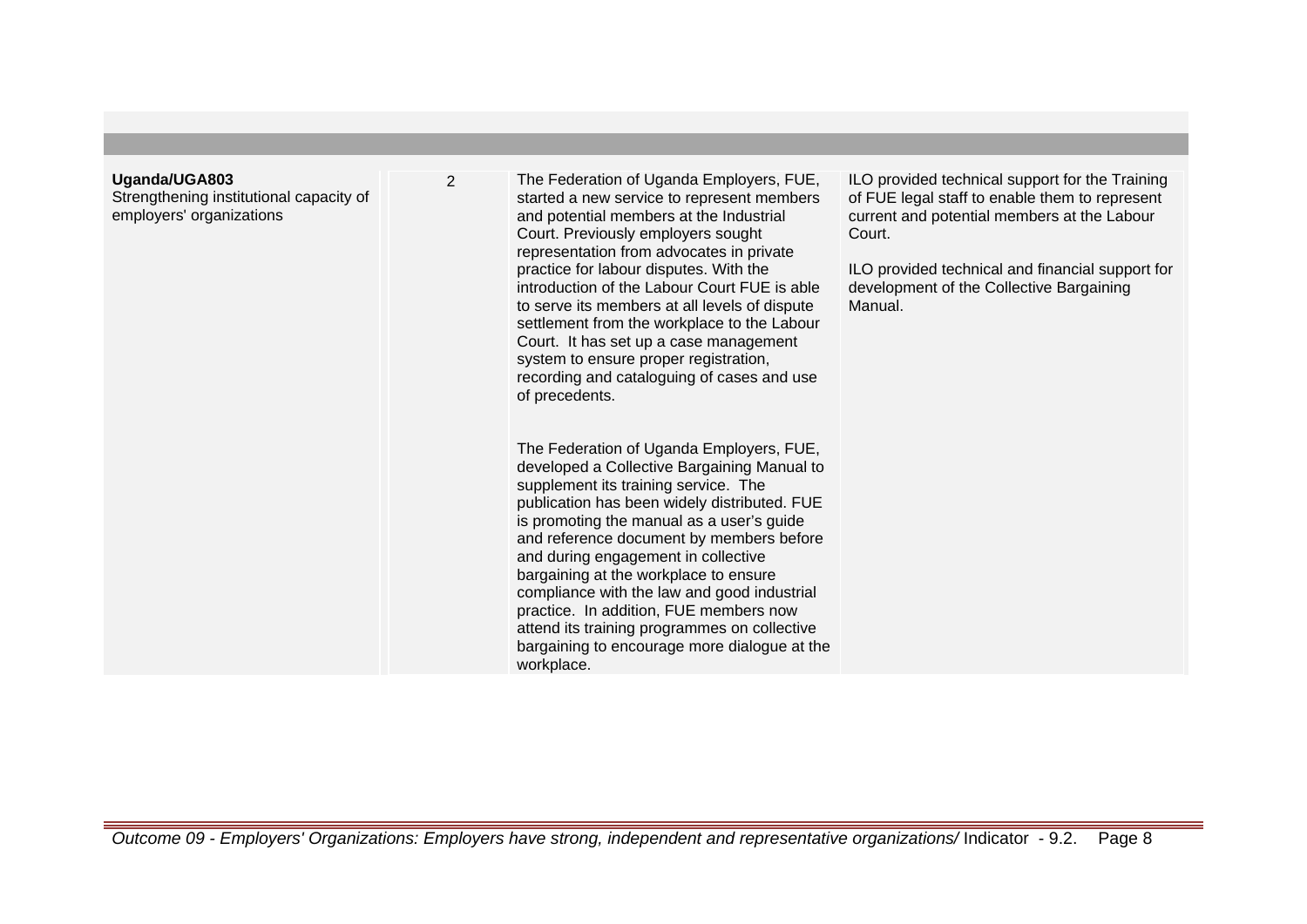#### **Uganda/UGA803**

Strengthening institutional capacity of employers' organizations

2 The Federation of Uganda Employers, FUE, started a new service to represent members and potential members at the Industrial Court. Previously employers sought representation from advocates in private practice for labour disputes. With the introduction of the Labour Court FUE is able to serve its members at all levels of dispute settlement from the workplace to the Labour Court. It has set up a case management system to ensure proper registration, recording and cataloguing of cases and use of precedents.

> The Federation of Uganda Employers, FUE, developed a Collective Bargaining Manual to supplement its training service. The publication has been widely distributed. FUE is promoting the manual as a user's guide and reference document by members before and during engagement in collective bargaining at the workplace to ensure compliance with the law and good industrial practice. In addition, FUE members now attend its training programmes on collective bargaining to encourage more dialogue at the workplace.

ILO provided technical support for the Training of FUE legal staff to enable them to represent current and potential members at the Labour Court.

ILO provided technical and financial support for development of the Collective Bargaining Manual.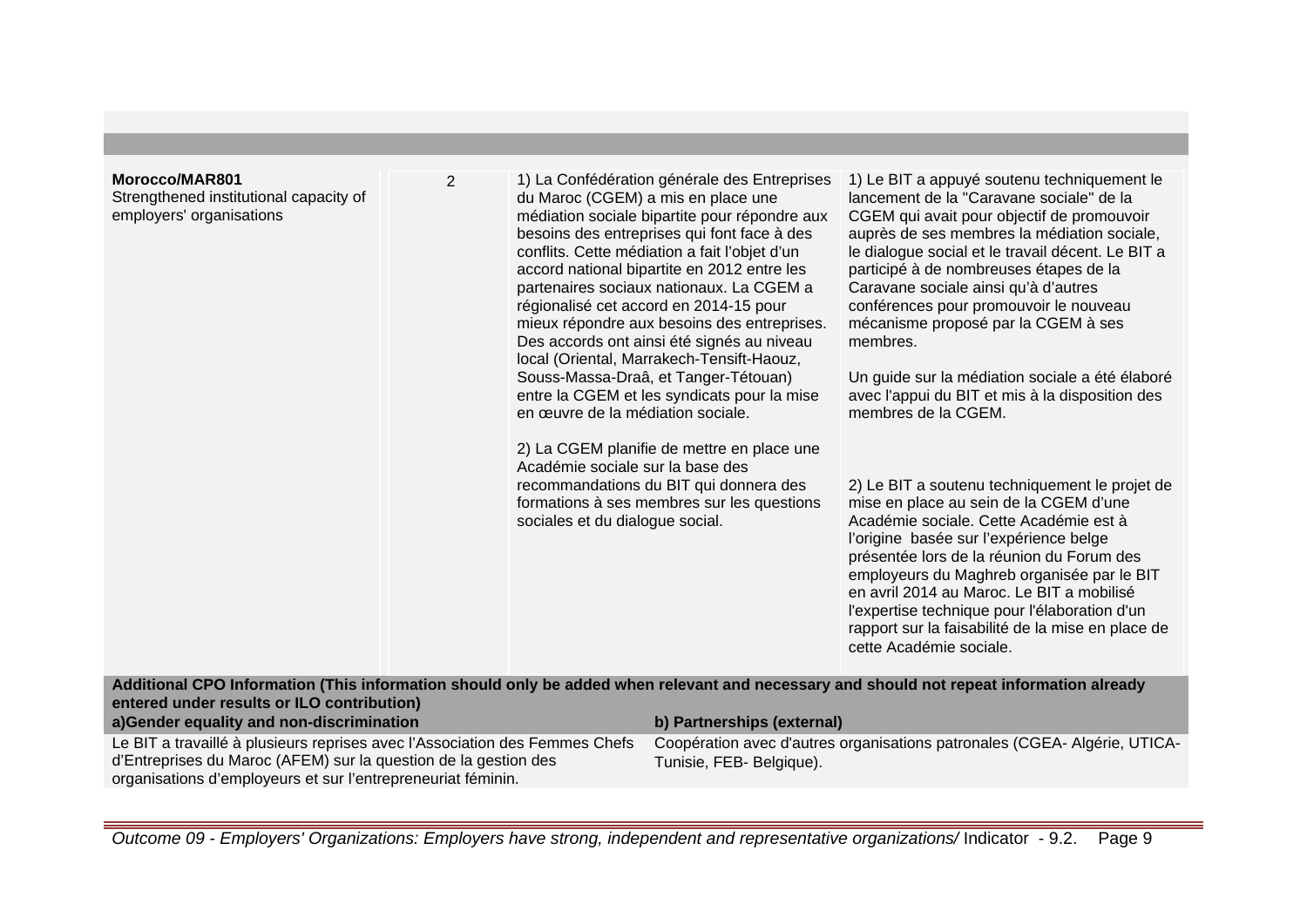#### **Morocco/MAR801**

Strengthened institutional capacity of employers' organisations

2 1) La Confédération générale des Entreprises du Maroc (CGEM) a mis en place une médiation sociale bipartite pour répondre aux besoins des entreprises qui font face à des conflits. Cette médiation a fait l'objet d'un accord national bipartite en 2012 entre les partenaires sociaux nationaux. La CGEM a régionalisé cet accord en 2014-15 pour mieux répondre aux besoins des entreprises. Des accords ont ainsi été signés au niveau local (Oriental, Marrakech-Tensift-Haouz, Souss-Massa-Draâ, et Tanger-Tétouan) entre la CGEM et les syndicats pour la mise en œuvre de la médiation sociale.

> 2) La CGEM planifie de mettre en place une Académie sociale sur la base des recommandations du BIT qui donnera des formations à ses membres sur les questions sociales et du dialogue social.

1) Le BIT a appuyé soutenu techniquement le lancement de la ''Caravane sociale'' de la CGEM qui avait pour objectif de promouvoir auprès de ses membres la médiation sociale, le dialogue social et le travail décent. Le BIT a participé à de nombreuses étapes de la Caravane sociale ainsi qu'à d'autres conférences pour promouvoir le nouveau mécanisme proposé par la CGEM à ses membres.

Un guide sur la médiation sociale a été élaboré avec l'appui du BIT et mis à la disposition des membres de la CGEM.

2) Le BIT a soutenu techniquement le projet de mise en place au sein de la CGEM d'une Académie sociale. Cette Académie est à l'origine basée sur l'expérience belge présentée lors de la réunion du Forum des employeurs du Maghreb organisée par le BIT en avril 2014 au Maroc. Le BIT a mobilisé l'expertise technique pour l'élaboration d'un rapport sur la faisabilité de la mise en place de cette Académie sociale.

**Additional CPO Information (This information should only be added when relevant and necessary and should not repeat information already entered under results or ILO contribution)**

| a) Gender equality and non-discrimination                                   | b) Partnerships (external)                                               |
|-----------------------------------------------------------------------------|--------------------------------------------------------------------------|
| Le BIT a travaillé à plusieurs reprises avec l'Association des Femmes Chefs | Coopération avec d'autres organisations patronales (CGEA-Algérie, UTICA- |
| d'Entreprises du Maroc (AFEM) sur la question de la gestion des             | Tunisie, FEB- Belgique).                                                 |
| organisations d'employeurs et sur l'entrepreneuriat féminin.                |                                                                          |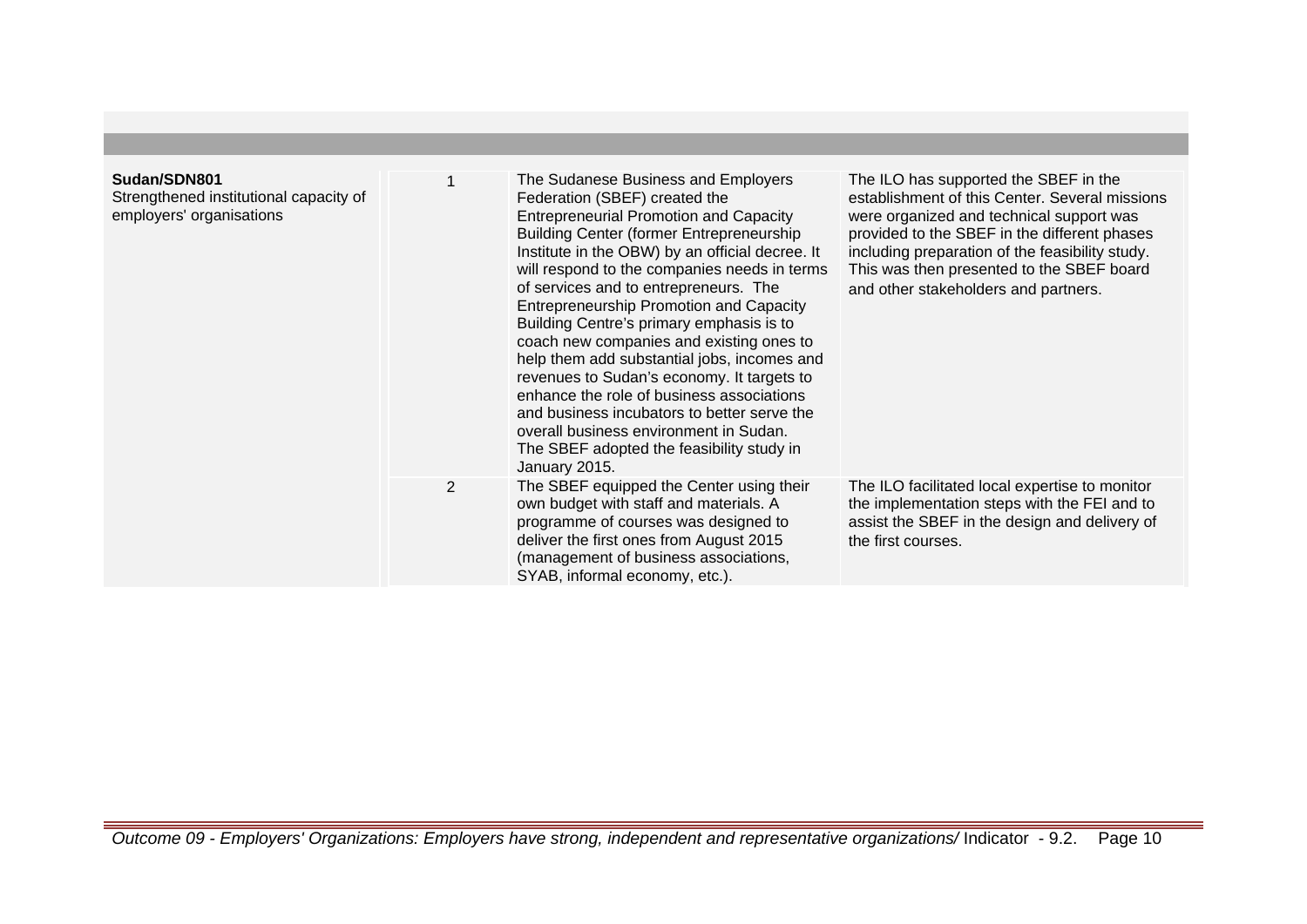| Sudan/SDN801<br>Strengthened institutional capacity of<br>employers' organisations |   | The Sudanese Business and Employers<br>Federation (SBEF) created the<br><b>Entrepreneurial Promotion and Capacity</b><br><b>Building Center (former Entrepreneurship)</b><br>Institute in the OBW) by an official decree. It<br>will respond to the companies needs in terms<br>of services and to entrepreneurs. The<br><b>Entrepreneurship Promotion and Capacity</b><br>Building Centre's primary emphasis is to<br>coach new companies and existing ones to<br>help them add substantial jobs, incomes and<br>revenues to Sudan's economy. It targets to<br>enhance the role of business associations<br>and business incubators to better serve the<br>overall business environment in Sudan.<br>The SBEF adopted the feasibility study in<br>January 2015. | The ILO has supported the SBEF in the<br>establishment of this Center. Several missions<br>were organized and technical support was<br>provided to the SBEF in the different phases<br>including preparation of the feasibility study.<br>This was then presented to the SBEF board<br>and other stakeholders and partners. |
|------------------------------------------------------------------------------------|---|------------------------------------------------------------------------------------------------------------------------------------------------------------------------------------------------------------------------------------------------------------------------------------------------------------------------------------------------------------------------------------------------------------------------------------------------------------------------------------------------------------------------------------------------------------------------------------------------------------------------------------------------------------------------------------------------------------------------------------------------------------------|-----------------------------------------------------------------------------------------------------------------------------------------------------------------------------------------------------------------------------------------------------------------------------------------------------------------------------|
|                                                                                    | 2 | The SBEF equipped the Center using their<br>own budget with staff and materials. A<br>programme of courses was designed to<br>deliver the first ones from August 2015<br>(management of business associations,<br>SYAB, informal economy, etc.).                                                                                                                                                                                                                                                                                                                                                                                                                                                                                                                 | The ILO facilitated local expertise to monitor<br>the implementation steps with the FEI and to<br>assist the SBEF in the design and delivery of<br>the first courses.                                                                                                                                                       |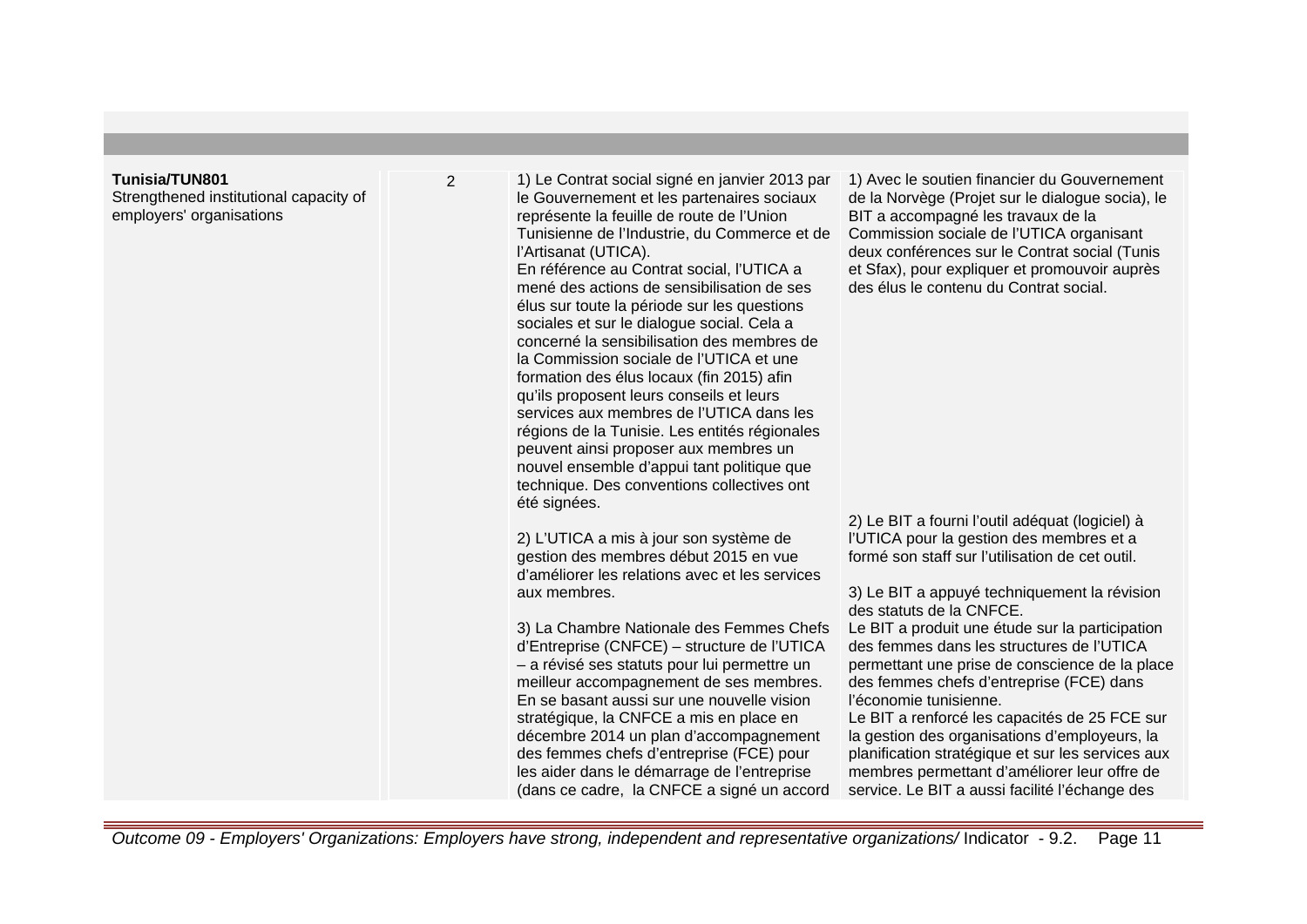| <b>Tunisia/TUN801</b><br>Strengthened institutional capacity of<br>employers' organisations | 2 | 1) Le Contrat social signé en janvier 2013 par<br>le Gouvernement et les partenaires sociaux<br>représente la feuille de route de l'Union<br>Tunisienne de l'Industrie, du Commerce et de<br>l'Artisanat (UTICA).<br>En référence au Contrat social, l'UTICA a<br>mené des actions de sensibilisation de ses<br>élus sur toute la période sur les questions<br>sociales et sur le dialogue social. Cela a<br>concerné la sensibilisation des membres de<br>la Commission sociale de l'UTICA et une<br>formation des élus locaux (fin 2015) afin<br>qu'ils proposent leurs conseils et leurs<br>services aux membres de l'UTICA dans les<br>régions de la Tunisie. Les entités régionales<br>peuvent ainsi proposer aux membres un<br>nouvel ensemble d'appui tant politique que<br>technique. Des conventions collectives ont | 1) Avec le soutien financier du Gouvernement<br>de la Norvège (Projet sur le dialogue socia), le<br>BIT a accompagné les travaux de la<br>Commission sociale de l'UTICA organisant<br>deux conférences sur le Contrat social (Tunis<br>et Sfax), pour expliquer et promouvoir auprès<br>des élus le contenu du Contrat social.                                                                                                                                                                                                                                                                                                                                                                              |
|---------------------------------------------------------------------------------------------|---|-------------------------------------------------------------------------------------------------------------------------------------------------------------------------------------------------------------------------------------------------------------------------------------------------------------------------------------------------------------------------------------------------------------------------------------------------------------------------------------------------------------------------------------------------------------------------------------------------------------------------------------------------------------------------------------------------------------------------------------------------------------------------------------------------------------------------------|-------------------------------------------------------------------------------------------------------------------------------------------------------------------------------------------------------------------------------------------------------------------------------------------------------------------------------------------------------------------------------------------------------------------------------------------------------------------------------------------------------------------------------------------------------------------------------------------------------------------------------------------------------------------------------------------------------------|
|                                                                                             |   | été signées.<br>2) L'UTICA a mis à jour son système de<br>gestion des membres début 2015 en vue<br>d'améliorer les relations avec et les services<br>aux membres.<br>3) La Chambre Nationale des Femmes Chefs<br>d'Entreprise (CNFCE) – structure de l'UTICA<br>- a révisé ses statuts pour lui permettre un<br>meilleur accompagnement de ses membres.<br>En se basant aussi sur une nouvelle vision<br>stratégique, la CNFCE a mis en place en<br>décembre 2014 un plan d'accompagnement<br>des femmes chefs d'entreprise (FCE) pour<br>les aider dans le démarrage de l'entreprise<br>(dans ce cadre, la CNFCE a signé un accord                                                                                                                                                                                           | 2) Le BIT a fourni l'outil adéquat (logiciel) à<br>l'UTICA pour la gestion des membres et a<br>formé son staff sur l'utilisation de cet outil.<br>3) Le BIT a appuyé techniquement la révision<br>des statuts de la CNFCE.<br>Le BIT a produit une étude sur la participation<br>des femmes dans les structures de l'UTICA<br>permettant une prise de conscience de la place<br>des femmes chefs d'entreprise (FCE) dans<br>l'économie tunisienne.<br>Le BIT a renforcé les capacités de 25 FCE sur<br>la gestion des organisations d'employeurs, la<br>planification stratégique et sur les services aux<br>membres permettant d'améliorer leur offre de<br>service. Le BIT a aussi facilité l'échange des |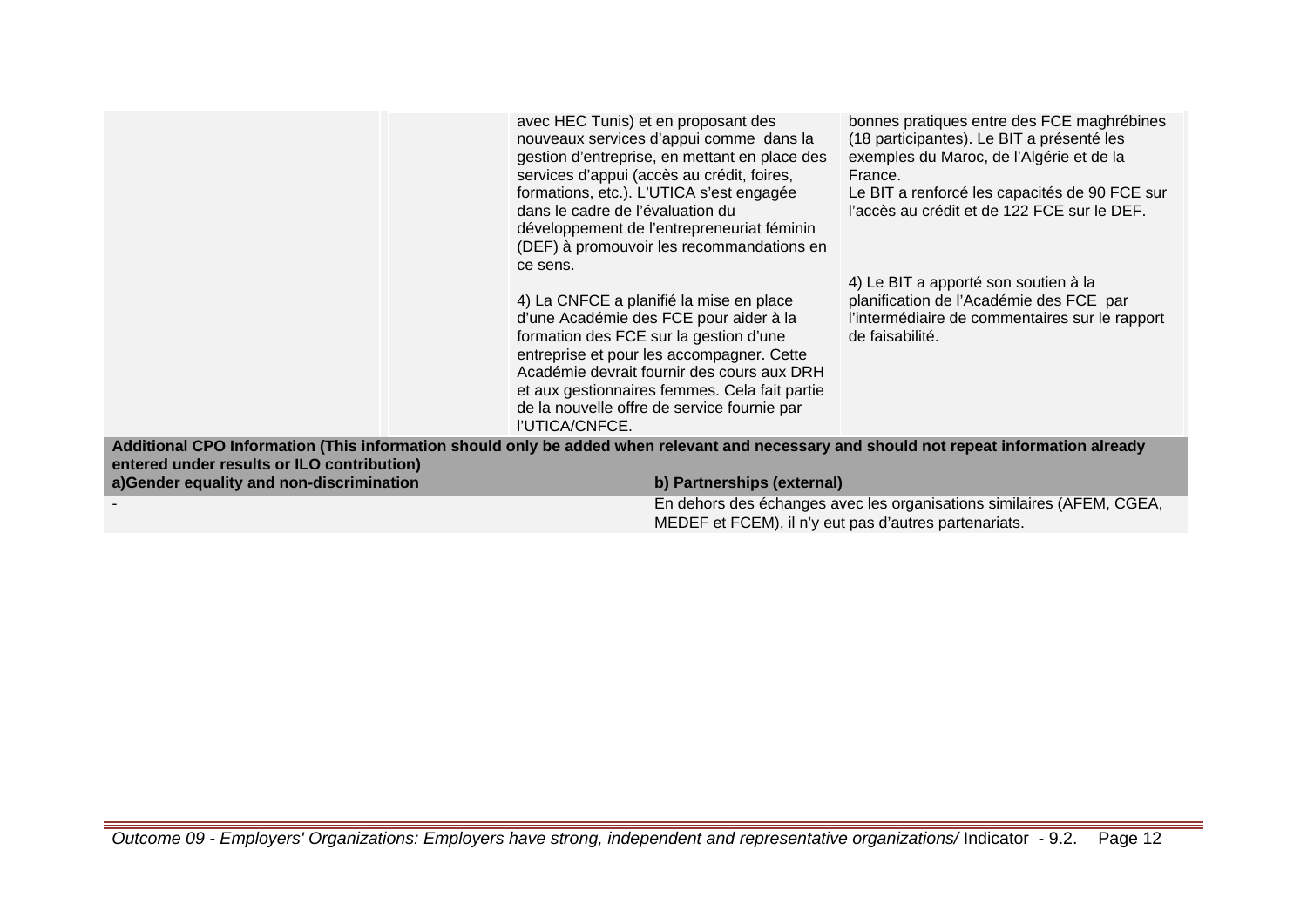|                                                                                                                                                                                       | avec HEC Tunis) et en proposant des<br>nouveaux services d'appui comme dans la<br>gestion d'entreprise, en mettant en place des<br>services d'appui (accès au crédit, foires,<br>formations, etc.). L'UTICA s'est engagée<br>dans le cadre de l'évaluation du<br>développement de l'entrepreneuriat féminin<br>(DEF) à promouvoir les recommandations en<br>ce sens.<br>4) La CNFCE a planifié la mise en place<br>d'une Académie des FCE pour aider à la<br>formation des FCE sur la gestion d'une<br>entreprise et pour les accompagner. Cette<br>Académie devrait fournir des cours aux DRH<br>et aux gestionnaires femmes. Cela fait partie<br>de la nouvelle offre de service fournie par<br>l'UTICA/CNFCE. | bonnes pratiques entre des FCE maghrébines<br>(18 participantes). Le BIT a présenté les<br>exemples du Maroc, de l'Algérie et de la<br>France.<br>Le BIT a renforcé les capacités de 90 FCE sur<br>l'accès au crédit et de 122 FCE sur le DEF.<br>4) Le BIT a apporté son soutien à la<br>planification de l'Académie des FCE par<br>l'intermédiaire de commentaires sur le rapport<br>de faisabilité. |
|---------------------------------------------------------------------------------------------------------------------------------------------------------------------------------------|------------------------------------------------------------------------------------------------------------------------------------------------------------------------------------------------------------------------------------------------------------------------------------------------------------------------------------------------------------------------------------------------------------------------------------------------------------------------------------------------------------------------------------------------------------------------------------------------------------------------------------------------------------------------------------------------------------------|--------------------------------------------------------------------------------------------------------------------------------------------------------------------------------------------------------------------------------------------------------------------------------------------------------------------------------------------------------------------------------------------------------|
| Additional CPO Information (This information should only be added when relevant and necessary and should not repeat information already<br>entered under results or ILO contribution) |                                                                                                                                                                                                                                                                                                                                                                                                                                                                                                                                                                                                                                                                                                                  |                                                                                                                                                                                                                                                                                                                                                                                                        |
| a)Gender equality and non-discrimination                                                                                                                                              | b) Partnerships (external)                                                                                                                                                                                                                                                                                                                                                                                                                                                                                                                                                                                                                                                                                       |                                                                                                                                                                                                                                                                                                                                                                                                        |
|                                                                                                                                                                                       | MEDEF et FCEM), il n'y eut pas d'autres partenariats.                                                                                                                                                                                                                                                                                                                                                                                                                                                                                                                                                                                                                                                            | En dehors des échanges avec les organisations similaires (AFEM, CGEA,                                                                                                                                                                                                                                                                                                                                  |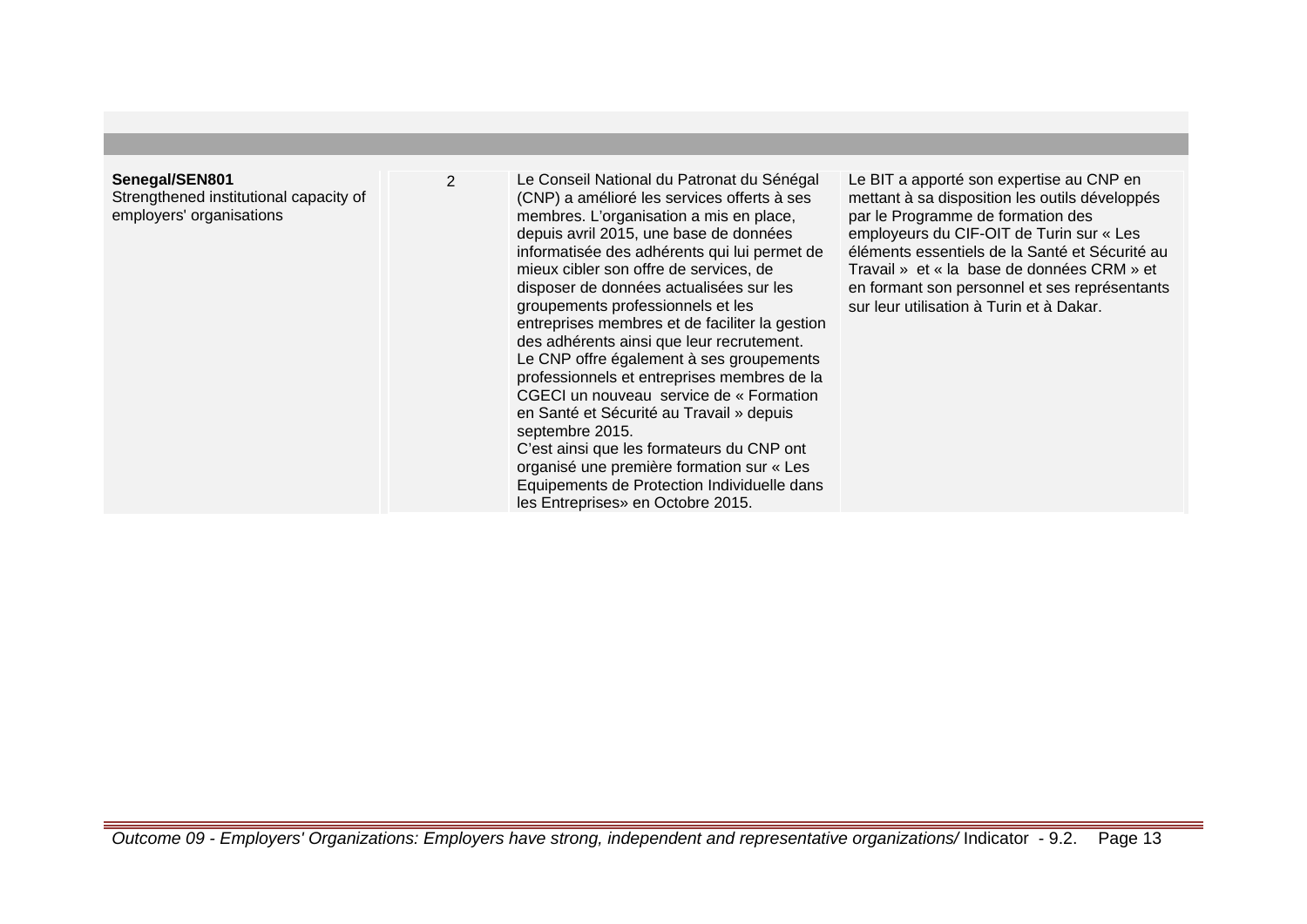#### **Senegal/SEN801**

Strengthened institutional capacity of employers' organisations

2 Le Conseil National du Patronat du Sénégal (CNP) a amélioré les services offerts à ses membres. L'organisation a mis en place, depuis avril 2015, une base de données informatisée des adhérents qui lui permet de mieux cibler son offre de services, de disposer de données actualisées sur les groupements professionnels et les entreprises membres et de faciliter la gestion des adhérents ainsi que leur recrutement. Le CNP offre également à ses groupements professionnels et entreprises membres de la CGECI un nouveau service de « Formation en Santé et Sécurité au Travail » depuis septembre 2015. C'est ainsi que les formateurs du CNP ont

organisé une première formation sur « Les Equipements de Protection Individuelle dans les Entreprises» en Octobre 2015.

Le BIT a apporté son expertise au CNP en mettant à sa disposition les outils développés par le Programme de formation des employeurs du CIF-OIT de Turin sur « Les éléments essentiels de la Santé et Sécurité au Travail » et « la base de données CRM » et en formant son personnel et ses représentants sur leur utilisation à Turin et à Dakar.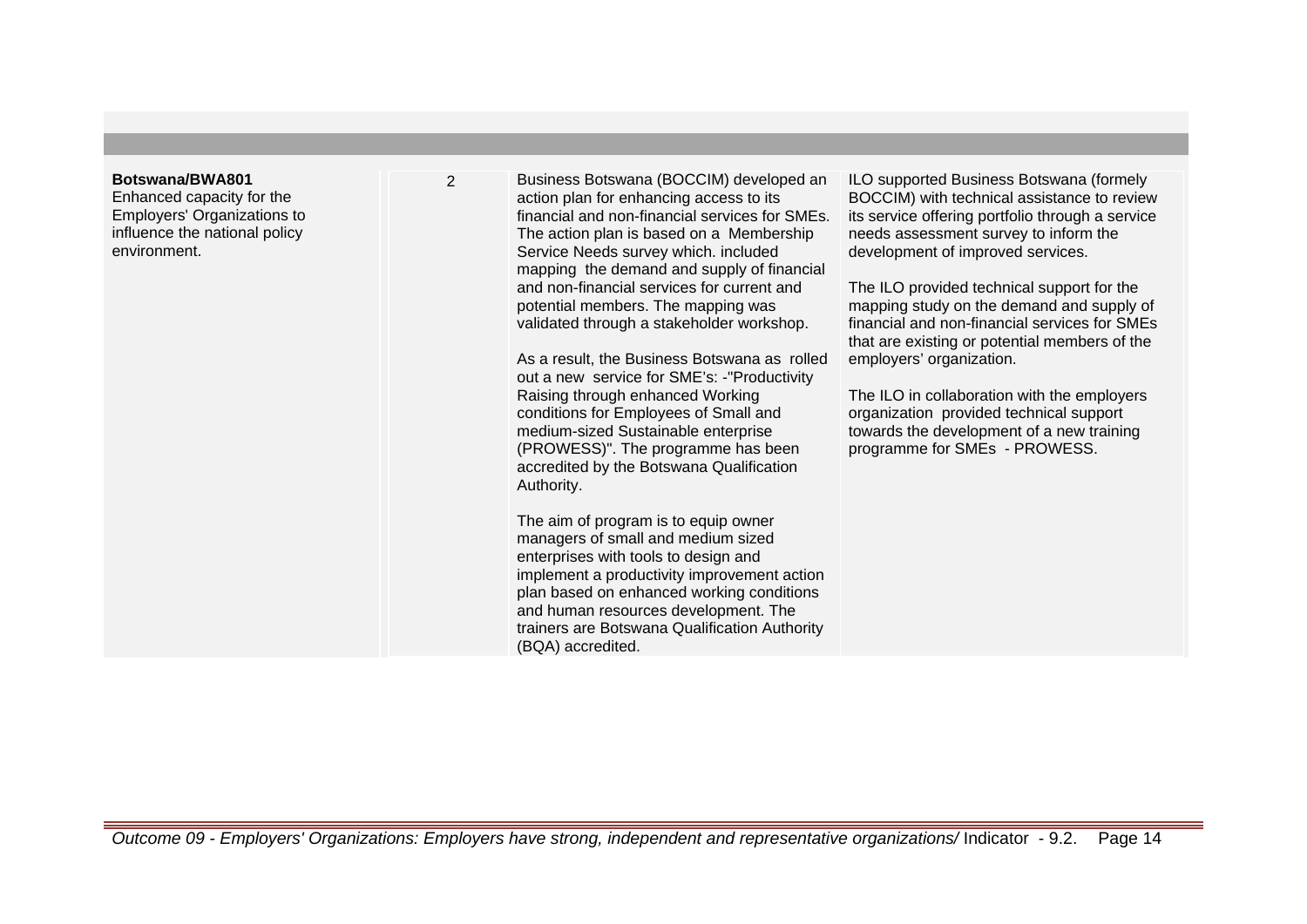#### **Botswana/BWA801**

Enhanced capacity for the Employers' Organizations to influence the national policy environment.

2 Business Botswana (BOCCIM) developed an action plan for enhancing access to its financial and non-financial services for SMEs. The action plan is based on a Membership Service Needs survey which. included mapping the demand and supply of financial and non-financial services for current and potential members. The mapping was validated through a stakeholder workshop.

> As a result, the Business Botswana as rolled out a new service for SME's: -"Productivity Raising through enhanced Working conditions for Employees of Small and medium-sized Sustainable enterprise (PROWESS)". The programme has been accredited by the Botswana Qualification Authority.

The aim of program is to equip owner managers of small and medium sized enterprises with tools to design and implement a productivity improvement action plan based on enhanced working conditions and human resources development. The trainers are Botswana Qualification Authority (BQA) accredited.

ILO supported Business Botswana (formely BOCCIM) with technical assistance to review its service offering portfolio through a service needs assessment survey to inform the development of improved services.

The ILO provided technical support for the mapping study on the demand and supply of financial and non-financial services for SMEs that are existing or potential members of the employers' organization.

The ILO in collaboration with the employers organization provided technical support towards the development of a new training programme for SMEs - PROWESS.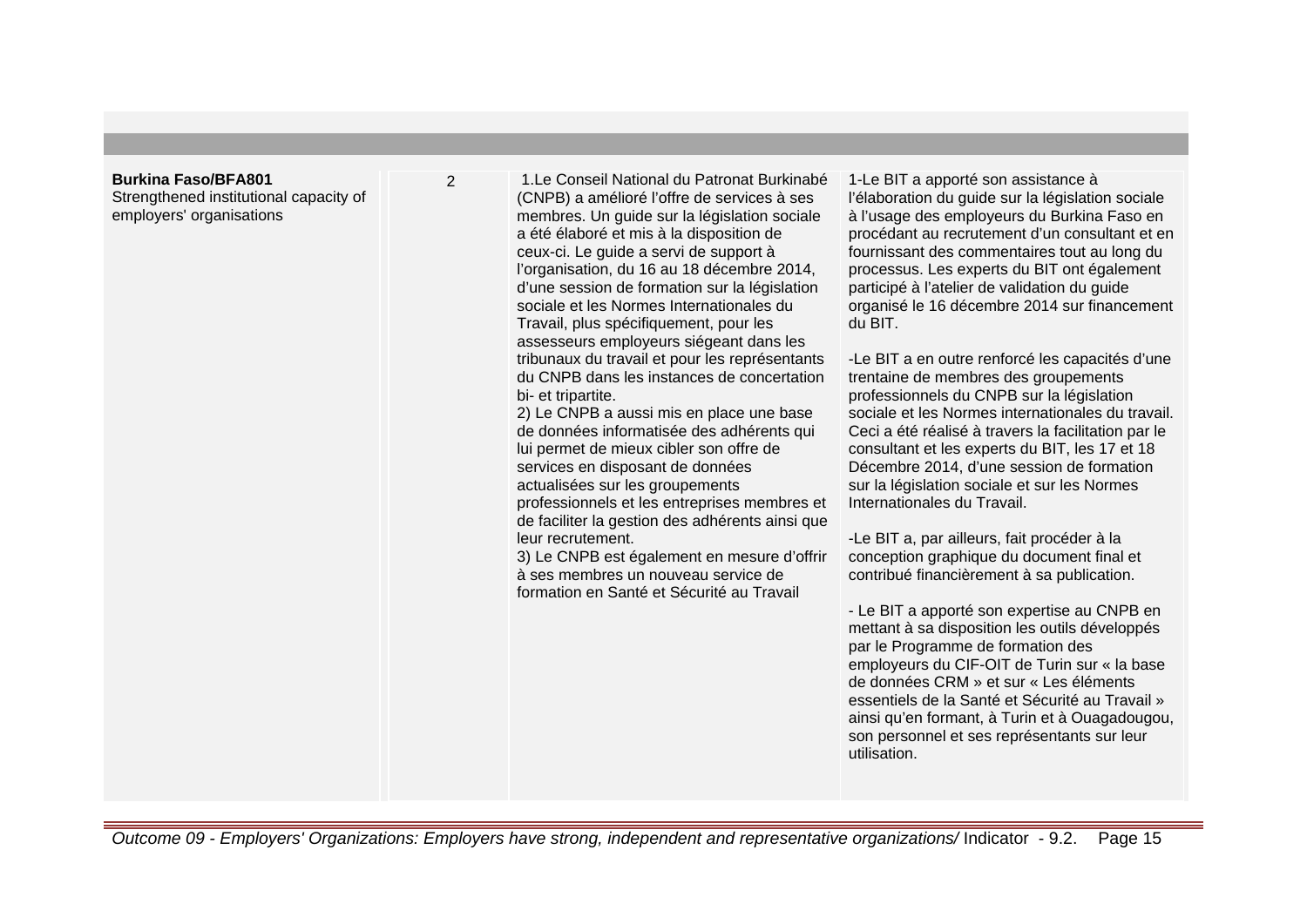#### **Burkina Faso/BFA801**

Strengthened institutional capacity of employers' organisations

2 1.Le Conseil National du Patronat Burkinabé (CNPB) a amélioré l'offre de services à ses membres. Un guide sur la législation sociale a été élaboré et mis à la disposition de ceux-ci. Le guide a servi de support à l'organisation, du 16 au 18 décembre 2014, d'une session de formation sur la législation sociale et les Normes Internationales du Travail, plus spécifiquement, pour les assesseurs employeurs siégeant dans les tribunaux du travail et pour les représentants du CNPB dans les instances de concertation bi- et tripartite.

> 2) Le CNPB a aussi mis en place une base de données informatisée des adhérents qui lui permet de mieux cibler son offre de services en disposant de données actualisées sur les groupements professionnels et les entreprises membres et de faciliter la gestion des adhérents ainsi que leur recrutement.

> 3) Le CNPB est également en mesure d'offrir à ses membres un nouveau service de formation en Santé et Sécurité au Travail

1-Le BIT a apporté son assistance à l'élaboration du guide sur la législation sociale à l'usage des employeurs du Burkina Faso en procédant au recrutement d'un consultant et en fournissant des commentaires tout au long du processus. Les experts du BIT ont également participé à l'atelier de validation du guide organisé le 16 décembre 2014 sur financement du BIT.

-Le BIT a en outre renforcé les capacités d'une trentaine de membres des groupements professionnels du CNPB sur la législation sociale et les Normes internationales du travail. Ceci a été réalisé à travers la facilitation par le consultant et les experts du BIT, les 17 et 18 Décembre 2014, d'une session de formation sur la législation sociale et sur les Normes Internationales du Travail.

-Le BIT a, par ailleurs, fait procéder à la conception graphique du document final et contribué financièrement à sa publication.

- Le BIT a apporté son expertise au CNPB en mettant à sa disposition les outils développés par le Programme de formation des employeurs du CIF-OIT de Turin sur « la base de données CRM » et sur « Les éléments essentiels de la Santé et Sécurité au Travail » ainsi qu'en formant, à Turin et à Ouagadougou, son personnel et ses représentants sur leur utilisation.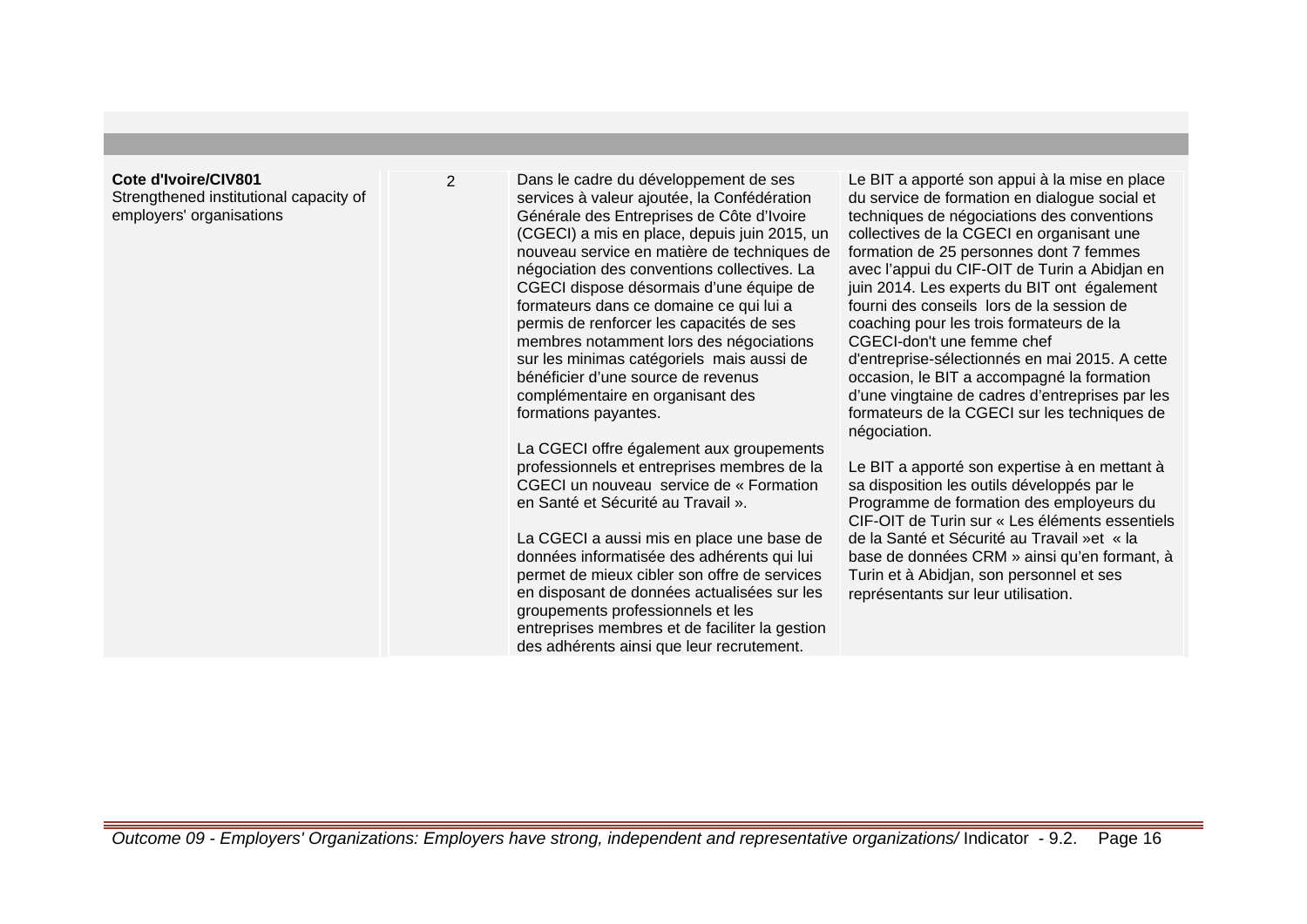#### **Cote d'Ivoire/CIV801**

Strengthened institutional capacity of employers' organisations

2 Dans le cadre du développement de ses services à valeur ajoutée, la Confédération Générale des Entreprises de Côte d'Ivoire (CGECI) a mis en place, depuis juin 2015, un nouveau service en matière de techniques de négociation des conventions collectives. La CGECI dispose désormais d'une équipe de formateurs dans ce domaine ce qui lui a permis de renforcer les capacités de ses membres notamment lors des négociations sur les minimas catégoriels mais aussi de bénéficier d'une source de revenus complémentaire en organisant des formations payantes.

> La CGECI offre également aux groupements professionnels et entreprises membres de la CGECI un nouveau service de « Formation en Santé et Sécurité au Travail ».

> La CGECI a aussi mis en place une base de données informatisée des adhérents qui lui permet de mieux cibler son offre de services en disposant de données actualisées sur les groupements professionnels et les entreprises membres et de faciliter la gestion des adhérents ainsi que leur recrutement.

Le BIT a apporté son appui à la mise en place du service de formation en dialogue social et techniques de négociations des conventions collectives de la CGECI en organisant une formation de 25 personnes dont 7 femmes avec l'appui du CIF-OIT de Turin a Abidjan en juin 2014. Les experts du BIT ont également fourni des conseils lors de la session de coaching pour les trois formateurs de la CGECI-don't une femme chef d'entreprise-sélectionnés en mai 2015. A cette occasion, le BIT a accompagné la formation d'une vingtaine de cadres d'entreprises par les formateurs de la CGECI sur les techniques de négociation.

Le BIT a apporté son expertise à en mettant à sa disposition les outils développés par le Programme de formation des employeurs du CIF-OIT de Turin sur « Les éléments essentiels de la Santé et Sécurité au Travail »et « la base de données CRM » ainsi qu'en formant, à Turin et à Abidjan, son personnel et ses représentants sur leur utilisation.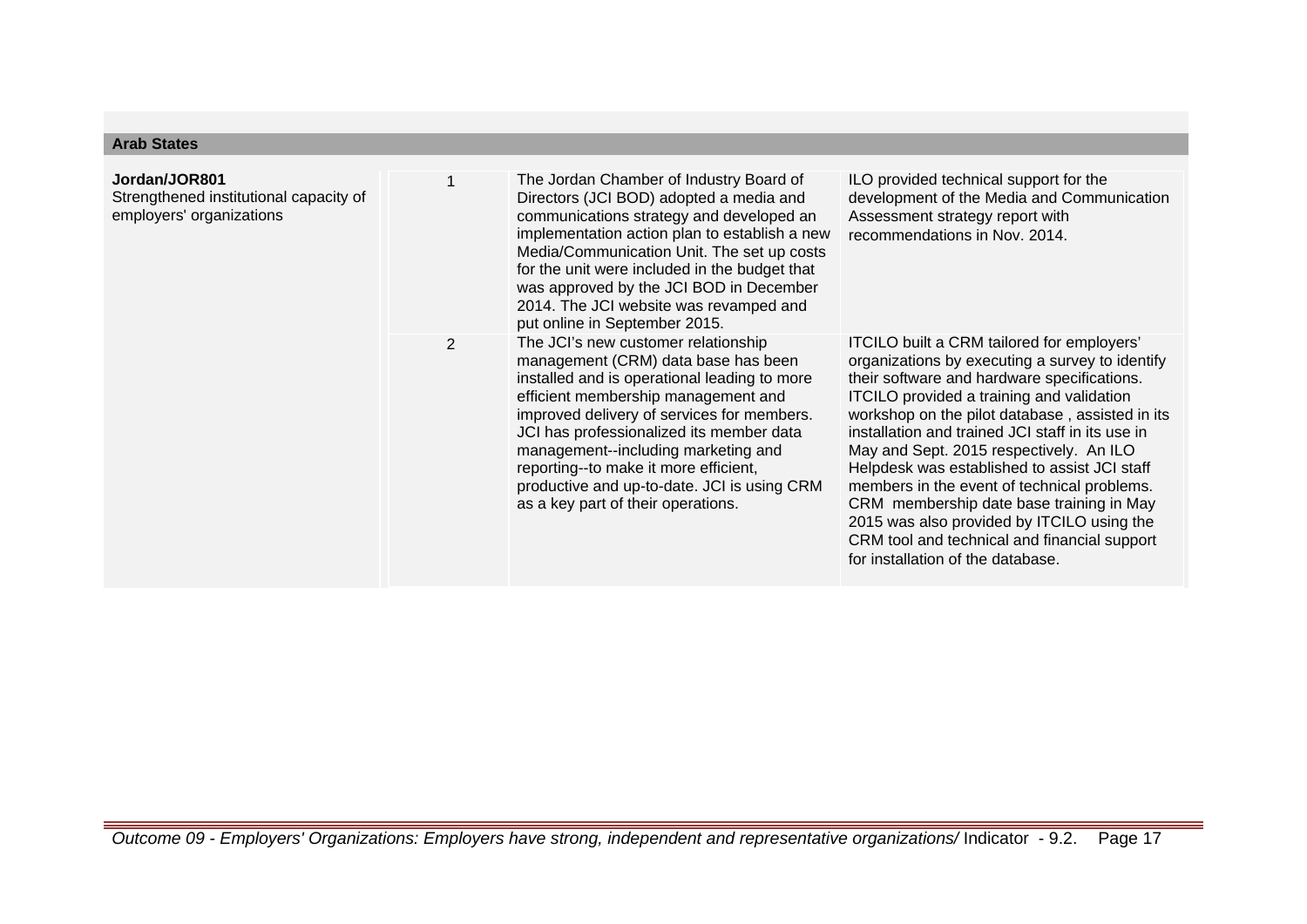## **Arab States**

| Jordan/JOR801<br>Strengthened institutional capacity of<br>employers' organizations | 1              | The Jordan Chamber of Industry Board of<br>Directors (JCI BOD) adopted a media and<br>communications strategy and developed an<br>implementation action plan to establish a new<br>Media/Communication Unit. The set up costs<br>for the unit were included in the budget that<br>was approved by the JCI BOD in December<br>2014. The JCI website was revamped and<br>put online in September 2015.                             | ILO provided technical support for the<br>development of the Media and Communication<br>Assessment strategy report with<br>recommendations in Nov. 2014.                                                                                                                                                                                                                                                                                                                                                                                                                                                                  |
|-------------------------------------------------------------------------------------|----------------|----------------------------------------------------------------------------------------------------------------------------------------------------------------------------------------------------------------------------------------------------------------------------------------------------------------------------------------------------------------------------------------------------------------------------------|---------------------------------------------------------------------------------------------------------------------------------------------------------------------------------------------------------------------------------------------------------------------------------------------------------------------------------------------------------------------------------------------------------------------------------------------------------------------------------------------------------------------------------------------------------------------------------------------------------------------------|
|                                                                                     | $\overline{2}$ | The JCI's new customer relationship<br>management (CRM) data base has been<br>installed and is operational leading to more<br>efficient membership management and<br>improved delivery of services for members.<br>JCI has professionalized its member data<br>management--including marketing and<br>reporting--to make it more efficient,<br>productive and up-to-date. JCI is using CRM<br>as a key part of their operations. | ITCILO built a CRM tailored for employers'<br>organizations by executing a survey to identify<br>their software and hardware specifications.<br>ITCILO provided a training and validation<br>workshop on the pilot database, assisted in its<br>installation and trained JCI staff in its use in<br>May and Sept. 2015 respectively. An ILO<br>Helpdesk was established to assist JCI staff<br>members in the event of technical problems.<br>CRM membership date base training in May<br>2015 was also provided by ITCILO using the<br>CRM tool and technical and financial support<br>for installation of the database. |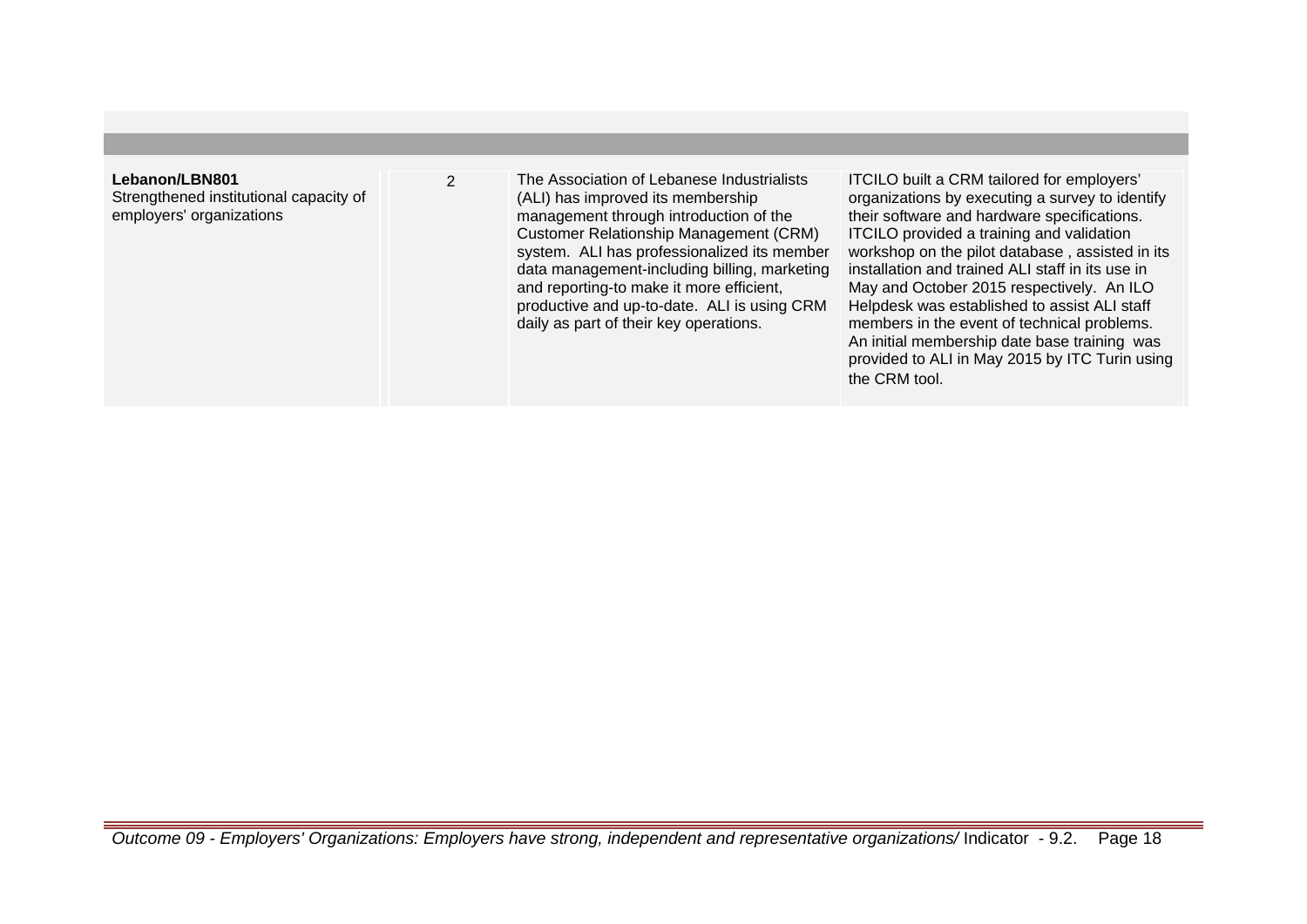# **Lebanon/LBN801**

Strengthened institutional capacity of employers' organizations

2 The Association of Lebanese Industrialists (ALI) has improved its membership management through introduction of the Customer Relationship Management (CRM) system. ALI has professionalized its member data management-including billing, marketing and reporting-to make it more efficient, productive and up-to-date. ALI is using CRM daily as part of their key operations.

ITCILO built a CRM tailored for employers' organizations by executing a survey to identify their software and hardware specifications. ITCILO provided a training and validation workshop on the pilot database , assisted in its installation and trained ALI staff in its use in May and October 2015 respectively. An ILO Helpdesk was established to assist ALI staff members in the event of technical problems. An initial membership date base training was provided to ALI in May 2015 by ITC Turin using the CRM tool.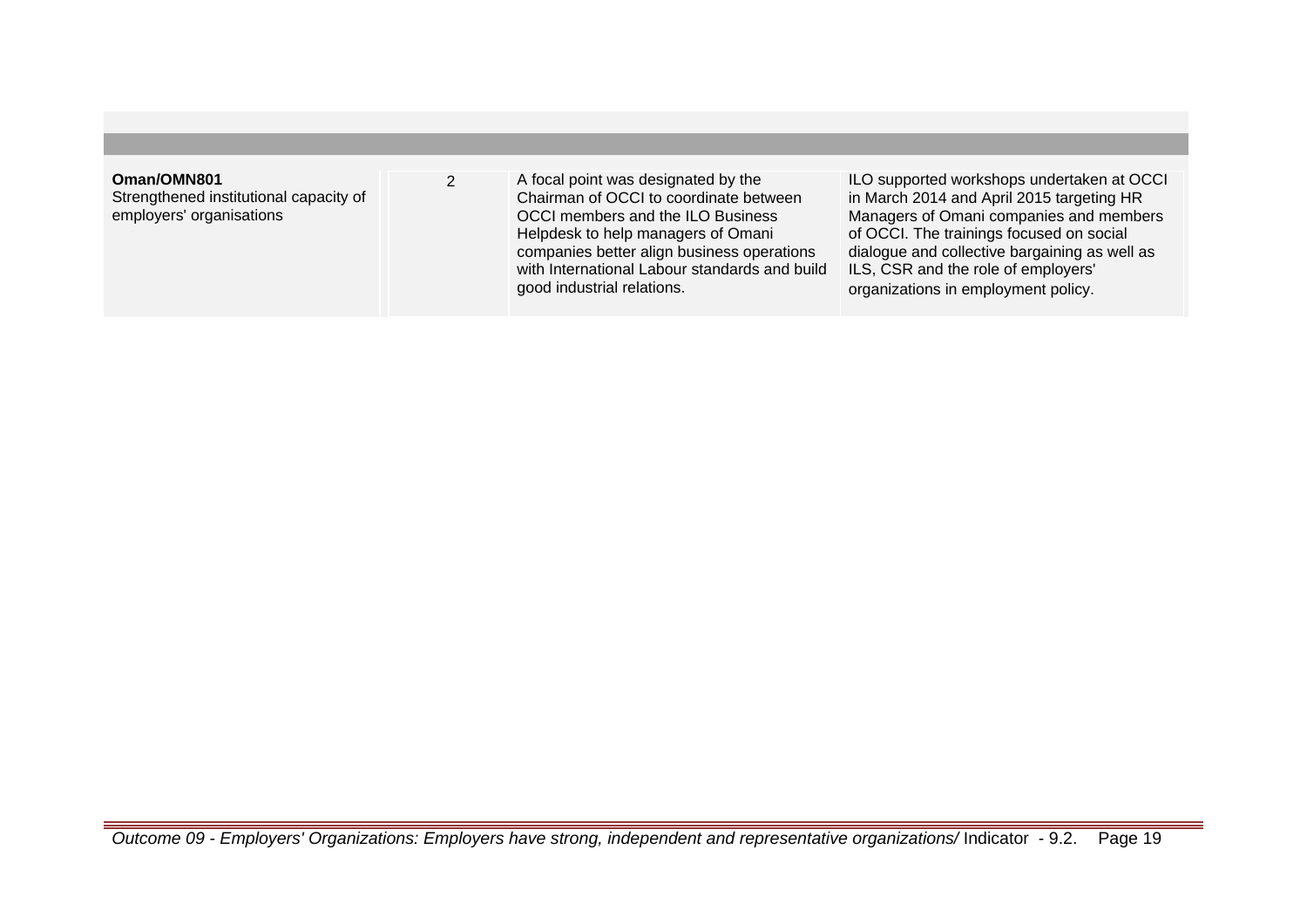# **Oman/OMN801**

Strengthened institutional capacity of employers' organisations

2 A focal point was designated by the Chairman of OCCI to coordinate between OCCI members and the ILO Business Helpdesk to help managers of Omani companies better align business operations with International Labour standards and build good industrial relations.

ILO supported workshops undertaken at OCCI in March 2014 and April 2015 targeting HR Managers of Omani companies and members of OCCI. The trainings focused on social dialogue and collective bargaining as well as ILS, CSR and the role of employers' organizations in employment policy.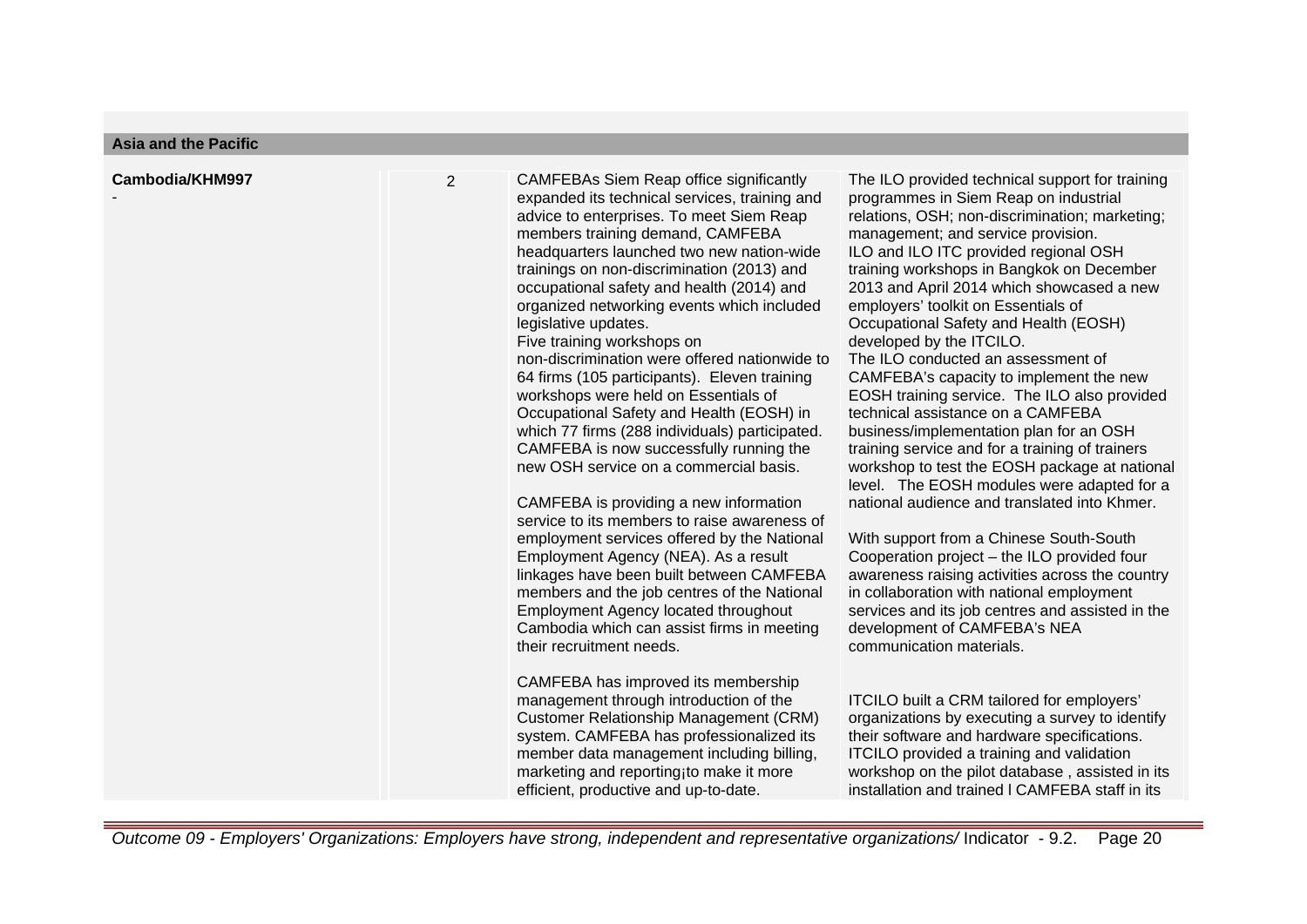| Cambodia/KHM997 | $\overline{2}$ | <b>CAMFEBAs Siem Reap office significantly</b><br>expanded its technical services, training and<br>advice to enterprises. To meet Siem Reap<br>members training demand, CAMFEBA<br>headquarters launched two new nation-wide<br>trainings on non-discrimination (2013) and<br>occupational safety and health (2014) and<br>organized networking events which included<br>legislative updates.<br>Five training workshops on<br>non-discrimination were offered nationwide to<br>64 firms (105 participants). Eleven training<br>workshops were held on Essentials of<br>Occupational Safety and Health (EOSH) in<br>which 77 firms (288 individuals) participated.<br>CAMFEBA is now successfully running the<br>new OSH service on a commercial basis.<br>CAMFEBA is providing a new information<br>service to its members to raise awareness of<br>employment services offered by the National<br>Employment Agency (NEA). As a result<br>linkages have been built between CAMFEBA<br>members and the job centres of the National<br><b>Employment Agency located throughout</b><br>Cambodia which can assist firms in meeting<br>their recruitment needs.<br>CAMFEBA has improved its membership<br>management through introduction of the<br><b>Customer Relationship Management (CRM)</b><br>system. CAMFEBA has professionalized its<br>member data management including billing,<br>marketing and reporting to make it more<br>efficient, productive and up-to-date. | The ILO provided technical support for training<br>programmes in Siem Reap on industrial<br>relations, OSH; non-discrimination; marketing;<br>management; and service provision.<br>ILO and ILO ITC provided regional OSH<br>training workshops in Bangkok on December<br>2013 and April 2014 which showcased a new<br>employers' toolkit on Essentials of<br>Occupational Safety and Health (EOSH)<br>developed by the ITCILO.<br>The ILO conducted an assessment of<br>CAMFEBA's capacity to implement the new<br>EOSH training service. The ILO also provided<br>technical assistance on a CAMFEBA<br>business/implementation plan for an OSH<br>training service and for a training of trainers<br>workshop to test the EOSH package at national<br>level. The EOSH modules were adapted for a<br>national audience and translated into Khmer.<br>With support from a Chinese South-South<br>Cooperation project - the ILO provided four<br>awareness raising activities across the country<br>in collaboration with national employment<br>services and its job centres and assisted in the<br>development of CAMFEBA's NEA<br>communication materials.<br>ITCILO built a CRM tailored for employers'<br>organizations by executing a survey to identify<br>their software and hardware specifications.<br>ITCILO provided a training and validation<br>workshop on the pilot database, assisted in its<br>installation and trained I CAMFEBA staff in its |
|-----------------|----------------|-----------------------------------------------------------------------------------------------------------------------------------------------------------------------------------------------------------------------------------------------------------------------------------------------------------------------------------------------------------------------------------------------------------------------------------------------------------------------------------------------------------------------------------------------------------------------------------------------------------------------------------------------------------------------------------------------------------------------------------------------------------------------------------------------------------------------------------------------------------------------------------------------------------------------------------------------------------------------------------------------------------------------------------------------------------------------------------------------------------------------------------------------------------------------------------------------------------------------------------------------------------------------------------------------------------------------------------------------------------------------------------------------------------------------------------------------------------------------------|-----------------------------------------------------------------------------------------------------------------------------------------------------------------------------------------------------------------------------------------------------------------------------------------------------------------------------------------------------------------------------------------------------------------------------------------------------------------------------------------------------------------------------------------------------------------------------------------------------------------------------------------------------------------------------------------------------------------------------------------------------------------------------------------------------------------------------------------------------------------------------------------------------------------------------------------------------------------------------------------------------------------------------------------------------------------------------------------------------------------------------------------------------------------------------------------------------------------------------------------------------------------------------------------------------------------------------------------------------------------------------------------------------------------------------------------------------------------|
|-----------------|----------------|-----------------------------------------------------------------------------------------------------------------------------------------------------------------------------------------------------------------------------------------------------------------------------------------------------------------------------------------------------------------------------------------------------------------------------------------------------------------------------------------------------------------------------------------------------------------------------------------------------------------------------------------------------------------------------------------------------------------------------------------------------------------------------------------------------------------------------------------------------------------------------------------------------------------------------------------------------------------------------------------------------------------------------------------------------------------------------------------------------------------------------------------------------------------------------------------------------------------------------------------------------------------------------------------------------------------------------------------------------------------------------------------------------------------------------------------------------------------------------|-----------------------------------------------------------------------------------------------------------------------------------------------------------------------------------------------------------------------------------------------------------------------------------------------------------------------------------------------------------------------------------------------------------------------------------------------------------------------------------------------------------------------------------------------------------------------------------------------------------------------------------------------------------------------------------------------------------------------------------------------------------------------------------------------------------------------------------------------------------------------------------------------------------------------------------------------------------------------------------------------------------------------------------------------------------------------------------------------------------------------------------------------------------------------------------------------------------------------------------------------------------------------------------------------------------------------------------------------------------------------------------------------------------------------------------------------------------------|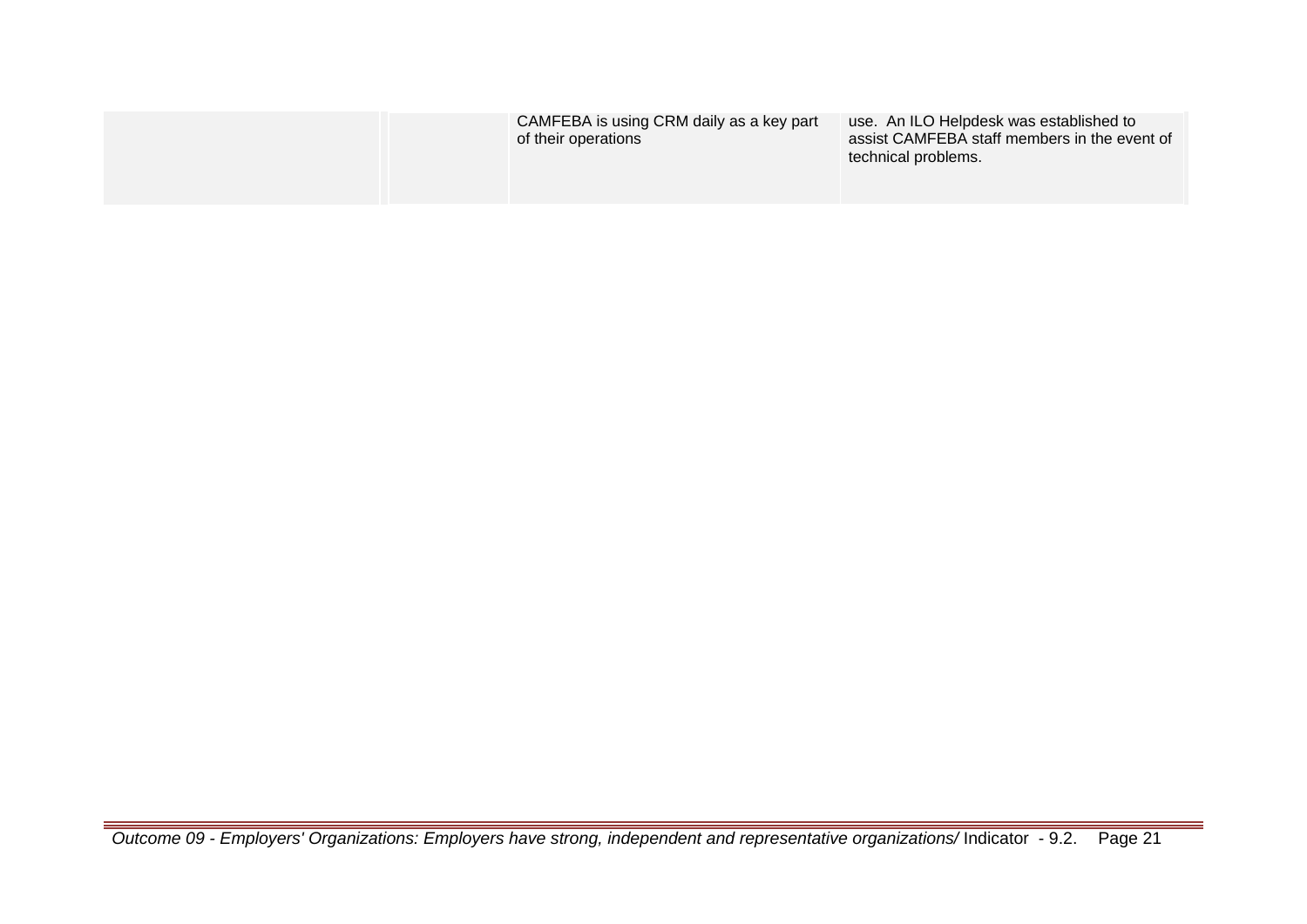| CAMFEBA is using CRM daily as a key part<br>of their operations | use. An ILO Helpdesk was established to<br>assist CAMFEBA staff members in the event of<br>technical problems. |
|-----------------------------------------------------------------|----------------------------------------------------------------------------------------------------------------|
|                                                                 |                                                                                                                |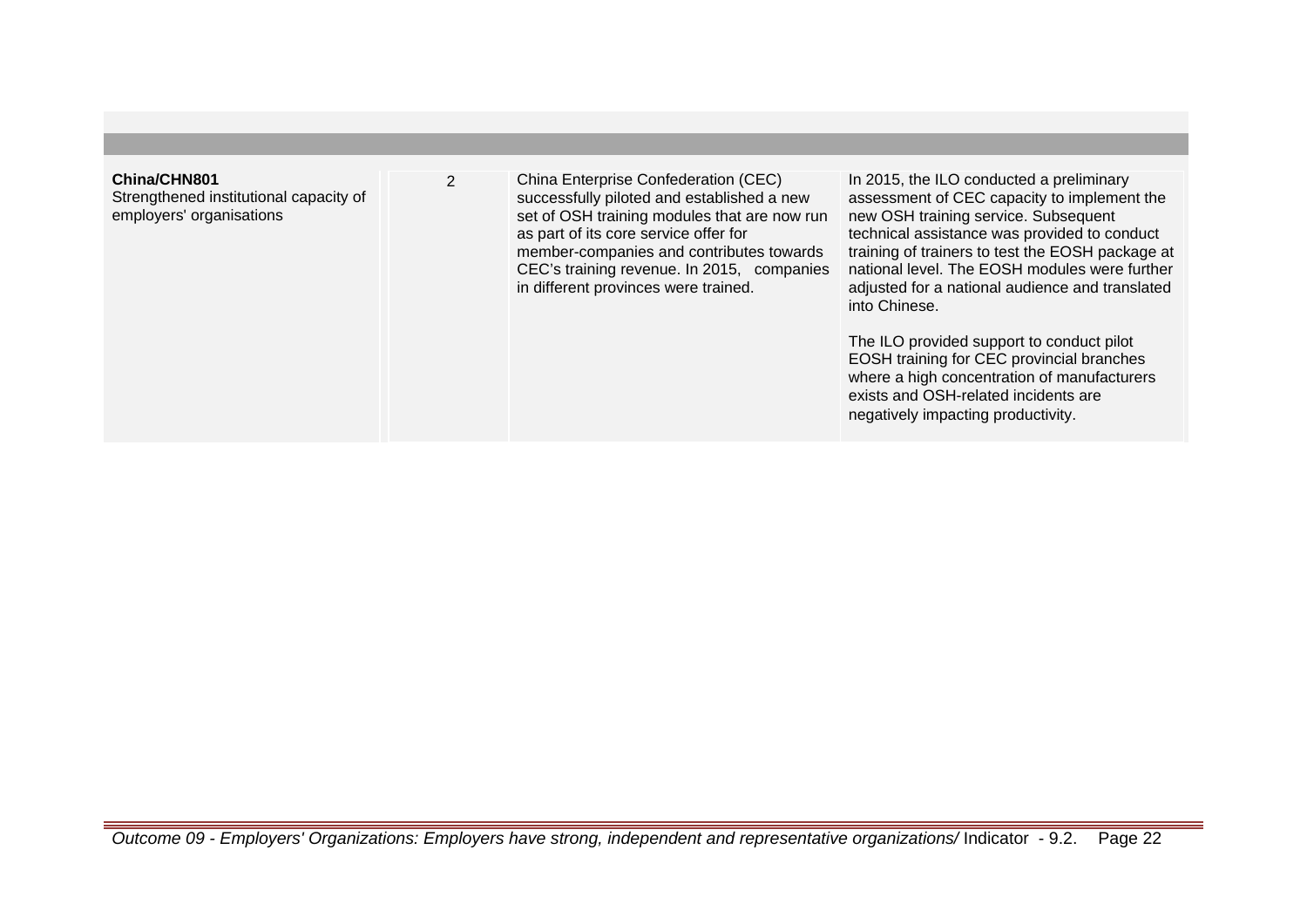#### **China/CHN801**

Strengthened institutional capacity of employers' organisations

2 China Enterprise Confederation (CEC) successfully piloted and established a new set of OSH training modules that are now run as part of its core service offer for member-companies and contributes towards CEC's training revenue. In 2015, companies in different provinces were trained.

In 2015, the ILO conducted a preliminary assessment of CEC capacity to implement the new OSH training service. Subsequent technical assistance was provided to conduct training of trainers to test the EOSH package at national level. The EOSH modules were further adjusted for a national audience and translated into Chinese.

The ILO provided support to conduct pilot EOSH training for CEC provincial branches where a high concentration of manufacturers exists and OSH-related incidents are negatively impacting productivity.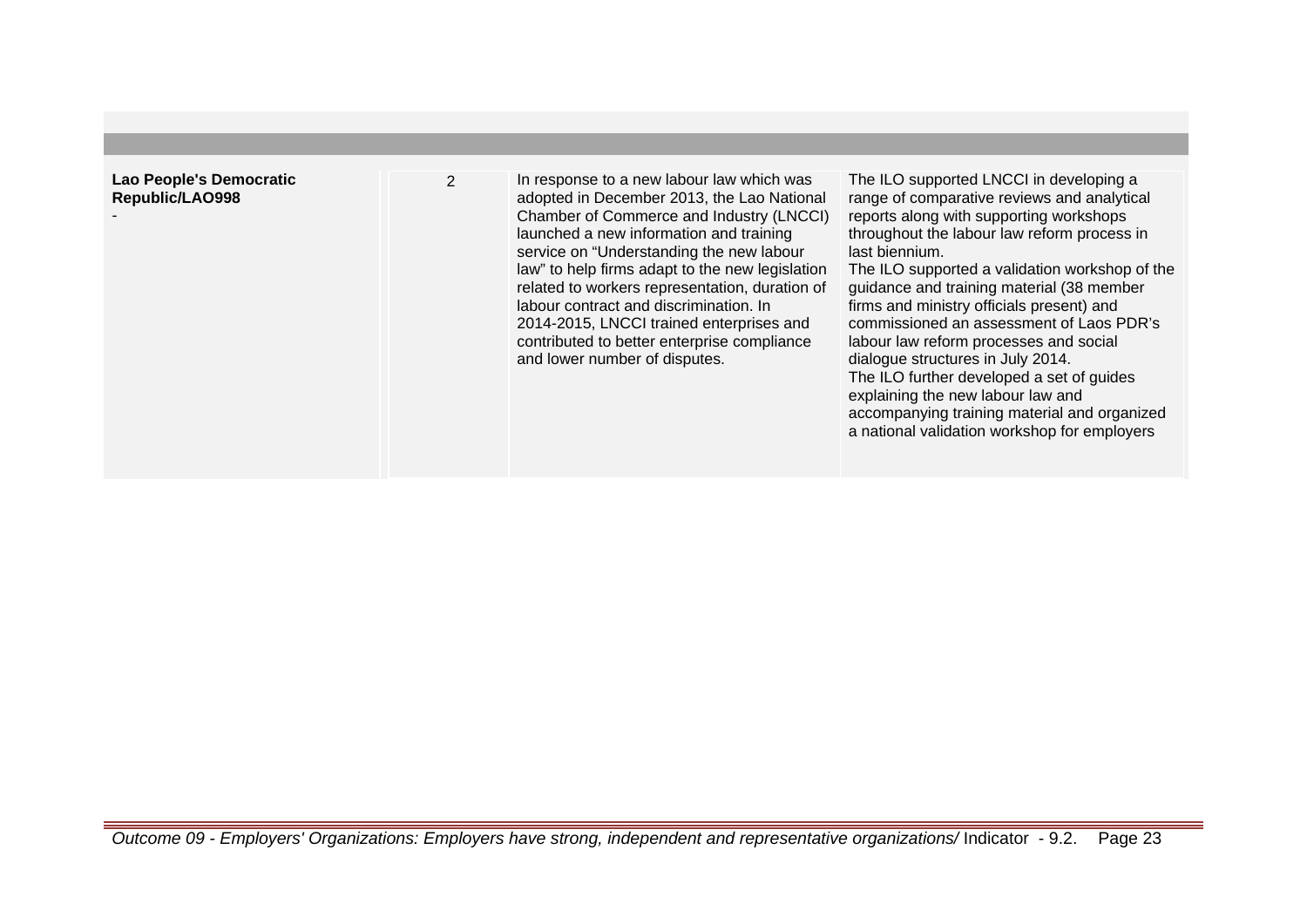# **Lao People's Democratic Republic/LAO998**

-

2 In response to a new labour law which was adopted in December 2013, the Lao National Chamber of Commerce and Industry (LNCCI) launched a new information and training service on "Understanding the new labour law" to help firms adapt to the new legislation related to workers representation, duration of labour contract and discrimination. In 2014-2015, LNCCI trained enterprises and contributed to better enterprise compliance and lower number of disputes.

The ILO supported LNCCI in developing a range of comparative reviews and analytical reports along with supporting workshops throughout the labour law reform process in last biennium.

The ILO supported a validation workshop of the guidance and training material (38 member firms and ministry officials present) and commissioned an assessment of Laos PDR's labour law reform processes and social dialogue structures in July 2014. The ILO further developed a set of guides explaining the new labour law and accompanying training material and organized a national validation workshop for employers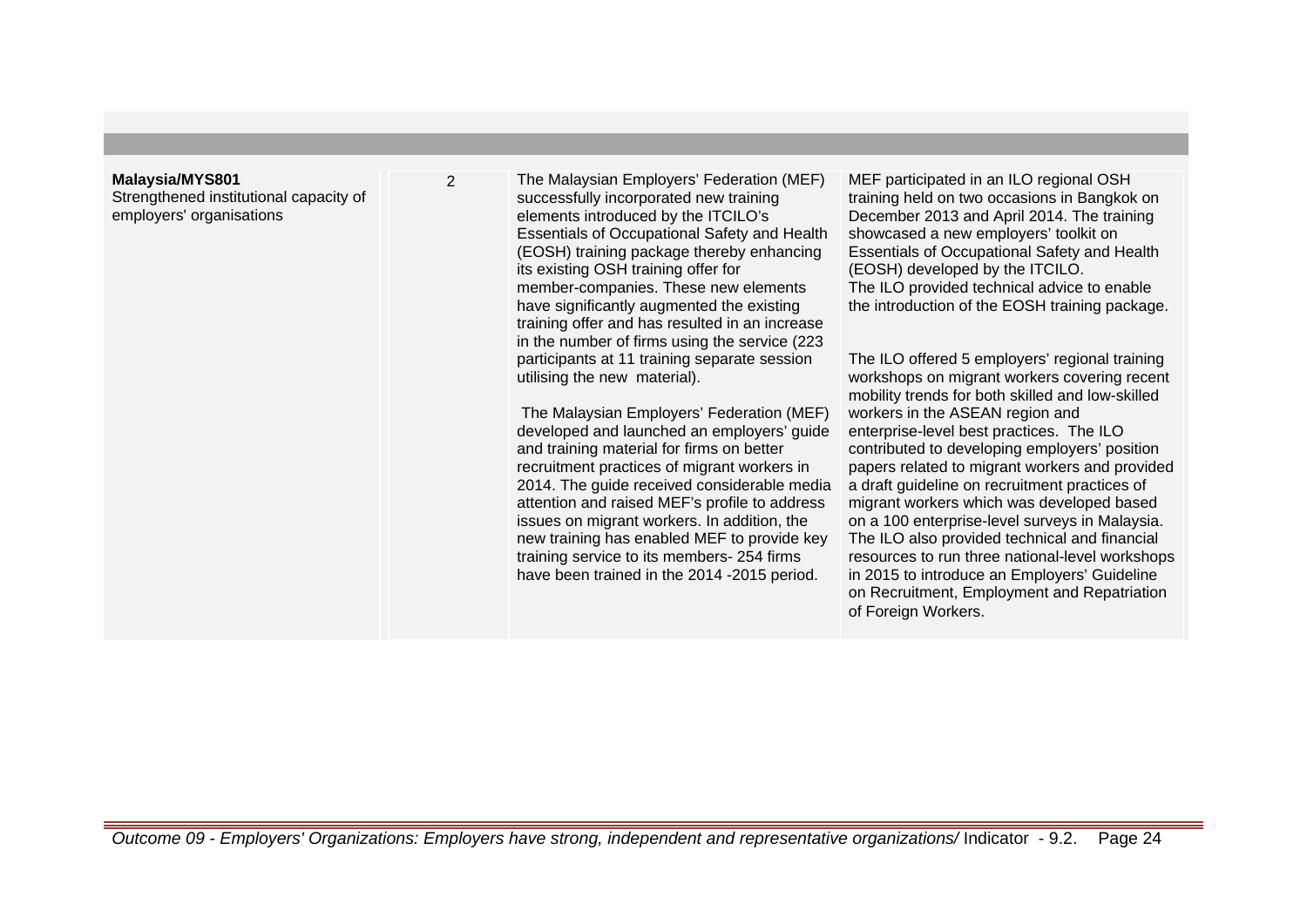#### **Malaysia/MYS801**

Strengthened institutional capacity of employers' organisations

2 The Malaysian Employers' Federation (MEF) successfully incorporated new training elements introduced by the ITCILO's Essentials of Occupational Safety and Health (EOSH) training package thereby enhancing its existing OSH training offer for member-companies. These new elements have significantly augmented the existing training offer and has resulted in an increase in the number of firms using the service (223 participants at 11 training separate session utilising the new material).

> The Malaysian Employers' Federation (MEF) developed and launched an employers' guide and training material for firms on better recruitment practices of migrant workers in 2014. The guide received considerable media attention and raised MEF's profile to address issues on migrant workers. In addition, the new training has enabled MEF to provide key training service to its members- 254 firms have been trained in the 2014 -2015 period.

MEF participated in an ILO regional OSH training held on two occasions in Bangkok on December 2013 and April 2014. The training showcased a new employers' toolkit on Essentials of Occupational Safety and Health (EOSH) developed by the ITCILO. The ILO provided technical advice to enable the introduction of the EOSH training package.

The ILO offered 5 employers' regional training workshops on migrant workers covering recent mobility trends for both skilled and low-skilled workers in the ASEAN region and enterprise-level best practices. The ILO contributed to developing employers' position papers related to migrant workers and provided a draft guideline on recruitment practices of migrant workers which was developed based on a 100 enterprise-level surveys in Malaysia. The ILO also provided technical and financial resources to run three national-level workshops in 2015 to introduce an Employers' Guideline on Recruitment, Employment and Repatriation of Foreign Workers.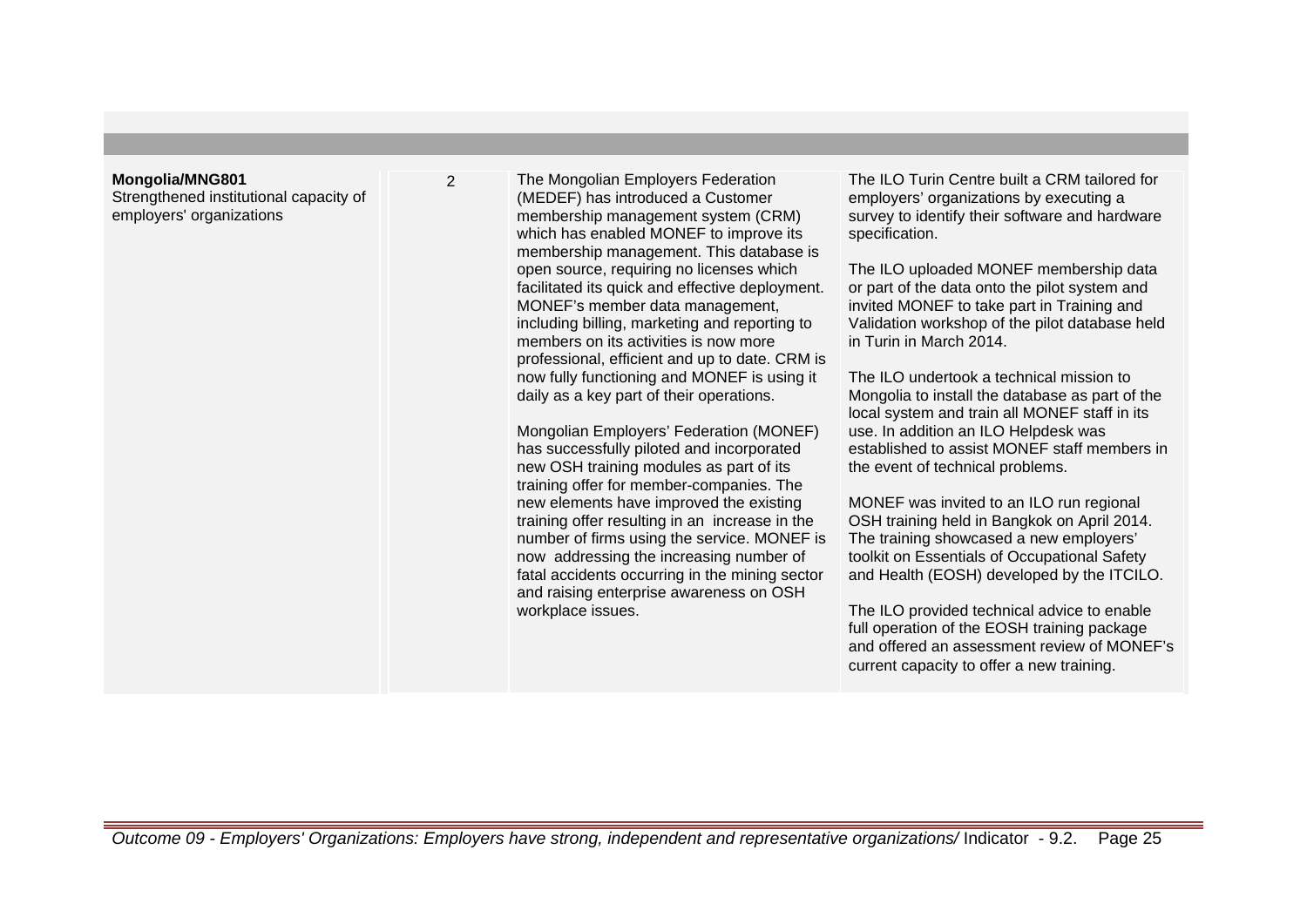#### **Mongolia/MNG801**

Strengthened institutional capacity of employers' organizations

2 The Mongolian Employers Federation (MEDEF) has introduced a Customer membership management system (CRM) which has enabled MONEF to improve its membership management. This database is open source, requiring no licenses which facilitated its quick and effective deployment. MONEF's member data management, including billing, marketing and reporting to members on its activities is now more professional, efficient and up to date. CRM is now fully functioning and MONEF is using it daily as a key part of their operations.

> Mongolian Employers' Federation (MONEF) has successfully piloted and incorporated new OSH training modules as part of its training offer for member-companies. The new elements have improved the existing training offer resulting in an increase in the number of firms using the service. MONEF is now addressing the increasing number of fatal accidents occurring in the mining sector and raising enterprise awareness on OSH workplace issues.

The ILO Turin Centre built a CRM tailored for employers' organizations by executing a survey to identify their software and hardware specification.

The ILO uploaded MONEF membership data or part of the data onto the pilot system and invited MONEF to take part in Training and Validation workshop of the pilot database held in Turin in March 2014.

The ILO undertook a technical mission to Mongolia to install the database as part of the local system and train all MONEF staff in its use. In addition an ILO Helpdesk was established to assist MONEF staff members in the event of technical problems.

MONEF was invited to an ILO run regional OSH training held in Bangkok on April 2014. The training showcased a new employers' toolkit on Essentials of Occupational Safety and Health (EOSH) developed by the ITCILO.

The ILO provided technical advice to enable full operation of the EOSH training package and offered an assessment review of MONEF's current capacity to offer a new training.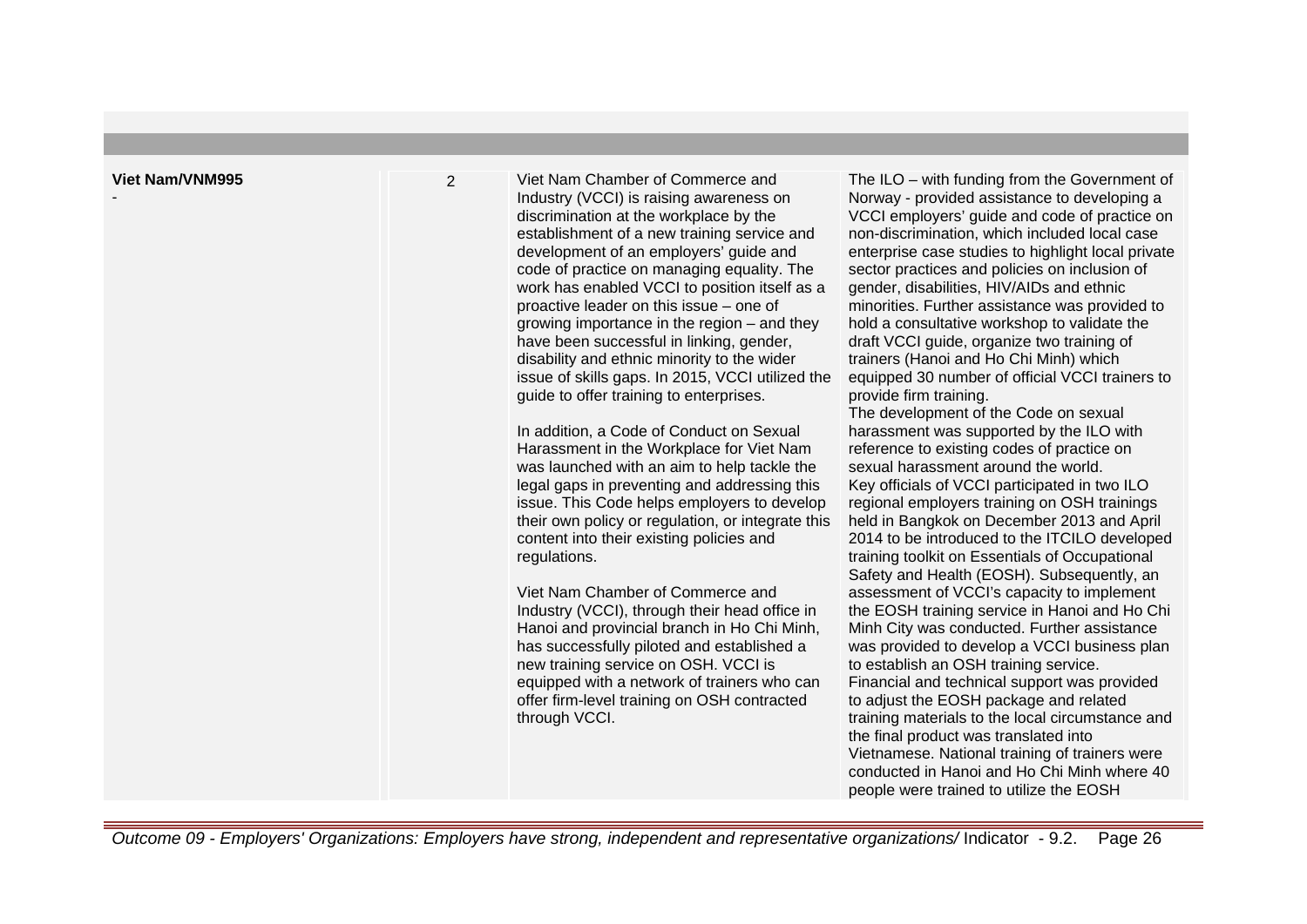-

2 Viet Nam Chamber of Commerce and Industry (VCCI) is raising awareness on discrimination at the workplace by the establishment of a new training service and development of an employers' guide and code of practice on managing equality. The work has enabled VCCI to position itself as a proactive leader on this issue – one of growing importance in the region – and they have been successful in linking, gender, disability and ethnic minority to the wider issue of skills gaps. In 2015, VCCI utilized the guide to offer training to enterprises.

> In addition, a Code of Conduct on Sexual Harassment in the Workplace for Viet Nam was launched with an aim to help tackle the legal gaps in preventing and addressing this issue. This Code helps employers to develop their own policy or regulation, or integrate this content into their existing policies and regulations.

Viet Nam Chamber of Commerce and Industry (VCCI), through their head office in Hanoi and provincial branch in Ho Chi Minh, has successfully piloted and established a new training service on OSH. VCCI is equipped with a network of trainers who can offer firm-level training on OSH contracted through VCCI.

The ILO – with funding from the Government of Norway - provided assistance to developing a VCCI employers' guide and code of practice on non-discrimination, which included local case enterprise case studies to highlight local private sector practices and policies on inclusion of gender, disabilities, HIV/AIDs and ethnic minorities. Further assistance was provided to hold a consultative workshop to validate the draft VCCI guide, organize two training of trainers (Hanoi and Ho Chi Minh) which equipped 30 number of official VCCI trainers to provide firm training.

The development of the Code on sexual harassment was supported by the ILO with reference to existing codes of practice on sexual harassment around the world. Key officials of VCCI participated in two ILO regional employers training on OSH trainings held in Bangkok on December 2013 and April 2014 to be introduced to the ITCILO developed training toolkit on Essentials of Occupational Safety and Health (EOSH). Subsequently, an assessment of VCCI's capacity to implement the EOSH training service in Hanoi and Ho Chi Minh City was conducted. Further assistance was provided to develop a VCCI business plan to establish an OSH training service. Financial and technical support was provided to adjust the EOSH package and related training materials to the local circumstance and the final product was translated into Vietnamese. National training of trainers were conducted in Hanoi and Ho Chi Minh where 40 people were trained to utilize the EOSH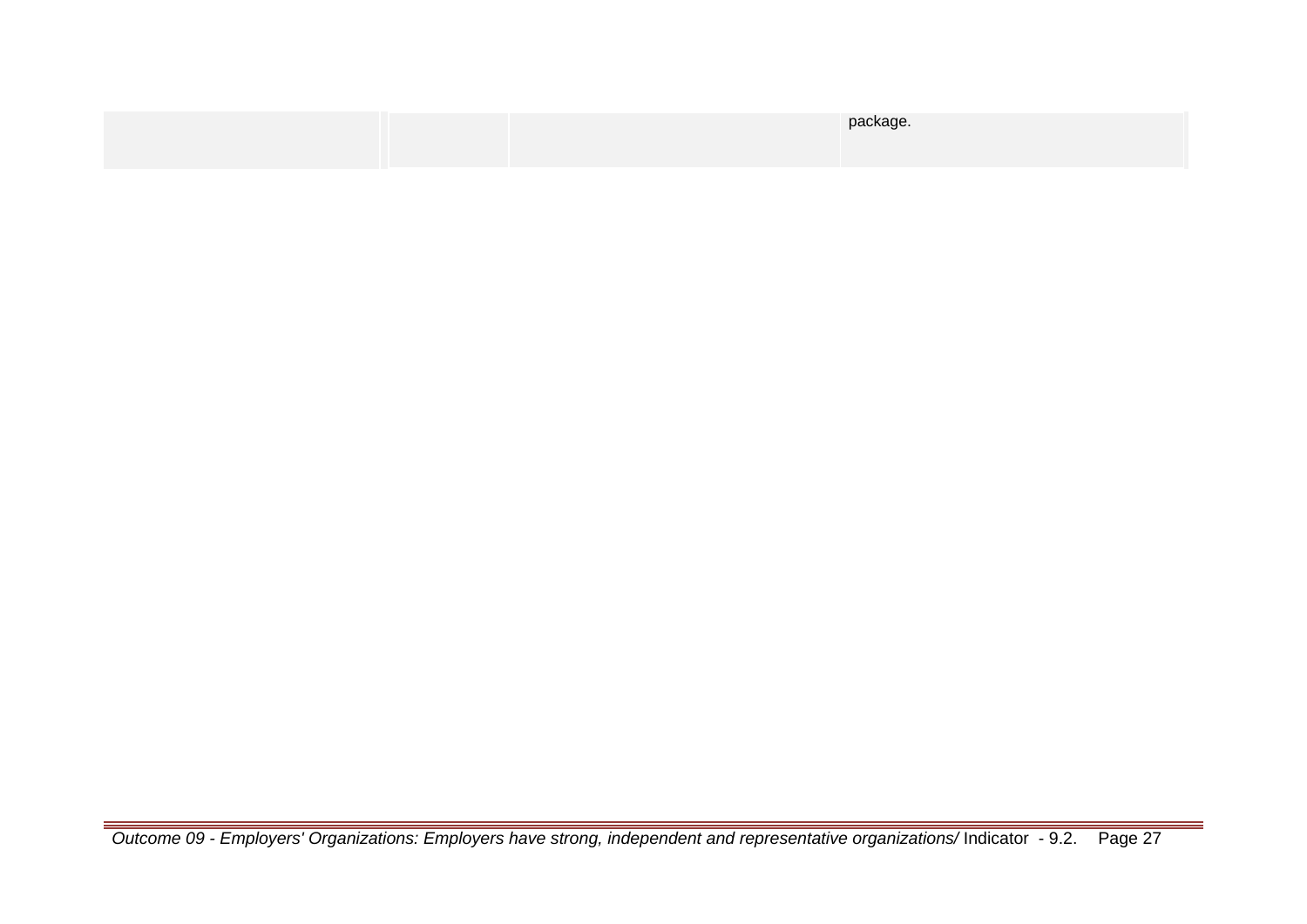|  | package. |
|--|----------|
|  |          |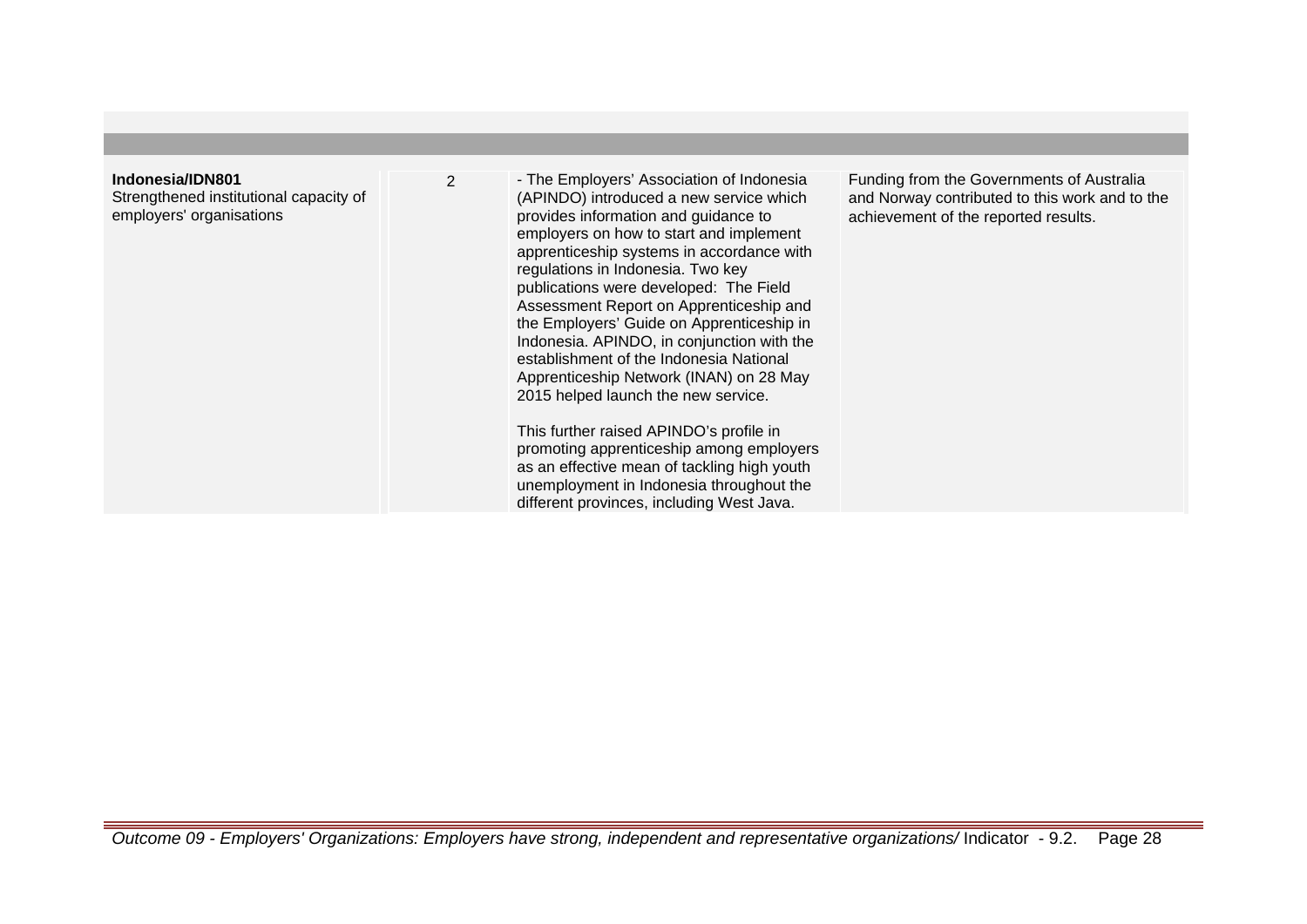#### **Indonesia/IDN801**

Strengthened institutional capacity of employers' organisations

2 - The Employers' Association of Indonesia (APINDO) introduced a new service which provides information and guidance to employers on how to start and implement apprenticeship systems in accordance with regulations in Indonesia. Two key publications were developed: The Field Assessment Report on Apprenticeship and the Employers' Guide on Apprenticeship in Indonesia. APINDO, in conjunction with the establishment of the Indonesia National Apprenticeship Network (INAN) on 28 May 2015 helped launch the new service.

> This further raised APINDO's profile in promoting apprenticeship among employers as an effective mean of tackling high youth unemployment in Indonesia throughout the different provinces, including West Java.

Funding from the Governments of Australia and Norway contributed to this work and to the achievement of the reported results.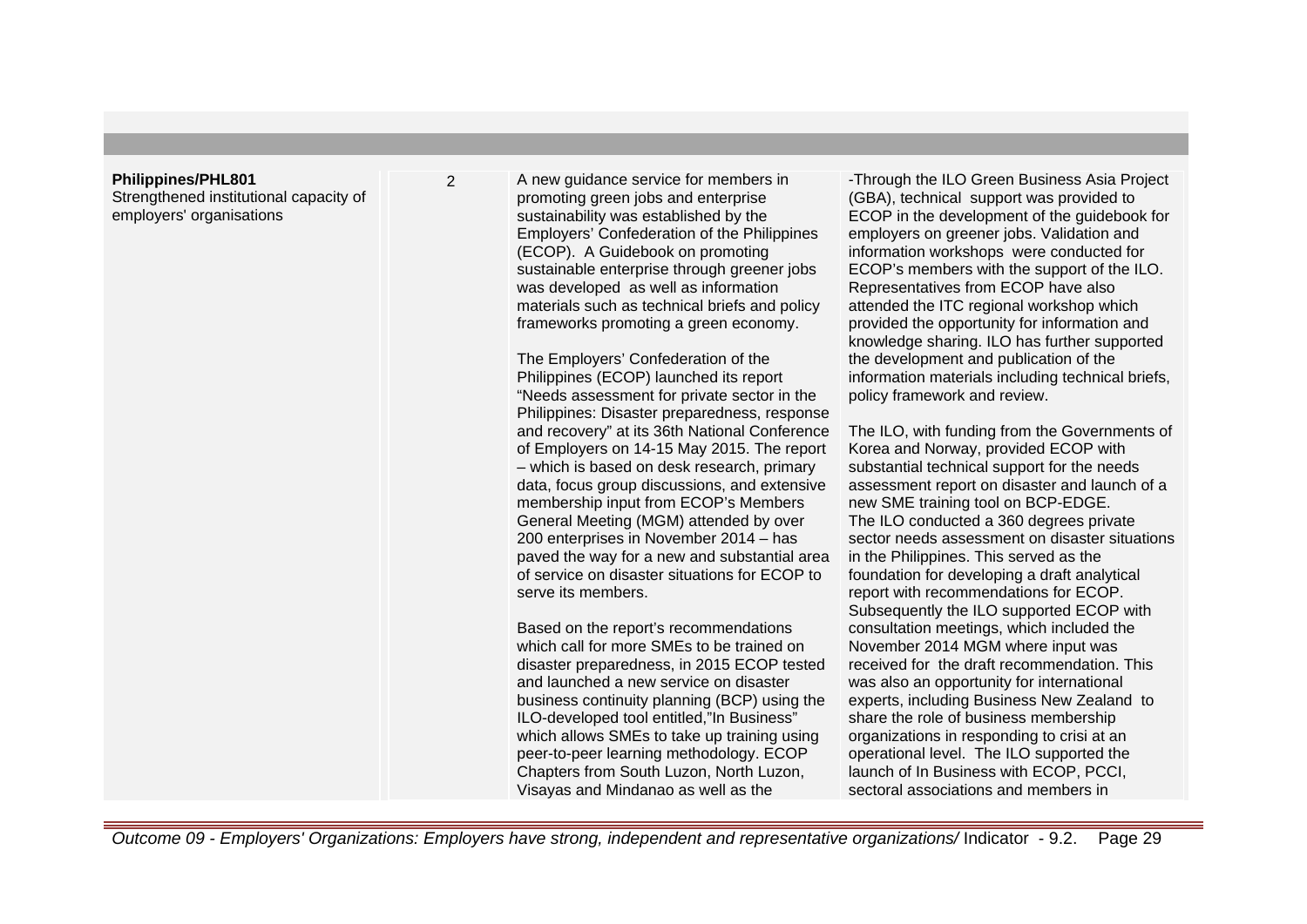#### **Philippines/PHL801**

Strengthened institutional capacity of employers' organisations

2 A new quidance service for members in promoting green jobs and enterprise sustainability was established by the Employers' Confederation of the Philippines (ECOP). A Guidebook on promoting sustainable enterprise through greener jobs was developed as well as information materials such as technical briefs and policy frameworks promoting a green economy.

> The Employers' Confederation of the Philippines (ECOP) launched its report "Needs assessment for private sector in the Philippines: Disaster preparedness, response and recovery" at its 36th National Conference of Employers on 14-15 May 2015. The report – which is based on desk research, primary data, focus group discussions, and extensive membership input from ECOP's Members General Meeting (MGM) attended by over 200 enterprises in November 2014 – has paved the way for a new and substantial area of service on disaster situations for ECOP to serve its members.

> Based on the report's recommendations which call for more SMEs to be trained on disaster preparedness, in 2015 ECOP tested and launched a new service on disaster business continuity planning (BCP) using the ILO-developed tool entitled,"In Business" which allows SMEs to take up training using peer-to-peer learning methodology. ECOP Chapters from South Luzon, North Luzon, Visayas and Mindanao as well as the

-Through the ILO Green Business Asia Project (GBA), technical support was provided to ECOP in the development of the guidebook for employers on greener jobs. Validation and information workshops were conducted for ECOP's members with the support of the ILO. Representatives from ECOP have also attended the ITC regional workshop which provided the opportunity for information and knowledge sharing. ILO has further supported the development and publication of the information materials including technical briefs, policy framework and review.

The ILO, with funding from the Governments of Korea and Norway, provided ECOP with substantial technical support for the needs assessment report on disaster and launch of a new SME training tool on BCP-EDGE. The ILO conducted a 360 degrees private sector needs assessment on disaster situations in the Philippines. This served as the foundation for developing a draft analytical report with recommendations for ECOP. Subsequently the ILO supported ECOP with consultation meetings, which included the November 2014 MGM where input was received for the draft recommendation. This was also an opportunity for international experts, including Business New Zealand to share the role of business membership organizations in responding to crisi at an operational level. The ILO supported the launch of In Business with ECOP, PCCI, sectoral associations and members in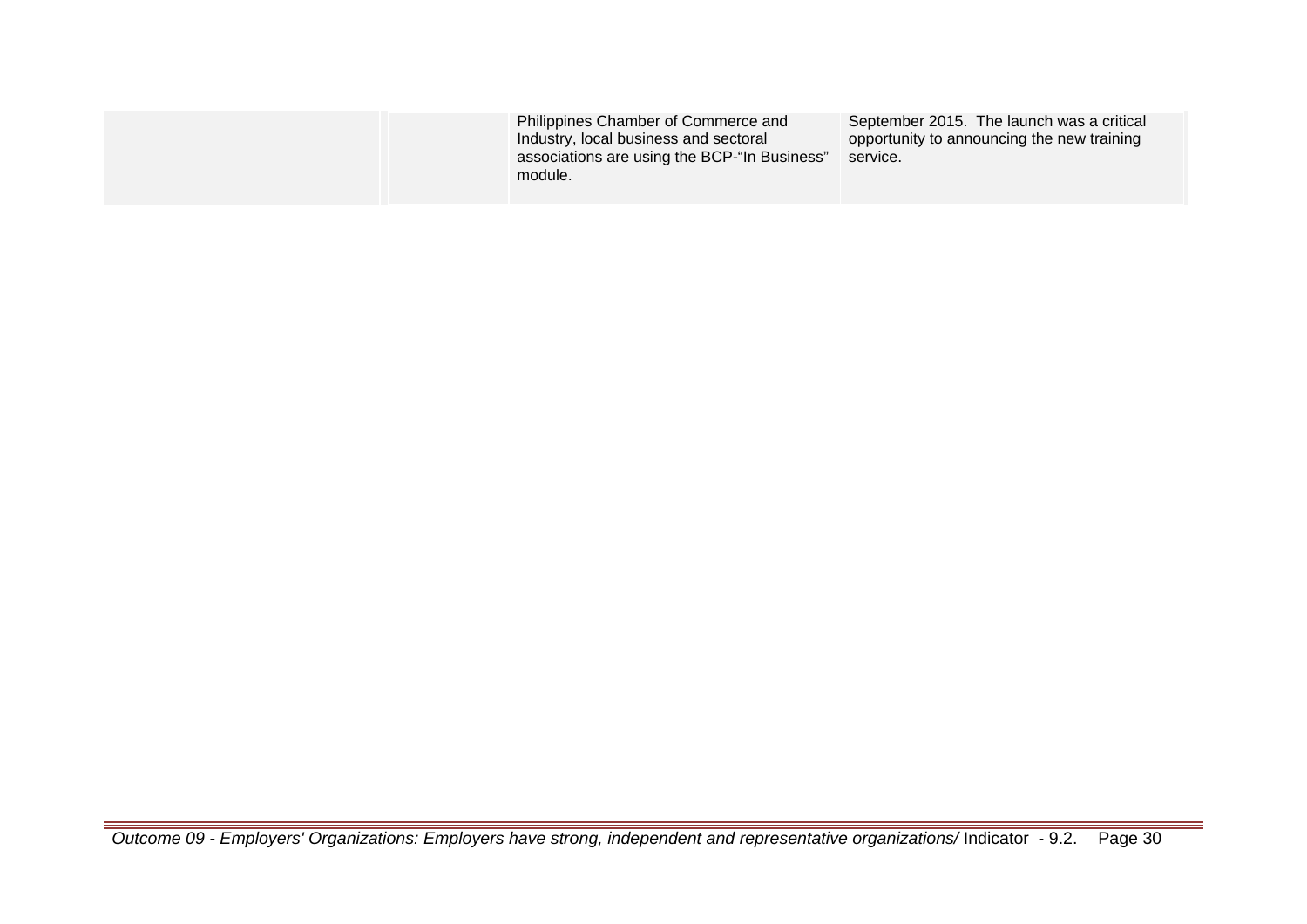| Philippines Chamber of Commerce and<br>Industry, local business and sectoral<br>associations are using the BCP-"In Business"<br>module. | September 2015. The launch was a critical<br>opportunity to announcing the new training<br>service. |
|-----------------------------------------------------------------------------------------------------------------------------------------|-----------------------------------------------------------------------------------------------------|
|                                                                                                                                         |                                                                                                     |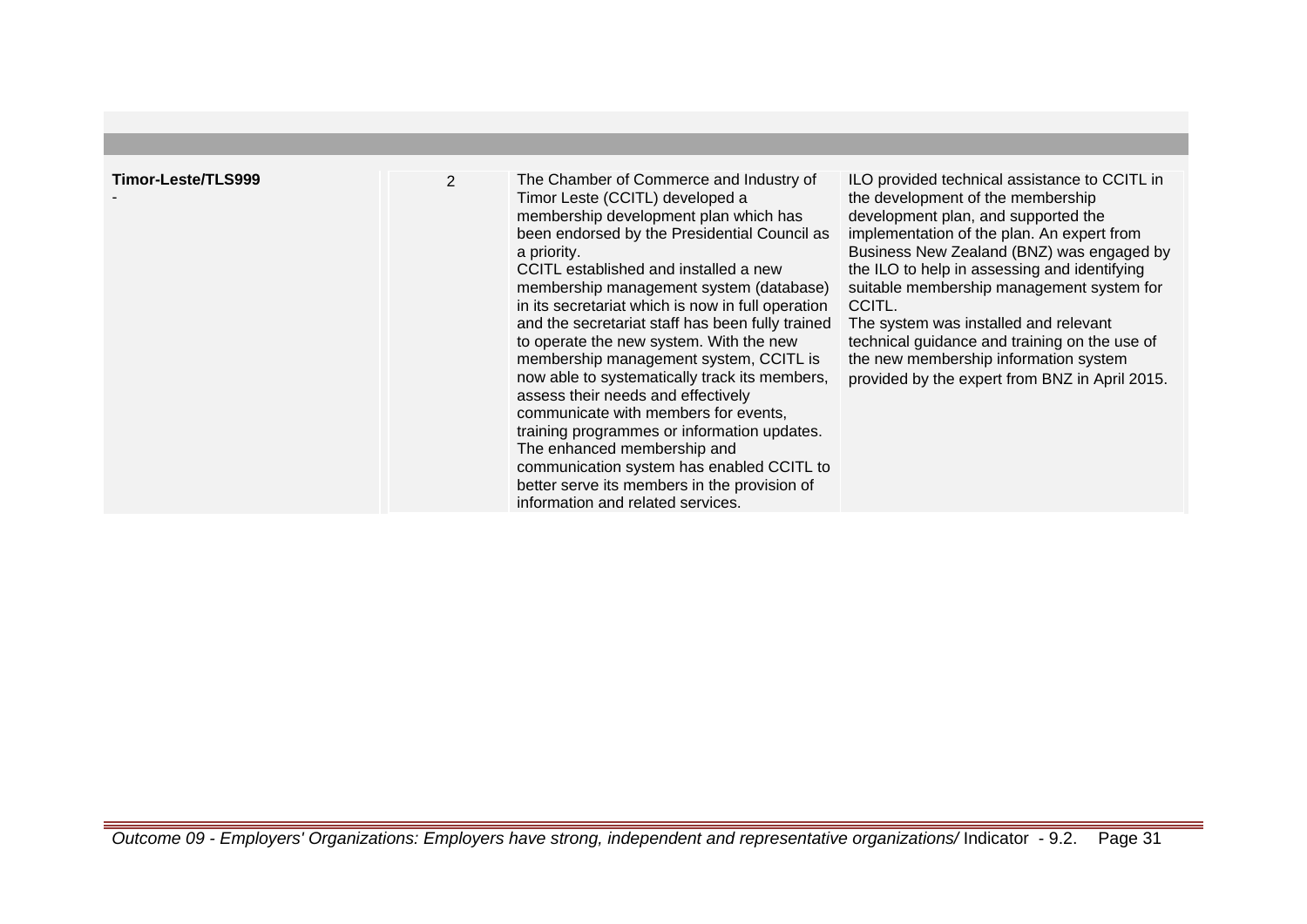| Timor-Leste/TLS999 | $\overline{2}$ | The Chamber of Commerce and Industry of<br>Timor Leste (CCITL) developed a<br>membership development plan which has<br>been endorsed by the Presidential Council as<br>a priority.<br>CCITL established and installed a new<br>membership management system (database)<br>in its secretariat which is now in full operation                                                                                                                                                          | ILO provided technical assistance to CCITL in<br>the development of the membership<br>development plan, and supported the<br>implementation of the plan. An expert from<br>Business New Zealand (BNZ) was engaged by<br>the ILO to help in assessing and identifying<br>suitable membership management system for<br>CCITL. |
|--------------------|----------------|--------------------------------------------------------------------------------------------------------------------------------------------------------------------------------------------------------------------------------------------------------------------------------------------------------------------------------------------------------------------------------------------------------------------------------------------------------------------------------------|-----------------------------------------------------------------------------------------------------------------------------------------------------------------------------------------------------------------------------------------------------------------------------------------------------------------------------|
|                    |                | and the secretariat staff has been fully trained<br>to operate the new system. With the new<br>membership management system, CCITL is<br>now able to systematically track its members,<br>assess their needs and effectively<br>communicate with members for events,<br>training programmes or information updates.<br>The enhanced membership and<br>communication system has enabled CCITL to<br>better serve its members in the provision of<br>information and related services. | The system was installed and relevant<br>technical guidance and training on the use of<br>the new membership information system<br>provided by the expert from BNZ in April 2015.                                                                                                                                           |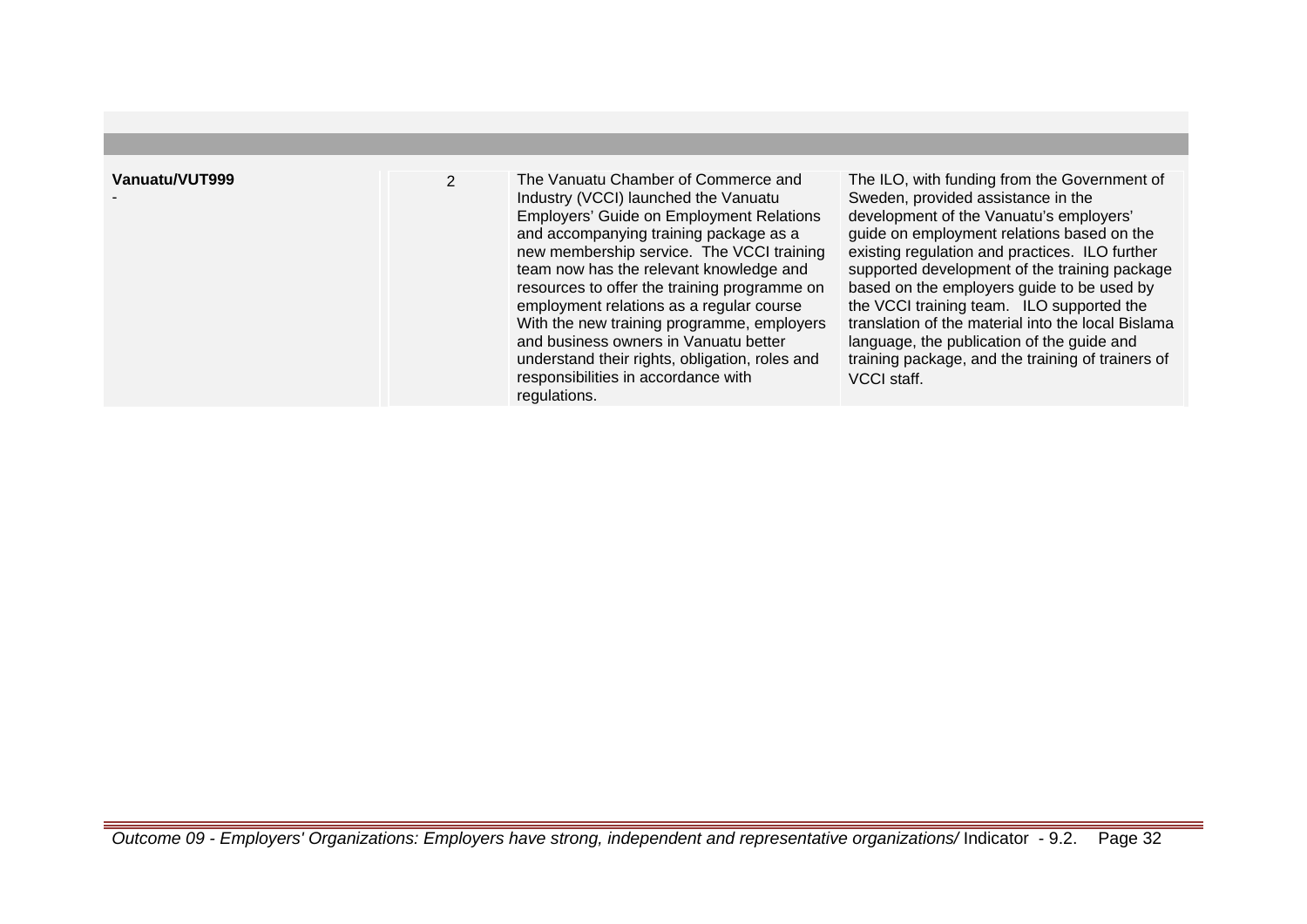| Vanuatu/VUT999 | $\overline{2}$ | The Vanuatu Chamber of Commerce and<br>Industry (VCCI) launched the Vanuatu<br><b>Employers' Guide on Employment Relations</b><br>and accompanying training package as a<br>new membership service. The VCCI training<br>team now has the relevant knowledge and<br>resources to offer the training programme on<br>employment relations as a regular course<br>With the new training programme, employers<br>and business owners in Vanuatu better | The ILO, with funding from the Government of<br>Sweden, provided assistance in the<br>development of the Vanuatu's employers'<br>guide on employment relations based on the<br>existing regulation and practices. ILO further<br>supported development of the training package<br>based on the employers guide to be used by<br>the VCCI training team. ILO supported the<br>translation of the material into the local Bislama<br>language, the publication of the guide and |
|----------------|----------------|-----------------------------------------------------------------------------------------------------------------------------------------------------------------------------------------------------------------------------------------------------------------------------------------------------------------------------------------------------------------------------------------------------------------------------------------------------|-------------------------------------------------------------------------------------------------------------------------------------------------------------------------------------------------------------------------------------------------------------------------------------------------------------------------------------------------------------------------------------------------------------------------------------------------------------------------------|
|                |                | understand their rights, obligation, roles and<br>responsibilities in accordance with<br>regulations.                                                                                                                                                                                                                                                                                                                                               | training package, and the training of trainers of<br>VCCI staff.                                                                                                                                                                                                                                                                                                                                                                                                              |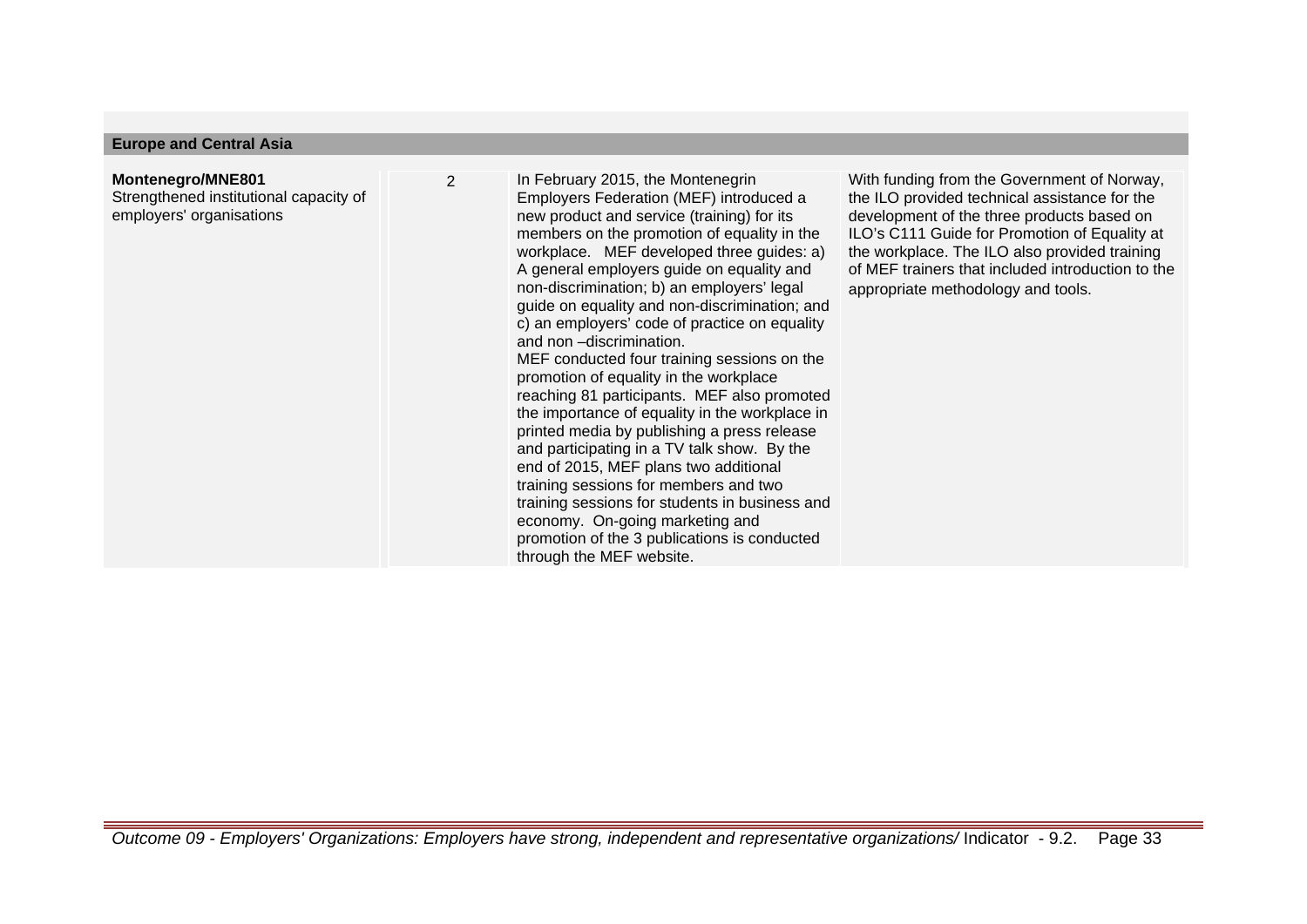## **Europe and Central Asia**

# **Montenegro/MNE801**

Strengthened institutional capacity of employers' organisations

2 In February 2015, the Montenegrin Employers Federation (MEF) introduced a new product and service (training) for its members on the promotion of equality in the workplace. MEF developed three guides: a) A general employers guide on equality and non-discrimination; b) an employers' legal guide on equality and non-discrimination; and c) an employers' code of practice on equality and non –discrimination. MEF conducted four training sessions on the promotion of equality in the workplace reaching 81 participants. MEF also promoted the importance of equality in the workplace in printed media by publishing a press release and participating in a TV talk show. By the end of 2015, MEF plans two additional training sessions for members and two training sessions for students in business and economy. On-going marketing and promotion of the 3 publications is conducted through the MEF website.

With funding from the Government of Norway, the ILO provided technical assistance for the development of the three products based on ILO's C111 Guide for Promotion of Equality at the workplace. The ILO also provided training of MEF trainers that included introduction to the appropriate methodology and tools.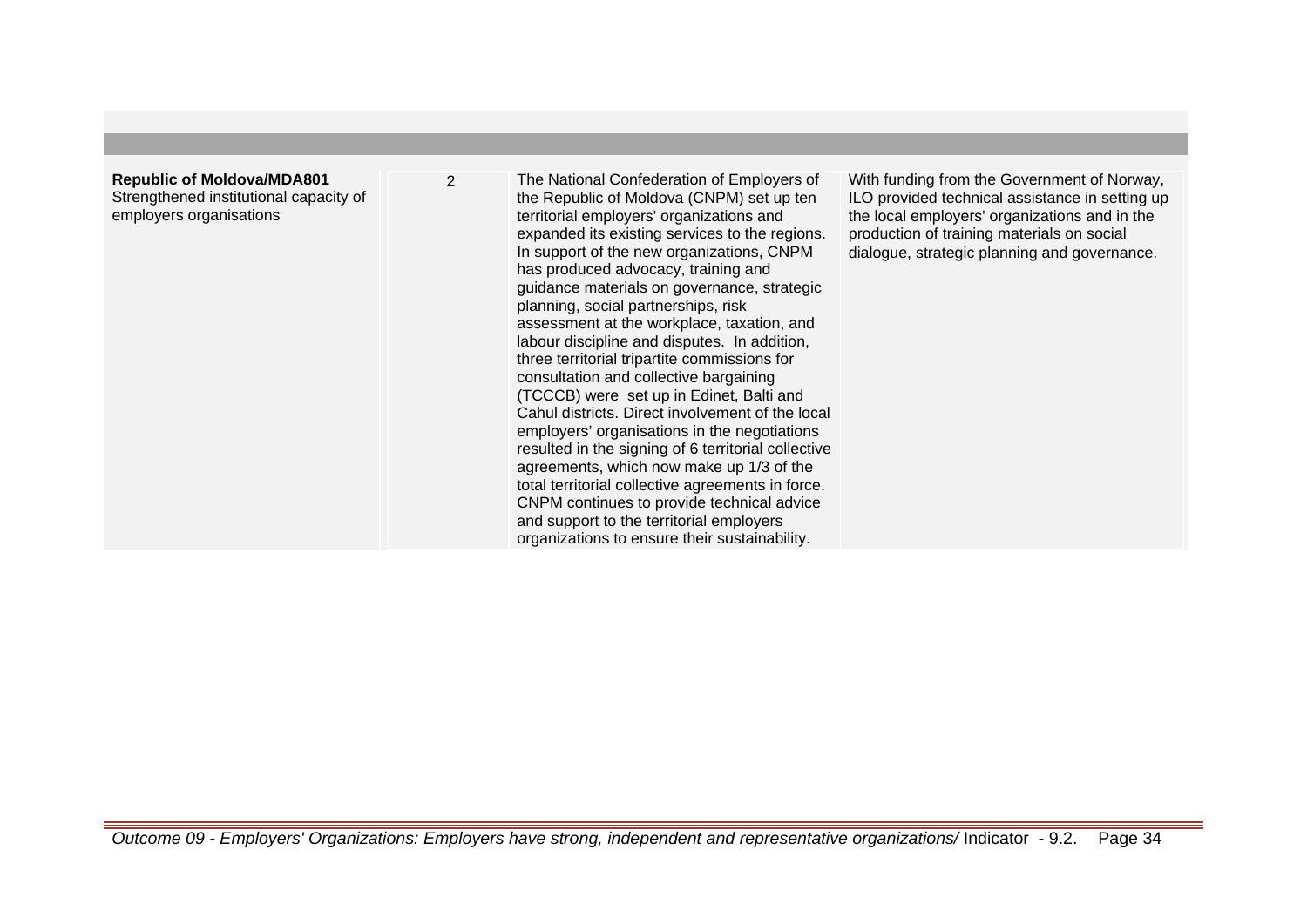# **Republic of Moldova/MDA801** Strengthened institutional capacity of employers organisations

2 The National Confederation of Employers of the Republic of Moldova (CNPM) set up ten territorial employers' organizations and expanded its existing services to the regions. In support of the new organizations, CNPM has produced advocacy, training and guidance materials on governance, strategic planning, social partnerships, risk assessment at the workplace, taxation, and labour discipline and disputes. In addition, three territorial tripartite commissions for consultation and collective bargaining (TCCCB) were set up in Edinet, Balti and Cahul districts. Direct involvement of the local employers' organisations in the negotiations resulted in the signing of 6 territorial collective agreements, which now make up 1/3 of the total territorial collective agreements in force. CNPM continues to provide technical advice and support to the territorial employers organizations to ensure their sustainability.

With funding from the Government of Norway, ILO provided technical assistance in setting up the local employers' organizations and in the production of training materials on social dialogue, strategic planning and governance.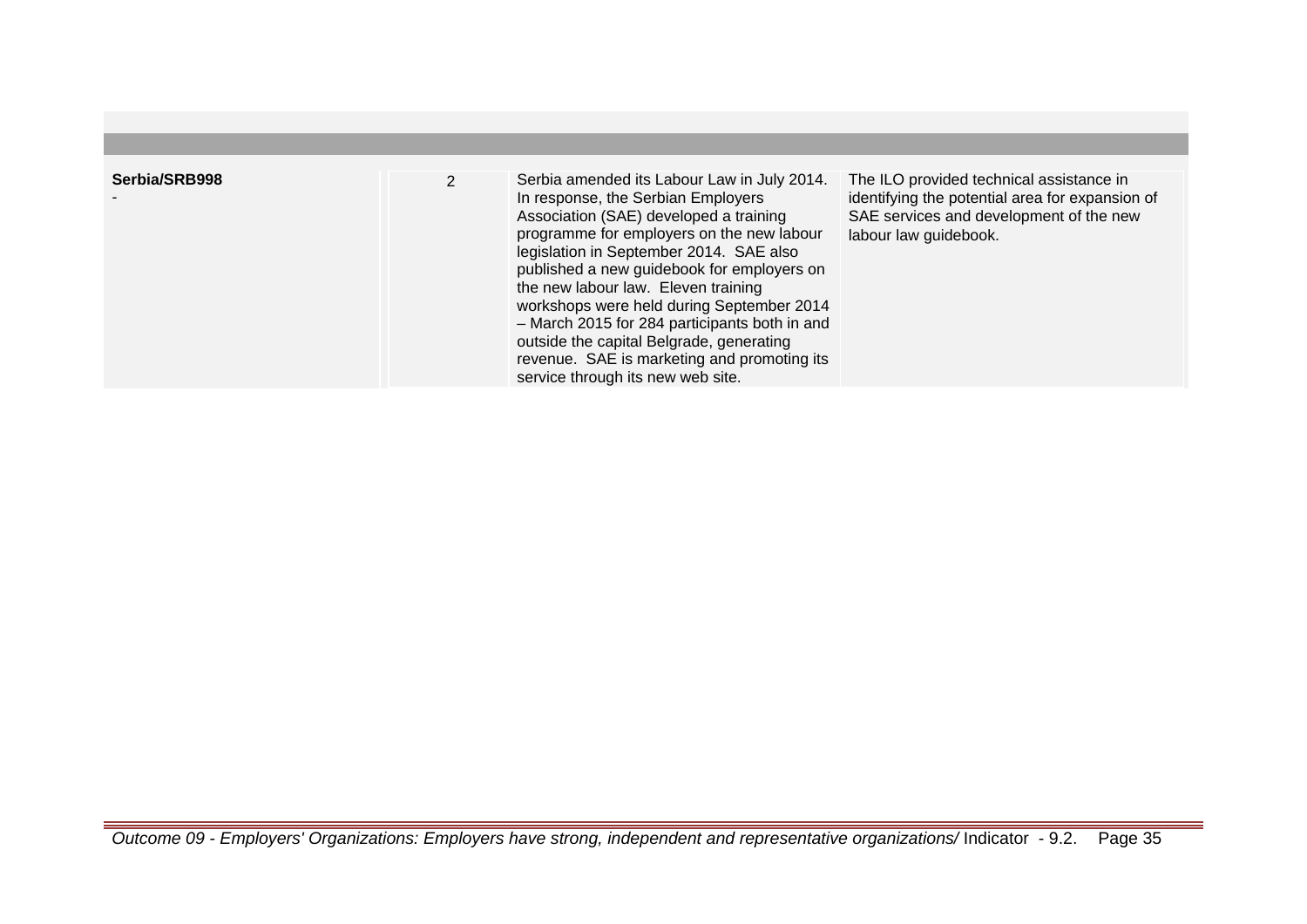| Serbia/SRB998 | Serbia amended its Labour Law in July 2014.<br>In response, the Serbian Employers<br>Association (SAE) developed a training<br>programme for employers on the new labour<br>legislation in September 2014. SAE also<br>published a new guidebook for employers on<br>the new labour law. Eleven training<br>workshops were held during September 2014<br>- March 2015 for 284 participants both in and<br>outside the capital Belgrade, generating<br>revenue. SAE is marketing and promoting its<br>service through its new web site. | The ILO provided technical assistance in<br>identifying the potential area for expansion of<br>SAE services and development of the new<br>labour law guidebook. |
|---------------|----------------------------------------------------------------------------------------------------------------------------------------------------------------------------------------------------------------------------------------------------------------------------------------------------------------------------------------------------------------------------------------------------------------------------------------------------------------------------------------------------------------------------------------|-----------------------------------------------------------------------------------------------------------------------------------------------------------------|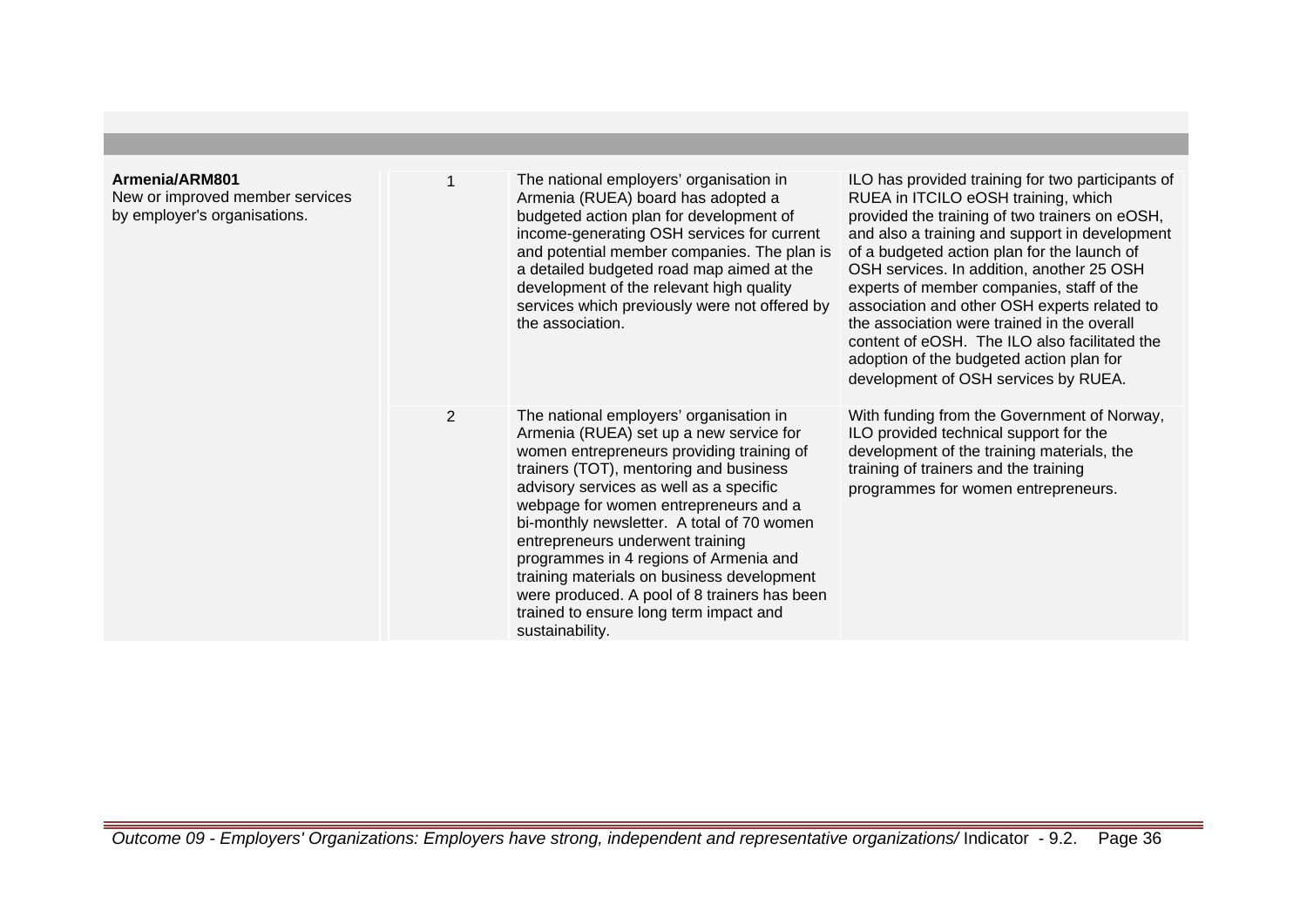| Armenia/ARM801<br>New or improved member services<br>by employer's organisations. |   | The national employers' organisation in<br>Armenia (RUEA) board has adopted a<br>budgeted action plan for development of<br>income-generating OSH services for current<br>and potential member companies. The plan is<br>a detailed budgeted road map aimed at the<br>development of the relevant high quality<br>services which previously were not offered by<br>the association.                                                                                                                                                                  | ILO has provided training for two participants of<br>RUEA in ITCILO eOSH training, which<br>provided the training of two trainers on eOSH,<br>and also a training and support in development<br>of a budgeted action plan for the launch of<br>OSH services. In addition, another 25 OSH<br>experts of member companies, staff of the<br>association and other OSH experts related to<br>the association were trained in the overall<br>content of eOSH. The ILO also facilitated the<br>adoption of the budgeted action plan for<br>development of OSH services by RUEA. |
|-----------------------------------------------------------------------------------|---|------------------------------------------------------------------------------------------------------------------------------------------------------------------------------------------------------------------------------------------------------------------------------------------------------------------------------------------------------------------------------------------------------------------------------------------------------------------------------------------------------------------------------------------------------|---------------------------------------------------------------------------------------------------------------------------------------------------------------------------------------------------------------------------------------------------------------------------------------------------------------------------------------------------------------------------------------------------------------------------------------------------------------------------------------------------------------------------------------------------------------------------|
|                                                                                   | 2 | The national employers' organisation in<br>Armenia (RUEA) set up a new service for<br>women entrepreneurs providing training of<br>trainers (TOT), mentoring and business<br>advisory services as well as a specific<br>webpage for women entrepreneurs and a<br>bi-monthly newsletter. A total of 70 women<br>entrepreneurs underwent training<br>programmes in 4 regions of Armenia and<br>training materials on business development<br>were produced. A pool of 8 trainers has been<br>trained to ensure long term impact and<br>sustainability. | With funding from the Government of Norway,<br>ILO provided technical support for the<br>development of the training materials, the<br>training of trainers and the training<br>programmes for women entrepreneurs.                                                                                                                                                                                                                                                                                                                                                       |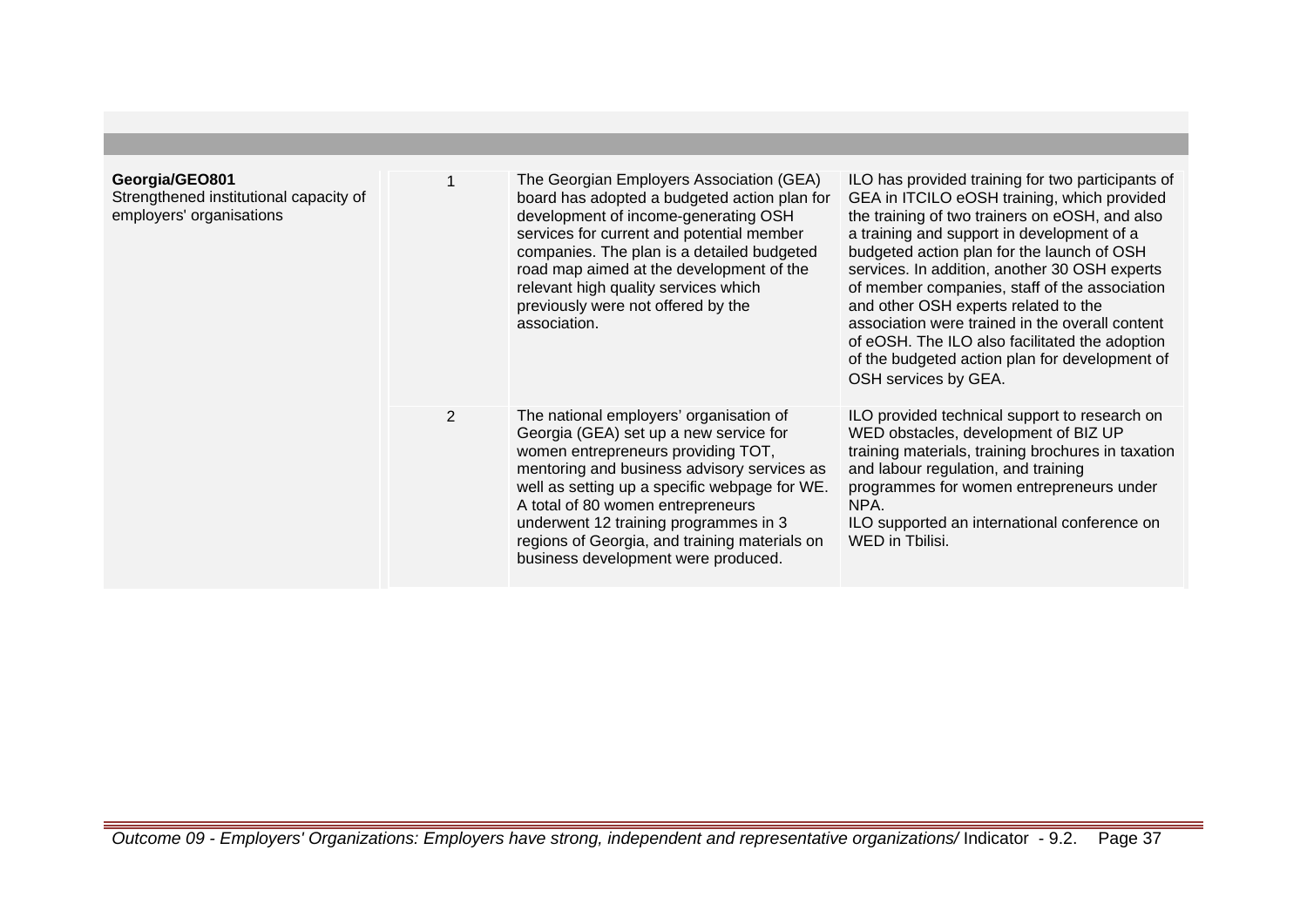| Georgia/GEO801<br>Strengthened institutional capacity of<br>employers' organisations |                | The Georgian Employers Association (GEA)<br>board has adopted a budgeted action plan for<br>development of income-generating OSH<br>services for current and potential member<br>companies. The plan is a detailed budgeted<br>road map aimed at the development of the<br>relevant high quality services which<br>previously were not offered by the<br>association.                         | ILO has provided training for two participants of<br>GEA in ITCILO eOSH training, which provided<br>the training of two trainers on eOSH, and also<br>a training and support in development of a<br>budgeted action plan for the launch of OSH<br>services. In addition, another 30 OSH experts<br>of member companies, staff of the association<br>and other OSH experts related to the<br>association were trained in the overall content<br>of eOSH. The ILO also facilitated the adoption<br>of the budgeted action plan for development of<br>OSH services by GEA. |
|--------------------------------------------------------------------------------------|----------------|-----------------------------------------------------------------------------------------------------------------------------------------------------------------------------------------------------------------------------------------------------------------------------------------------------------------------------------------------------------------------------------------------|-------------------------------------------------------------------------------------------------------------------------------------------------------------------------------------------------------------------------------------------------------------------------------------------------------------------------------------------------------------------------------------------------------------------------------------------------------------------------------------------------------------------------------------------------------------------------|
|                                                                                      | $\overline{2}$ | The national employers' organisation of<br>Georgia (GEA) set up a new service for<br>women entrepreneurs providing TOT,<br>mentoring and business advisory services as<br>well as setting up a specific webpage for WE.<br>A total of 80 women entrepreneurs<br>underwent 12 training programmes in 3<br>regions of Georgia, and training materials on<br>business development were produced. | ILO provided technical support to research on<br>WED obstacles, development of BIZ UP<br>training materials, training brochures in taxation<br>and labour regulation, and training<br>programmes for women entrepreneurs under<br>NPA.<br>ILO supported an international conference on<br>WED in Tbilisi.                                                                                                                                                                                                                                                               |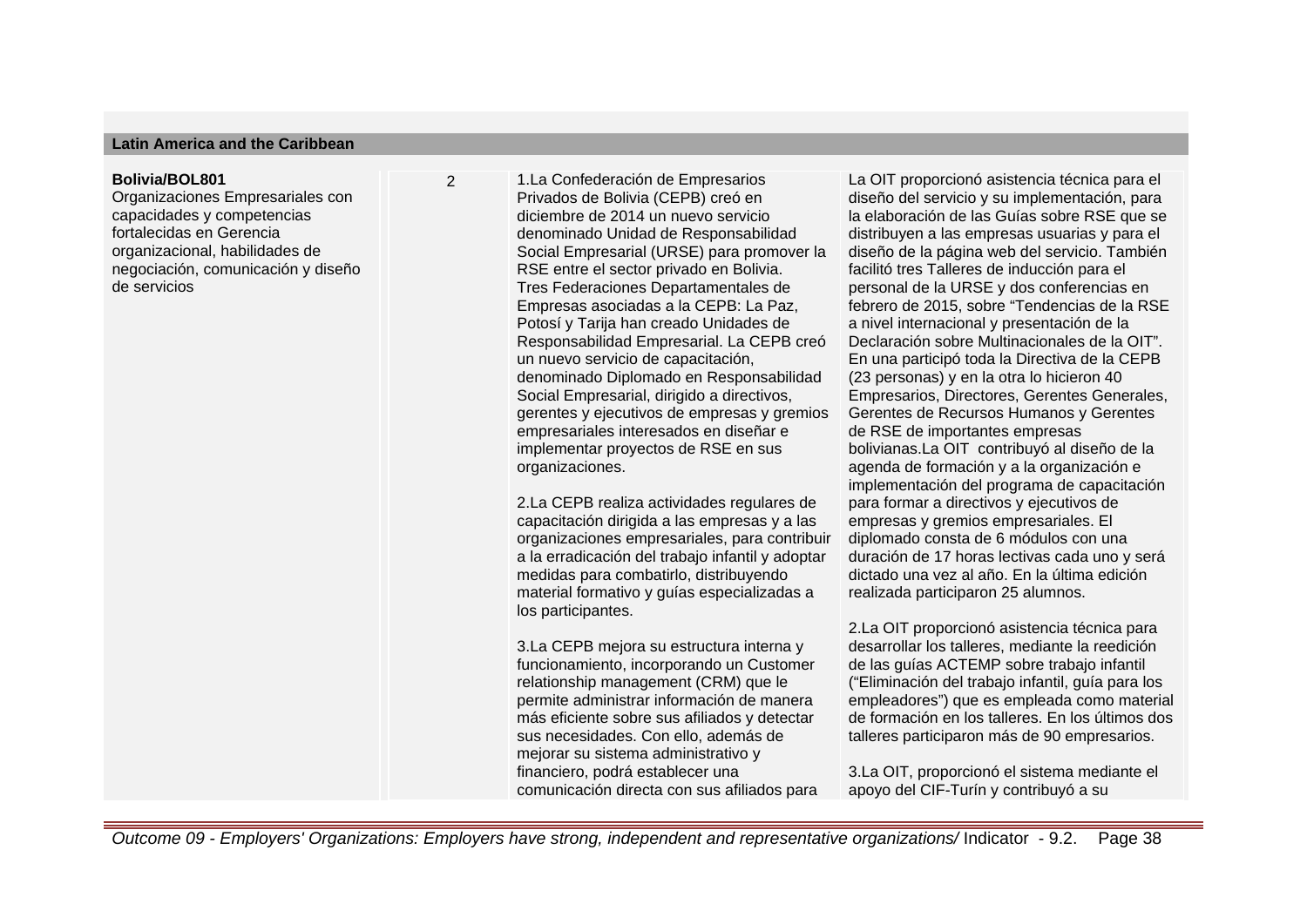## **Latin America and the Caribbean**

#### **Bolivia/BOL801**

Organizaciones Empresariales con capacidades y competencias fortalecidas en Gerencia organizacional, habilidades de negociación, comunicación y diseño de servicios

2 1. La Confederación de Empresarios Privados de Bolivia (CEPB) creó en diciembre de 2014 un nuevo servicio denominado Unidad de Responsabilidad Social Empresarial (URSE) para promover la RSE entre el sector privado en Bolivia. Tres Federaciones Departamentales de Empresas asociadas a la CEPB: La Paz, Potosí y Tarija han creado Unidades de Responsabilidad Empresarial. La CEPB creó un nuevo servicio de capacitación, denominado Diplomado en Responsabilidad Social Empresarial, dirigido a directivos, gerentes y ejecutivos de empresas y gremios empresariales interesados en diseñar e implementar proyectos de RSE en sus organizaciones.

> 2. La CEPB realiza actividades regulares de capacitación dirigida a las empresas y a las organizaciones empresariales, para contribuir a la erradicación del trabajo infantil y adoptar medidas para combatirlo, distribuyendo material formativo y guías especializadas a los participantes.

3. La CEPB mejora su estructura interna y funcionamiento, incorporando un Customer relationship management (CRM) que le permite administrar información de manera más eficiente sobre sus afiliados y detectar sus necesidades. Con ello, además de mejorar su sistema administrativo y financiero, podrá establecer una comunicación directa con sus afiliados para La OIT proporcionó asistencia técnica para el diseño del servicio y su implementación, para la elaboración de las Guías sobre RSE que se distribuyen a las empresas usuarias y para el diseño de la página web del servicio. También facilitó tres Talleres de inducción para el personal de la URSE y dos conferencias en febrero de 2015, sobre "Tendencias de la RSE a nivel internacional y presentación de la Declaración sobre Multinacionales de la OIT". En una participó toda la Directiva de la CEPB (23 personas) y en la otra lo hicieron 40 Empresarios, Directores, Gerentes Generales, Gerentes de Recursos Humanos y Gerentes de RSE de importantes empresas bolivianas.La OIT contribuyó al diseño de la agenda de formación y a la organización e implementación del programa de capacitación para formar a directivos y ejecutivos de empresas y gremios empresariales. El diplomado consta de 6 módulos con una duración de 17 horas lectivas cada uno y será dictado una vez al año. En la última edición realizada participaron 25 alumnos.

2.La OIT proporcionó asistencia técnica para desarrollar los talleres, mediante la reedición de las guías ACTEMP sobre trabajo infantil ("Eliminación del trabajo infantil, guía para los empleadores") que es empleada como material de formación en los talleres. En los últimos dos talleres participaron más de 90 empresarios.

3.La OIT, proporcionó el sistema mediante el apoyo del CIF-Turín y contribuyó a su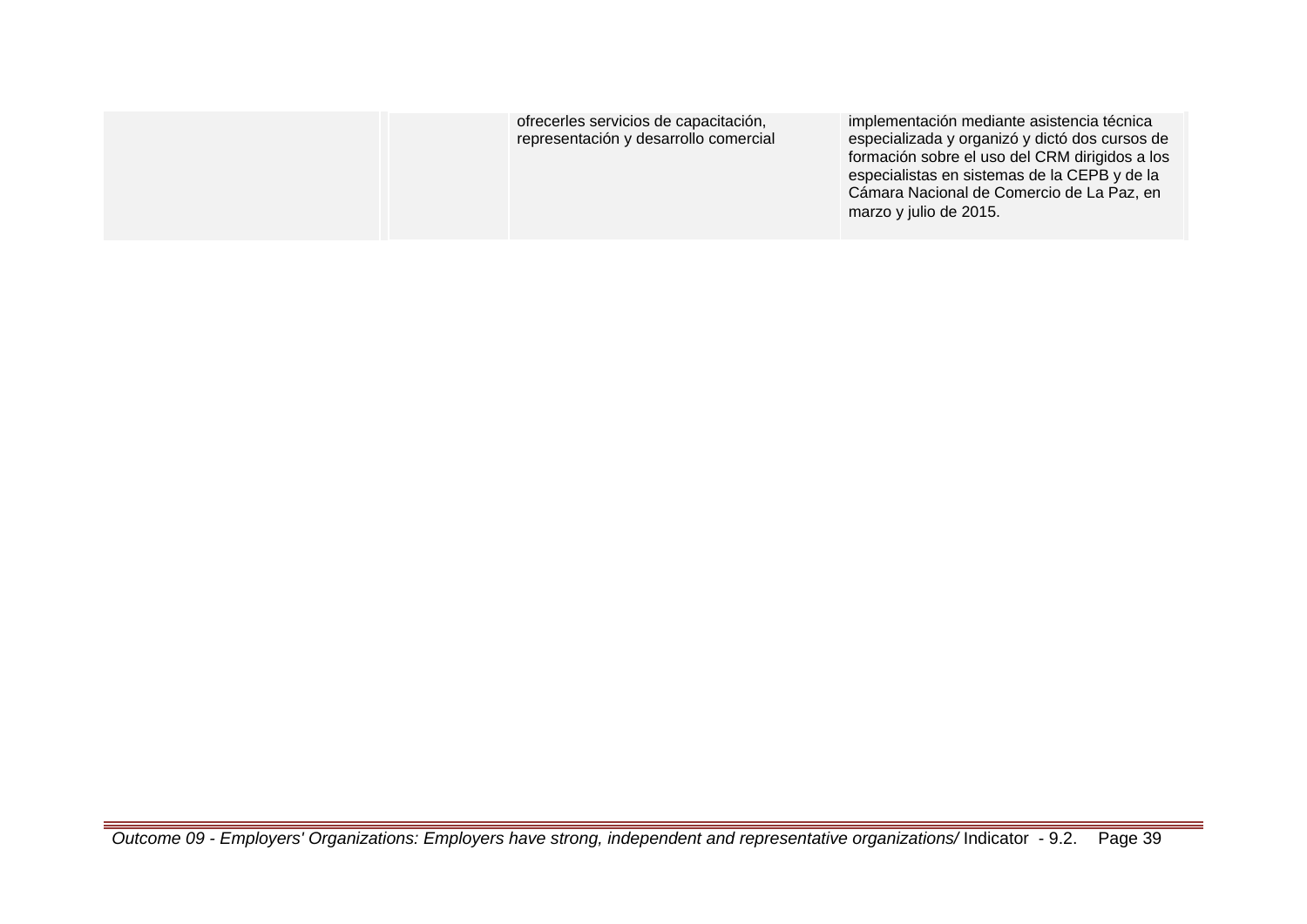|  | ofrecerles servicios de capacitación,<br>representación y desarrollo comercial | implementación mediante asistencia técnica<br>especializada y organizó y dictó dos cursos de<br>formación sobre el uso del CRM dirigidos a los<br>especialistas en sistemas de la CEPB y de la<br>Cámara Nacional de Comercio de La Paz, en<br>marzo y julio de 2015. |
|--|--------------------------------------------------------------------------------|-----------------------------------------------------------------------------------------------------------------------------------------------------------------------------------------------------------------------------------------------------------------------|
|--|--------------------------------------------------------------------------------|-----------------------------------------------------------------------------------------------------------------------------------------------------------------------------------------------------------------------------------------------------------------------|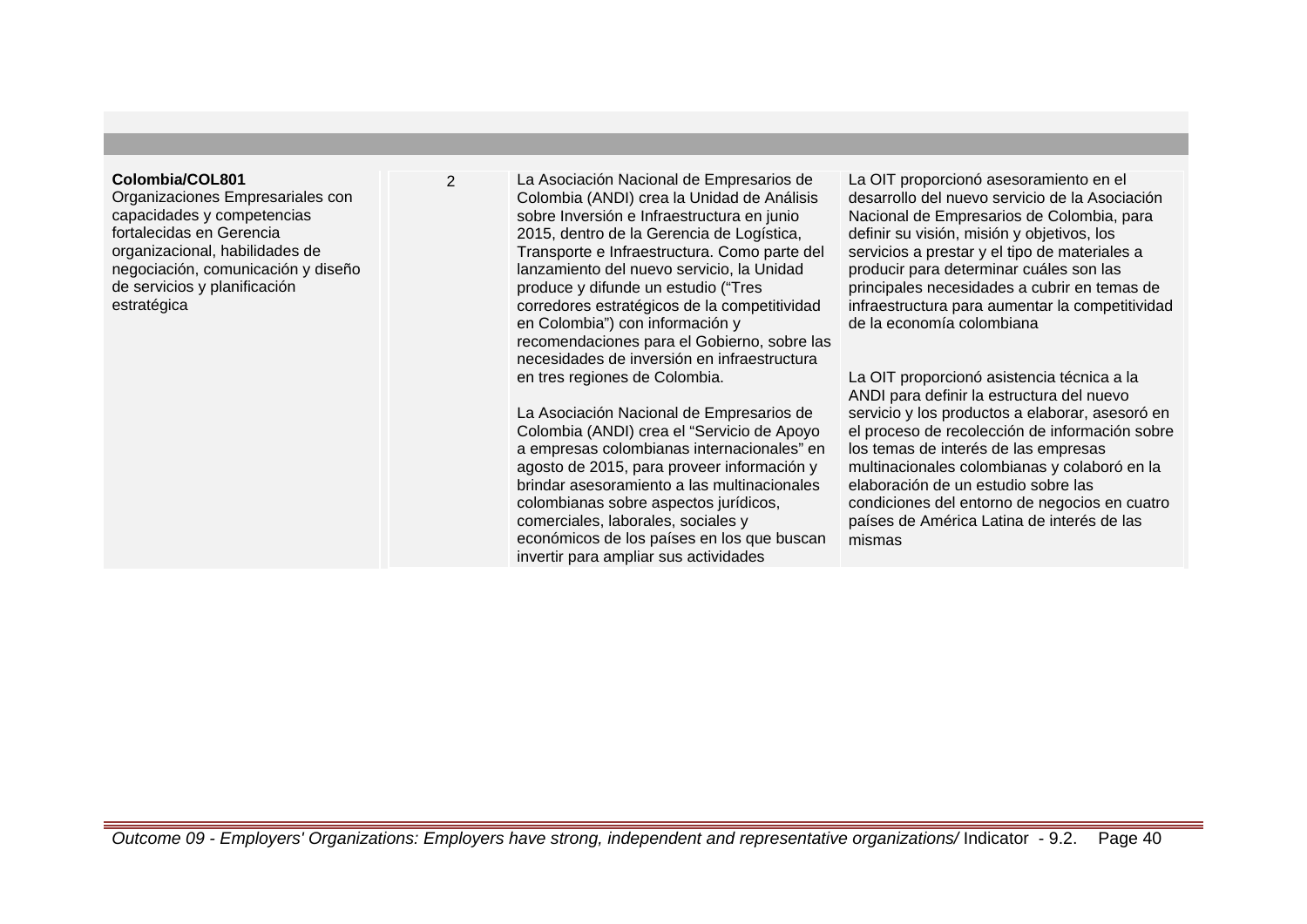## **Colombia/COL801**

Organizaciones Empresariales con capacidades y competencias fortalecidas en Gerencia organizacional, habilidades de negociación, comunicación y diseño de servicios y planificación estratégica

2 La Asociación Nacional de Empresarios de Colombia (ANDI) crea la Unidad de Análisis sobre Inversión e Infraestructura en junio 2015, dentro de la Gerencia de Logística, Transporte e Infraestructura. Como parte del lanzamiento del nuevo servicio, la Unidad produce y difunde un estudio ("Tres corredores estratégicos de la competitividad en Colombia") con información y recomendaciones para el Gobierno, sobre las necesidades de inversión en infraestructura en tres regiones de Colombia.

> La Asociación Nacional de Empresarios de Colombia (ANDI) crea el "Servicio de Apoyo a empresas colombianas internacionales" en agosto de 2015, para proveer información y brindar asesoramiento a las multinacionales colombianas sobre aspectos jurídicos, comerciales, laborales, sociales y económicos de los países en los que buscan invertir para ampliar sus actividades

La OIT proporcionó asesoramiento en el desarrollo del nuevo servicio de la Asociación Nacional de Empresarios de Colombia, para definir su visión, misión y objetivos, los servicios a prestar y el tipo de materiales a producir para determinar cuáles son las principales necesidades a cubrir en temas de infraestructura para aumentar la competitividad de la economía colombiana

La OIT proporcionó asistencia técnica a la ANDI para definir la estructura del nuevo servicio y los productos a elaborar, asesoró en el proceso de recolección de información sobre los temas de interés de las empresas multinacionales colombianas y colaboró en la elaboración de un estudio sobre las condiciones del entorno de negocios en cuatro países de América Latina de interés de las mismas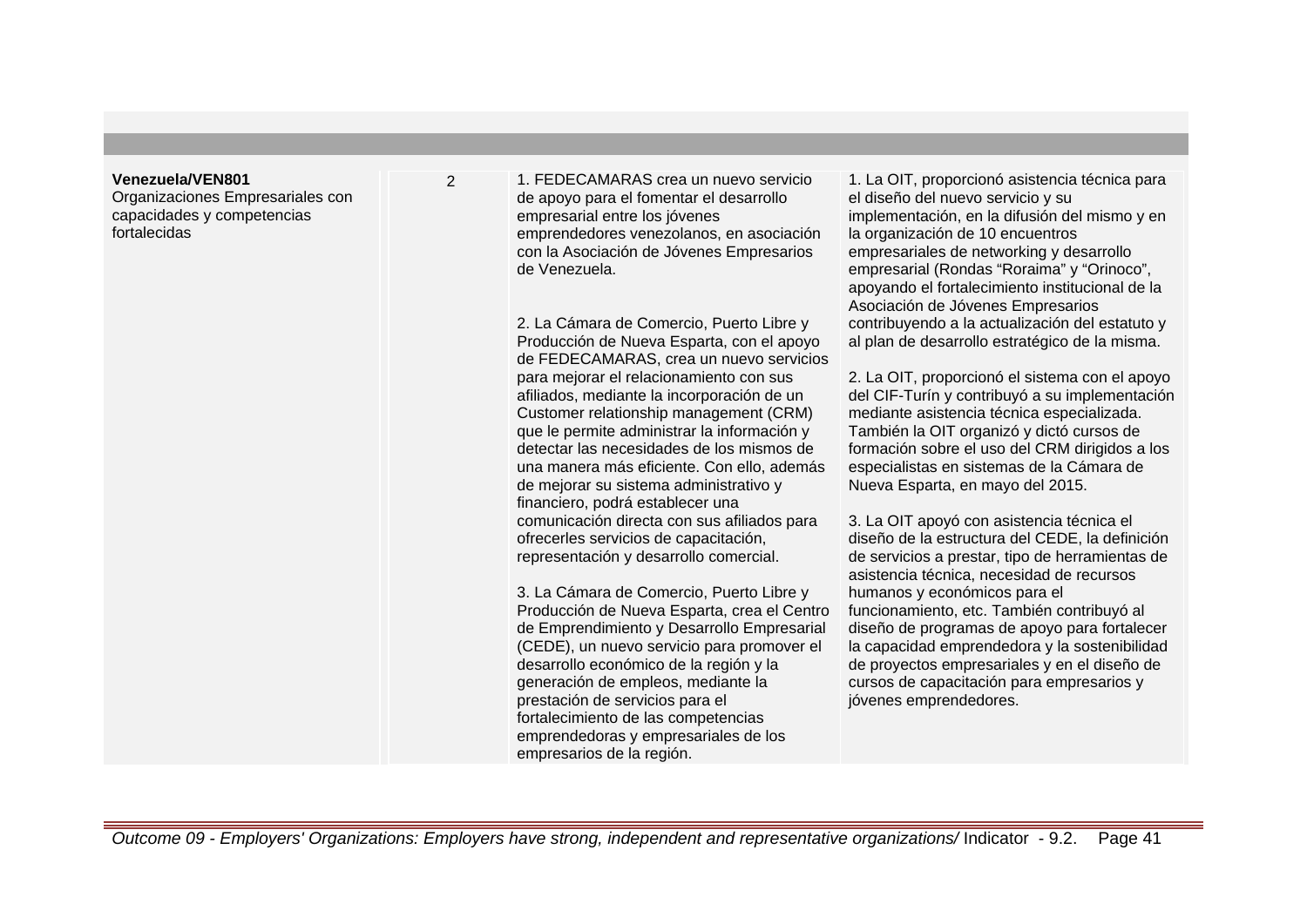#### **Venezuela/VEN801**

Organizaciones Empresariales con capacidades y competencias fortalecidas

2 1. FEDECAMARAS crea un nuevo servicio de apoyo para el fomentar el desarrollo empresarial entre los jóvenes emprendedores venezolanos, en asociación con la Asociación de Jóvenes Empresarios de Venezuela.

> 2. La Cámara de Comercio, Puerto Libre y Producción de Nueva Esparta, con el apoyo de FEDECAMARAS, crea un nuevo servicios para mejorar el relacionamiento con sus afiliados, mediante la incorporación de un Customer relationship management (CRM) que le permite administrar la información y detectar las necesidades de los mismos de una manera más eficiente. Con ello, además de mejorar su sistema administrativo y financiero, podrá establecer una comunicación directa con sus afiliados para ofrecerles servicios de capacitación, representación y desarrollo comercial.

> 3. La Cámara de Comercio, Puerto Libre y Producción de Nueva Esparta, crea el Centro de Emprendimiento y Desarrollo Empresarial (CEDE), un nuevo servicio para promover el desarrollo económico de la región y la generación de empleos, mediante la prestación de servicios para el fortalecimiento de las competencias emprendedoras y empresariales de los empresarios de la región.

1. La OIT, proporcionó asistencia técnica para el diseño del nuevo servicio y su implementación, en la difusión del mismo y en la organización de 10 encuentros empresariales de networking y desarrollo empresarial (Rondas "Roraima" y "Orinoco", apoyando el fortalecimiento institucional de la Asociación de Jóvenes Empresarios contribuyendo a la actualización del estatuto y al plan de desarrollo estratégico de la misma.

2. La OIT, proporcionó el sistema con el apoyo del CIF-Turín y contribuyó a su implementación mediante asistencia técnica especializada. También la OIT organizó y dictó cursos de formación sobre el uso del CRM dirigidos a los especialistas en sistemas de la Cámara de Nueva Esparta, en mayo del 2015.

3. La OIT apoyó con asistencia técnica el diseño de la estructura del CEDE, la definición de servicios a prestar, tipo de herramientas de asistencia técnica, necesidad de recursos humanos y económicos para el funcionamiento, etc. También contribuyó al diseño de programas de apoyo para fortalecer la capacidad emprendedora y la sostenibilidad de proyectos empresariales y en el diseño de cursos de capacitación para empresarios y jóvenes emprendedores.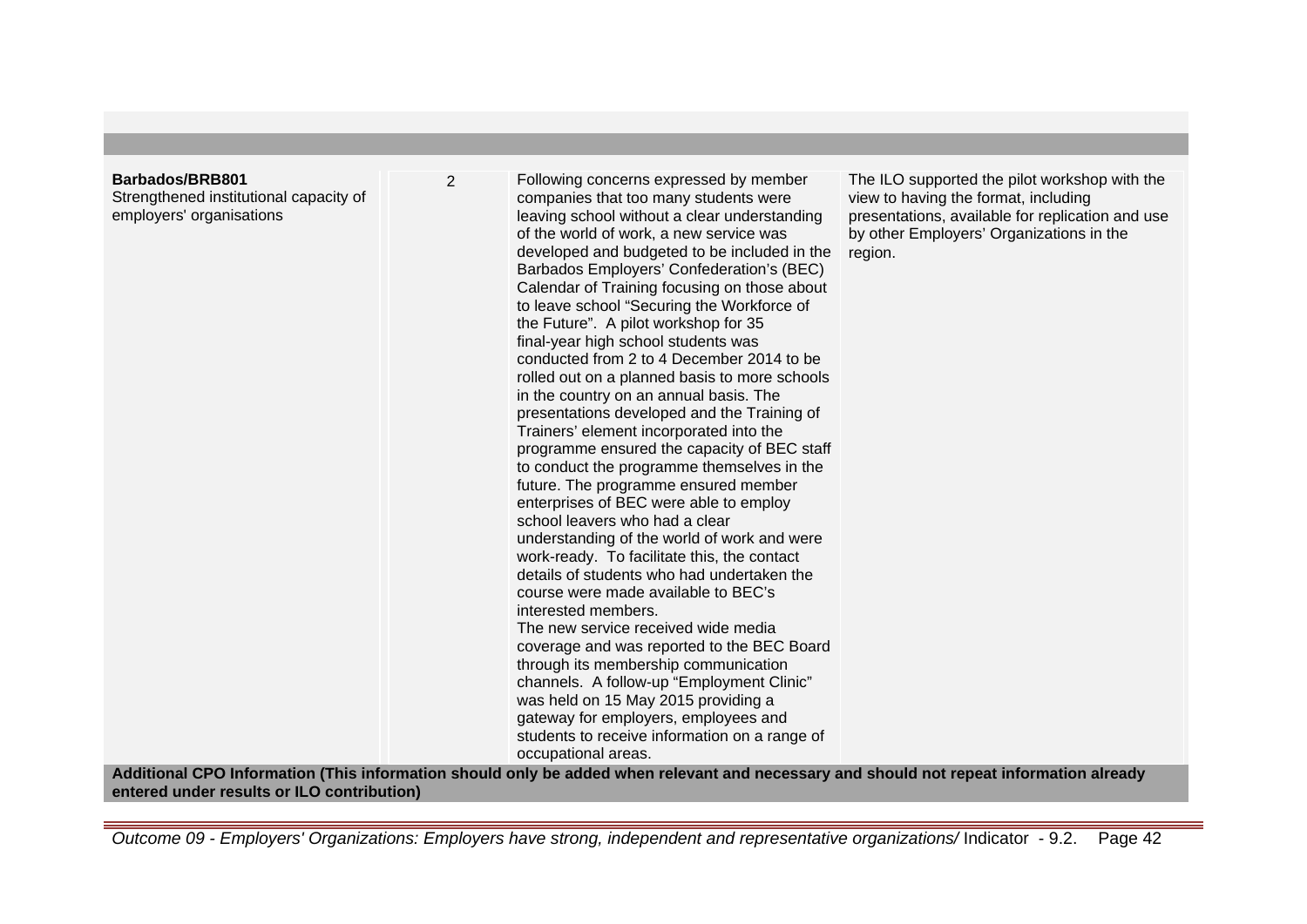Strengthened institutional capacity of employers' organisations

2 Following concerns expressed by member companies that too many students were leaving school without a clear understanding of the world of work, a new service was developed and budgeted to be included in the Barbados Employers' Confederation's (BEC) Calendar of Training focusing on those about to leave school "Securing the Workforce of the Future". A pilot workshop for 35 final-year high school students was conducted from 2 to 4 December 2014 to be rolled out on a planned basis to more schools in the country on an annual basis. The presentations developed and the Training of Trainers' element incorporated into the programme ensured the capacity of BEC staff to conduct the programme themselves in the future. The programme ensured member enterprises of BEC were able to employ school leavers who had a clear understanding of the world of work and were work-ready. To facilitate this, the contact details of students who had undertaken the course were made available to BEC's interested members. The new service received wide media coverage and was reported to the BEC Board through its membership communication channels. A follow-up "Employment Clinic" was held on 15 May 2015 providing a gateway for employers, employees and students to receive information on a range of

The ILO supported the pilot workshop with the view to having the format, including presentations, available for replication and use by other Employers' Organizations in the region.

**Additional CPO Information (This information should only be added when relevant and necessary and should not repeat information already entered under results or ILO contribution)**

occupational areas.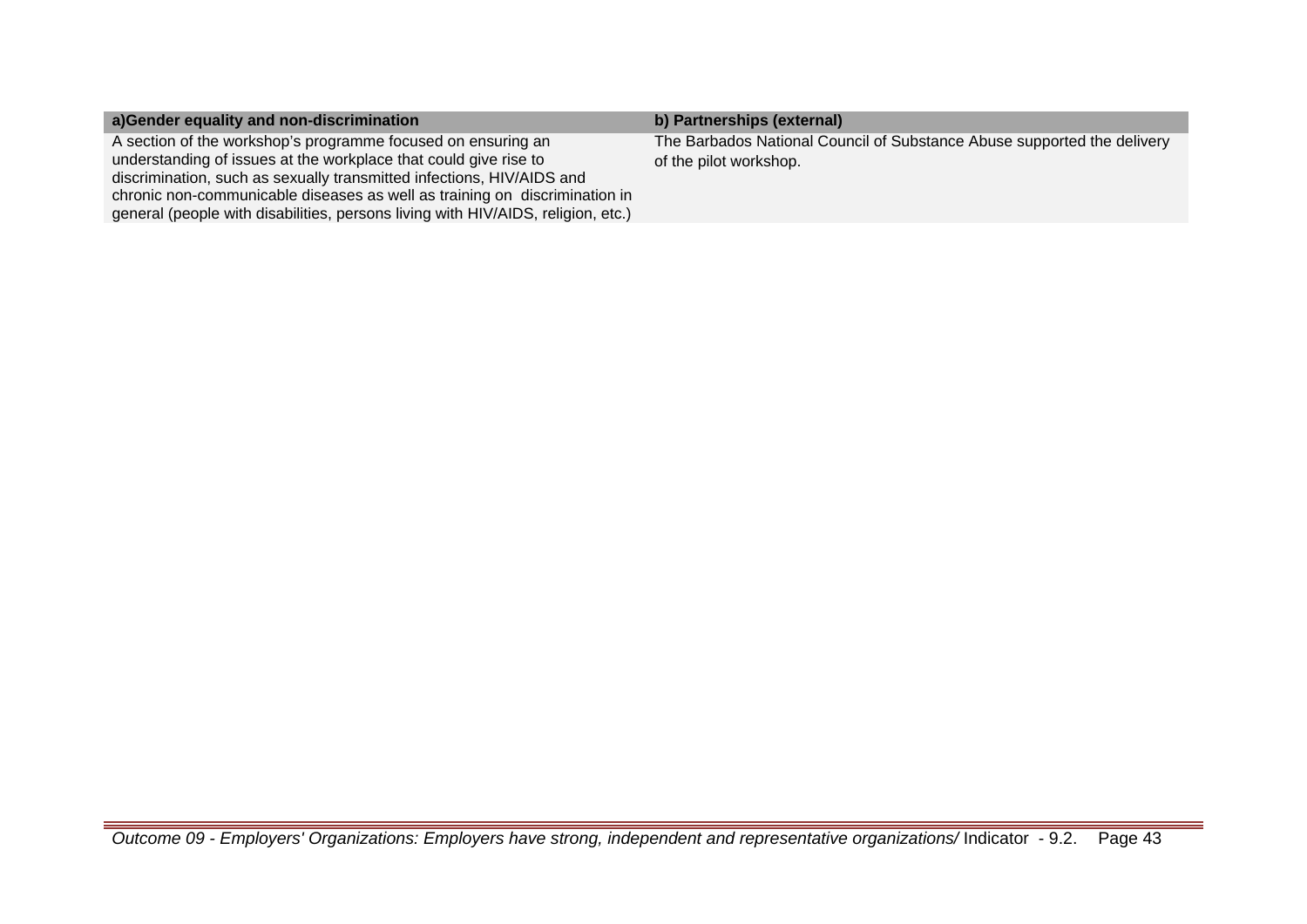| a)Gender equality and non-discrimination                                                                                                                                                                                                                                                                                                                                    | b) Partnerships (external)                                                                        |
|-----------------------------------------------------------------------------------------------------------------------------------------------------------------------------------------------------------------------------------------------------------------------------------------------------------------------------------------------------------------------------|---------------------------------------------------------------------------------------------------|
| A section of the workshop's programme focused on ensuring an<br>understanding of issues at the workplace that could give rise to<br>discrimination, such as sexually transmitted infections, HIV/AIDS and<br>chronic non-communicable diseases as well as training on discrimination in<br>general (people with disabilities, persons living with HIV/AIDS, religion, etc.) | The Barbados National Council of Substance Abuse supported the delivery<br>of the pilot workshop. |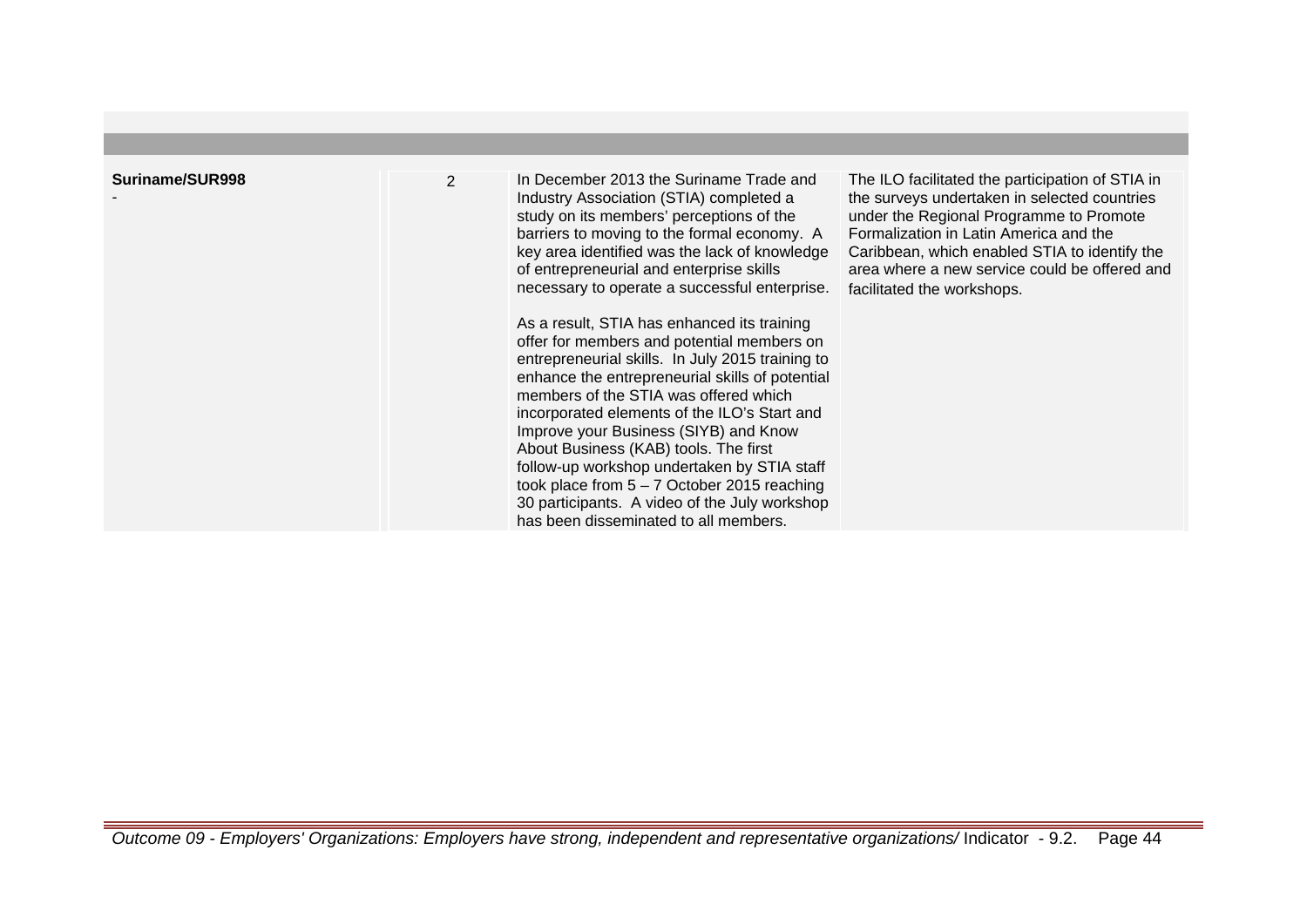| Suriname/SUR998 | $\overline{2}$ | In December 2013 the Suriname Trade and<br>Industry Association (STIA) completed a<br>study on its members' perceptions of the<br>barriers to moving to the formal economy. A<br>key area identified was the lack of knowledge<br>of entrepreneurial and enterprise skills<br>necessary to operate a successful enterprise.<br>As a result, STIA has enhanced its training<br>offer for members and potential members on<br>entrepreneurial skills. In July 2015 training to<br>enhance the entrepreneurial skills of potential<br>members of the STIA was offered which<br>incorporated elements of the ILO's Start and<br>Improve your Business (SIYB) and Know<br>About Business (KAB) tools. The first<br>follow-up workshop undertaken by STIA staff<br>took place from $5 - 7$ October 2015 reaching<br>30 participants. A video of the July workshop<br>has been disseminated to all members. | The ILO facilitated the participation of STIA in<br>the surveys undertaken in selected countries<br>under the Regional Programme to Promote<br>Formalization in Latin America and the<br>Caribbean, which enabled STIA to identify the<br>area where a new service could be offered and<br>facilitated the workshops. |
|-----------------|----------------|------------------------------------------------------------------------------------------------------------------------------------------------------------------------------------------------------------------------------------------------------------------------------------------------------------------------------------------------------------------------------------------------------------------------------------------------------------------------------------------------------------------------------------------------------------------------------------------------------------------------------------------------------------------------------------------------------------------------------------------------------------------------------------------------------------------------------------------------------------------------------------------------------|-----------------------------------------------------------------------------------------------------------------------------------------------------------------------------------------------------------------------------------------------------------------------------------------------------------------------|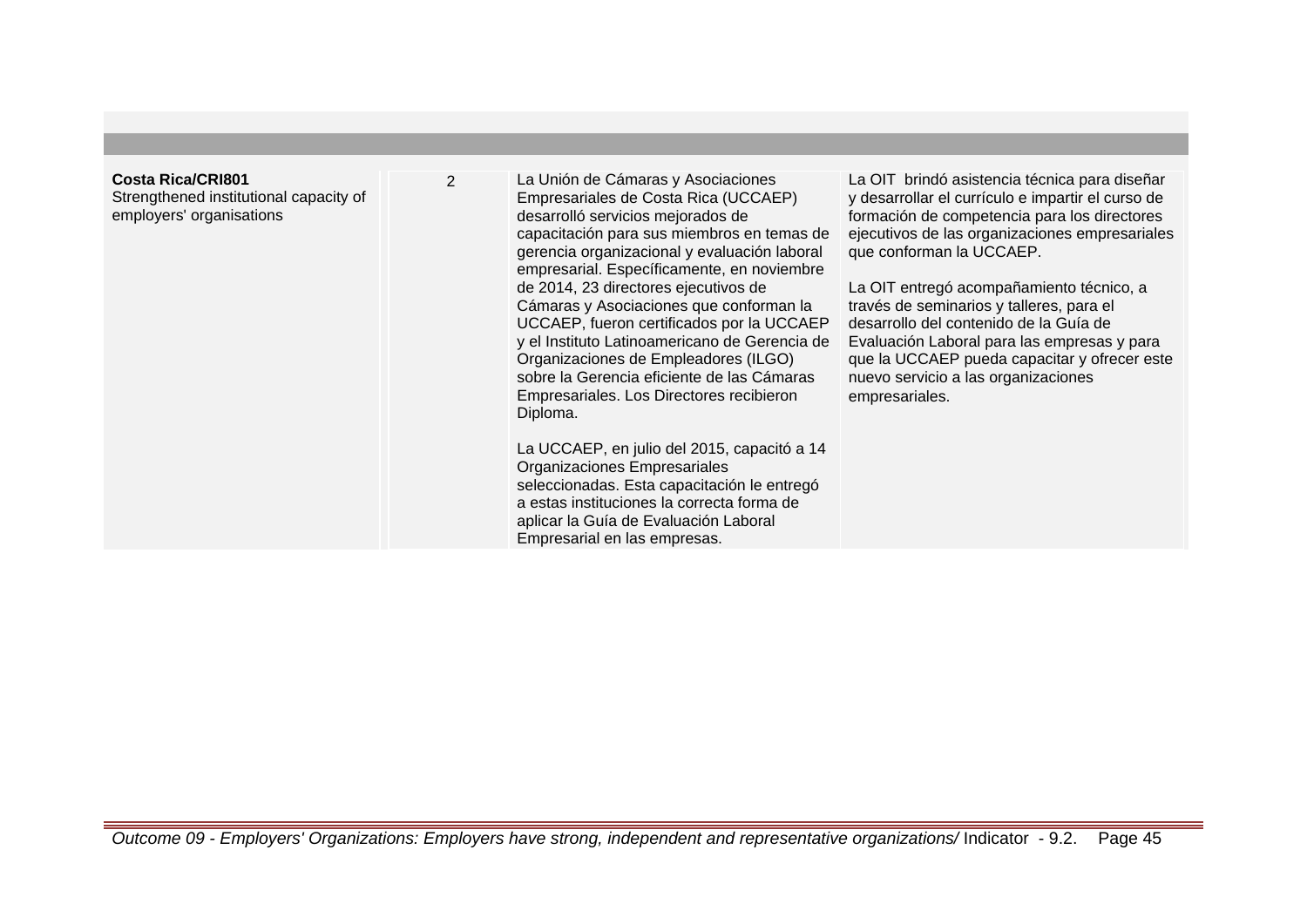# **Costa Rica/CRI801**

Strengthened institutional capacity of employers' organisations

2 La Unión de Cámaras y Asociaciones Empresariales de Costa Rica (UCCAEP) desarrolló servicios mejorados de capacitación para sus miembros en temas de gerencia organizacional y evaluación laboral empresarial. Específicamente, en noviembre de 2014, 23 directores ejecutivos de Cámaras y Asociaciones que conforman la UCCAEP, fueron certificados por la UCCAEP y el Instituto Latinoamericano de Gerencia de Organizaciones de Empleadores (ILGO) sobre la Gerencia eficiente de las Cámaras Empresariales. Los Directores recibieron Diploma.

> La UCCAEP, en julio del 2015, capacitó a 14 Organizaciones Empresariales seleccionadas. Esta capacitación le entregó a estas instituciones la correcta forma de aplicar la Guía de Evaluación Laboral Empresarial en las empresas.

La OIT brindó asistencia técnica para diseñar y desarrollar el currículo e impartir el curso de formación de competencia para los directores ejecutivos de las organizaciones empresariales que conforman la UCCAEP.

La OIT entregó acompañamiento técnico, a través de seminarios y talleres, para el desarrollo del contenido de la Guía de Evaluación Laboral para las empresas y para que la UCCAEP pueda capacitar y ofrecer este nuevo servicio a las organizaciones empresariales.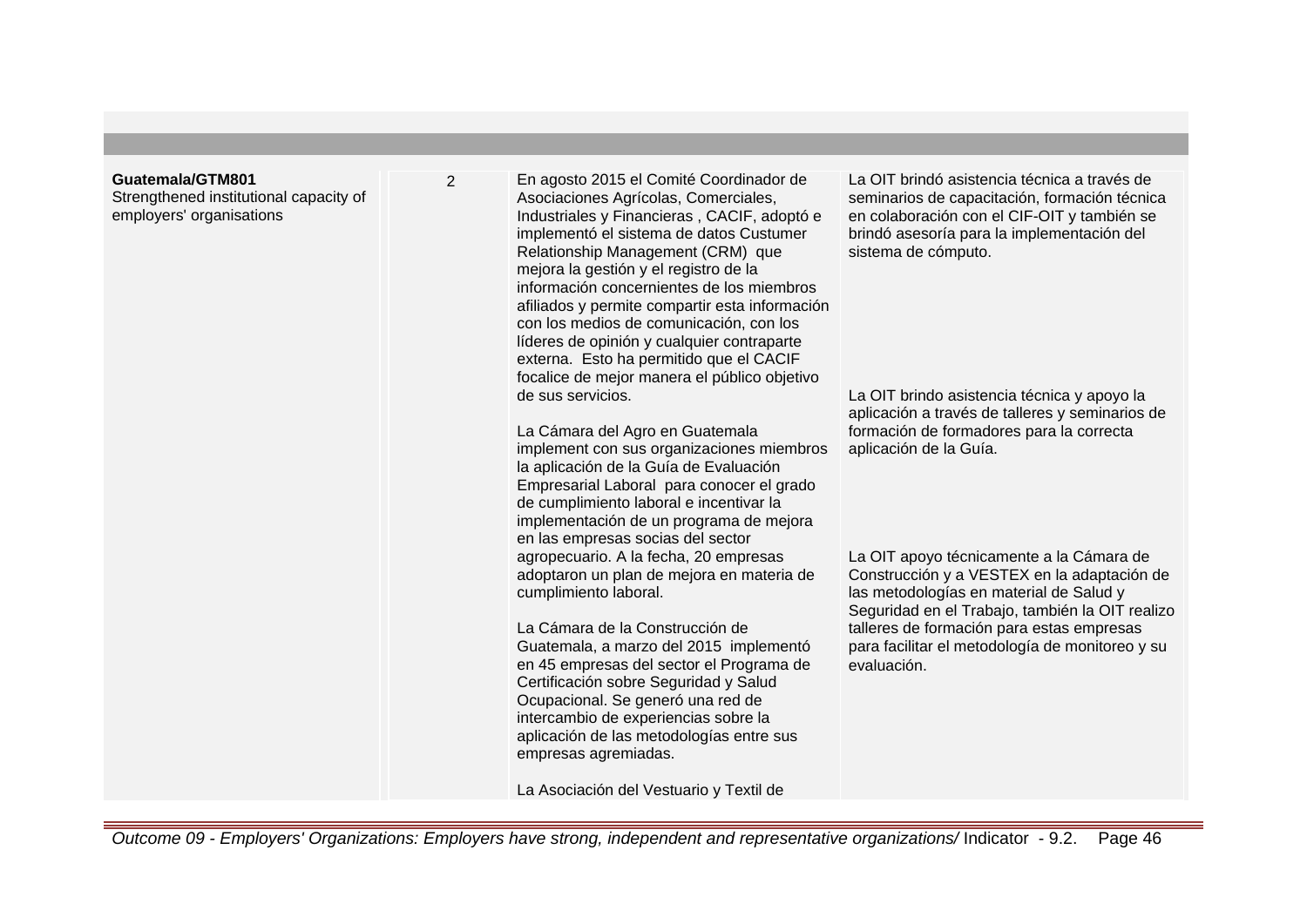#### **Guatemala/GTM801**

Strengthened institutional capacity of employers' organisations

2 En agosto 2015 el Comité Coordinador de Asociaciones Agrícolas, Comerciales, Industriales y Financieras , CACIF, adoptó e implementó el sistema de datos Custumer Relationship Management (CRM) que mejora la gestión y el registro de la información concernientes de los miembros afiliados y permite compartir esta información con los medios de comunicación, con los líderes de opinión y cualquier contraparte externa. Esto ha permitido que el CACIF focalice de mejor manera el público objetivo de sus servicios.

> La Cámara del Agro en Guatemala implement con sus organizaciones miembros la aplicación de la Guía de Evaluación Empresarial Laboral para conocer el grado de cumplimiento laboral e incentivar la implementación de un programa de mejora en las empresas socias del sector agropecuario. A la fecha, 20 empresas adoptaron un plan de mejora en materia de cumplimiento laboral.

La Cámara de la Construcción de Guatemala, a marzo del 2015 implementó en 45 empresas del sector el Programa de Certificación sobre Seguridad y Salud Ocupacional. Se generó una red de intercambio de experiencias sobre la aplicación de las metodologías entre sus empresas agremiadas.

La Asociación del Vestuario y Textil de

La OIT brindó asistencia técnica a través de seminarios de capacitación, formación técnica en colaboración con el CIF-OIT y también se brindó asesoría para la implementación del sistema de cómputo.

La OIT brindo asistencia técnica y apoyo la aplicación a través de talleres y seminarios de formación de formadores para la correcta aplicación de la Guía.

La OIT apoyo técnicamente a la Cámara de Construcción y a VESTEX en la adaptación de las metodologías en material de Salud y Seguridad en el Trabajo, también la OIT realizo talleres de formación para estas empresas para facilitar el metodología de monitoreo y su evaluación.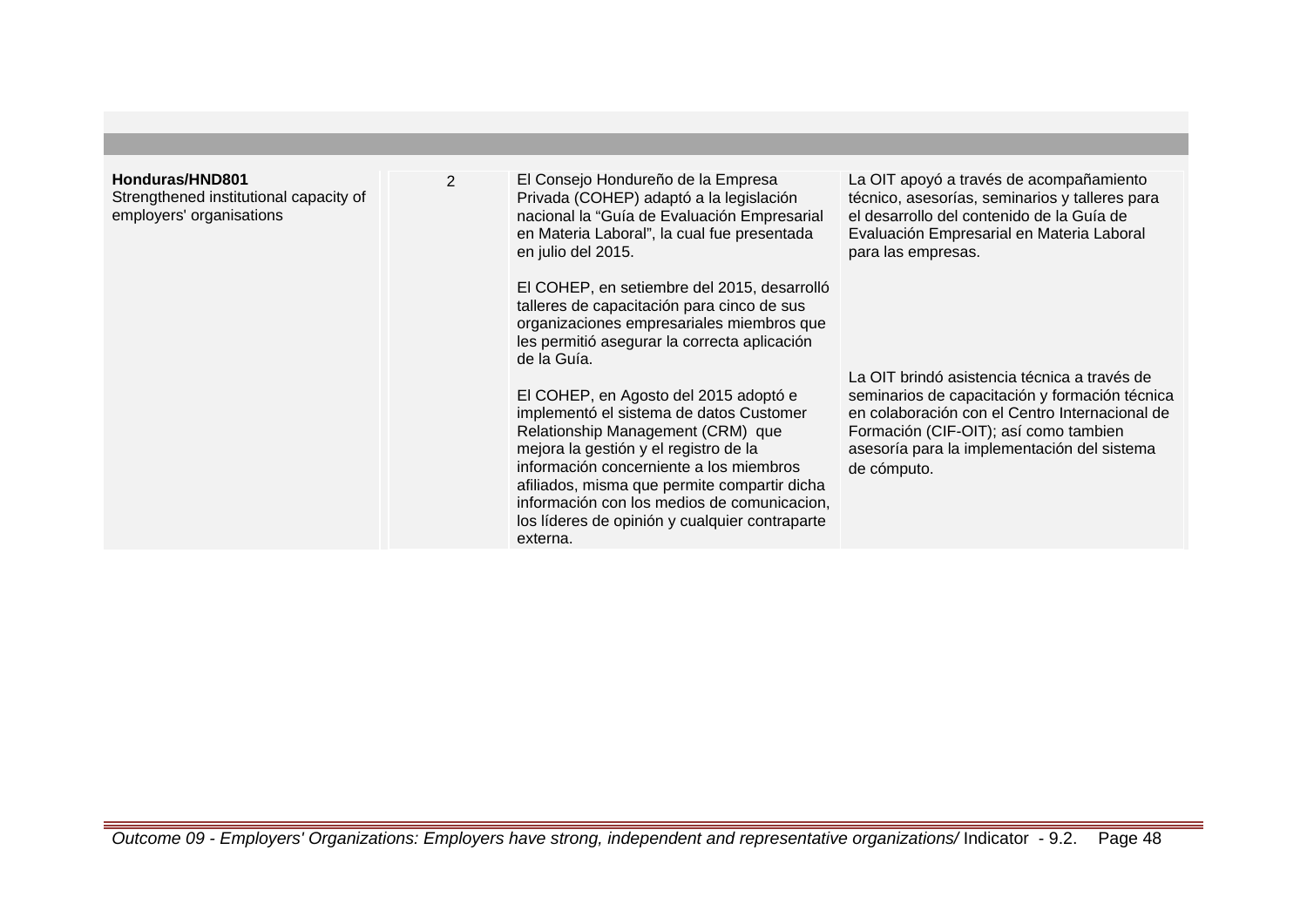#### **Honduras/HND801**

Strengthened institutional capacity of employers' organisations

2 El Consejo Hondureño de la Empresa Privada (COHEP) adaptó a la legislación nacional la "Guía de Evaluación Empresarial en Materia Laboral", la cual fue presentada en julio del 2015.

> El COHEP, en setiembre del 2015, desarrolló talleres de capacitación para cinco de sus organizaciones empresariales miembros que les permitió asegurar la correcta aplicación de la Guía.

> El COHEP, en Agosto del 2015 adoptó e implementó el sistema de datos Customer Relationship Management (CRM) que mejora la gestión y el registro de la información concerniente a los miembros afiliados, misma que permite compartir dicha información con los medios de comunicacion, los líderes de opinión y cualquier contraparte externa.

La OIT apoyó a través de acompañamiento técnico, asesorías, seminarios y talleres para el desarrollo del contenido de la Guía de Evaluación Empresarial en Materia Laboral para las empresas.

La OIT brindó asistencia técnica a través de seminarios de capacitación y formación técnica en colaboración con el Centro Internacional de Formación (CIF-OIT); así como tambien asesoría para la implementación del sistema de cómputo.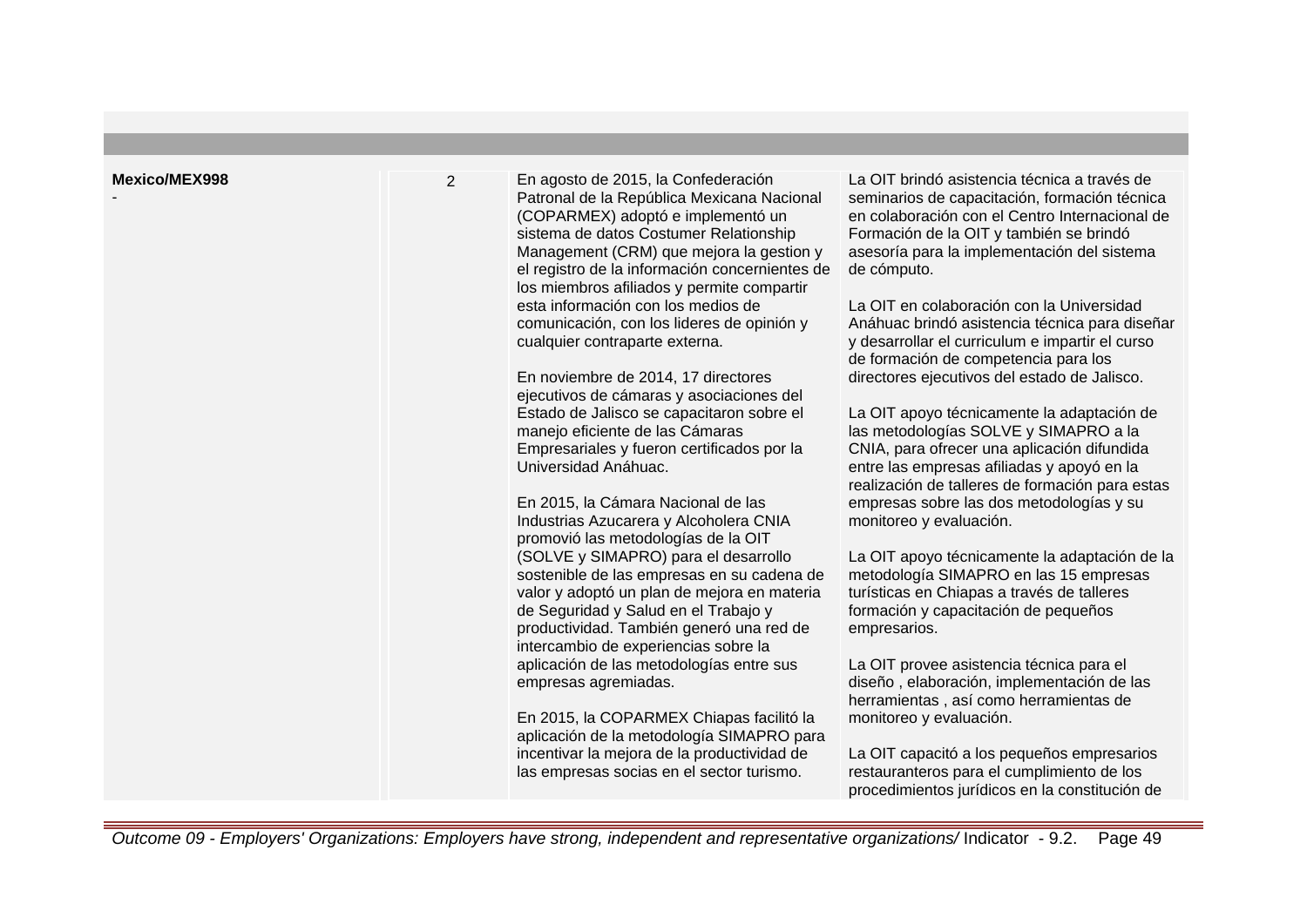| <b>Mexico/MEX998</b> | $\overline{2}$ | En agosto de 2015, la Confederación<br>Patronal de la República Mexicana Nacional<br>(COPARMEX) adoptó e implementó un<br>sistema de datos Costumer Relationship<br>Management (CRM) que mejora la gestion y<br>el registro de la información concernientes de<br>los miembros afiliados y permite compartir<br>esta información con los medios de<br>comunicación, con los lideres de opinión y<br>cualquier contraparte externa.<br>En noviembre de 2014, 17 directores<br>ejecutivos de cámaras y asociaciones del<br>Estado de Jalisco se capacitaron sobre el<br>manejo eficiente de las Cámaras<br>Empresariales y fueron certificados por la<br>Universidad Anáhuac.<br>En 2015, la Cámara Nacional de las<br>Industrias Azucarera y Alcoholera CNIA<br>promovió las metodologías de la OIT<br>(SOLVE y SIMAPRO) para el desarrollo<br>sostenible de las empresas en su cadena de<br>valor y adoptó un plan de mejora en materia<br>de Seguridad y Salud en el Trabajo y<br>productividad. También generó una red de<br>intercambio de experiencias sobre la<br>aplicación de las metodologías entre sus<br>empresas agremiadas.<br>En 2015, la COPARMEX Chiapas facilitó la<br>aplicación de la metodología SIMAPRO para<br>incentivar la mejora de la productividad de<br>las empresas socias en el sector turismo. | La OIT brindó asistencia técnica a través de<br>seminarios de capacitación, formación técnica<br>en colaboración con el Centro Internacional de<br>Formación de la OIT y también se brindó<br>asesoría para la implementación del sistema<br>de cómputo.<br>La OIT en colaboración con la Universidad<br>Anáhuac brindó asistencia técnica para diseñar<br>y desarrollar el curriculum e impartir el curso<br>de formación de competencia para los<br>directores ejecutivos del estado de Jalisco.<br>La OIT apoyo técnicamente la adaptación de<br>las metodologías SOLVE y SIMAPRO a la<br>CNIA, para ofrecer una aplicación difundida<br>entre las empresas afiliadas y apoyó en la<br>realización de talleres de formación para estas<br>empresas sobre las dos metodologías y su<br>monitoreo y evaluación.<br>La OIT apoyo técnicamente la adaptación de la<br>metodología SIMAPRO en las 15 empresas<br>turísticas en Chiapas a través de talleres<br>formación y capacitación de pequeños<br>empresarios.<br>La OIT provee asistencia técnica para el<br>diseño, elaboración, implementación de las<br>herramientas, así como herramientas de<br>monitoreo y evaluación.<br>La OIT capacitó a los pequeños empresarios<br>restauranteros para el cumplimiento de los<br>procedimientos jurídicos en la constitución de |
|----------------------|----------------|------------------------------------------------------------------------------------------------------------------------------------------------------------------------------------------------------------------------------------------------------------------------------------------------------------------------------------------------------------------------------------------------------------------------------------------------------------------------------------------------------------------------------------------------------------------------------------------------------------------------------------------------------------------------------------------------------------------------------------------------------------------------------------------------------------------------------------------------------------------------------------------------------------------------------------------------------------------------------------------------------------------------------------------------------------------------------------------------------------------------------------------------------------------------------------------------------------------------------------------------------------------------------------------------------------------------------|--------------------------------------------------------------------------------------------------------------------------------------------------------------------------------------------------------------------------------------------------------------------------------------------------------------------------------------------------------------------------------------------------------------------------------------------------------------------------------------------------------------------------------------------------------------------------------------------------------------------------------------------------------------------------------------------------------------------------------------------------------------------------------------------------------------------------------------------------------------------------------------------------------------------------------------------------------------------------------------------------------------------------------------------------------------------------------------------------------------------------------------------------------------------------------------------------------------------------------------------------------------------------------------------------------------------------------|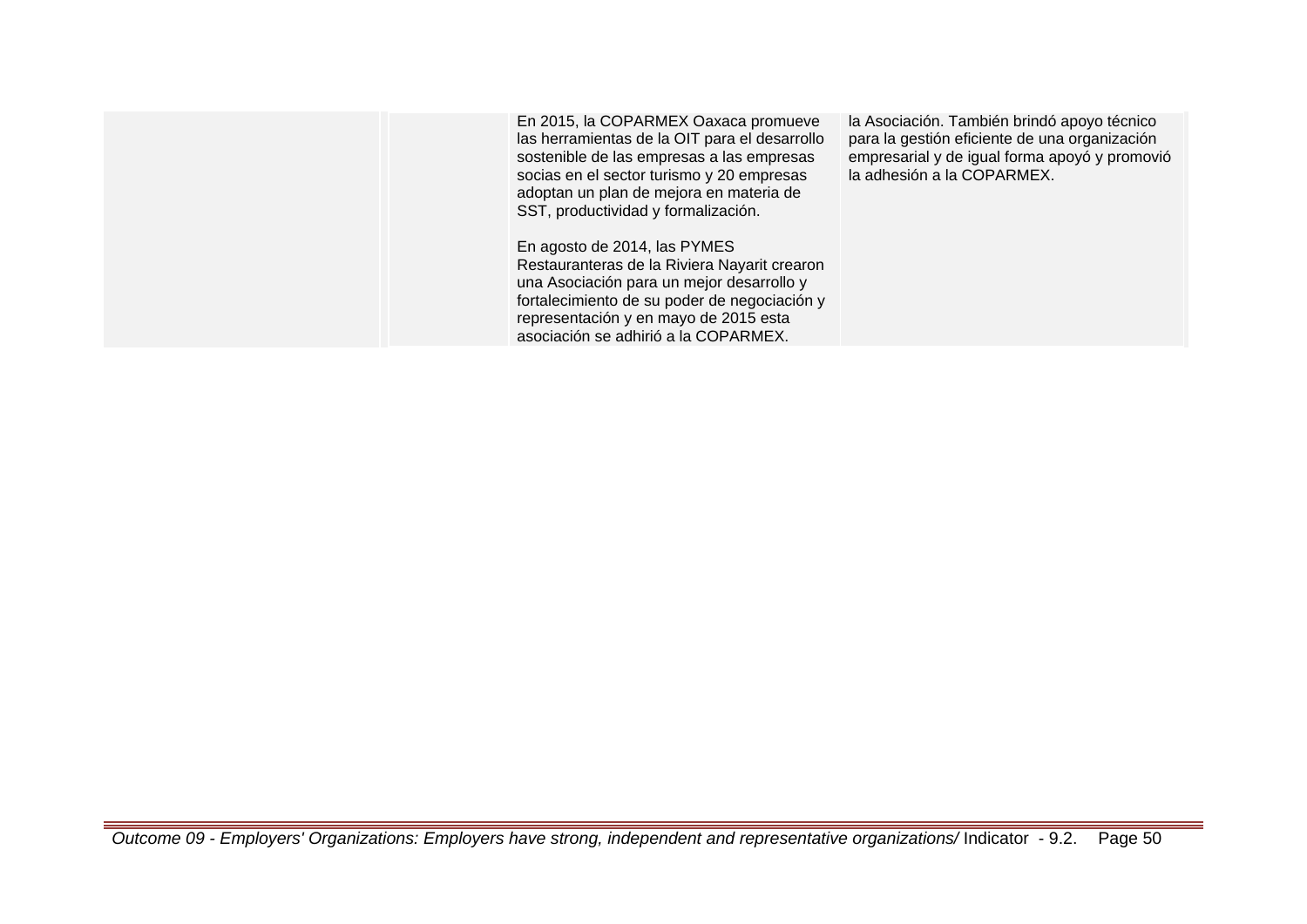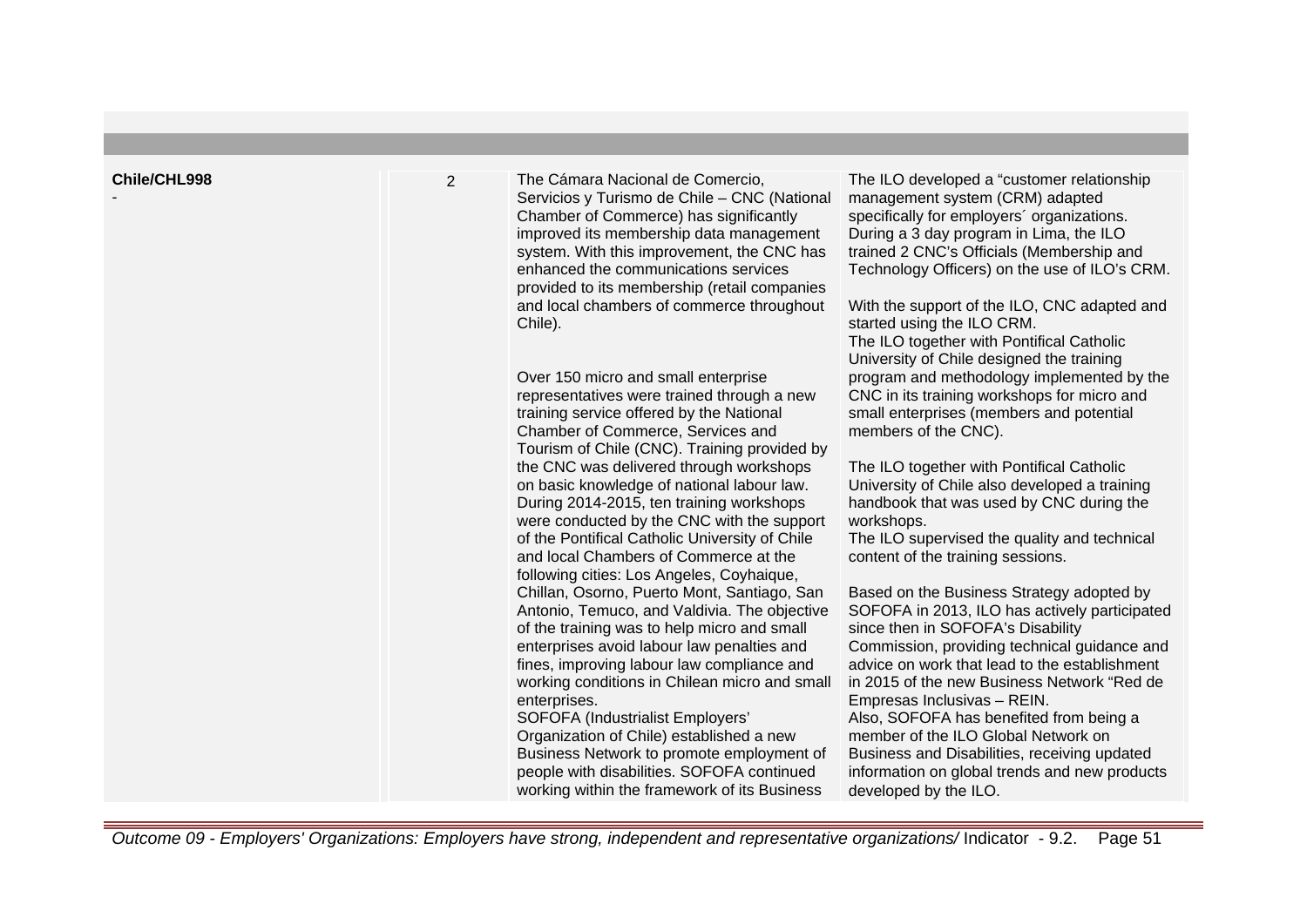| Chile/CHL998 | $\overline{2}$ | The Cámara Nacional de Comercio,<br>Servicios y Turismo de Chile - CNC (National<br>Chamber of Commerce) has significantly<br>improved its membership data management<br>system. With this improvement, the CNC has<br>enhanced the communications services<br>provided to its membership (retail companies<br>and local chambers of commerce throughout<br>Chile).<br>Over 150 micro and small enterprise<br>representatives were trained through a new<br>training service offered by the National<br>Chamber of Commerce, Services and<br>Tourism of Chile (CNC). Training provided by<br>the CNC was delivered through workshops<br>on basic knowledge of national labour law.<br>During 2014-2015, ten training workshops<br>were conducted by the CNC with the support<br>of the Pontifical Catholic University of Chile<br>and local Chambers of Commerce at the<br>following cities: Los Angeles, Coyhaique,<br>Chillan, Osorno, Puerto Mont, Santiago, San<br>Antonio, Temuco, and Valdivia. The objective<br>of the training was to help micro and small<br>enterprises avoid labour law penalties and<br>fines, improving labour law compliance and<br>working conditions in Chilean micro and small<br>enterprises.<br>SOFOFA (Industrialist Employers'<br>Organization of Chile) established a new<br>Business Network to promote employment of<br>people with disabilities. SOFOFA continued<br>working within the framework of its Business | The ILO developed a "customer relationship"<br>management system (CRM) adapted<br>specifically for employers' organizations.<br>During a 3 day program in Lima, the ILO<br>trained 2 CNC's Officials (Membership and<br>Technology Officers) on the use of ILO's CRM.<br>With the support of the ILO, CNC adapted and<br>started using the ILO CRM.<br>The ILO together with Pontifical Catholic<br>University of Chile designed the training<br>program and methodology implemented by the<br>CNC in its training workshops for micro and<br>small enterprises (members and potential<br>members of the CNC).<br>The ILO together with Pontifical Catholic<br>University of Chile also developed a training<br>handbook that was used by CNC during the<br>workshops.<br>The ILO supervised the quality and technical<br>content of the training sessions.<br>Based on the Business Strategy adopted by<br>SOFOFA in 2013, ILO has actively participated<br>since then in SOFOFA's Disability<br>Commission, providing technical guidance and<br>advice on work that lead to the establishment<br>in 2015 of the new Business Network "Red de<br>Empresas Inclusivas - REIN.<br>Also, SOFOFA has benefited from being a<br>member of the ILO Global Network on<br>Business and Disabilities, receiving updated<br>information on global trends and new products<br>developed by the ILO. |
|--------------|----------------|------------------------------------------------------------------------------------------------------------------------------------------------------------------------------------------------------------------------------------------------------------------------------------------------------------------------------------------------------------------------------------------------------------------------------------------------------------------------------------------------------------------------------------------------------------------------------------------------------------------------------------------------------------------------------------------------------------------------------------------------------------------------------------------------------------------------------------------------------------------------------------------------------------------------------------------------------------------------------------------------------------------------------------------------------------------------------------------------------------------------------------------------------------------------------------------------------------------------------------------------------------------------------------------------------------------------------------------------------------------------------------------------------------------------------------------------------------|-------------------------------------------------------------------------------------------------------------------------------------------------------------------------------------------------------------------------------------------------------------------------------------------------------------------------------------------------------------------------------------------------------------------------------------------------------------------------------------------------------------------------------------------------------------------------------------------------------------------------------------------------------------------------------------------------------------------------------------------------------------------------------------------------------------------------------------------------------------------------------------------------------------------------------------------------------------------------------------------------------------------------------------------------------------------------------------------------------------------------------------------------------------------------------------------------------------------------------------------------------------------------------------------------------------------------------------------------------------------------------------------|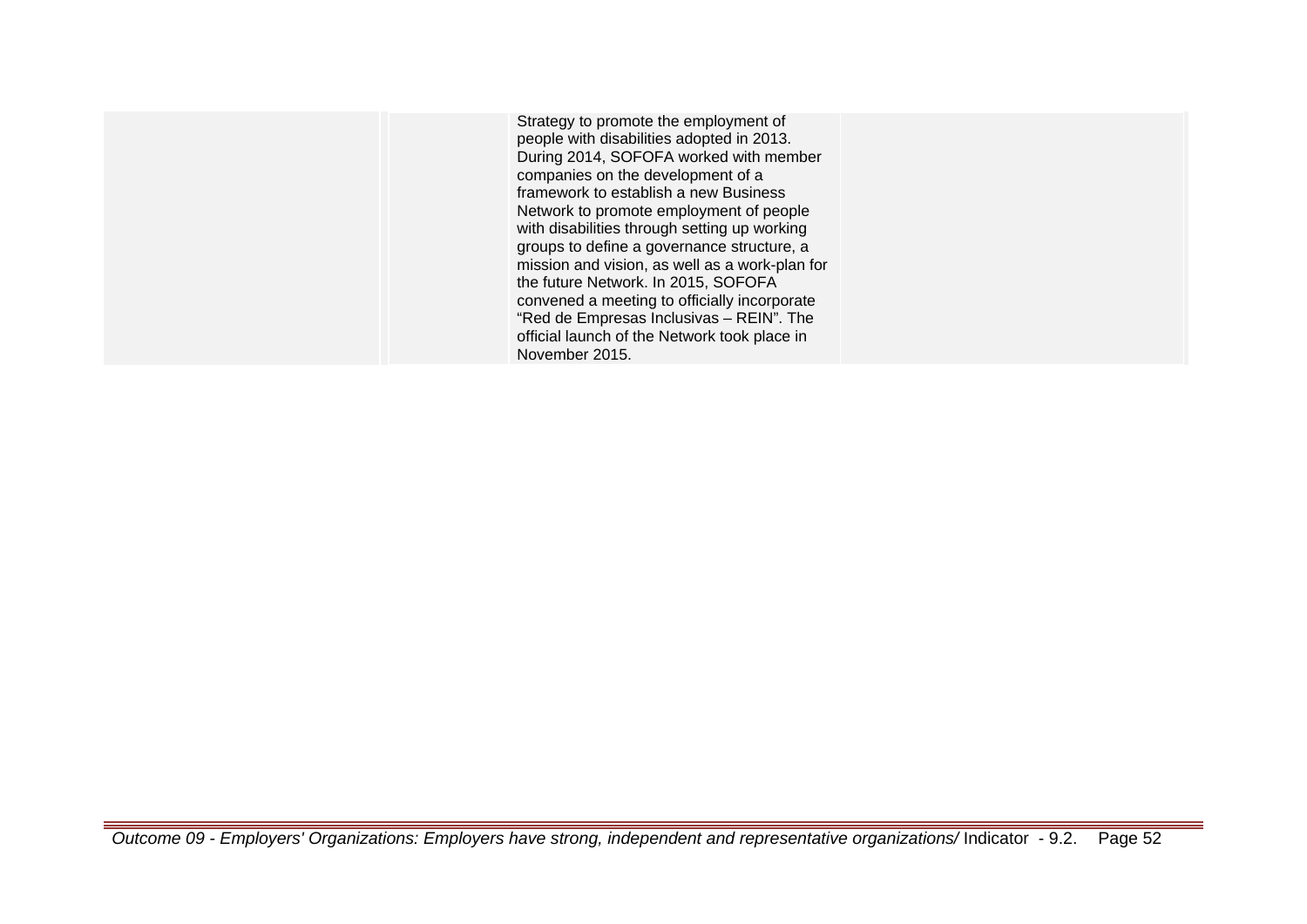Strategy to promote the employment of people with disabilities adopted in 2013. During 2014, SOFOFA worked with member companies on the development of a framework to establish a new Business Network to promote employment of people with disabilities through setting up working groups to define a governance structure, a mission and vision, as well as a work-plan for the future Network. In 2015, SOFOFA convened a meeting to officially incorporate "Red de Empresas Inclusivas – REIN". The official launch of the Network took place in November 2015.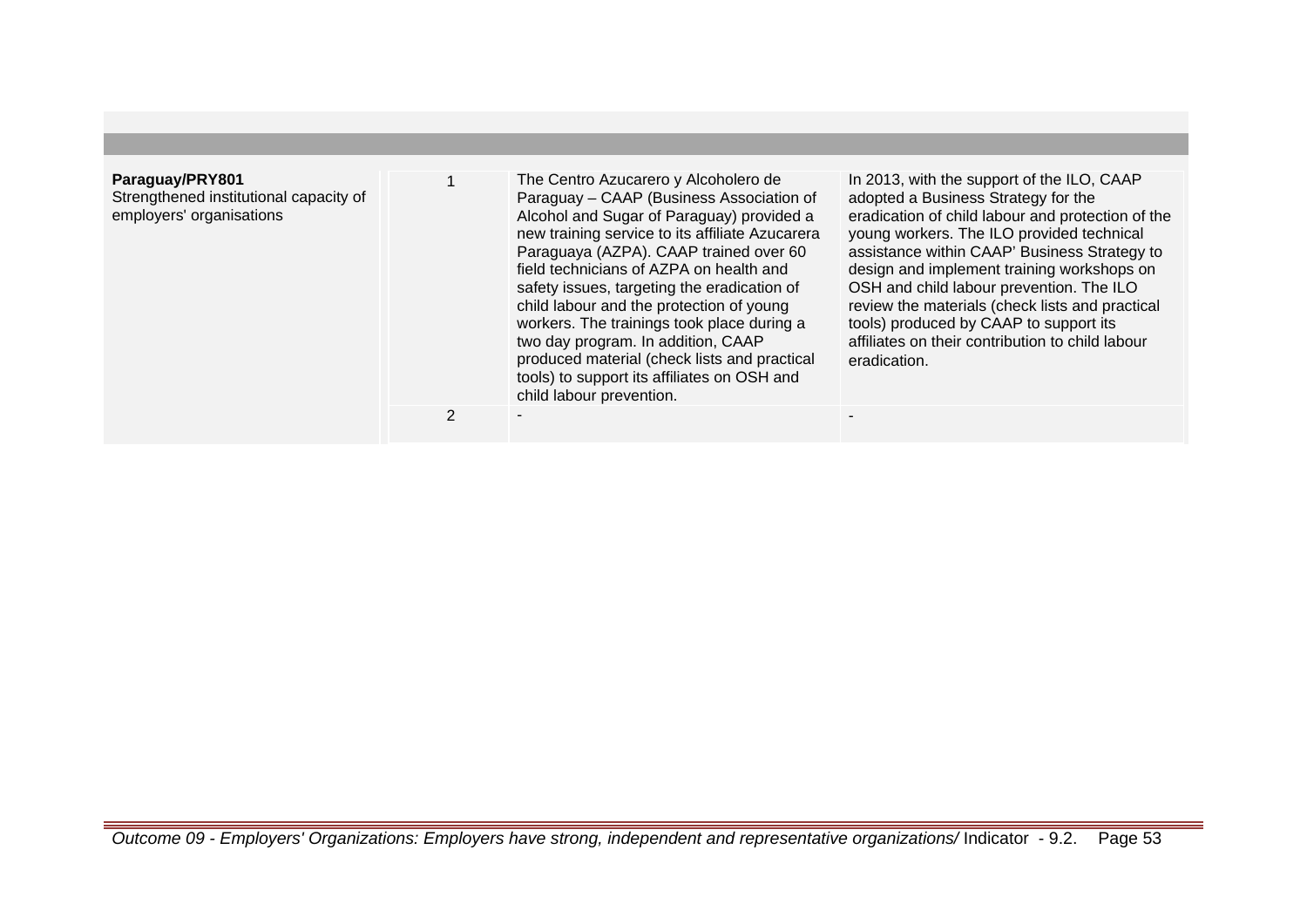## **Paraguay/PRY801**

Strengthened institutional capacity of employers' organisations

1 The Centro Azucarero y Alcoholero de Paraguay – CAAP (Business Association of Alcohol and Sugar of Paraguay) provided a new training service to its affiliate Azucarera Paraguaya (AZPA). CAAP trained over 60 field technicians of AZPA on health and safety issues, targeting the eradication of child labour and the protection of young workers. The trainings took place during a two day program. In addition, CAAP produced material (check lists and practical tools) to support its affiliates on OSH and child labour prevention.

In 2013, with the support of the ILO, CAAP adopted a Business Strategy for the eradication of child labour and protection of the young workers. The ILO provided technical assistance within CAAP' Business Strategy to design and implement training workshops on OSH and child labour prevention. The ILO review the materials (check lists and practical tools) produced by CAAP to support its affiliates on their contribution to child labour eradication.

2 - -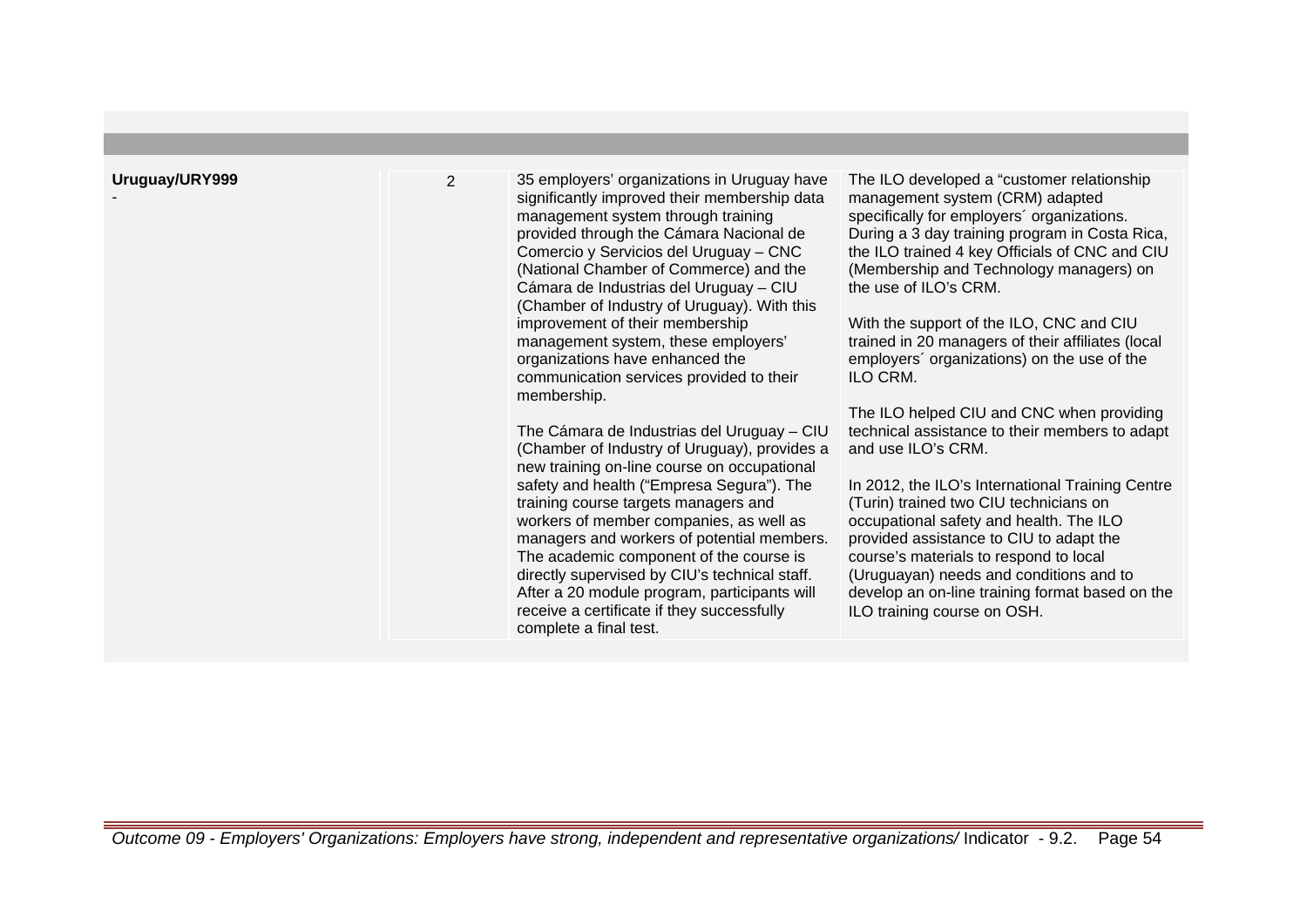-

2 35 employers' organizations in Uruguay have significantly improved their membership data management system through training provided through the Cámara Nacional de Comercio y Servicios del Uruguay – CNC (National Chamber of Commerce) and the Cámara de Industrias del Uruguay – CIU (Chamber of Industry of Uruguay). With this improvement of their membership management system, these employers' organizations have enhanced the communication services provided to their membership.

> The Cámara de Industrias del Uruguay – CIU (Chamber of Industry of Uruguay), provides a new training on-line course on occupational safety and health ("Empresa Segura"). The training course targets managers and workers of member companies, as well as managers and workers of potential members. The academic component of the course is directly supervised by CIU's technical staff. After a 20 module program, participants will receive a certificate if they successfully complete a final test.

The ILO developed a "customer relationship management system (CRM) adapted specifically for employers´ organizations. During a 3 day training program in Costa Rica, the ILO trained 4 key Officials of CNC and CIU (Membership and Technology managers) on the use of ILO's CRM.

With the support of the ILO, CNC and CIU trained in 20 managers of their affiliates (local employers´ organizations) on the use of the ILO CRM.

The ILO helped CIU and CNC when providing technical assistance to their members to adapt and use ILO's CRM.

In 2012, the ILO's International Training Centre (Turin) trained two CIU technicians on occupational safety and health. The ILO provided assistance to CIU to adapt the course's materials to respond to local (Uruguayan) needs and conditions and to develop an on-line training format based on the ILO training course on OSH.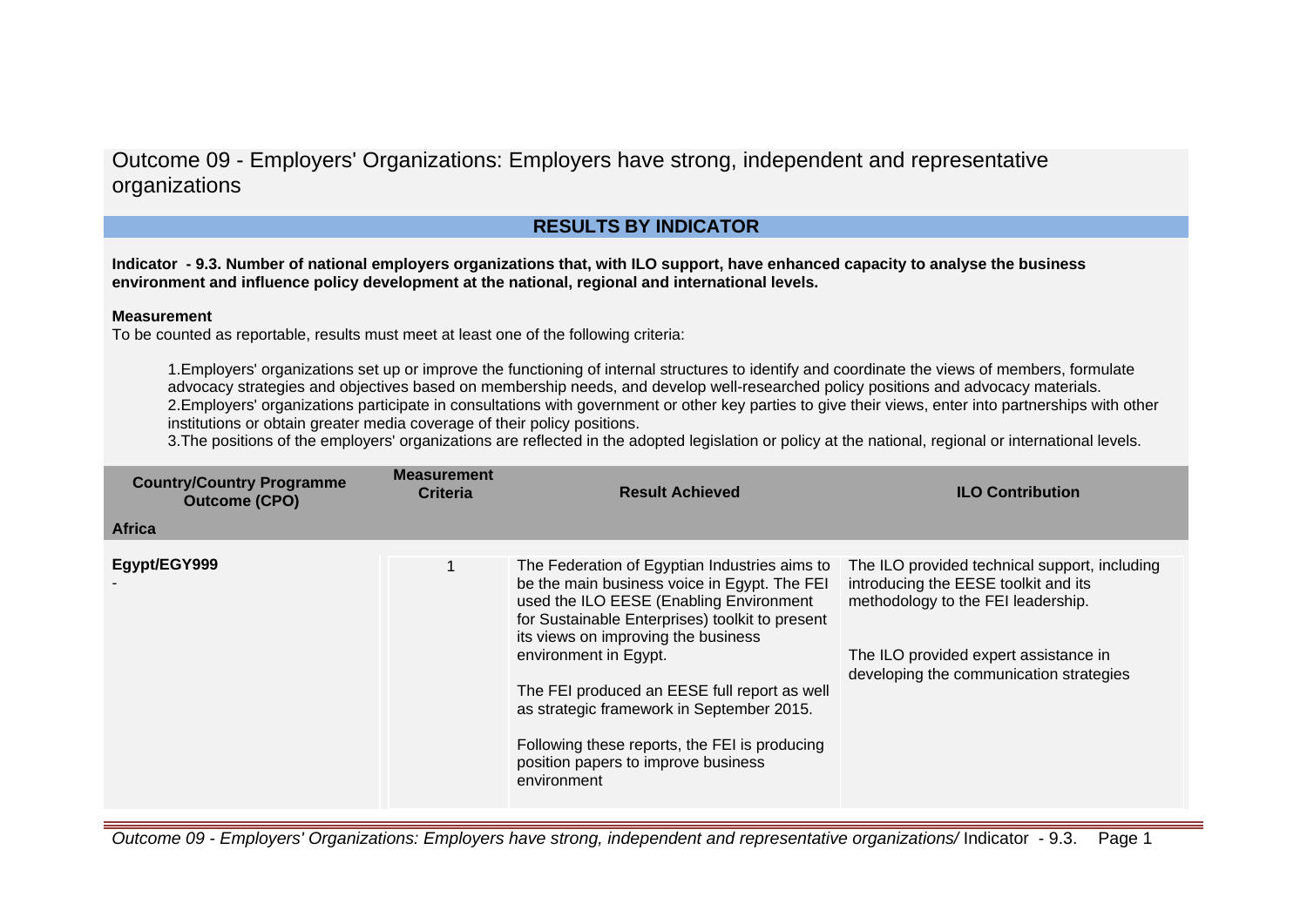Outcome 09 - Employers' Organizations: Employers have strong, independent and representative organizations

# **RESULTS BY INDICATOR**

**Indicator - 9.3. Number of national employers organizations that, with ILO support, have enhanced capacity to analyse the business environment and influence policy development at the national, regional and international levels.**

## **Measurement**

To be counted as reportable, results must meet at least one of the following criteria:

1.Employers' organizations set up or improve the functioning of internal structures to identify and coordinate the views of members, formulate advocacy strategies and objectives based on membership needs, and develop well-researched policy positions and advocacy materials. 2.Employers' organizations participate in consultations with government or other key parties to give their views, enter into partnerships with other institutions or obtain greater media coverage of their policy positions.

3. The positions of the employers' organizations are reflected in the adopted legislation or policy at the national, regional or international levels.

| <b>Country/Country Programme</b><br><b>Outcome (CPO)</b> | <b>Measurement</b><br><b>Criteria</b> | <b>Result Achieved</b>                                                                                                                                                                                                                                                                                                                                                                                                                                          | <b>ILO Contribution</b>                                                                                                                                                                                         |
|----------------------------------------------------------|---------------------------------------|-----------------------------------------------------------------------------------------------------------------------------------------------------------------------------------------------------------------------------------------------------------------------------------------------------------------------------------------------------------------------------------------------------------------------------------------------------------------|-----------------------------------------------------------------------------------------------------------------------------------------------------------------------------------------------------------------|
| <b>Africa</b>                                            |                                       |                                                                                                                                                                                                                                                                                                                                                                                                                                                                 |                                                                                                                                                                                                                 |
| Egypt/EGY999                                             |                                       | The Federation of Egyptian Industries aims to<br>be the main business voice in Egypt. The FEI<br>used the ILO EESE (Enabling Environment<br>for Sustainable Enterprises) toolkit to present<br>its views on improving the business<br>environment in Egypt.<br>The FEI produced an EESE full report as well<br>as strategic framework in September 2015.<br>Following these reports, the FEI is producing<br>position papers to improve business<br>environment | The ILO provided technical support, including<br>introducing the EESE toolkit and its<br>methodology to the FEI leadership.<br>The ILO provided expert assistance in<br>developing the communication strategies |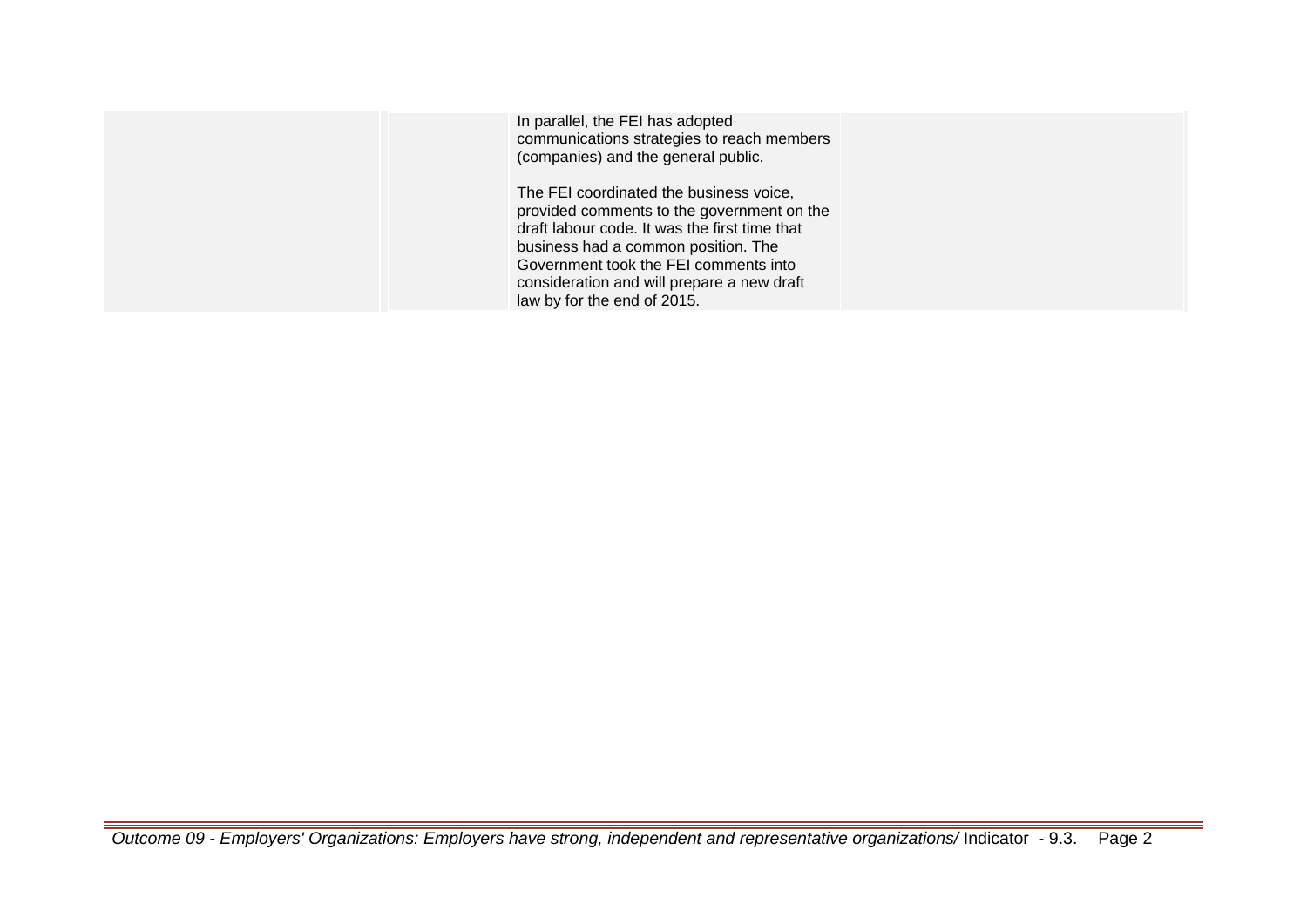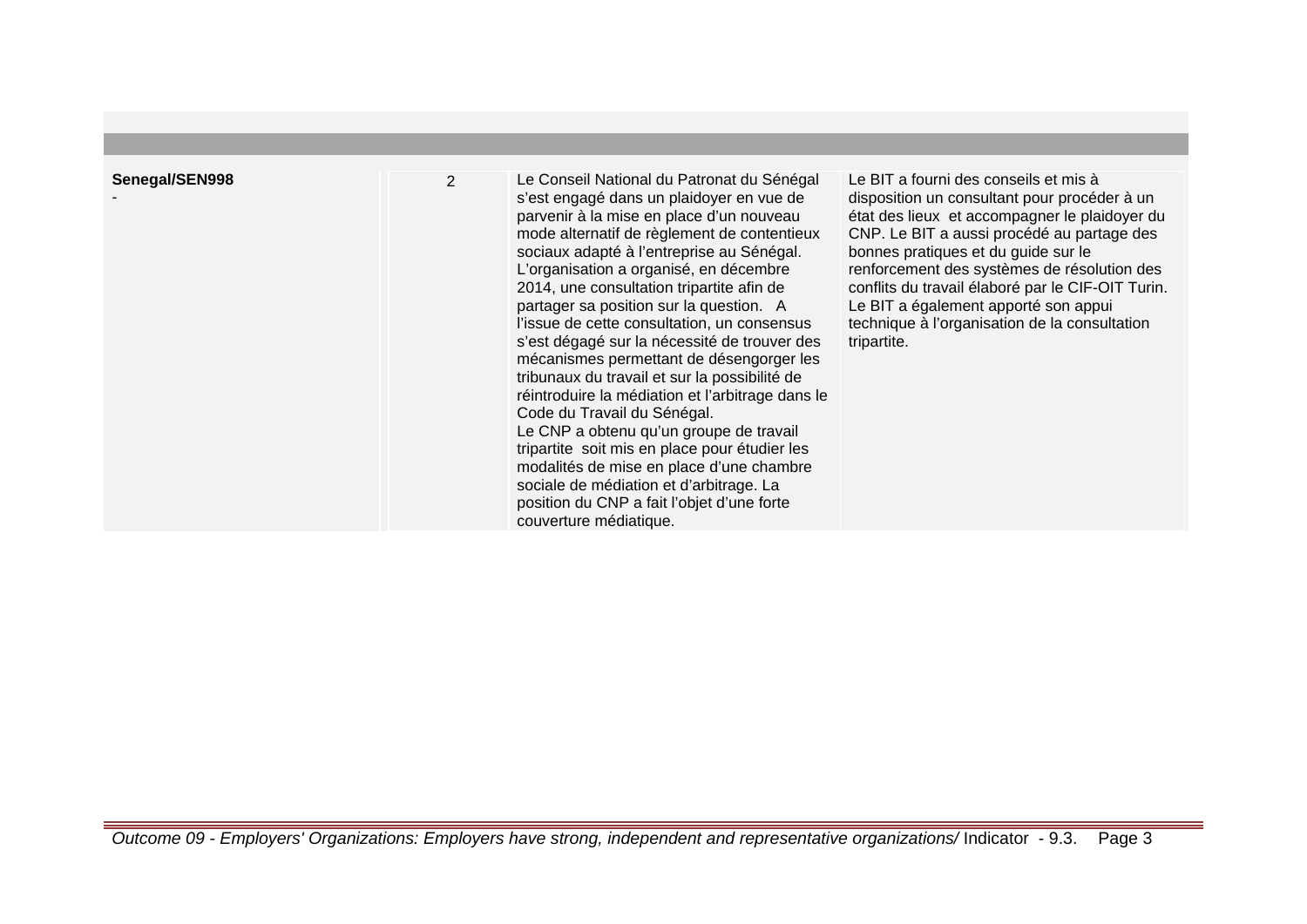| Senegal/SEN998 |
|----------------|
|                |

-

2 Le Conseil National du Patronat du Sénégal s'est engagé dans un plaidoyer en vue de parvenir à la mise en place d'un nouveau mode alternatif de règlement de contentieux sociaux adapté à l'entreprise au Sénégal. L'organisation a organisé, en décembre 2014, une consultation tripartite afin de partager sa position sur la question. A l'issue de cette consultation, un consensus s'est dégagé sur la nécessité de trouver des mécanismes permettant de désengorger les tribunaux du travail et sur la possibilité de réintroduire la médiation et l'arbitrage dans le Code du Travail du Sénégal. Le CNP a obtenu qu'un groupe de travail tripartite soit mis en place pour étudier les modalités de mise en place d'une chambre sociale de médiation et d'arbitrage. La position du CNP a fait l'objet d'une forte couverture médiatique.

Le BIT a fourni des conseils et mis à disposition un consultant pour procéder à un état des lieux et accompagner le plaidoyer du CNP. Le BIT a aussi procédé au partage des bonnes pratiques et du guide sur le renforcement des systèmes de résolution des conflits du travail élaboré par le CIF-OIT Turin. Le BIT a également apporté son appui technique à l'organisation de la consultation tripartite.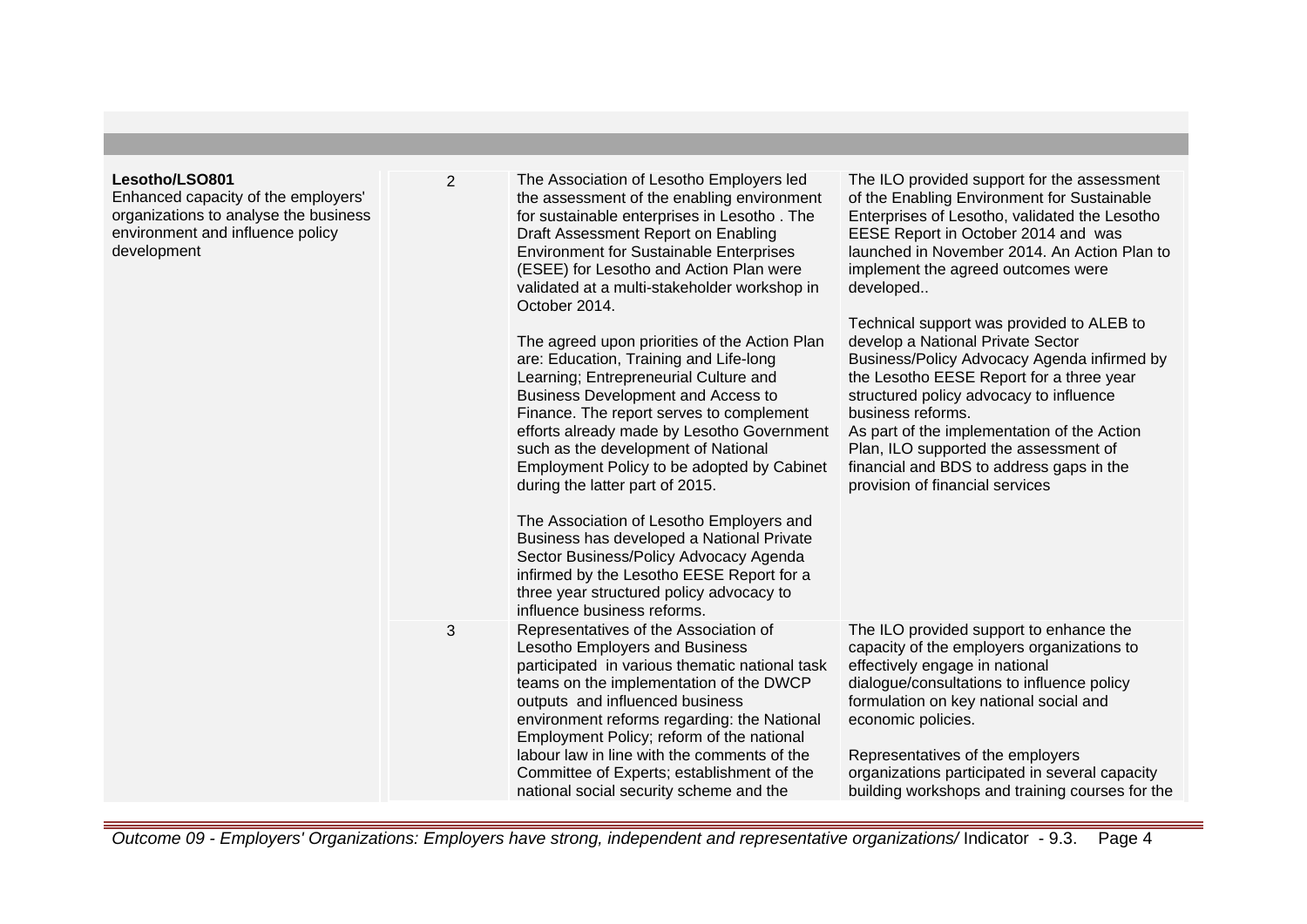| Lesotho/LSO801<br>Enhanced capacity of the employers'<br>organizations to analyse the business<br>environment and influence policy<br>development | $\overline{2}$ | The Association of Lesotho Employers led<br>the assessment of the enabling environment<br>for sustainable enterprises in Lesotho. The<br>Draft Assessment Report on Enabling<br><b>Environment for Sustainable Enterprises</b><br>(ESEE) for Lesotho and Action Plan were<br>validated at a multi-stakeholder workshop in<br>October 2014.<br>The agreed upon priorities of the Action Plan<br>are: Education, Training and Life-long<br>Learning; Entrepreneurial Culture and<br>Business Development and Access to<br>Finance. The report serves to complement<br>efforts already made by Lesotho Government<br>such as the development of National<br>Employment Policy to be adopted by Cabinet<br>during the latter part of 2015.<br>The Association of Lesotho Employers and<br>Business has developed a National Private<br>Sector Business/Policy Advocacy Agenda<br>infirmed by the Lesotho EESE Report for a<br>three year structured policy advocacy to<br>influence business reforms. | The ILO provided support for the assessment<br>of the Enabling Environment for Sustainable<br>Enterprises of Lesotho, validated the Lesotho<br>EESE Report in October 2014 and was<br>launched in November 2014. An Action Plan to<br>implement the agreed outcomes were<br>developed<br>Technical support was provided to ALEB to<br>develop a National Private Sector<br>Business/Policy Advocacy Agenda infirmed by<br>the Lesotho EESE Report for a three year<br>structured policy advocacy to influence<br>business reforms.<br>As part of the implementation of the Action<br>Plan, ILO supported the assessment of<br>financial and BDS to address gaps in the<br>provision of financial services |
|---------------------------------------------------------------------------------------------------------------------------------------------------|----------------|---------------------------------------------------------------------------------------------------------------------------------------------------------------------------------------------------------------------------------------------------------------------------------------------------------------------------------------------------------------------------------------------------------------------------------------------------------------------------------------------------------------------------------------------------------------------------------------------------------------------------------------------------------------------------------------------------------------------------------------------------------------------------------------------------------------------------------------------------------------------------------------------------------------------------------------------------------------------------------------------------|-----------------------------------------------------------------------------------------------------------------------------------------------------------------------------------------------------------------------------------------------------------------------------------------------------------------------------------------------------------------------------------------------------------------------------------------------------------------------------------------------------------------------------------------------------------------------------------------------------------------------------------------------------------------------------------------------------------|
|                                                                                                                                                   | 3              | Representatives of the Association of<br>Lesotho Employers and Business<br>participated in various thematic national task<br>teams on the implementation of the DWCP<br>outputs and influenced business<br>environment reforms regarding: the National<br>Employment Policy; reform of the national<br>labour law in line with the comments of the<br>Committee of Experts; establishment of the<br>national social security scheme and the                                                                                                                                                                                                                                                                                                                                                                                                                                                                                                                                                       | The ILO provided support to enhance the<br>capacity of the employers organizations to<br>effectively engage in national<br>dialogue/consultations to influence policy<br>formulation on key national social and<br>economic policies.<br>Representatives of the employers<br>organizations participated in several capacity<br>building workshops and training courses for the                                                                                                                                                                                                                                                                                                                            |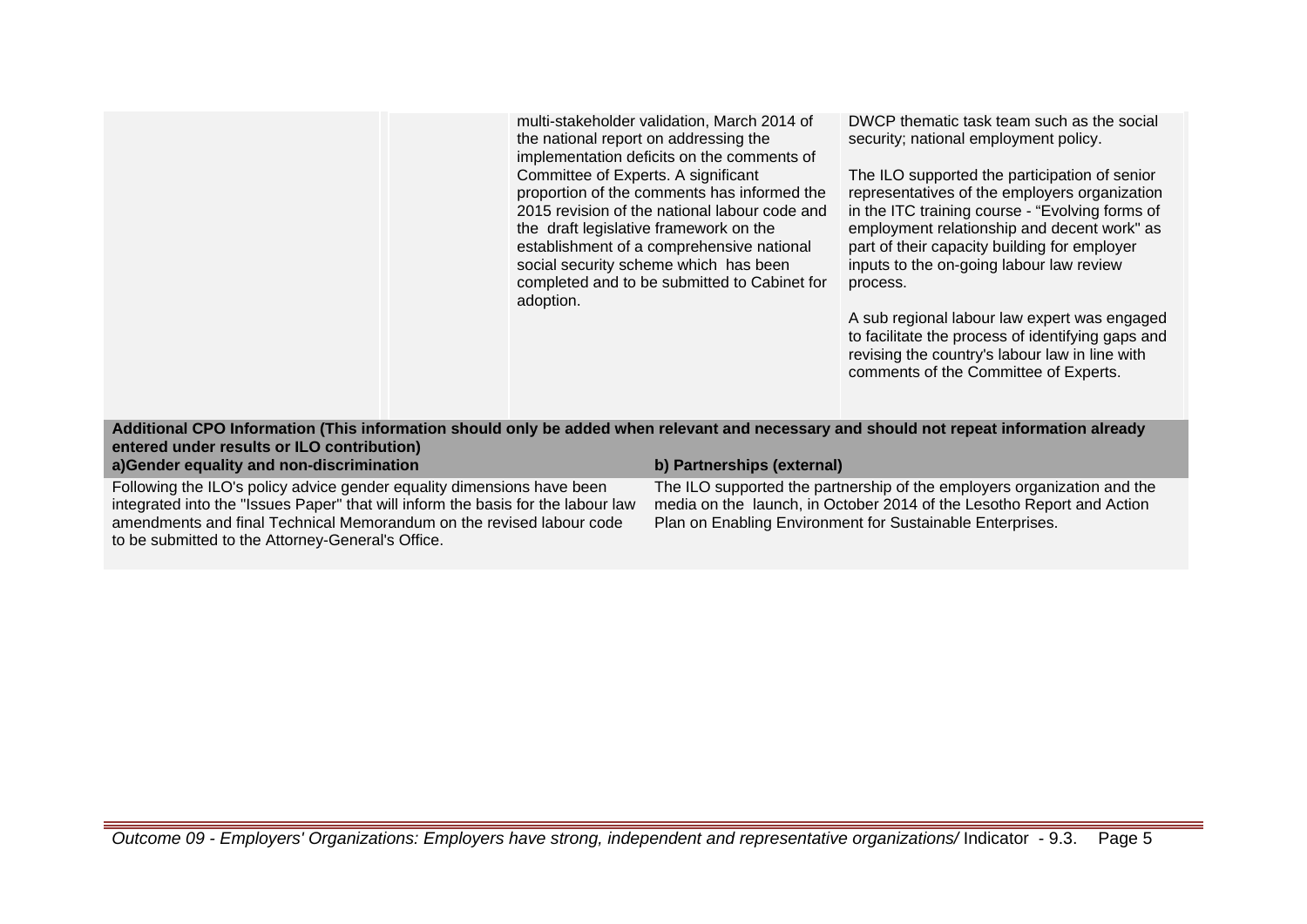multi-stakeholder validation, March 2014 of the national report on addressing the implementation deficits on the comments of Committee of Experts. A significant proportion of the comments has informed the 2015 revision of the national labour code and the draft legislative framework on the establishment of a comprehensive national social security scheme which has been completed and to be submitted to Cabinet for adoption.

DWCP thematic task team such as the social security; national employment policy.

The ILO supported the participation of senior representatives of the employers organization in the ITC training course - "Evolving forms of employment relationship and decent work" as part of their capacity building for employer inputs to the on-going labour law review process.

A sub regional labour law expert was engaged to facilitate the process of identifying gaps and revising the country's labour law in line with comments of the Committee of Experts.

**Additional CPO Information (This information should only be added when relevant and necessary and should not repeat information already entered under results or ILO contribution)**

**a)Gender equality and non-discrimination b) Partnerships (external)**

Following the ILO's policy advice gender equality dimensions have been integrated into the "Issues Paper" that will inform the basis for the labour law amendments and final Technical Memorandum on the revised labour code to be submitted to the Attorney-General's Office.

The ILO supported the partnership of the employers organization and the media on the launch, in October 2014 of the Lesotho Report and Action Plan on Enabling Environment for Sustainable Enterprises.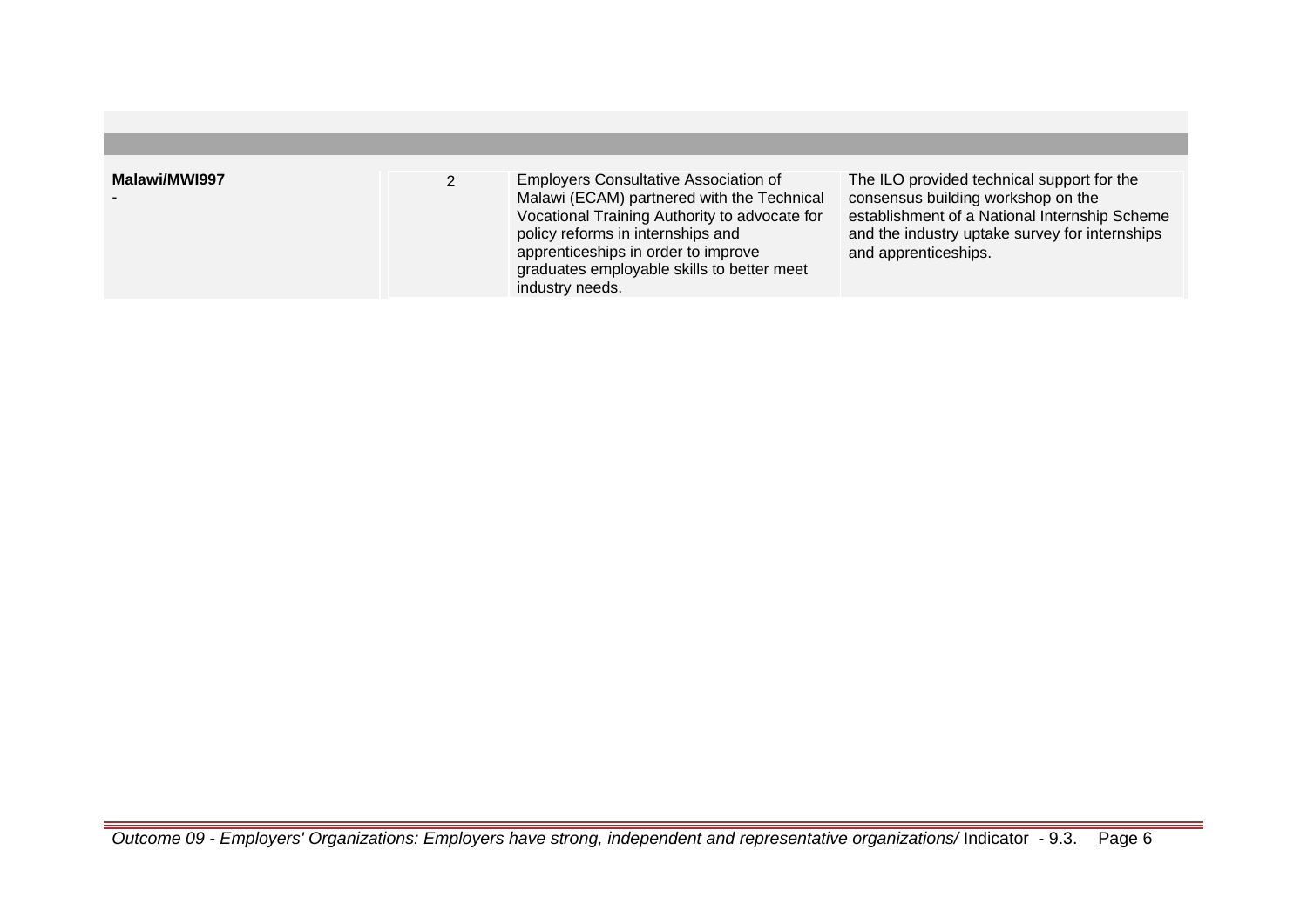| Malawi/MWI997 | <b>Employers Consultative Association of</b><br>Malawi (ECAM) partnered with the Technical<br>Vocational Training Authority to advocate for<br>policy reforms in internships and<br>apprenticeships in order to improve<br>graduates employable skills to better meet<br>industry needs. | The ILO provided technical support for the<br>consensus building workshop on the<br>establishment of a National Internship Scheme<br>and the industry uptake survey for internships<br>and apprenticeships. |
|---------------|------------------------------------------------------------------------------------------------------------------------------------------------------------------------------------------------------------------------------------------------------------------------------------------|-------------------------------------------------------------------------------------------------------------------------------------------------------------------------------------------------------------|
|               |                                                                                                                                                                                                                                                                                          |                                                                                                                                                                                                             |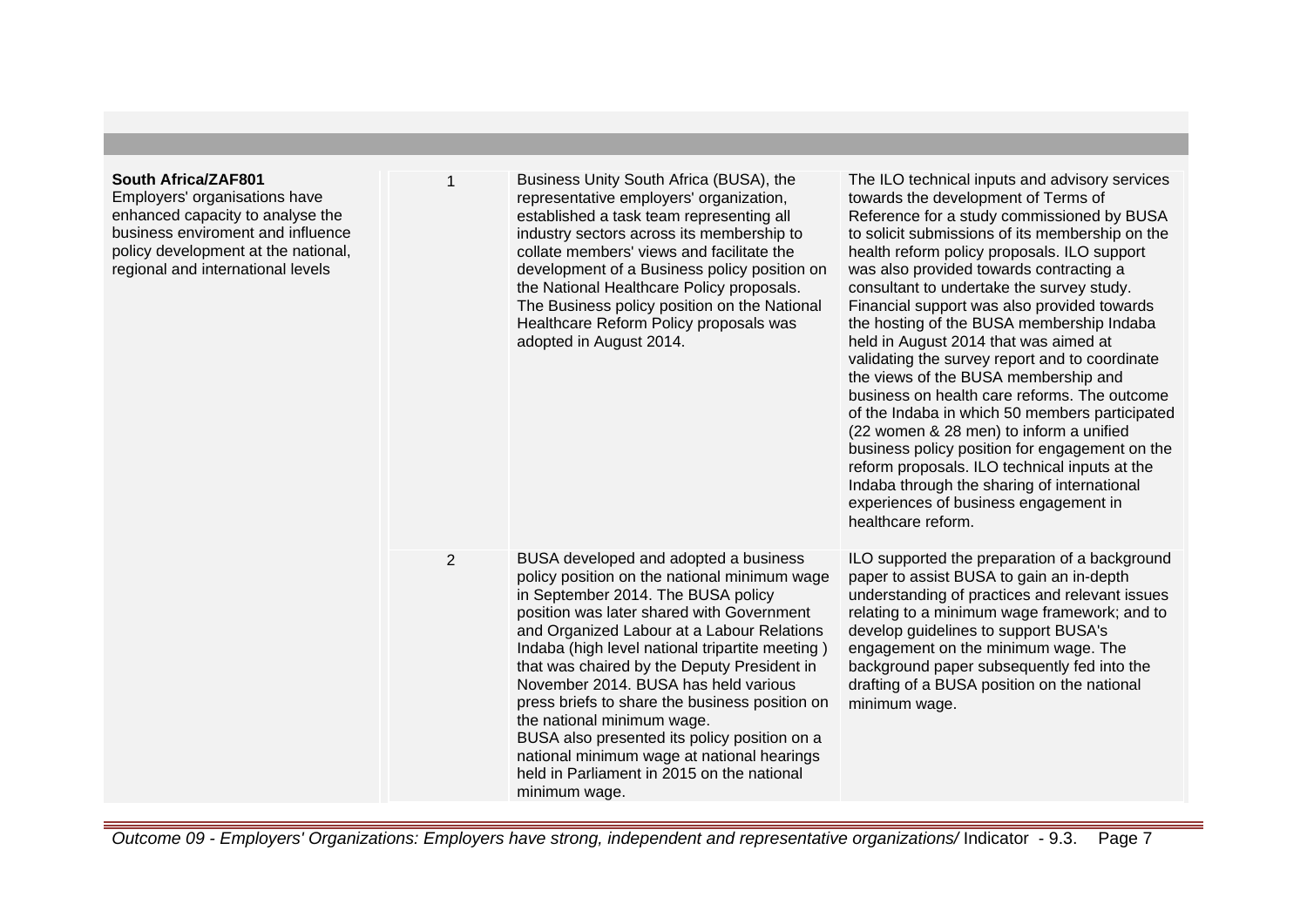## **South Africa/ZAF801**

Employers' organisations have enhanced capacity to analyse the business enviroment and influence policy development at the national, regional and international levels

established a task team representing all industry sectors across its membership to collate members' views and facilitate the development of a Business policy position on the National Healthcare Policy proposals. The Business policy position on the National Healthcare Reform Policy proposals was adopted in August 2014. 2 BUSA developed and adopted a business policy position on the national minimum wage in September 2014. The BUSA policy position was later shared with Government and Organized Labour at a Labour Relations Indaba (high level national tripartite meeting ) that was chaired by the Deputy President in November 2014. BUSA has held various press briefs to share the business position on the national minimum wage. BUSA also presented its policy position on a national minimum wage at national hearings held in Parliament in 2015 on the national

The ILO technical inputs and advisory services towards the development of Terms of Reference for a study commissioned by BUSA to solicit submissions of its membership on the health reform policy proposals. ILO support was also provided towards contracting a consultant to undertake the survey study. Financial support was also provided towards the hosting of the BUSA membership Indaba held in August 2014 that was aimed at validating the survey report and to coordinate the views of the BUSA membership and business on health care reforms. The outcome of the Indaba in which 50 members participated (22 women & 28 men) to inform a unified business policy position for engagement on the reform proposals. ILO technical inputs at the Indaba through the sharing of international experiences of business engagement in healthcare reform.

ILO supported the preparation of a background paper to assist BUSA to gain an in-depth understanding of practices and relevant issues relating to a minimum wage framework; and to develop guidelines to support BUSA's engagement on the minimum wage. The background paper subsequently fed into the drafting of a BUSA position on the national minimum wage.

Outcome 09 - Employers' Organizations: Employers have strong, independent and representative organizations/ Indicator - 9.3. Page 7

minimum wage.

1 Business Unity South Africa (BUSA), the

representative employers' organization,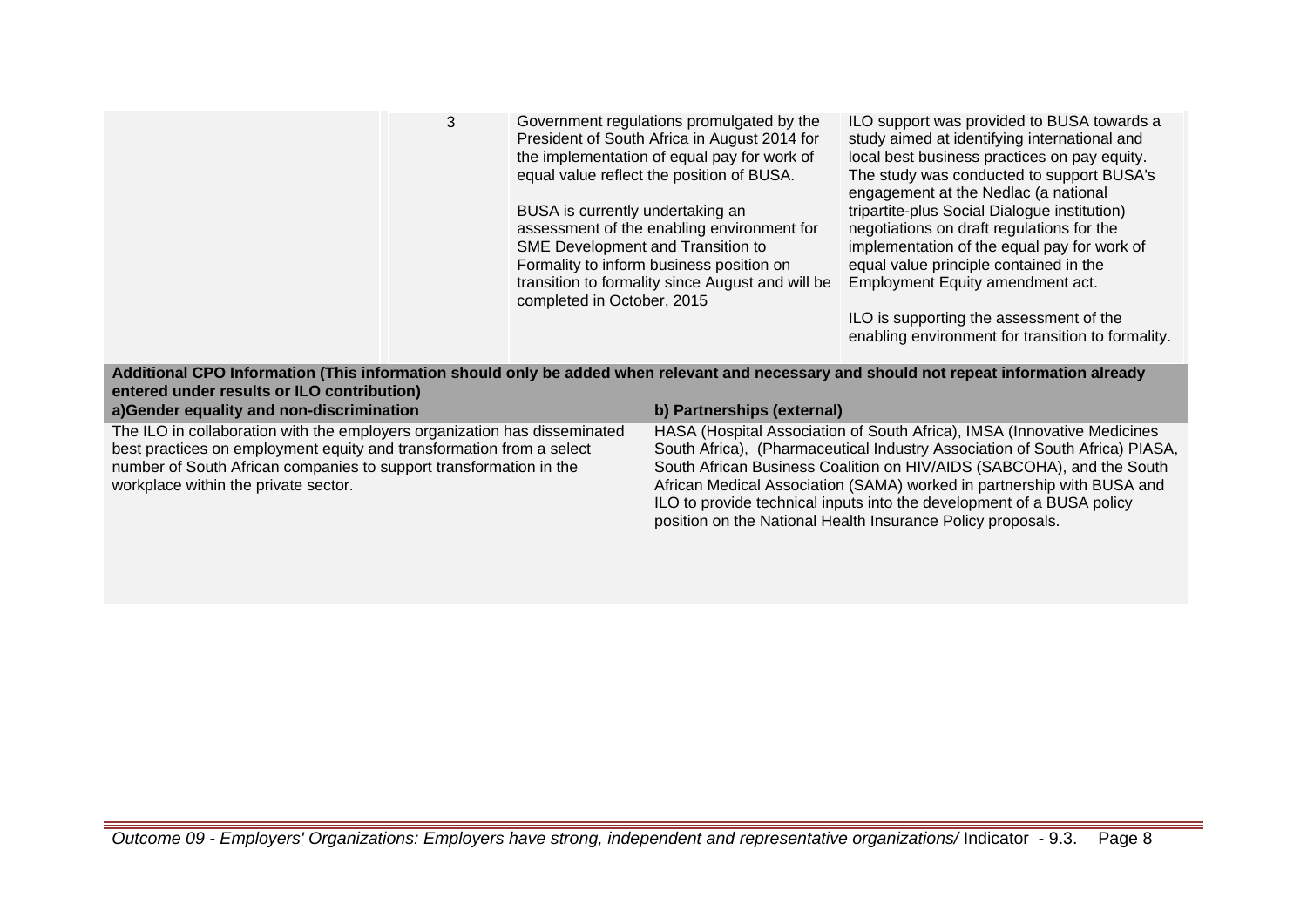|                                                            | 3 | Government regulations promulgated by the<br>President of South Africa in August 2014 for<br>the implementation of equal pay for work of<br>equal value reflect the position of BUSA.<br>BUSA is currently undertaking an<br>assessment of the enabling environment for<br>SME Development and Transition to<br>Formality to inform business position on<br>transition to formality since August and will be<br>completed in October, 2015 | ILO support was provided to BUSA towards a<br>study aimed at identifying international and<br>local best business practices on pay equity.<br>The study was conducted to support BUSA's<br>engagement at the Nedlac (a national<br>tripartite-plus Social Dialogue institution)<br>negotiations on draft regulations for the<br>implementation of the equal pay for work of<br>equal value principle contained in the<br>Employment Equity amendment act.<br>ILO is supporting the assessment of the<br>enabling environment for transition to formality. |
|------------------------------------------------------------|---|--------------------------------------------------------------------------------------------------------------------------------------------------------------------------------------------------------------------------------------------------------------------------------------------------------------------------------------------------------------------------------------------------------------------------------------------|-----------------------------------------------------------------------------------------------------------------------------------------------------------------------------------------------------------------------------------------------------------------------------------------------------------------------------------------------------------------------------------------------------------------------------------------------------------------------------------------------------------------------------------------------------------|
| $\alpha$ ntarad undar rasults or II $\Omega$ contribution) |   | Additional CPO Information (This information should only be added when relevant and necessary and should not repeat information already                                                                                                                                                                                                                                                                                                    |                                                                                                                                                                                                                                                                                                                                                                                                                                                                                                                                                           |
|                                                            |   |                                                                                                                                                                                                                                                                                                                                                                                                                                            |                                                                                                                                                                                                                                                                                                                                                                                                                                                                                                                                                           |

**entered a)Gender equality and non-discrimination b) Partnerships (external)** The ILO in collaboration with the employers organization has disseminated best practices on employment equity and transformation from a select number of South African companies to support transformation in the workplace within the private sector. HASA (Hospital Association of South Africa), IMSA (Innovative Medicines South Africa), (Pharmaceutical Industry Association of South Africa) PIASA, South African Business Coalition on HIV/AIDS (SABCOHA), and the South African Medical Association (SAMA) worked in partnership with BUSA and ILO to provide technical inputs into the development of a BUSA policy position on the National Health Insurance Policy proposals.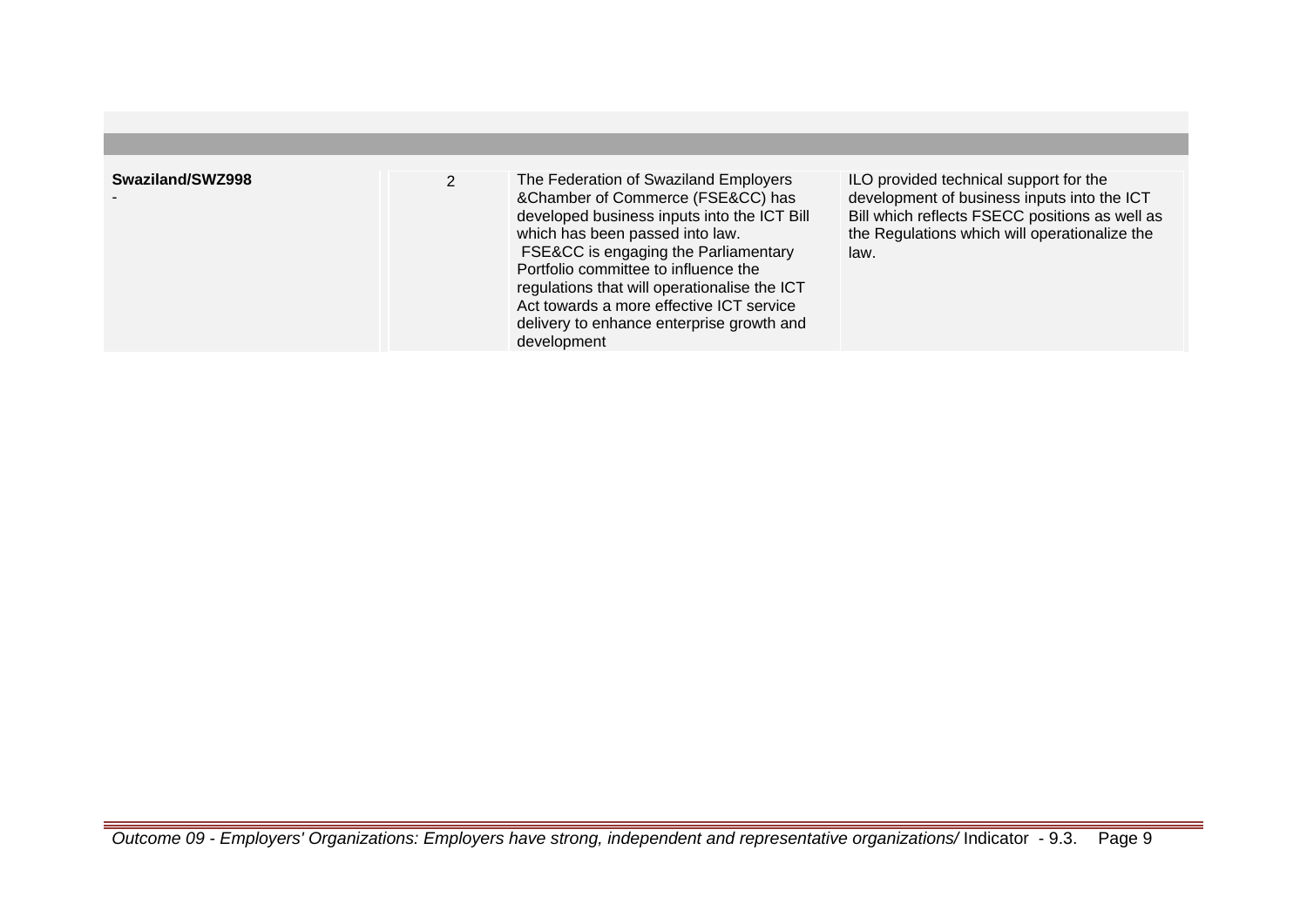| Swaziland/SWZ998 | The Federation of Swaziland Employers<br>&Chamber of Commerce (FSE&CC) has<br>developed business inputs into the ICT Bill<br>which has been passed into law.<br>FSE&CC is engaging the Parliamentary<br>Portfolio committee to influence the<br>regulations that will operationalise the ICT<br>Act towards a more effective ICT service<br>delivery to enhance enterprise growth and<br>development | ILO provided technical support for the<br>development of business inputs into the ICT<br>Bill which reflects FSECC positions as well as<br>the Regulations which will operationalize the<br>law. |
|------------------|------------------------------------------------------------------------------------------------------------------------------------------------------------------------------------------------------------------------------------------------------------------------------------------------------------------------------------------------------------------------------------------------------|--------------------------------------------------------------------------------------------------------------------------------------------------------------------------------------------------|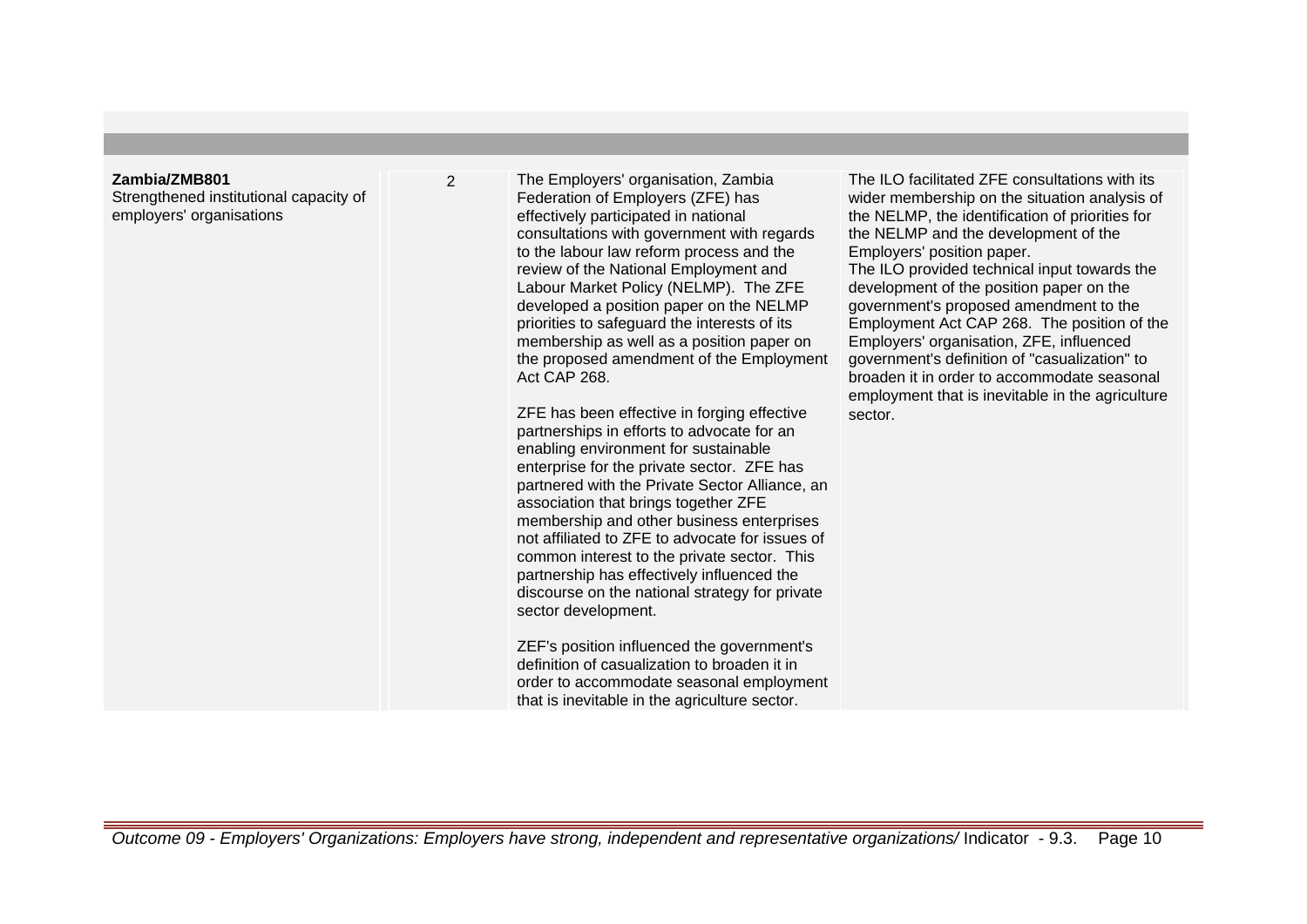#### **Zambia/ZMB801**

Strengthened institutional capacity of employers' organisations

2 The Employers' organisation, Zambia Federation of Employers (ZFE) has effectively participated in national consultations with government with regards to the labour law reform process and the review of the National Employment and Labour Market Policy (NELMP). The ZFE developed a position paper on the NELMP priorities to safeguard the interests of its membership as well as a position paper on the proposed amendment of the Employment Act CAP 268.

> ZFE has been effective in forging effective partnerships in efforts to advocate for an enabling environment for sustainable enterprise for the private sector. ZFE has partnered with the Private Sector Alliance, an association that brings together ZFE membership and other business enterprises not affiliated to ZFE to advocate for issues of common interest to the private sector. This partnership has effectively influenced the discourse on the national strategy for private sector development.

> ZEF's position influenced the government's definition of casualization to broaden it in order to accommodate seasonal employment that is inevitable in the agriculture sector.

The ILO facilitated ZFF consultations with its wider membership on the situation analysis of the NELMP, the identification of priorities for the NELMP and the development of the Employers' position paper.

The ILO provided technical input towards the development of the position paper on the government's proposed amendment to the Employment Act CAP 268. The position of the Employers' organisation, ZFE, influenced government's definition of "casualization" to broaden it in order to accommodate seasonal employment that is inevitable in the agriculture sector.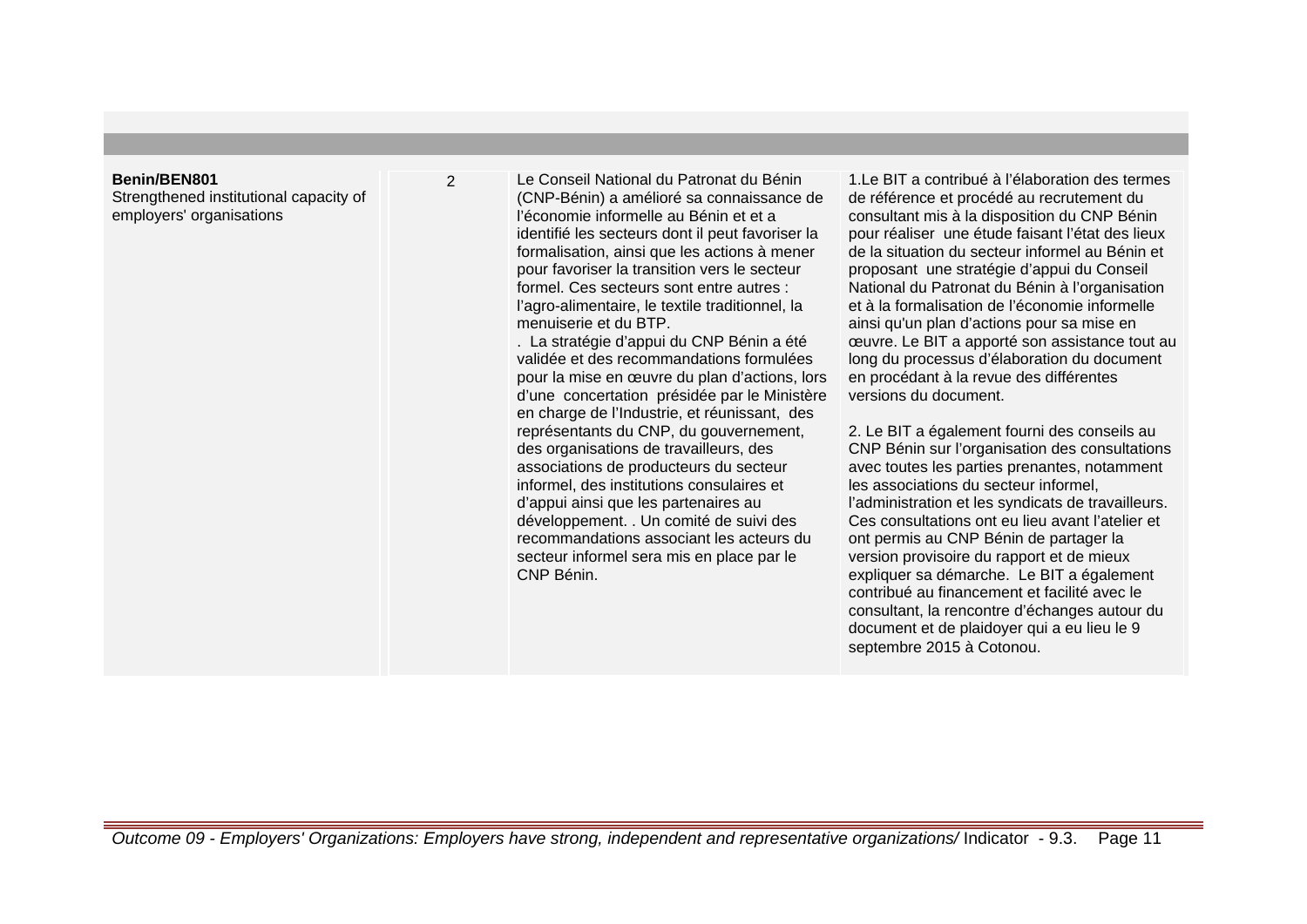#### **Benin/BEN801**

Strengthened institutional capacity of employers' organisations

2 Le Conseil National du Patronat du Bénin (CNP-Bénin) a amélioré sa connaissance de l'économie informelle au Bénin et et a identifié les secteurs dont il peut favoriser la formalisation, ainsi que les actions à mener pour favoriser la transition vers le secteur formel. Ces secteurs sont entre autres : l'agro-alimentaire, le textile traditionnel, la menuiserie et du BTP.

> . La stratégie d'appui du CNP Bénin a été validée et des recommandations formulées pour la mise en œuvre du plan d'actions, lors d'une concertation présidée par le Ministère en charge de l'Industrie, et réunissant, des représentants du CNP, du gouvernement, des organisations de travailleurs, des associations de producteurs du secteur informel, des institutions consulaires et d'appui ainsi que les partenaires au développement. . Un comité de suivi des recommandations associant les acteurs du secteur informel sera mis en place par le CNP Bénin.

1.Le BIT a contribué à l'élaboration des termes de référence et procédé au recrutement du consultant mis à la disposition du CNP Bénin pour réaliser une étude faisant l'état des lieux de la situation du secteur informel au Bénin et proposant une stratégie d'appui du Conseil National du Patronat du Bénin à l'organisation et à la formalisation de l'économie informelle ainsi qu'un plan d'actions pour sa mise en œuvre. Le BIT a apporté son assistance tout au long du processus d'élaboration du document en procédant à la revue des différentes versions du document.

2. Le BIT a également fourni des conseils au CNP Bénin sur l'organisation des consultations avec toutes les parties prenantes, notamment les associations du secteur informel, l'administration et les syndicats de travailleurs. Ces consultations ont eu lieu avant l'atelier et ont permis au CNP Bénin de partager la version provisoire du rapport et de mieux expliquer sa démarche. Le BIT a également contribué au financement et facilité avec le consultant, la rencontre d'échanges autour du document et de plaidoyer qui a eu lieu le 9 septembre 2015 à Cotonou.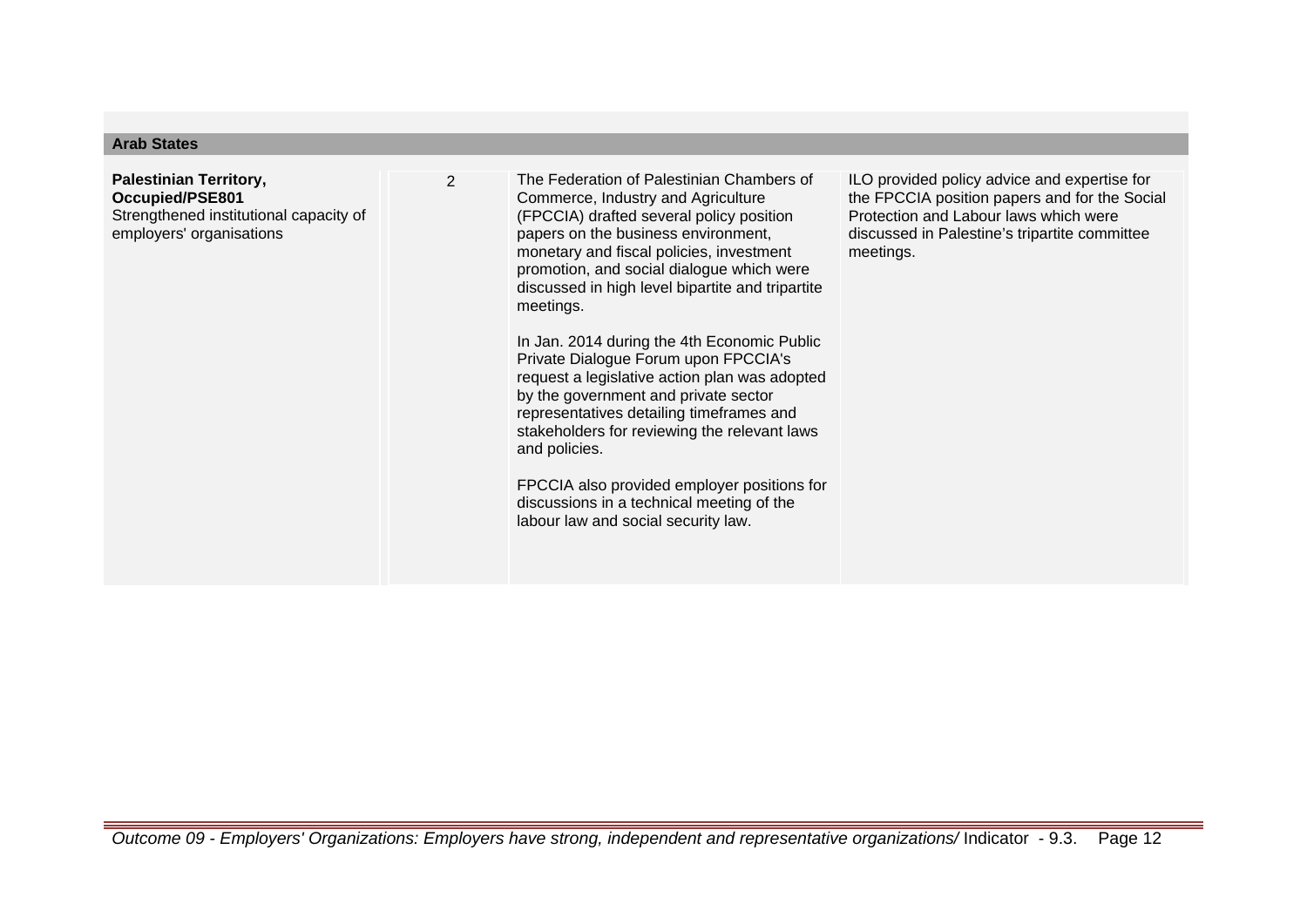## **Arab States**

**Palestinian Territory, Occupied/PSE801** Strengthened institutional capacity of employers' organisations

2 The Federation of Palestinian Chambers of Commerce, Industry and Agriculture (FPCCIA) drafted several policy position papers on the business environment, monetary and fiscal policies, investment promotion, and social dialogue which were discussed in high level bipartite and tripartite meetings.

> In Jan. 2014 during the 4th Economic Public Private Dialogue Forum upon FPCCIA's request a legislative action plan was adopted by the government and private sector representatives detailing timeframes and stakeholders for reviewing the relevant laws and policies.

> FPCCIA also provided employer positions for discussions in a technical meeting of the labour law and social security law.

ILO provided policy advice and expertise for the FPCCIA position papers and for the Social Protection and Labour laws which were discussed in Palestine's tripartite committee meetings.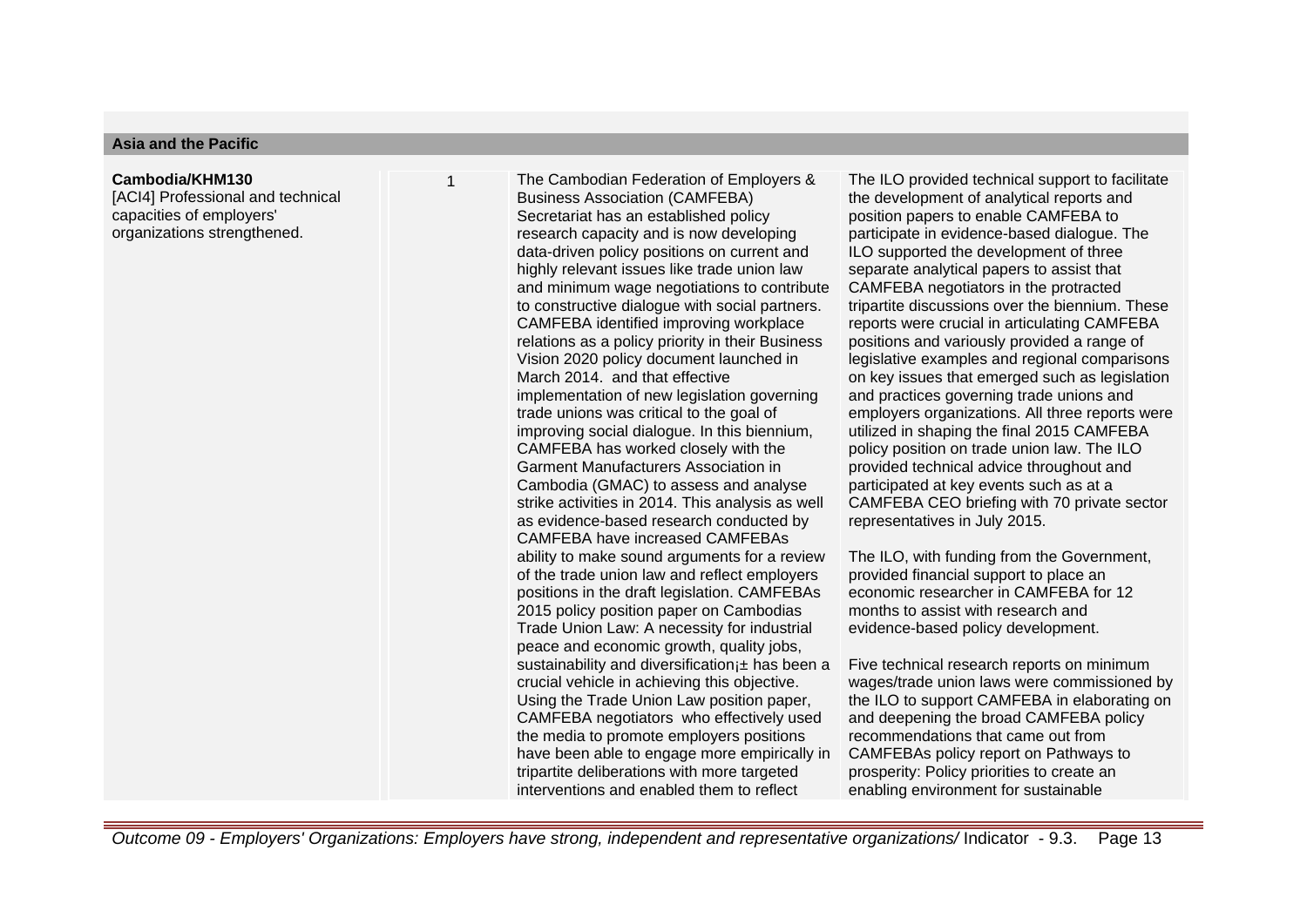### **Asia and the Pacific**

#### **Cambodia/KHM130**

[ACI4] Professional and technical capacities of employers' organizations strengthened.

The Cambodian Federation of Employers & Business Association (CAMFEBA) Secretariat has an established policy research capacity and is now developing data-driven policy positions on current and highly relevant issues like trade union law and minimum wage negotiations to contribute to constructive dialogue with social partners. CAMFEBA identified improving workplace relations as a policy priority in their Business Vision 2020 policy document launched in March 2014. and that effective implementation of new legislation governing trade unions was critical to the goal of improving social dialogue. In this biennium, CAMFEBA has worked closely with the Garment Manufacturers Association in Cambodia (GMAC) to assess and analyse strike activities in 2014. This analysis as well as evidence-based research conducted by CAMFEBA have increased CAMFEBAs ability to make sound arguments for a review of the trade union law and reflect employers positions in the draft legislation. CAMFEBAs 2015 policy position paper on Cambodias Trade Union Law: A necessity for industrial peace and economic growth, quality jobs, sustainability and diversification i± has been a crucial vehicle in achieving this objective. Using the Trade Union Law position paper, CAMFEBA negotiators who effectively used the media to promote employers positions have been able to engage more empirically in tripartite deliberations with more targeted interventions and enabled them to reflect

The ILO provided technical support to facilitate the development of analytical reports and position papers to enable CAMFEBA to participate in evidence-based dialogue. The ILO supported the development of three separate analytical papers to assist that CAMFEBA negotiators in the protracted tripartite discussions over the biennium. These reports were crucial in articulating CAMFEBA positions and variously provided a range of legislative examples and regional comparisons on key issues that emerged such as legislation and practices governing trade unions and employers organizations. All three reports were utilized in shaping the final 2015 CAMFEBA policy position on trade union law. The ILO provided technical advice throughout and participated at key events such as at a CAMFEBA CEO briefing with 70 private sector representatives in July 2015.

The ILO, with funding from the Government, provided financial support to place an economic researcher in CAMFEBA for 12 months to assist with research and evidence-based policy development.

Five technical research reports on minimum wages/trade union laws were commissioned by the ILO to support CAMFEBA in elaborating on and deepening the broad CAMFEBA policy recommendations that came out from CAMFEBAs policy report on Pathways to prosperity: Policy priorities to create an enabling environment for sustainable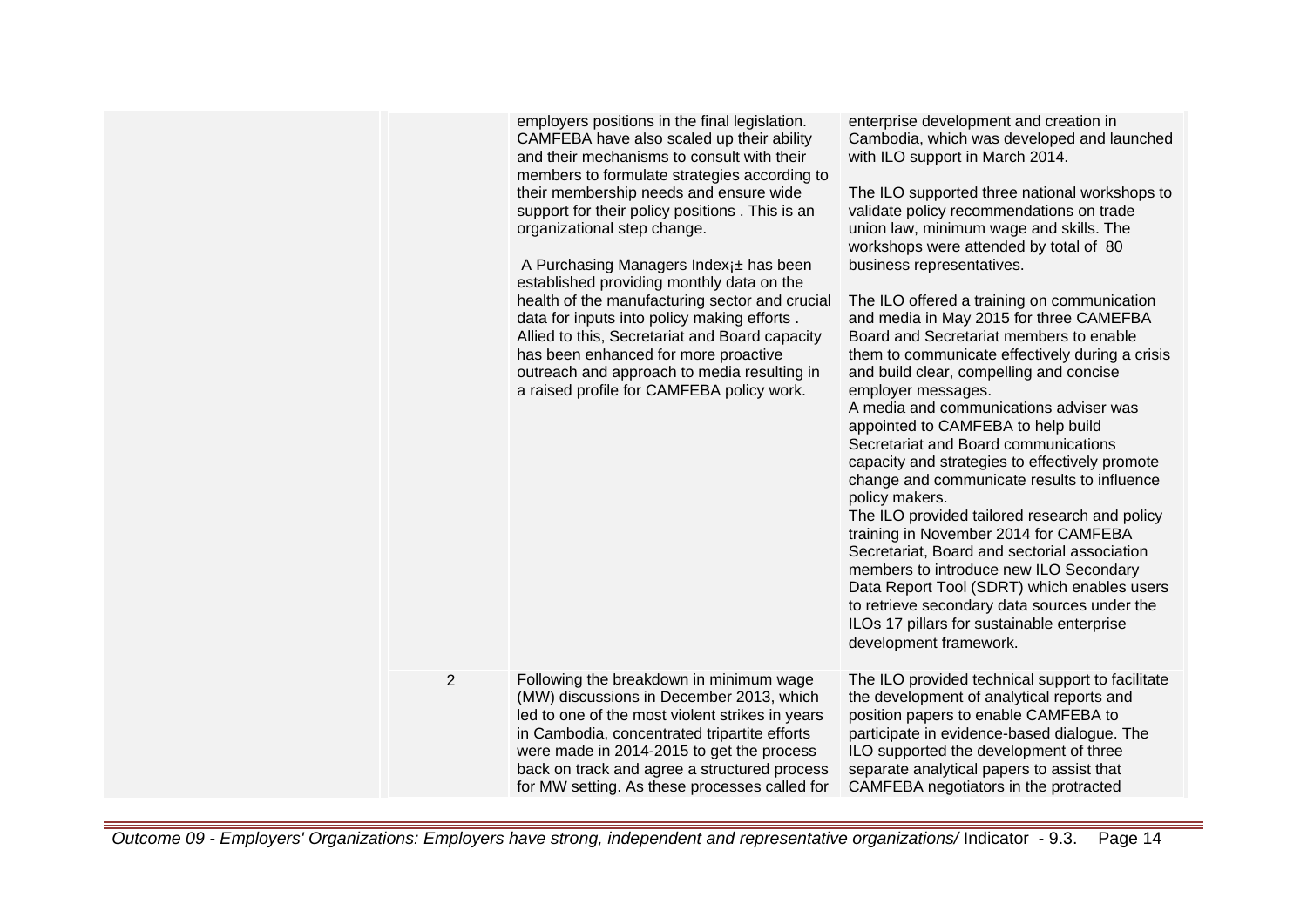|                | employers positions in the final legislation.<br>CAMFEBA have also scaled up their ability<br>and their mechanisms to consult with their<br>members to formulate strategies according to<br>their membership needs and ensure wide<br>support for their policy positions. This is an<br>organizational step change.<br>A Purchasing Managers Index <sub>1</sub> ± has been<br>established providing monthly data on the<br>health of the manufacturing sector and crucial<br>data for inputs into policy making efforts.<br>Allied to this, Secretariat and Board capacity<br>has been enhanced for more proactive<br>outreach and approach to media resulting in<br>a raised profile for CAMFEBA policy work. | enterprise development and creation in<br>Cambodia, which was developed and launched<br>with ILO support in March 2014.<br>The ILO supported three national workshops to<br>validate policy recommendations on trade<br>union law, minimum wage and skills. The<br>workshops were attended by total of 80<br>business representatives.<br>The ILO offered a training on communication<br>and media in May 2015 for three CAMEFBA<br>Board and Secretariat members to enable<br>them to communicate effectively during a crisis<br>and build clear, compelling and concise<br>employer messages.<br>A media and communications adviser was<br>appointed to CAMFEBA to help build<br>Secretariat and Board communications<br>capacity and strategies to effectively promote<br>change and communicate results to influence<br>policy makers.<br>The ILO provided tailored research and policy<br>training in November 2014 for CAMFEBA<br>Secretariat, Board and sectorial association<br>members to introduce new ILO Secondary<br>Data Report Tool (SDRT) which enables users<br>to retrieve secondary data sources under the<br>ILOs 17 pillars for sustainable enterprise<br>development framework. |
|----------------|----------------------------------------------------------------------------------------------------------------------------------------------------------------------------------------------------------------------------------------------------------------------------------------------------------------------------------------------------------------------------------------------------------------------------------------------------------------------------------------------------------------------------------------------------------------------------------------------------------------------------------------------------------------------------------------------------------------|-------------------------------------------------------------------------------------------------------------------------------------------------------------------------------------------------------------------------------------------------------------------------------------------------------------------------------------------------------------------------------------------------------------------------------------------------------------------------------------------------------------------------------------------------------------------------------------------------------------------------------------------------------------------------------------------------------------------------------------------------------------------------------------------------------------------------------------------------------------------------------------------------------------------------------------------------------------------------------------------------------------------------------------------------------------------------------------------------------------------------------------------------------------------------------------------------------|
| $\overline{2}$ | Following the breakdown in minimum wage<br>(MW) discussions in December 2013, which<br>led to one of the most violent strikes in years<br>in Cambodia, concentrated tripartite efforts<br>were made in 2014-2015 to get the process<br>back on track and agree a structured process<br>for MW setting. As these processes called for                                                                                                                                                                                                                                                                                                                                                                           | The ILO provided technical support to facilitate<br>the development of analytical reports and<br>position papers to enable CAMFEBA to<br>participate in evidence-based dialogue. The<br>ILO supported the development of three<br>separate analytical papers to assist that<br>CAMFEBA negotiators in the protracted                                                                                                                                                                                                                                                                                                                                                                                                                                                                                                                                                                                                                                                                                                                                                                                                                                                                                  |
|                |                                                                                                                                                                                                                                                                                                                                                                                                                                                                                                                                                                                                                                                                                                                |                                                                                                                                                                                                                                                                                                                                                                                                                                                                                                                                                                                                                                                                                                                                                                                                                                                                                                                                                                                                                                                                                                                                                                                                       |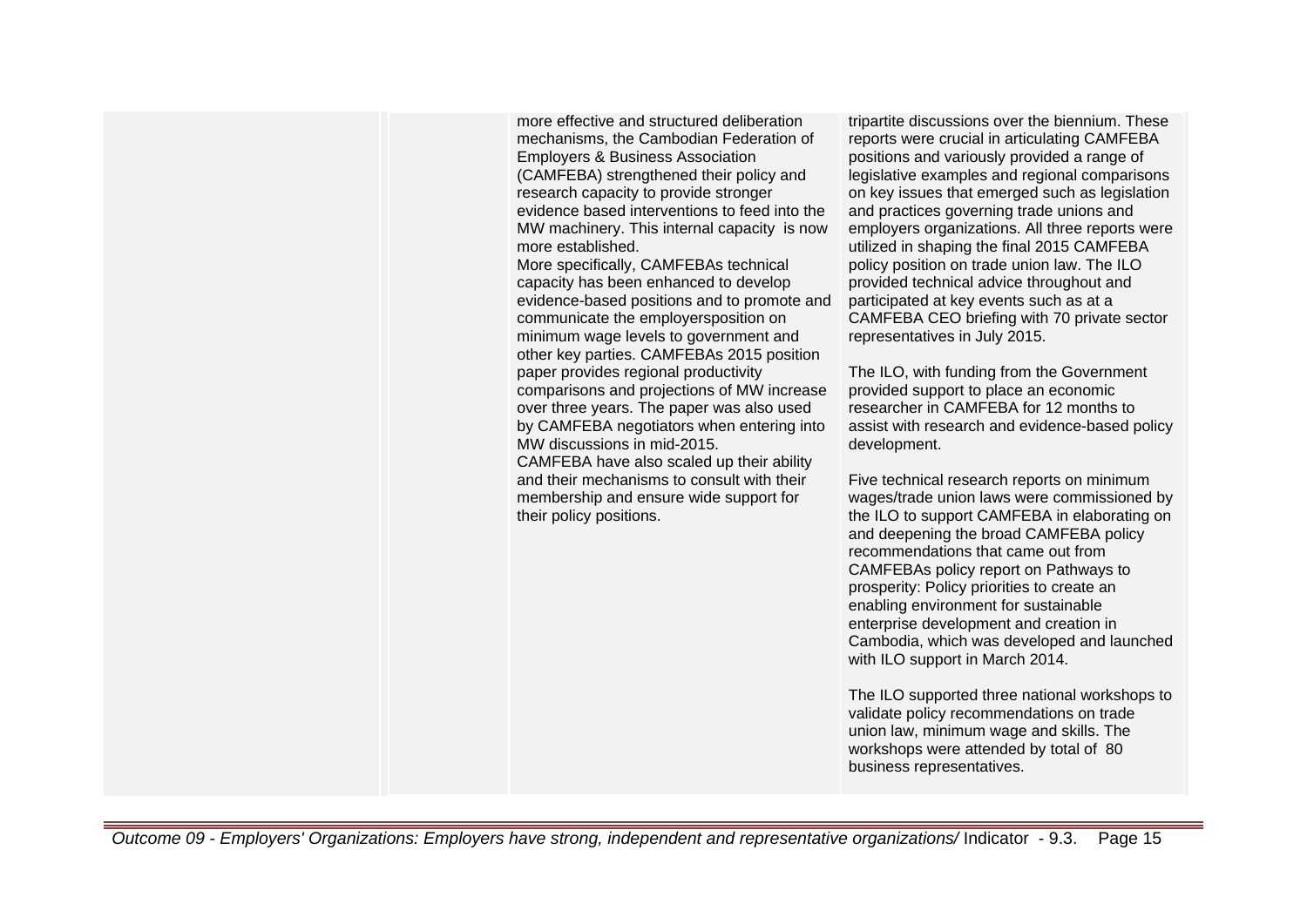more effective and structured deliberation mechanisms, the Cambodian Federation of Employers & Business Association (CAMFEBA) strengthened their policy and research capacity to provide stronger evidence based interventions to feed into the MW machinery. This internal capacity is now more established.

More specifically, CAMFEBAs technical capacity has been enhanced to develop evidence-based positions and to promote and communicate the employersposition on minimum wage levels to government and other key parties. CAMFEBAs 2015 position paper provides regional productivity comparisons and projections of MW increase over three years. The paper was also used by CAMFEBA negotiators when entering into MW discussions in mid-2015. CAMFEBA have also scaled up their ability and their mechanisms to consult with their membership and ensure wide support for their policy positions.

tripartite discussions over the biennium. These reports were crucial in articulating CAMFEBA positions and variously provided a range of legislative examples and regional comparisons on key issues that emerged such as legislation and practices governing trade unions and employers organizations. All three reports were utilized in shaping the final 2015 CAMFEBA policy position on trade union law. The ILO provided technical advice throughout and participated at key events such as at a CAMFEBA CEO briefing with 70 private sector representatives in July 2015.

The ILO, with funding from the Government provided support to place an economic researcher in CAMFEBA for 12 months to assist with research and evidence-based policy development.

Five technical research reports on minimum wages/trade union laws were commissioned by the ILO to support CAMFEBA in elaborating on and deepening the broad CAMFEBA policy recommendations that came out from CAMFEBAs policy report on Pathways to prosperity: Policy priorities to create an enabling environment for sustainable enterprise development and creation in Cambodia, which was developed and launched with ILO support in March 2014.

The ILO supported three national workshops to validate policy recommendations on trade union law, minimum wage and skills. The workshops were attended by total of 80 business representatives.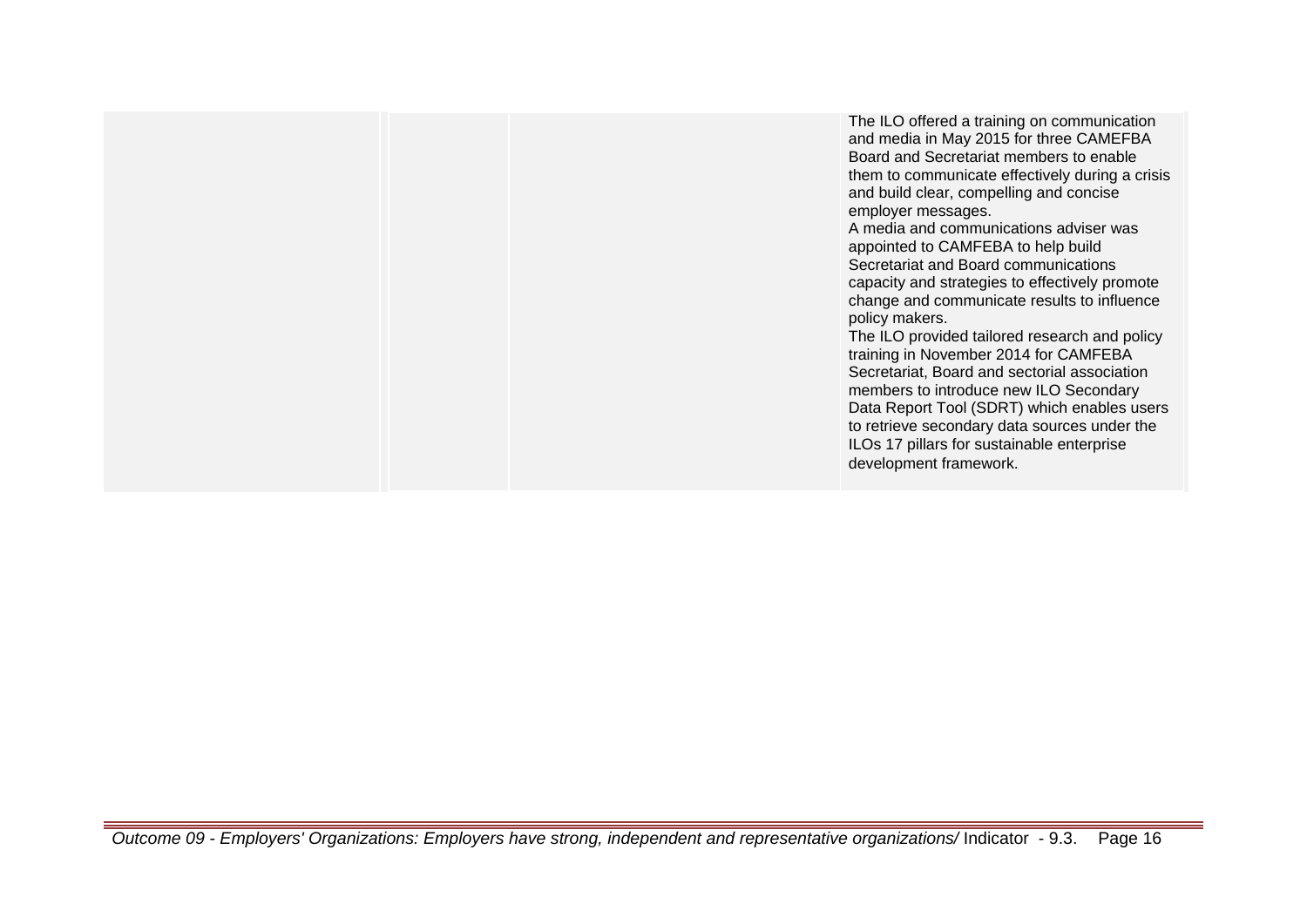The ILO offered a training on communication and media in May 2015 for three CAMEFBA Board and Secretariat members to enable them to communicate effectively during a crisis and build clear, compelling and concise employer messages. A media and communications adviser was appointed to CAMFEBA to help build Secretariat and Board communications capacity and strategies to effectively promote change and communicate results to influence policy makers. The ILO provided tailored research and policy training in November 2014 for CAMFEBA Secretariat, Board and sectorial association members to introduce new ILO Secondary Data Report Tool (SDRT) which enables users to retrieve secondary data sources under the ILOs 17 pillars for sustainable enterprise development framework.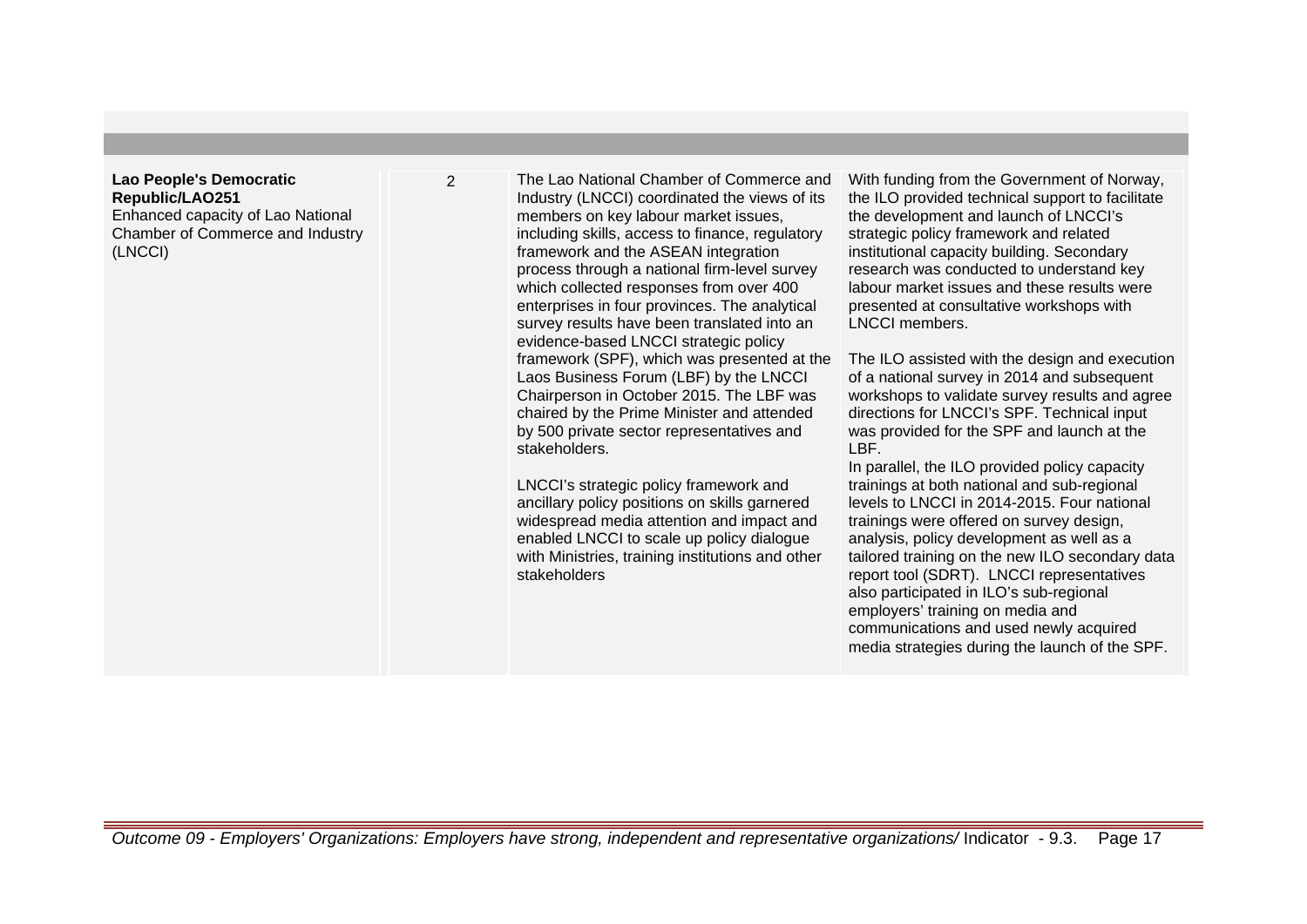## **Lao People's Democratic Republic/LAO251**

Enhanced capacity of Lao National Chamber of Commerce and Industry (LNCCI)

2 The Lao National Chamber of Commerce and Industry (LNCCI) coordinated the views of its members on key labour market issues, including skills, access to finance, regulatory framework and the ASEAN integration process through a national firm-level survey which collected responses from over 400 enterprises in four provinces. The analytical survey results have been translated into an evidence-based LNCCI strategic policy framework (SPF), which was presented at the Laos Business Forum (LBF) by the LNCCI Chairperson in October 2015. The LBF was chaired by the Prime Minister and attended by 500 private sector representatives and stakeholders.

> LNCCI's strategic policy framework and ancillary policy positions on skills garnered widespread media attention and impact and enabled LNCCI to scale up policy dialogue with Ministries, training institutions and other stakeholders

With funding from the Government of Norway, the ILO provided technical support to facilitate the development and launch of LNCCI's strategic policy framework and related institutional capacity building. Secondary research was conducted to understand key labour market issues and these results were presented at consultative workshops with LNCCI members.

The ILO assisted with the design and execution of a national survey in 2014 and subsequent workshops to validate survey results and agree directions for LNCCI's SPF. Technical input was provided for the SPF and launch at the LBF.

In parallel, the ILO provided policy capacity trainings at both national and sub-regional levels to LNCCI in 2014-2015. Four national trainings were offered on survey design, analysis, policy development as well as a tailored training on the new ILO secondary data report tool (SDRT). LNCCI representatives also participated in ILO's sub-regional employers' training on media and communications and used newly acquired media strategies during the launch of the SPF.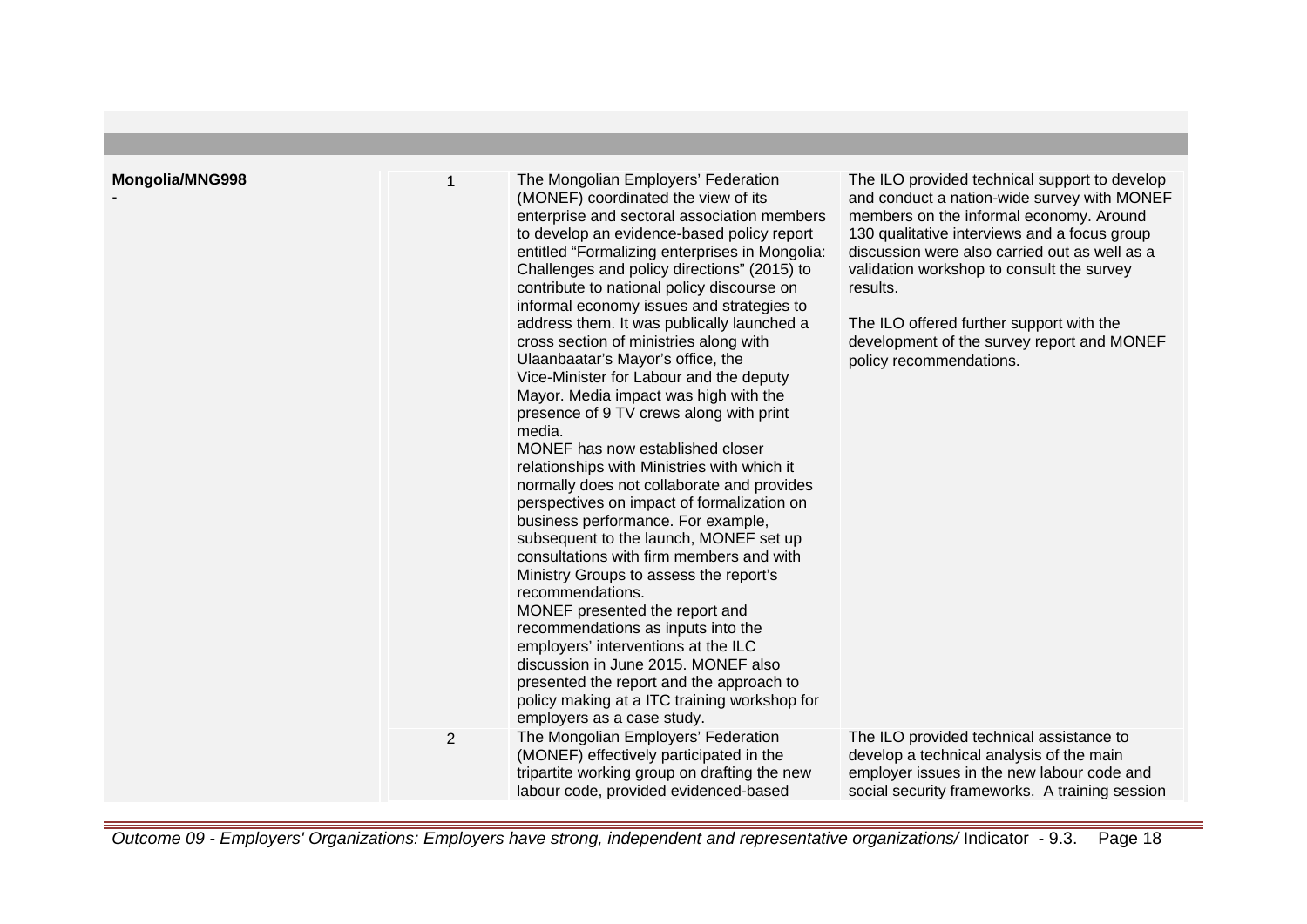| Mongolia/MNG998 | 1              | The Mongolian Employers' Federation<br>(MONEF) coordinated the view of its<br>enterprise and sectoral association members<br>to develop an evidence-based policy report<br>entitled "Formalizing enterprises in Mongolia:<br>Challenges and policy directions" (2015) to<br>contribute to national policy discourse on<br>informal economy issues and strategies to<br>address them. It was publically launched a<br>cross section of ministries along with<br>Ulaanbaatar's Mayor's office, the<br>Vice-Minister for Labour and the deputy<br>Mayor. Media impact was high with the<br>presence of 9 TV crews along with print<br>media.<br>MONEF has now established closer<br>relationships with Ministries with which it<br>normally does not collaborate and provides<br>perspectives on impact of formalization on<br>business performance. For example,<br>subsequent to the launch, MONEF set up<br>consultations with firm members and with<br>Ministry Groups to assess the report's<br>recommendations.<br>MONEF presented the report and<br>recommendations as inputs into the<br>employers' interventions at the ILC<br>discussion in June 2015. MONEF also<br>presented the report and the approach to<br>policy making at a ITC training workshop for<br>employers as a case study. | The ILO provided technical support to develop<br>and conduct a nation-wide survey with MONEF<br>members on the informal economy. Around<br>130 qualitative interviews and a focus group<br>discussion were also carried out as well as a<br>validation workshop to consult the survey<br>results.<br>The ILO offered further support with the<br>development of the survey report and MONEF<br>policy recommendations. |
|-----------------|----------------|----------------------------------------------------------------------------------------------------------------------------------------------------------------------------------------------------------------------------------------------------------------------------------------------------------------------------------------------------------------------------------------------------------------------------------------------------------------------------------------------------------------------------------------------------------------------------------------------------------------------------------------------------------------------------------------------------------------------------------------------------------------------------------------------------------------------------------------------------------------------------------------------------------------------------------------------------------------------------------------------------------------------------------------------------------------------------------------------------------------------------------------------------------------------------------------------------------------------------------------------------------------------------------------------------|------------------------------------------------------------------------------------------------------------------------------------------------------------------------------------------------------------------------------------------------------------------------------------------------------------------------------------------------------------------------------------------------------------------------|
|                 | $\overline{2}$ | The Mongolian Employers' Federation<br>(MONEF) effectively participated in the<br>tripartite working group on drafting the new<br>labour code, provided evidenced-based                                                                                                                                                                                                                                                                                                                                                                                                                                                                                                                                                                                                                                                                                                                                                                                                                                                                                                                                                                                                                                                                                                                            | The ILO provided technical assistance to<br>develop a technical analysis of the main<br>employer issues in the new labour code and<br>social security frameworks. A training session                                                                                                                                                                                                                                   |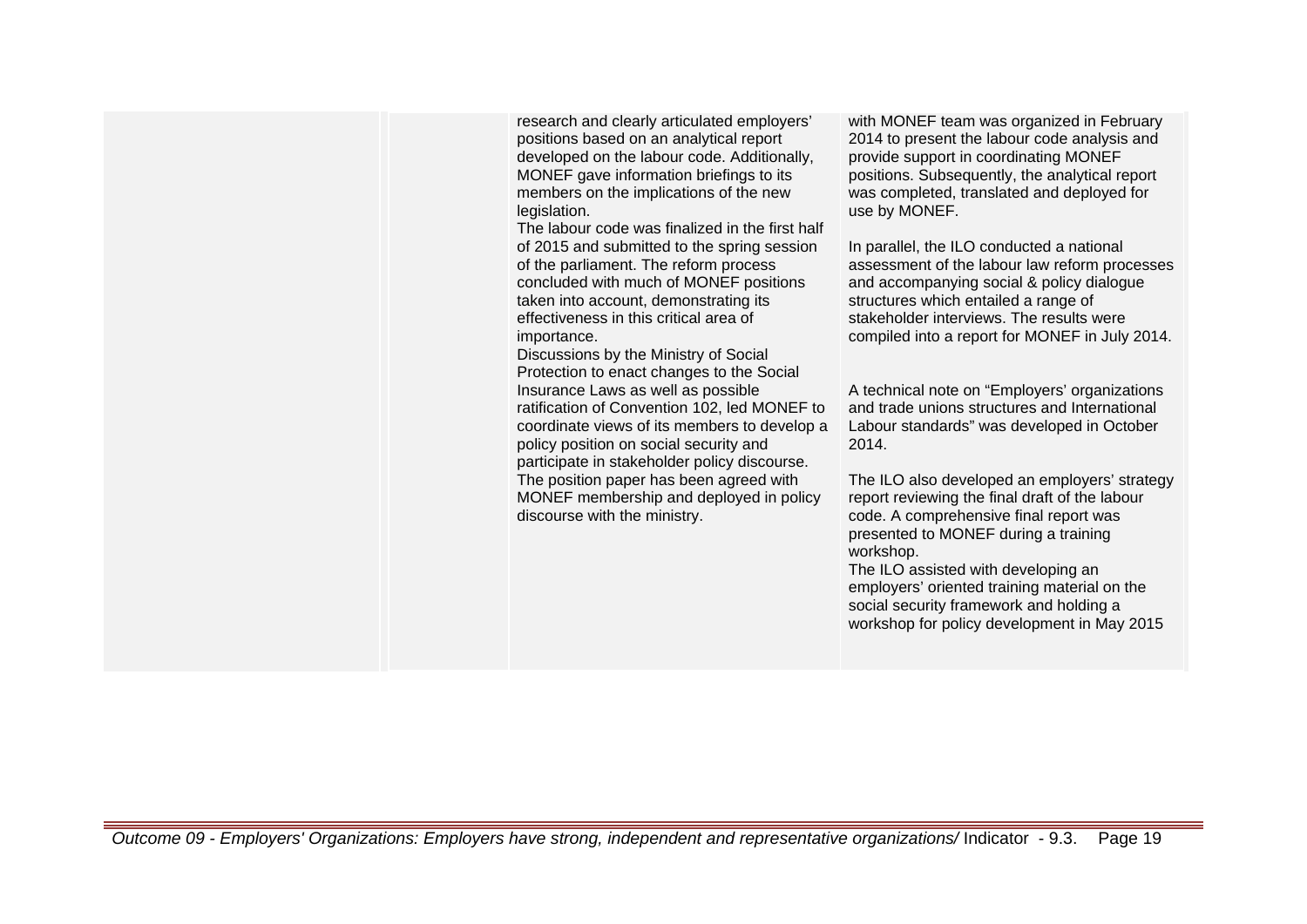research and clearly articulated employers' positions based on an analytical report developed on the labour code. Additionally, MONEF gave information briefings to its members on the implications of the new legislation.

The labour code was finalized in the first half of 2015 and submitted to the spring session of the parliament. The reform process concluded with much of MONEF positions taken into account, demonstrating its effectiveness in this critical area of importance.

Discussions by the Ministry of Social Protection to enact changes to the Social Insurance Laws as well as possible ratification of Convention 102, led MONEF to coordinate views of its members to develop a policy position on social security and participate in stakeholder policy discourse. The position paper has been agreed with MONEF membership and deployed in policy discourse with the ministry.

with MONEF team was organized in February 2014 to present the labour code analysis and provide support in coordinating MONEF positions. Subsequently, the analytical report was completed, translated and deployed for use by MONEF.

In parallel, the ILO conducted a national assessment of the labour law reform processes and accompanying social & policy dialogue structures which entailed a range of stakeholder interviews. The results were compiled into a report for MONEF in July 2014.

A technical note on "Employers' organizations and trade unions structures and International Labour standards" was developed in October 2014.

The ILO also developed an employers' strategy report reviewing the final draft of the labour code. A comprehensive final report was presented to MONEF during a training workshop.

The ILO assisted with developing an employers' oriented training material on the social security framework and holding a workshop for policy development in May 2015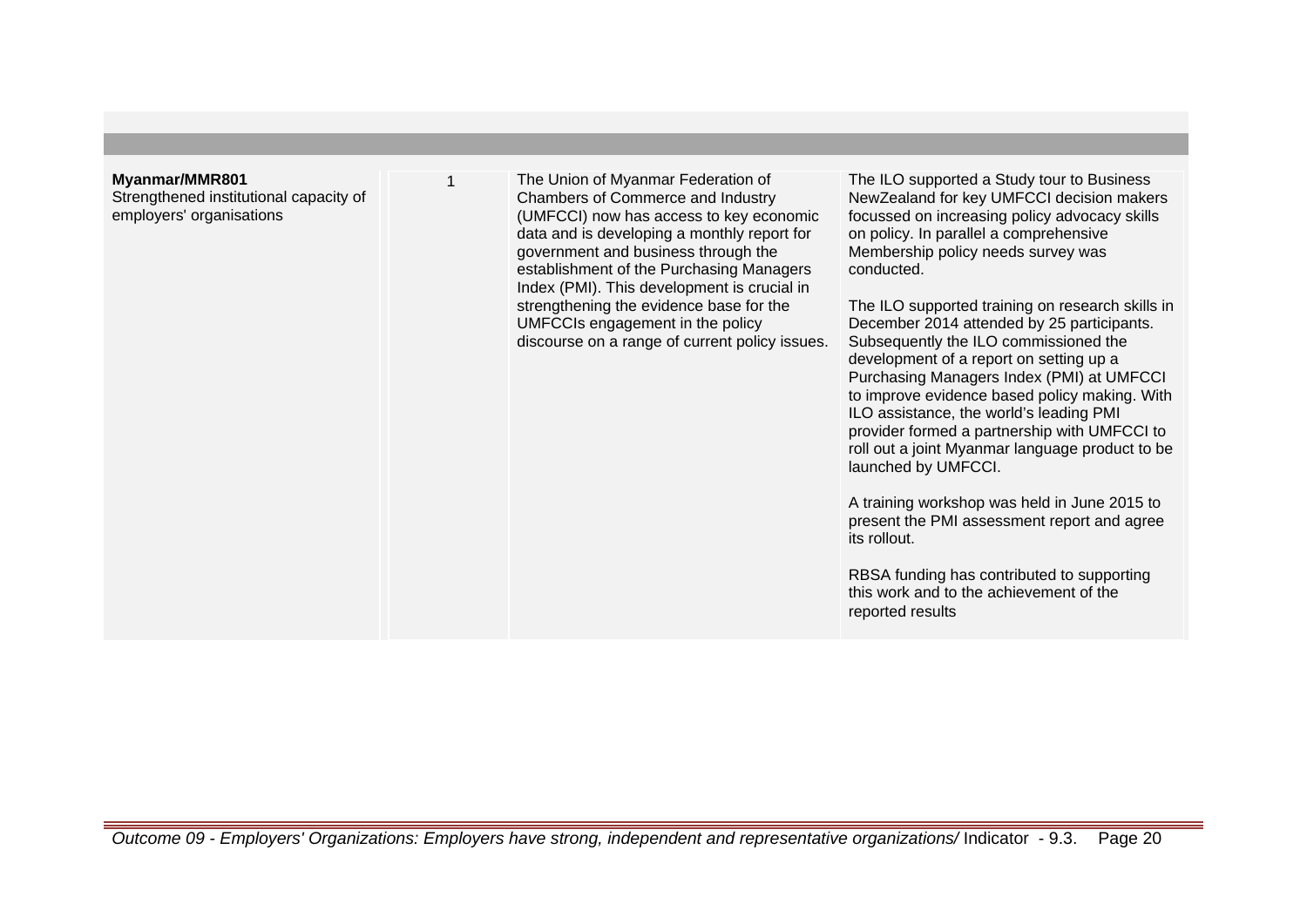#### **Myanmar/MMR801**

Strengthened institutional capacity of employers' organisations

The Union of Myanmar Federation of Chambers of Commerce and Industry (UMFCCI) now has access to key economic data and is developing a monthly report for government and business through the establishment of the Purchasing Managers Index (PMI). This development is crucial in strengthening the evidence base for the UMFCCIs engagement in the policy discourse on a range of current policy issues.

The ILO supported a Study tour to Business NewZealand for key UMFCCI decision makers focussed on increasing policy advocacy skills on policy. In parallel a comprehensive Membership policy needs survey was conducted.

The ILO supported training on research skills in December 2014 attended by 25 participants. Subsequently the ILO commissioned the development of a report on setting up a Purchasing Managers Index (PMI) at UMFCCI to improve evidence based policy making. With ILO assistance, the world's leading PMI provider formed a partnership with UMFCCI to roll out a joint Myanmar language product to be launched by UMFCCI.

A training workshop was held in June 2015 to present the PMI assessment report and agree its rollout.

RBSA funding has contributed to supporting this work and to the achievement of the reported results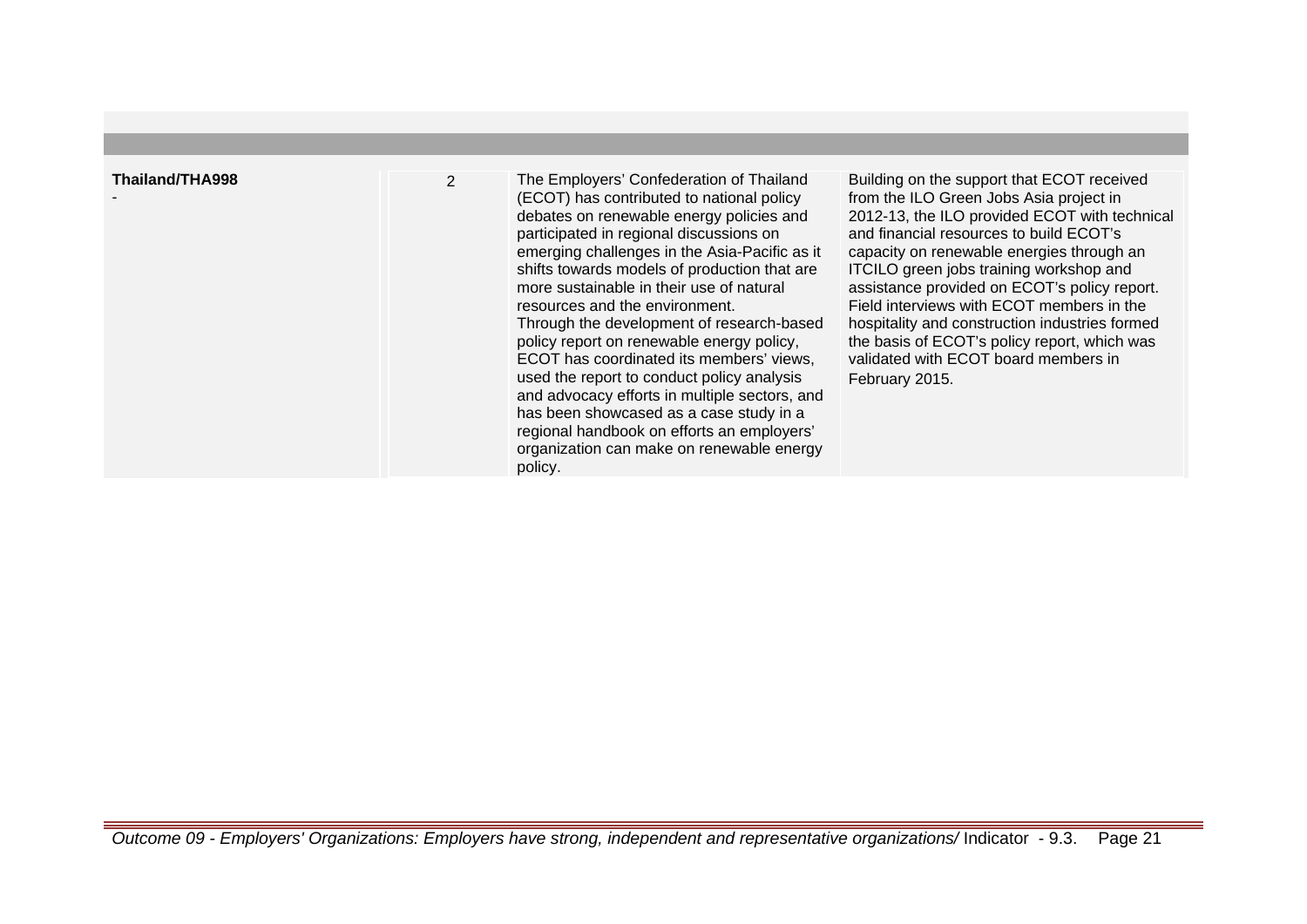| Thailand/THA998 | 2 | The Employers' Confederation of Thailand<br>(ECOT) has contributed to national policy<br>debates on renewable energy policies and<br>participated in regional discussions on<br>emerging challenges in the Asia-Pacific as it<br>shifts towards models of production that are<br>more sustainable in their use of natural<br>resources and the environment.<br>Through the development of research-based<br>policy report on renewable energy policy,<br>ECOT has coordinated its members' views,<br>used the report to conduct policy analysis<br>and advocacy efforts in multiple sectors, and<br>has been showcased as a case study in a<br>regional handbook on efforts an employers'<br>organization can make on renewable energy<br>policy. | Building on the support that ECOT received<br>from the ILO Green Jobs Asia project in<br>2012-13, the ILO provided ECOT with technical<br>and financial resources to build ECOT's<br>capacity on renewable energies through an<br>ITCILO green jobs training workshop and<br>assistance provided on ECOT's policy report.<br>Field interviews with ECOT members in the<br>hospitality and construction industries formed<br>the basis of ECOT's policy report, which was<br>validated with ECOT board members in<br>February 2015. |
|-----------------|---|---------------------------------------------------------------------------------------------------------------------------------------------------------------------------------------------------------------------------------------------------------------------------------------------------------------------------------------------------------------------------------------------------------------------------------------------------------------------------------------------------------------------------------------------------------------------------------------------------------------------------------------------------------------------------------------------------------------------------------------------------|------------------------------------------------------------------------------------------------------------------------------------------------------------------------------------------------------------------------------------------------------------------------------------------------------------------------------------------------------------------------------------------------------------------------------------------------------------------------------------------------------------------------------------|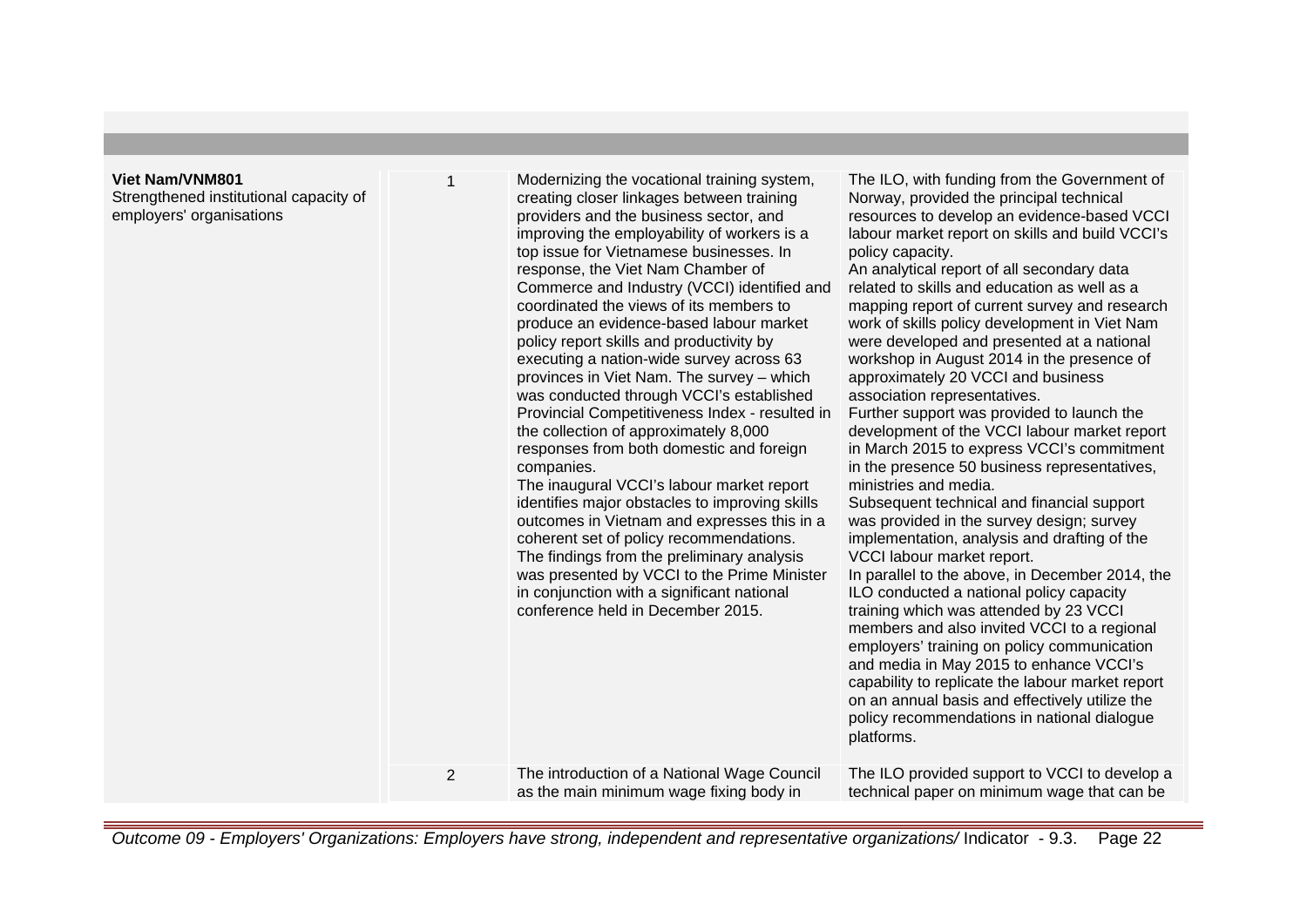## **Viet Nam/VNM801**

Strengthened institutional capacity of employers' organisations

| $\mathbf{1}$   | Modernizing the vocational training system,<br>creating closer linkages between training<br>providers and the business sector, and<br>improving the employability of workers is a<br>top issue for Vietnamese businesses. In<br>response, the Viet Nam Chamber of<br>Commerce and Industry (VCCI) identified and<br>coordinated the views of its members to<br>produce an evidence-based labour market<br>policy report skills and productivity by<br>executing a nation-wide survey across 63<br>provinces in Viet Nam. The survey - which<br>was conducted through VCCI's established<br>Provincial Competitiveness Index - resulted in<br>the collection of approximately 8,000<br>responses from both domestic and foreign<br>companies.<br>The inaugural VCCI's labour market report<br>identifies major obstacles to improving skills<br>outcomes in Vietnam and expresses this in a<br>coherent set of policy recommendations.<br>The findings from the preliminary analysis<br>was presented by VCCI to the Prime Minister<br>in conjunction with a significant national<br>conference held in December 2015. | The ILO, with funding from the Government of<br>Norway, provided the principal technical<br>resources to develop an evidence-based VCCI<br>labour market report on skills and build VCCI's<br>policy capacity.<br>An analytical report of all secondary data<br>related to skills and education as well as a<br>mapping report of current survey and research<br>work of skills policy development in Viet Nam<br>were developed and presented at a national<br>workshop in August 2014 in the presence of<br>approximately 20 VCCI and business<br>association representatives.<br>Further support was provided to launch the<br>development of the VCCI labour market report<br>in March 2015 to express VCCI's commitment<br>in the presence 50 business representatives,<br>ministries and media.<br>Subsequent technical and financial support<br>was provided in the survey design; survey<br>implementation, analysis and drafting of the<br>VCCI labour market report.<br>In parallel to the above, in December 2014, the<br>ILO conducted a national policy capacity<br>training which was attended by 23 VCCI<br>members and also invited VCCI to a regional<br>employers' training on policy communication<br>and media in May 2015 to enhance VCCI's<br>capability to replicate the labour market report<br>on an annual basis and effectively utilize the<br>policy recommendations in national dialogue<br>platforms. |
|----------------|-----------------------------------------------------------------------------------------------------------------------------------------------------------------------------------------------------------------------------------------------------------------------------------------------------------------------------------------------------------------------------------------------------------------------------------------------------------------------------------------------------------------------------------------------------------------------------------------------------------------------------------------------------------------------------------------------------------------------------------------------------------------------------------------------------------------------------------------------------------------------------------------------------------------------------------------------------------------------------------------------------------------------------------------------------------------------------------------------------------------------|-------------------------------------------------------------------------------------------------------------------------------------------------------------------------------------------------------------------------------------------------------------------------------------------------------------------------------------------------------------------------------------------------------------------------------------------------------------------------------------------------------------------------------------------------------------------------------------------------------------------------------------------------------------------------------------------------------------------------------------------------------------------------------------------------------------------------------------------------------------------------------------------------------------------------------------------------------------------------------------------------------------------------------------------------------------------------------------------------------------------------------------------------------------------------------------------------------------------------------------------------------------------------------------------------------------------------------------------------------------------------------------------------------------------------------------|
| $\overline{2}$ | The introduction of a National Wage Council<br>as the main minimum wage fixing body in                                                                                                                                                                                                                                                                                                                                                                                                                                                                                                                                                                                                                                                                                                                                                                                                                                                                                                                                                                                                                                | The ILO provided support to VCCI to develop a<br>technical paper on minimum wage that can be                                                                                                                                                                                                                                                                                                                                                                                                                                                                                                                                                                                                                                                                                                                                                                                                                                                                                                                                                                                                                                                                                                                                                                                                                                                                                                                                        |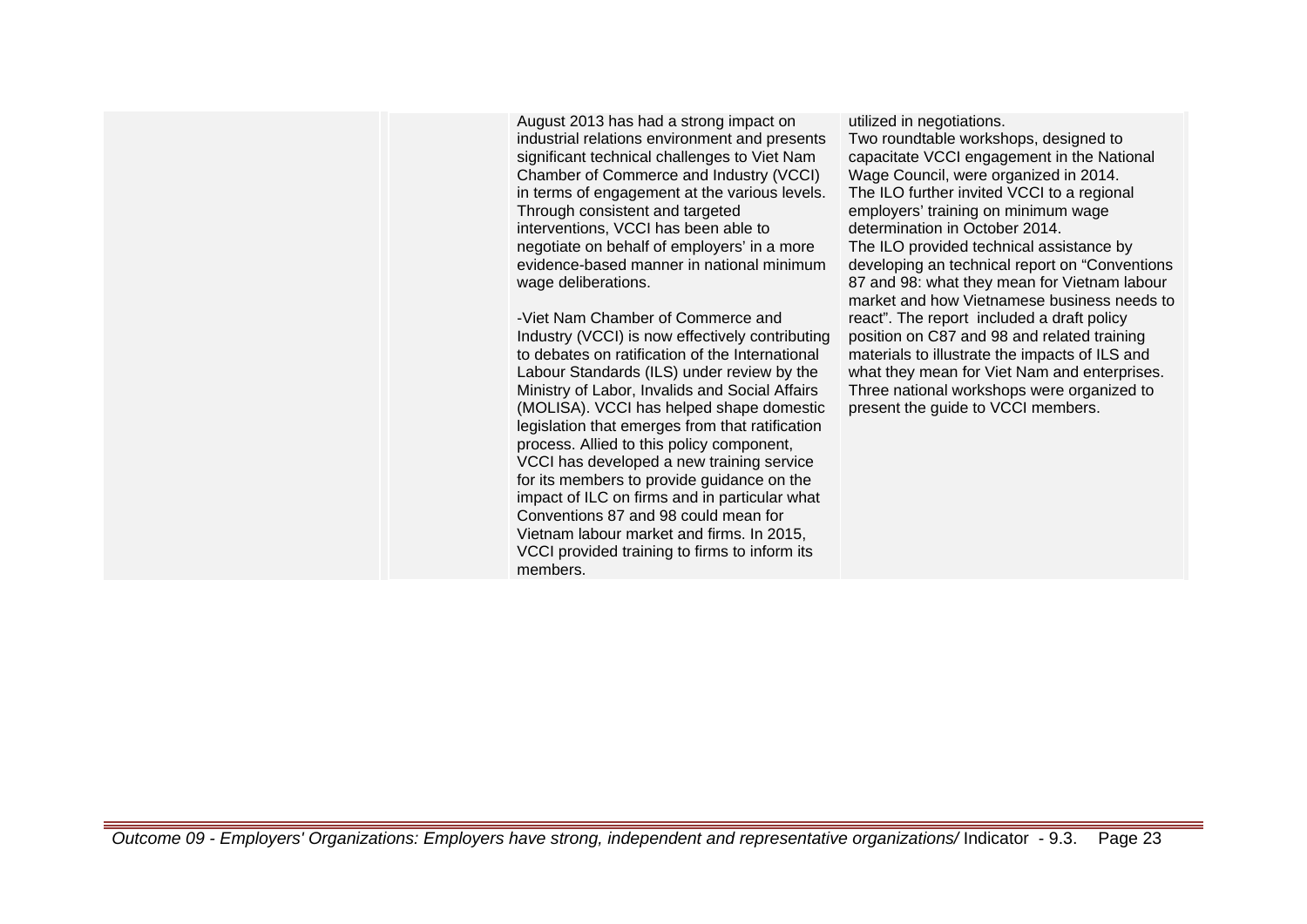August 2013 has had a strong impact on industrial relations environment and presents significant technical challenges to Viet Nam Chamber of Commerce and Industry (VCCI) in terms of engagement at the various levels. Through consistent and targeted interventions, VCCI has been able to negotiate on behalf of employers' in a more evidence-based manner in national minimum wage deliberations.

-Viet Nam Chamber of Commerce and Industry (VCCI) is now effectively contributing to debates on ratification of the International Labour Standards (ILS) under review by the Ministry of Labor, Invalids and Social Affairs (MOLISA). VCCI has helped shape domestic legislation that emerges from that ratification process. Allied to this policy component, VCCI has developed a new training service for its members to provide guidance on the impact of ILC on firms and in particular what Conventions 87 and 98 could mean for Vietnam labour market and firms. In 2015, VCCI provided training to firms to inform its members.

utilized in negotiations. Two roundtable workshops, designed to capacitate VCCI engagement in the National

present the guide to VCCI members.

Wage Council, were organized in 2014. The ILO further invited VCCI to a regional employers' training on minimum wage determination in October 2014. The ILO provided technical assistance by developing an technical report on "Conventions 87 and 98: what they mean for Vietnam labour market and how Vietnamese business needs to react". The report included a draft policy position on C87 and 98 and related training materials to illustrate the impacts of ILS and what they mean for Viet Nam and enterprises. Three national workshops were organized to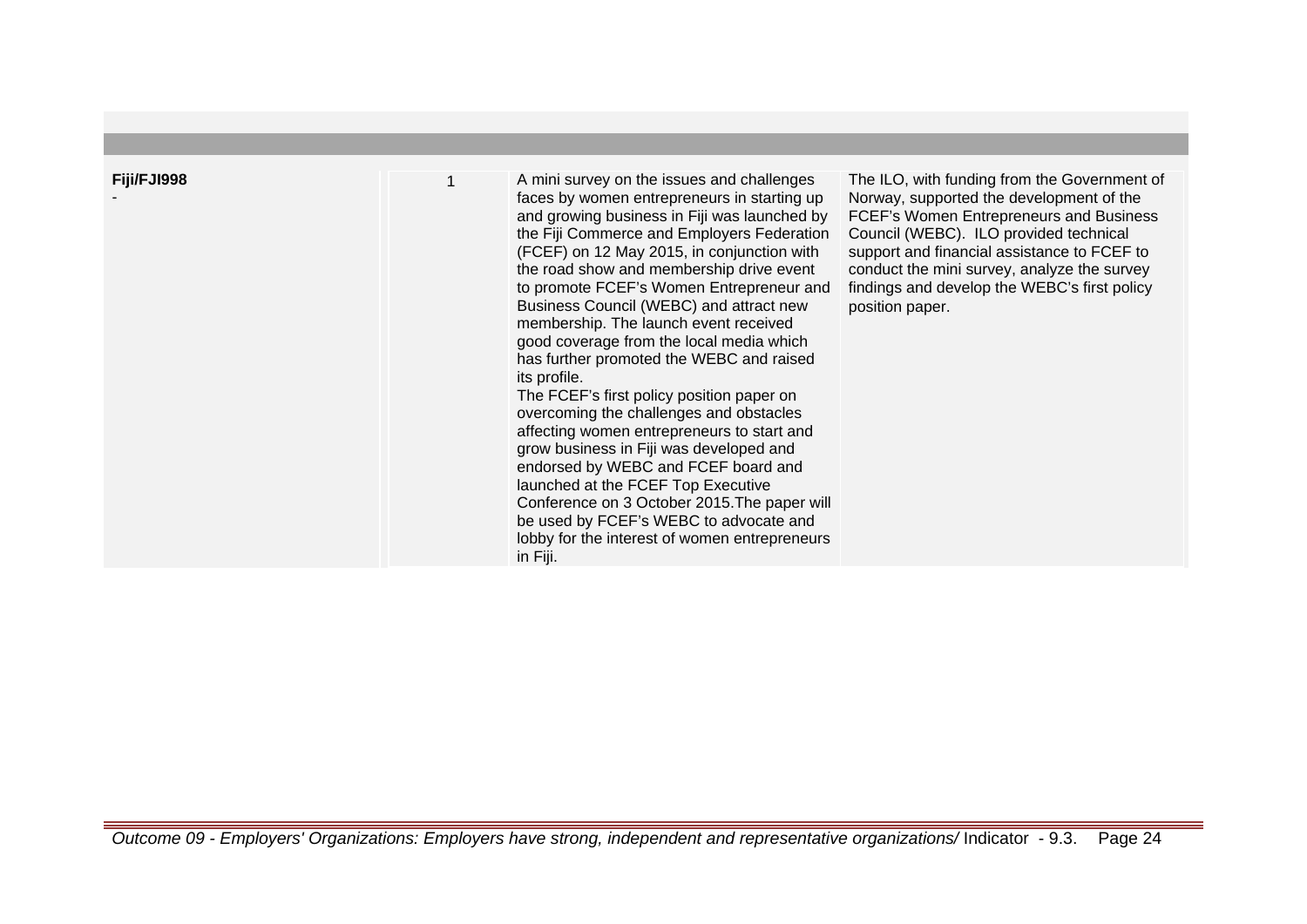| Fiji/FJI998 | A mini survey on the issues and challenges<br>faces by women entrepreneurs in starting up<br>and growing business in Fiji was launched by<br>the Fiji Commerce and Employers Federation<br>(FCEF) on 12 May 2015, in conjunction with<br>the road show and membership drive event<br>to promote FCEF's Women Entrepreneur and<br>Business Council (WEBC) and attract new<br>membership. The launch event received<br>good coverage from the local media which<br>has further promoted the WEBC and raised<br>its profile.<br>The FCEF's first policy position paper on<br>overcoming the challenges and obstacles<br>affecting women entrepreneurs to start and<br>grow business in Fiji was developed and<br>endorsed by WEBC and FCEF board and<br>launched at the FCEF Top Executive<br>Conference on 3 October 2015. The paper will<br>be used by FCEF's WEBC to advocate and<br>lobby for the interest of women entrepreneurs<br>in Fiji. | The ILO, with funding from the Government of<br>Norway, supported the development of the<br>FCEF's Women Entrepreneurs and Business<br>Council (WEBC). ILO provided technical<br>support and financial assistance to FCEF to<br>conduct the mini survey, analyze the survey<br>findings and develop the WEBC's first policy<br>position paper. |
|-------------|------------------------------------------------------------------------------------------------------------------------------------------------------------------------------------------------------------------------------------------------------------------------------------------------------------------------------------------------------------------------------------------------------------------------------------------------------------------------------------------------------------------------------------------------------------------------------------------------------------------------------------------------------------------------------------------------------------------------------------------------------------------------------------------------------------------------------------------------------------------------------------------------------------------------------------------------|------------------------------------------------------------------------------------------------------------------------------------------------------------------------------------------------------------------------------------------------------------------------------------------------------------------------------------------------|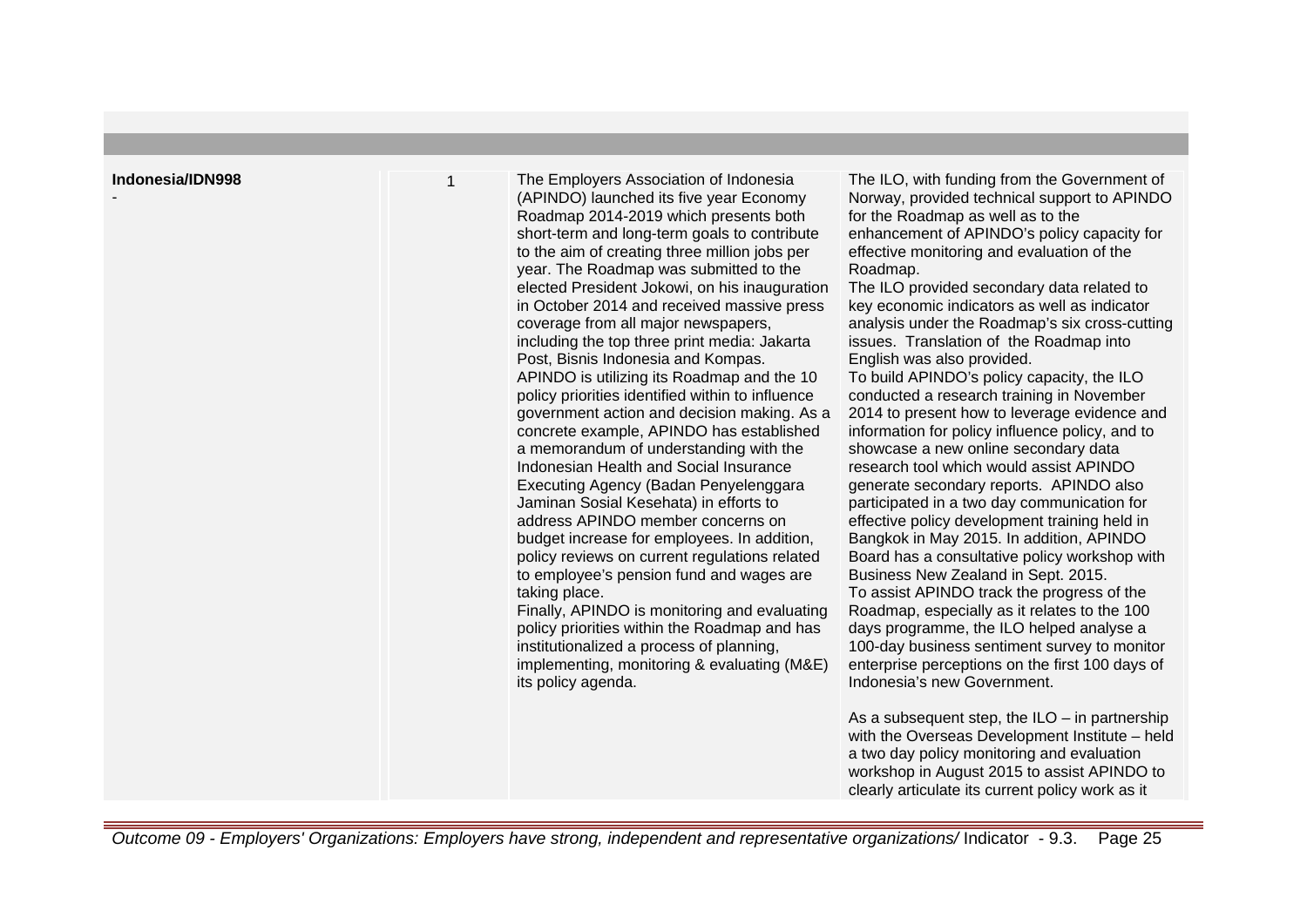#### **Indonesia/IDN998**

-

1 The Employers Association of Indonesia (APINDO) launched its five year Economy Roadmap 2014-2019 which presents both short-term and long-term goals to contribute to the aim of creating three million jobs per year. The Roadmap was submitted to the elected President Jokowi, on his inauguration in October 2014 and received massive press coverage from all major newspapers, including the top three print media: Jakarta Post, Bisnis Indonesia and Kompas. APINDO is utilizing its Roadmap and the 10 policy priorities identified within to influence government action and decision making. As a concrete example, APINDO has established a memorandum of understanding with the Indonesian Health and Social Insurance Executing Agency (Badan Penyelenggara Jaminan Sosial Kesehata) in efforts to address APINDO member concerns on budget increase for employees. In addition, policy reviews on current regulations related to employee's pension fund and wages are taking place. Finally, APINDO is monitoring and evaluating

policy priorities within the Roadmap and has institutionalized a process of planning, implementing, monitoring & evaluating (M&E) its policy agenda.

The ILO, with funding from the Government of Norway, provided technical support to APINDO for the Roadmap as well as to the enhancement of APINDO's policy capacity for effective monitoring and evaluation of the Roadmap.

The ILO provided secondary data related to key economic indicators as well as indicator analysis under the Roadmap's six cross-cutting issues. Translation of the Roadmap into English was also provided.

To build APINDO's policy capacity, the ILO conducted a research training in November 2014 to present how to leverage evidence and information for policy influence policy, and to showcase a new online secondary data research tool which would assist APINDO generate secondary reports. APINDO also participated in a two day communication for effective policy development training held in Bangkok in May 2015. In addition, APINDO Board has a consultative policy workshop with Business New Zealand in Sept. 2015. To assist APINDO track the progress of the Roadmap, especially as it relates to the 100 days programme, the ILO helped analyse a 100-day business sentiment survey to monitor enterprise perceptions on the first 100 days of Indonesia's new Government.

As a subsequent step, the  $ILO - in$  partnership with the Overseas Development Institute – held a two day policy monitoring and evaluation workshop in August 2015 to assist APINDO to clearly articulate its current policy work as it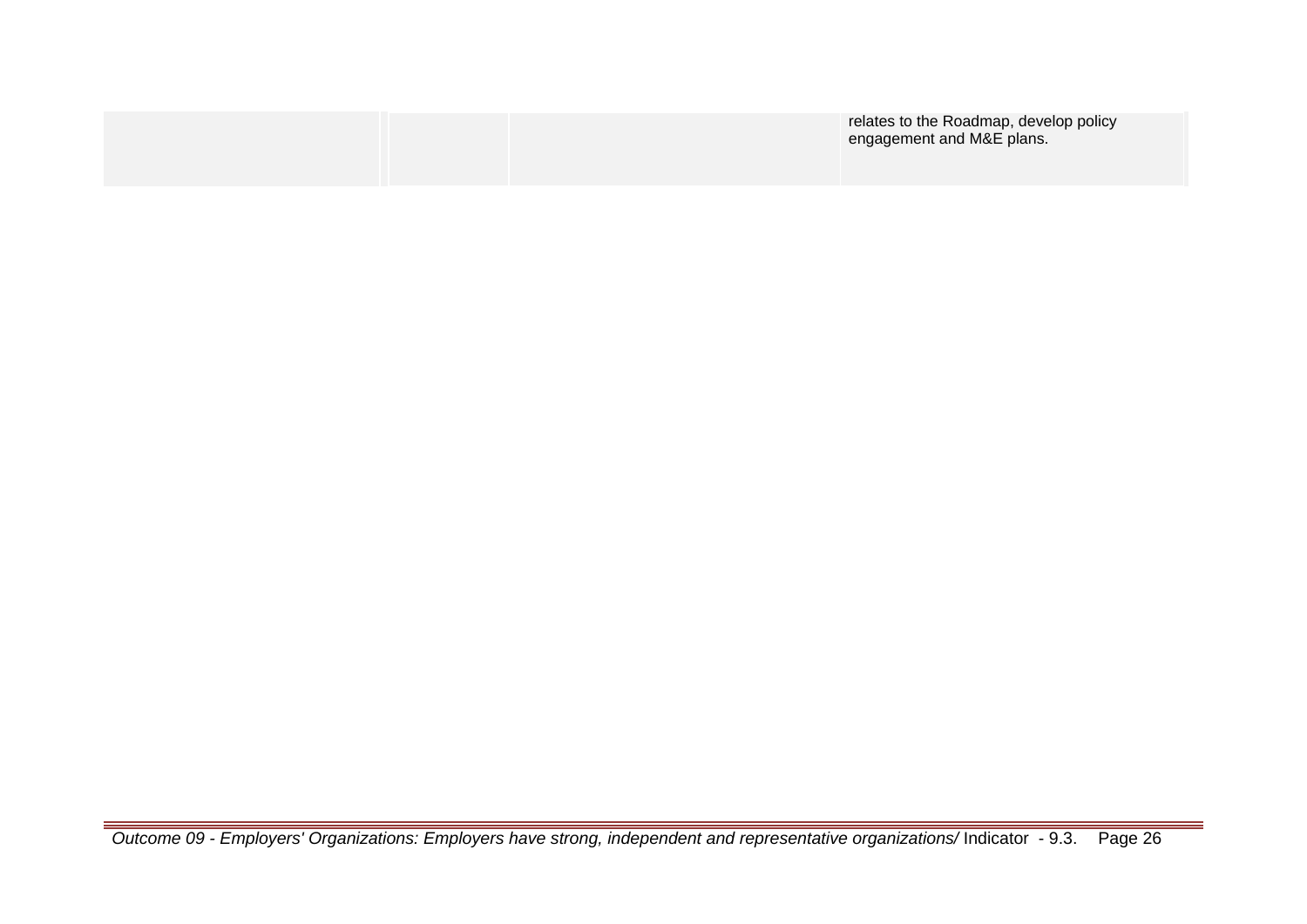|  | relates to the Roadmap, develop policy<br>engagement and M&E plans. |
|--|---------------------------------------------------------------------|
|  |                                                                     |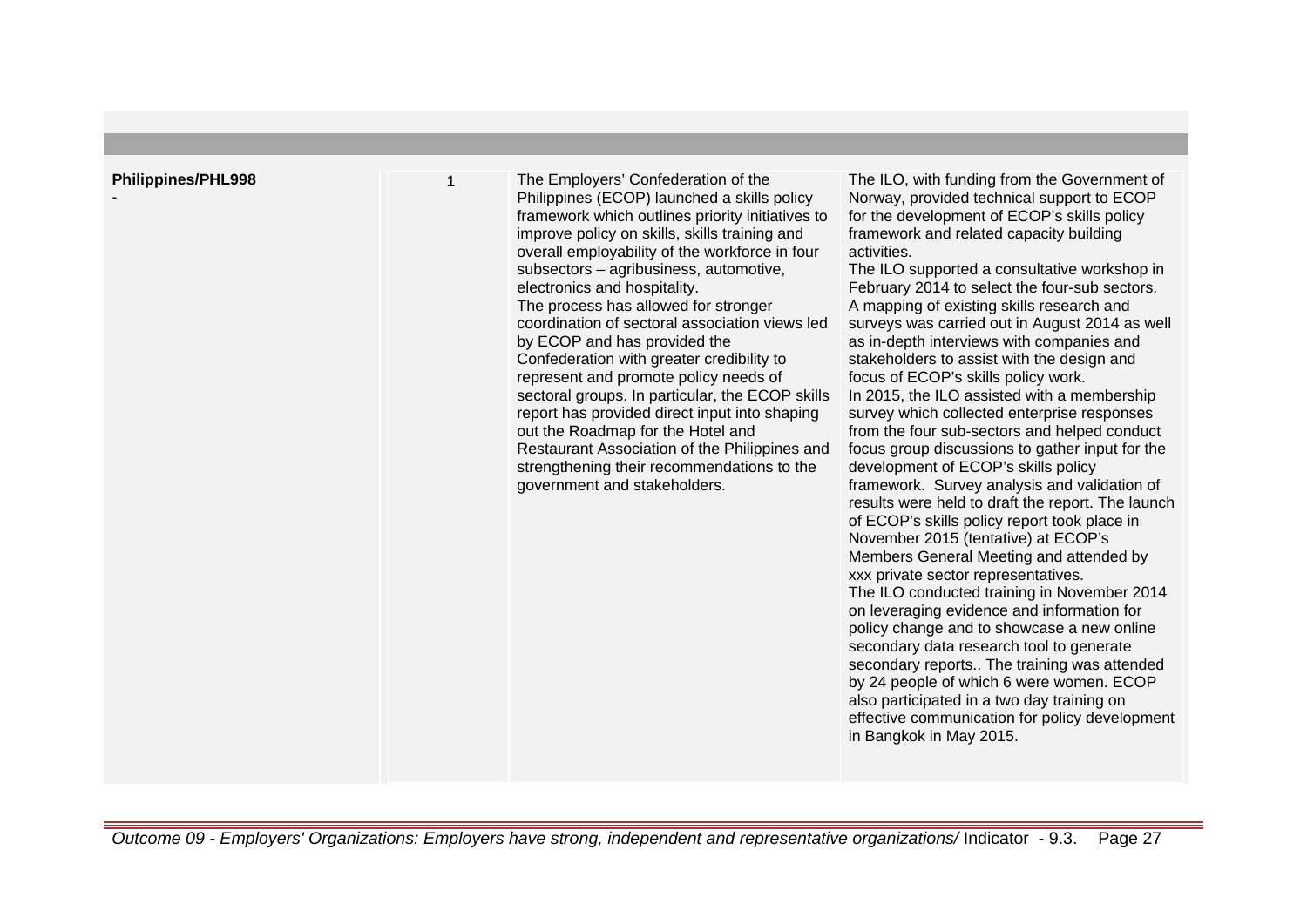| <b>Philippines/PHL998</b> | The Employers' Confederation of the<br>Philippines (ECOP) launched a skills policy<br>framework which outlines priority initiatives to<br>improve policy on skills, skills training and<br>overall employability of the workforce in four<br>subsectors - agribusiness, automotive,<br>electronics and hospitality.<br>The process has allowed for stronger<br>coordination of sectoral association views led<br>by ECOP and has provided the<br>Confederation with greater credibility to<br>represent and promote policy needs of<br>sectoral groups. In particular, the ECOP skills<br>report has provided direct input into shaping<br>out the Roadmap for the Hotel and<br>Restaurant Association of the Philippines and<br>strengthening their recommendations to the<br>government and stakeholders. | The ILO, with funding from the Government of<br>Norway, provided technical support to ECOP<br>for the development of ECOP's skills policy<br>framework and related capacity building<br>activities.<br>The ILO supported a consultative workshop in<br>February 2014 to select the four-sub sectors.<br>A mapping of existing skills research and<br>surveys was carried out in August 2014 as well<br>as in-depth interviews with companies and<br>stakeholders to assist with the design and<br>focus of ECOP's skills policy work.<br>In 2015, the ILO assisted with a membership<br>survey which collected enterprise responses<br>from the four sub-sectors and helped conduct<br>focus group discussions to gather input for the<br>development of ECOP's skills policy<br>framework. Survey analysis and validation of<br>results were held to draft the report. The launch<br>of ECOP's skills policy report took place in<br>November 2015 (tentative) at ECOP's<br>Members General Meeting and attended by<br>xxx private sector representatives.<br>The ILO conducted training in November 2014<br>on leveraging evidence and information for<br>policy change and to showcase a new online<br>secondary data research tool to generate<br>secondary reports The training was attended<br>by 24 people of which 6 were women. ECOP<br>also participated in a two day training on<br>effective communication for policy development<br>in Bangkok in May 2015. |
|---------------------------|-------------------------------------------------------------------------------------------------------------------------------------------------------------------------------------------------------------------------------------------------------------------------------------------------------------------------------------------------------------------------------------------------------------------------------------------------------------------------------------------------------------------------------------------------------------------------------------------------------------------------------------------------------------------------------------------------------------------------------------------------------------------------------------------------------------|--------------------------------------------------------------------------------------------------------------------------------------------------------------------------------------------------------------------------------------------------------------------------------------------------------------------------------------------------------------------------------------------------------------------------------------------------------------------------------------------------------------------------------------------------------------------------------------------------------------------------------------------------------------------------------------------------------------------------------------------------------------------------------------------------------------------------------------------------------------------------------------------------------------------------------------------------------------------------------------------------------------------------------------------------------------------------------------------------------------------------------------------------------------------------------------------------------------------------------------------------------------------------------------------------------------------------------------------------------------------------------------------------------------------------------------------------------------------------|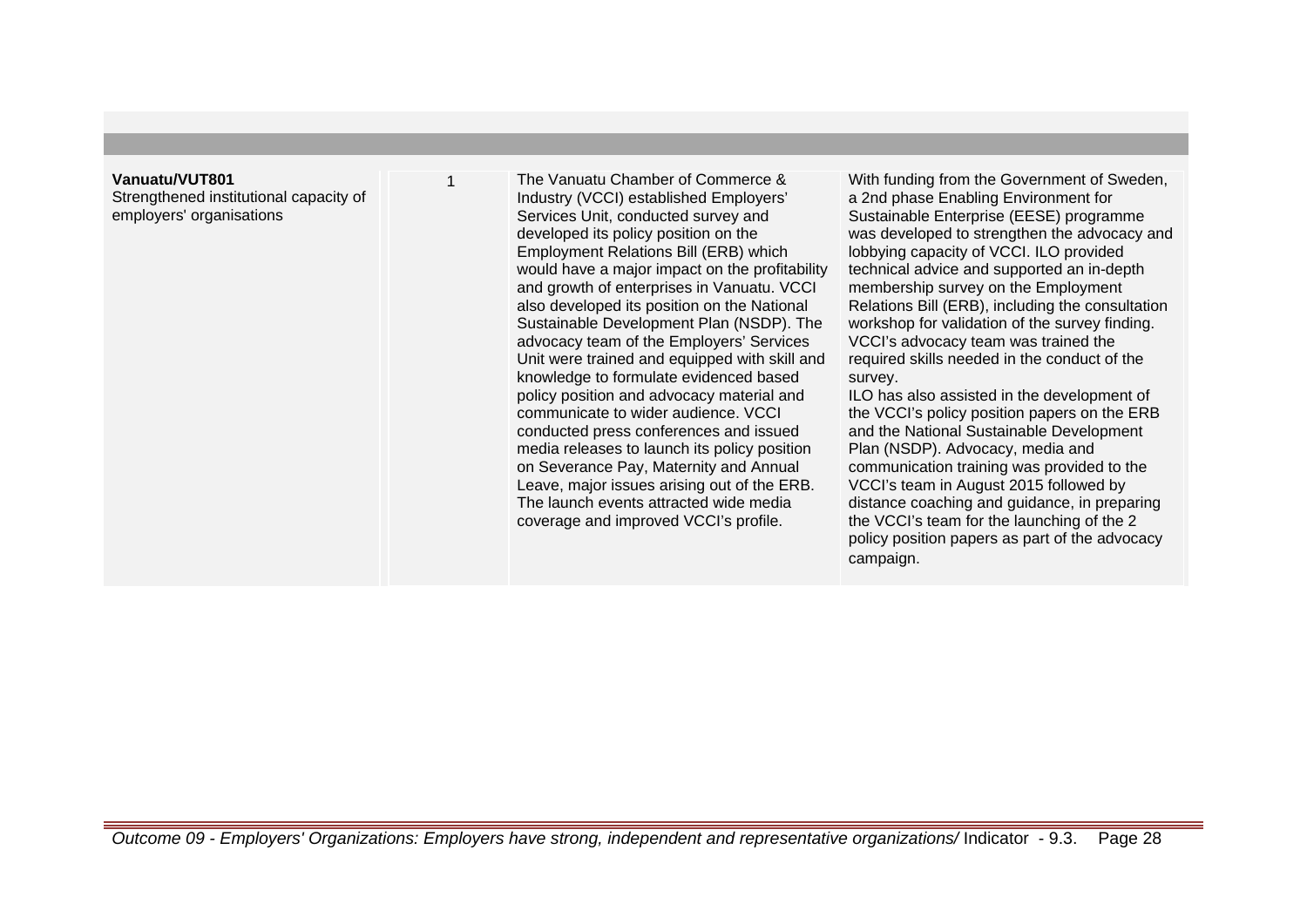### **Vanuatu/VUT801**

Strengthened institutional capacity of employers' organisations

1 The Vanuatu Chamber of Commerce & Industry (VCCI) established Employers' Services Unit, conducted survey and developed its policy position on the Employment Relations Bill (ERB) which would have a major impact on the profitability and growth of enterprises in Vanuatu. VCCI also developed its position on the National Sustainable Development Plan (NSDP). The advocacy team of the Employers' Services Unit were trained and equipped with skill and knowledge to formulate evidenced based policy position and advocacy material and communicate to wider audience. VCCI conducted press conferences and issued media releases to launch its policy position on Severance Pay, Maternity and Annual Leave, major issues arising out of the ERB. The launch events attracted wide media coverage and improved VCCI's profile.

With funding from the Government of Sweden, a 2nd phase Enabling Environment for Sustainable Enterprise (EESE) programme was developed to strengthen the advocacy and lobbying capacity of VCCI. ILO provided technical advice and supported an in-depth membership survey on the Employment Relations Bill (ERB), including the consultation workshop for validation of the survey finding. VCCI's advocacy team was trained the required skills needed in the conduct of the survey.

ILO has also assisted in the development of the VCCI's policy position papers on the ERB and the National Sustainable Development Plan (NSDP). Advocacy, media and communication training was provided to the VCCI's team in August 2015 followed by distance coaching and guidance, in preparing the VCCI's team for the launching of the 2 policy position papers as part of the advocacy campaign.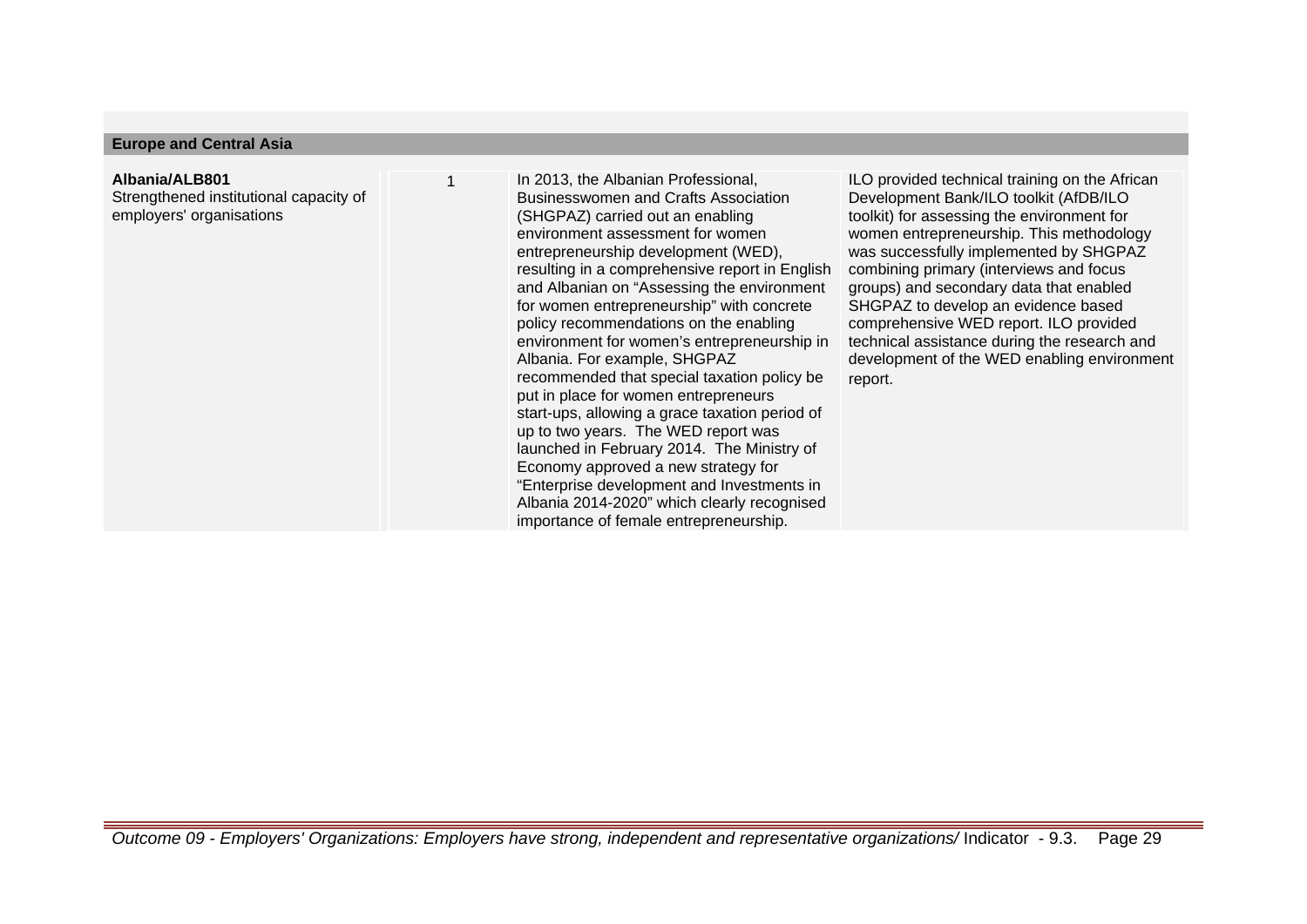## **Europe and Central Asia**

# **Albania/ALB801**

Strengthened institutional capacity of employers' organisations

In 2013, the Albanian Professional, Businesswomen and Crafts Association (SHGPAZ) carried out an enabling environment assessment for women entrepreneurship development (WED), resulting in a comprehensive report in English and Albanian on "Assessing the environment for women entrepreneurship" with concrete policy recommendations on the enabling environment for women's entrepreneurship in Albania. For example, SHGPAZ recommended that special taxation policy be put in place for women entrepreneurs start-ups, allowing a grace taxation period of up to two years. The WED report was launched in February 2014. The Ministry of Economy approved a new strategy for "Enterprise development and Investments in Albania 2014-2020" which clearly recognised importance of female entrepreneurship.

ILO provided technical training on the African Development Bank/ILO toolkit (AfDB/ILO toolkit) for assessing the environment for women entrepreneurship. This methodology was successfully implemented by SHGPAZ combining primary (interviews and focus groups) and secondary data that enabled SHGPAZ to develop an evidence based comprehensive WED report. ILO provided technical assistance during the research and development of the WED enabling environment report.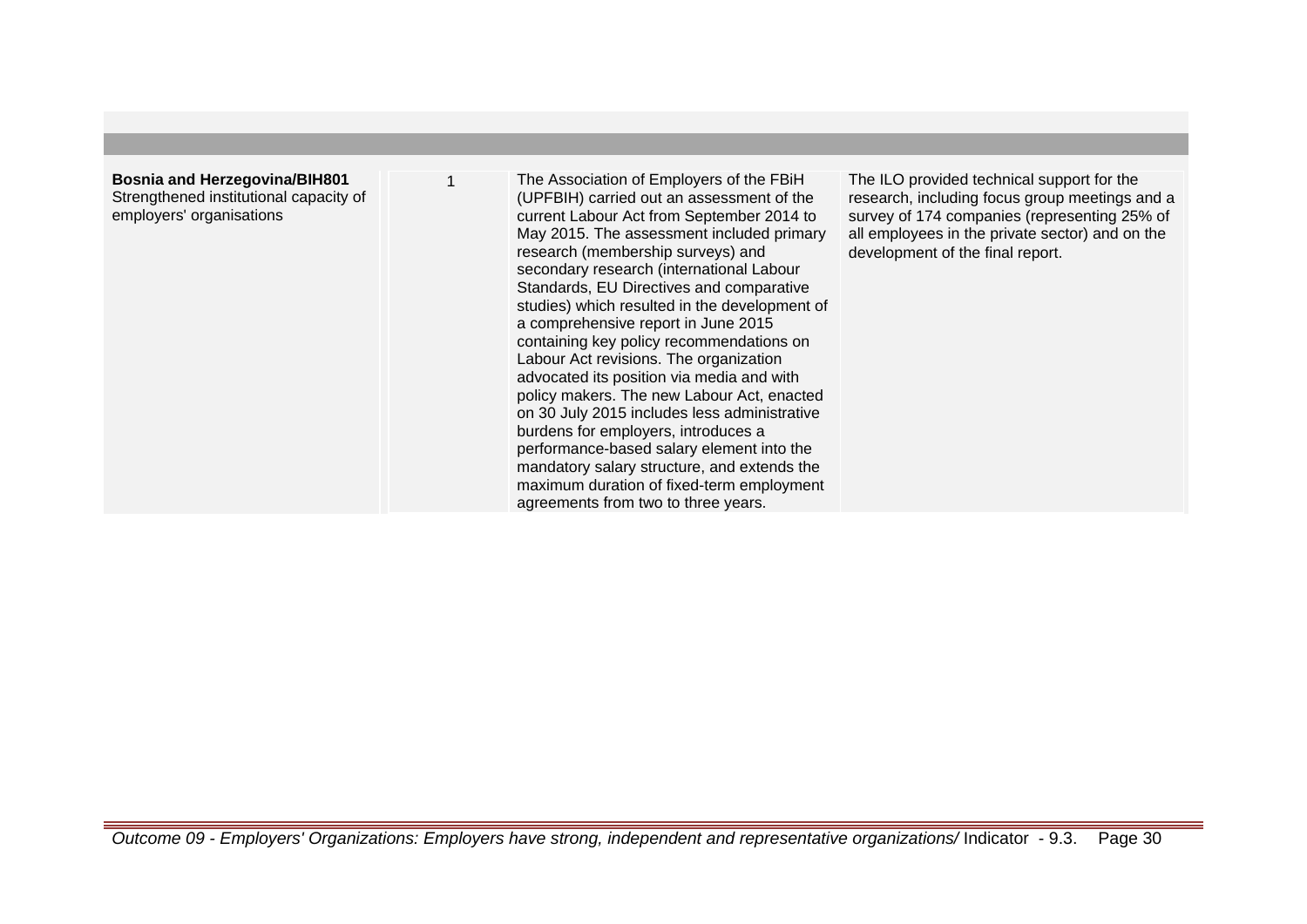**Bosnia and Herzegovina/BIH801** Strengthened institutional capacity of employers' organisations

The Association of Employers of the FBiH (UPFBIH) carried out an assessment of the current Labour Act from September 2014 to May 2015. The assessment included primary research (membership surveys) and secondary research (international Labour Standards, EU Directives and comparative studies) which resulted in the development of a comprehensive report in June 2015 containing key policy recommendations on Labour Act revisions. The organization advocated its position via media and with policy makers. The new Labour Act, enacted on 30 July 2015 includes less administrative burdens for employers, introduces a performance-based salary element into the mandatory salary structure, and extends the maximum duration of fixed-term employment agreements from two to three years.

The ILO provided technical support for the research, including focus group meetings and a survey of 174 companies (representing 25% of all employees in the private sector) and on the development of the final report.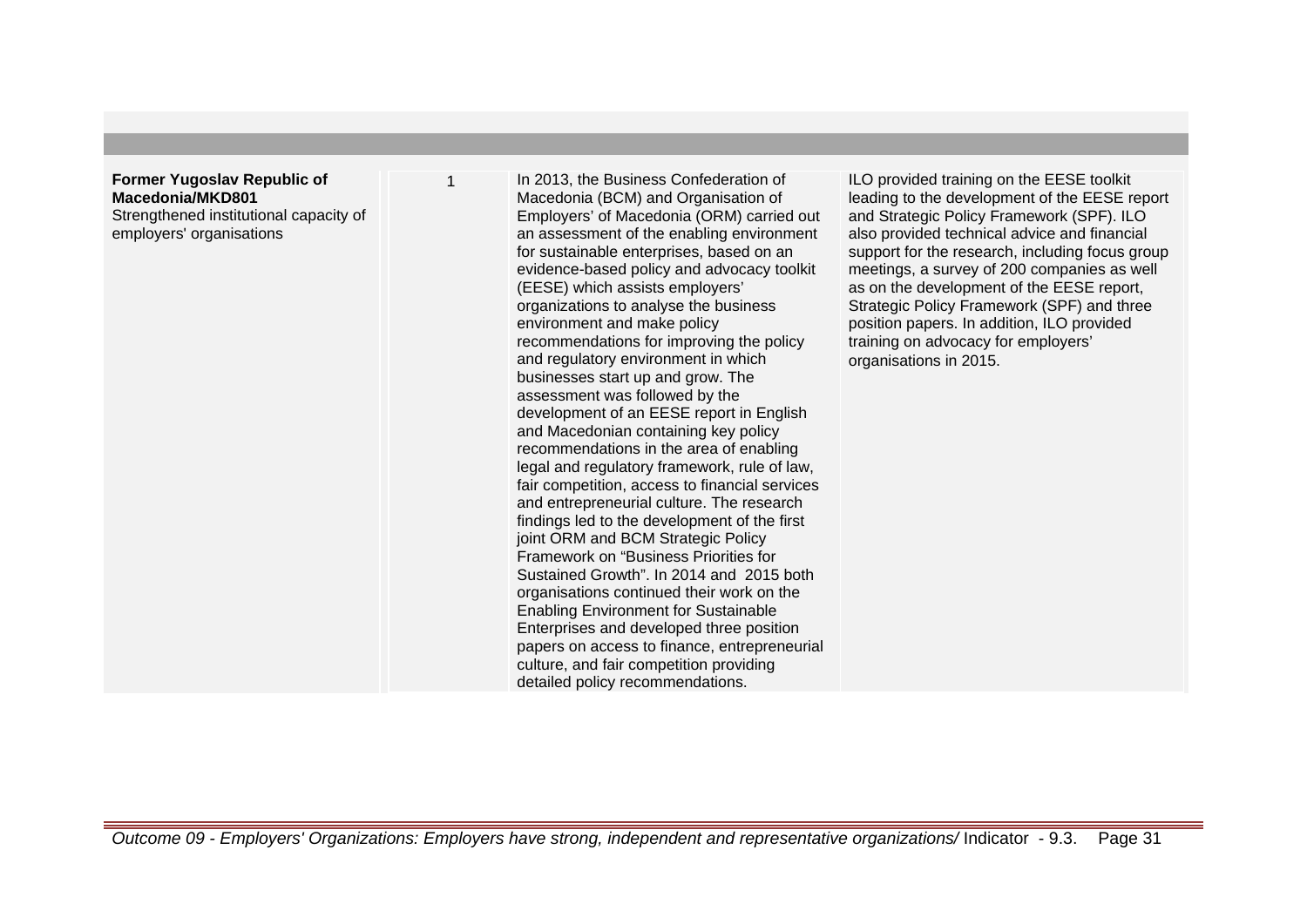## **Former Yugoslav Republic of Macedonia/MKD801** Strengthened institutional capacity of employers' organisations

In 2013, the Business Confederation of Macedonia (BCM) and Organisation of Employers' of Macedonia (ORM) carried out an assessment of the enabling environment for sustainable enterprises, based on an evidence-based policy and advocacy toolkit (EESE) which assists employers' organizations to analyse the business environment and make policy recommendations for improving the policy and regulatory environment in which businesses start up and grow. The assessment was followed by the development of an EESE report in English and Macedonian containing key policy recommendations in the area of enabling legal and regulatory framework, rule of law, fair competition, access to financial services and entrepreneurial culture. The research findings led to the development of the first joint ORM and BCM Strategic Policy Framework on "Business Priorities for Sustained Growth". In 2014 and 2015 both organisations continued their work on the Enabling Environment for Sustainable Enterprises and developed three position papers on access to finance, entrepreneurial culture, and fair competition providing detailed policy recommendations.

ILO provided training on the EESE toolkit leading to the development of the EESE report and Strategic Policy Framework (SPF). ILO also provided technical advice and financial support for the research, including focus group meetings, a survey of 200 companies as well as on the development of the EESE report, Strategic Policy Framework (SPF) and three position papers. In addition, ILO provided training on advocacy for employers' organisations in 2015.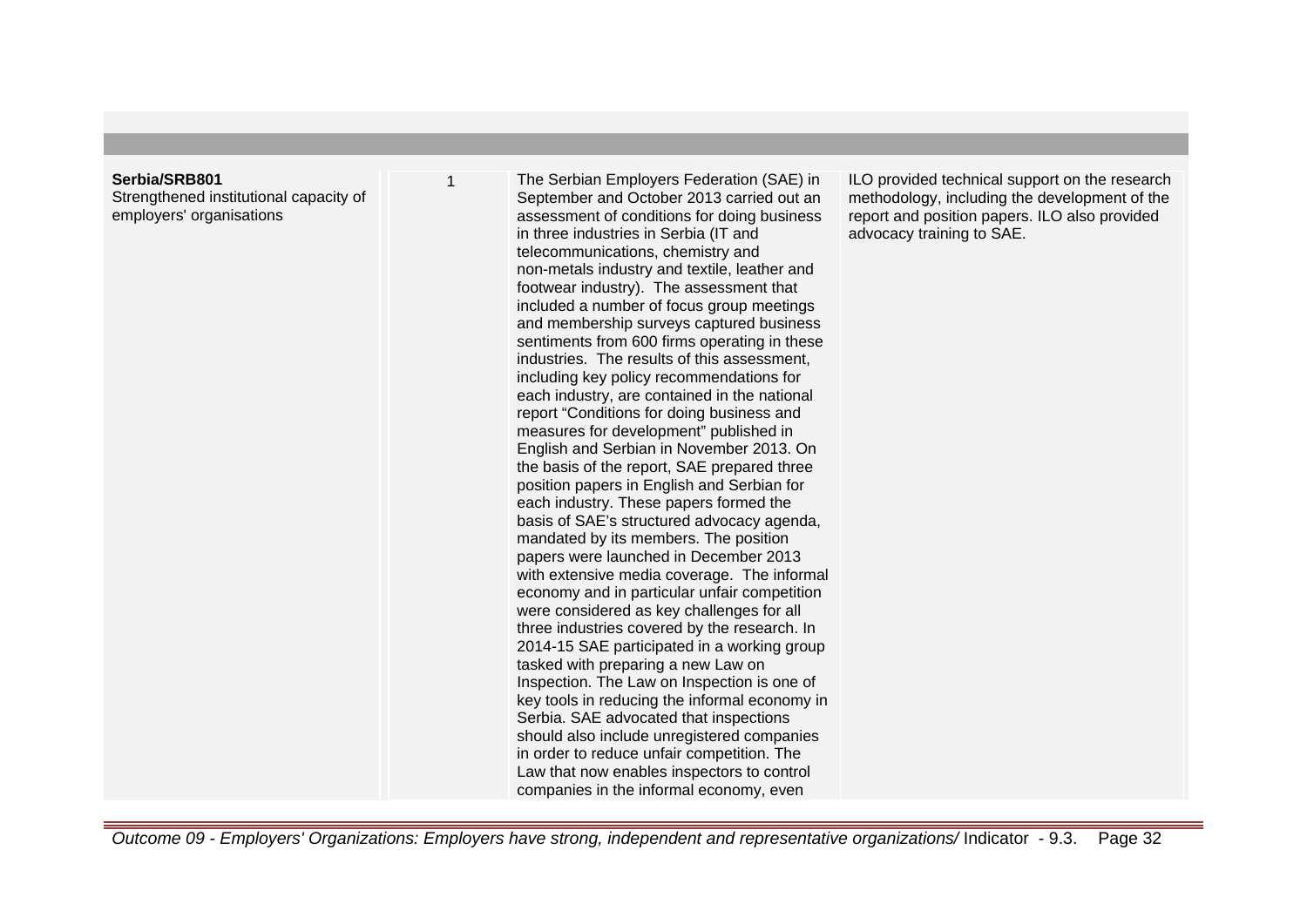#### **Serbia/SRB801**

Strengthened institutional capacity of employers' organisations

The Serbian Employers Federation (SAE) in September and October 2013 carried out an assessment of conditions for doing business in three industries in Serbia (IT and telecommunications, chemistry and non-metals industry and textile, leather and footwear industry). The assessment that included a number of focus group meetings and membership surveys captured business sentiments from 600 firms operating in these industries. The results of this assessment, including key policy recommendations for each industry, are contained in the national report "Conditions for doing business and measures for development" published in English and Serbian in November 2013. On the basis of the report, SAE prepared three position papers in English and Serbian for each industry. These papers formed the basis of SAE's structured advocacy agenda, mandated by its members. The position papers were launched in December 2013 with extensive media coverage. The informal economy and in particular unfair competition were considered as key challenges for all three industries covered by the research. In 2014-15 SAE participated in a working group tasked with preparing a new Law on Inspection. The Law on Inspection is one of key tools in reducing the informal economy in Serbia. SAE advocated that inspections should also include unregistered companies in order to reduce unfair competition. The Law that now enables inspectors to control companies in the informal economy, even

ILO provided technical support on the research methodology, including the development of the report and position papers. ILO also provided advocacy training to SAE.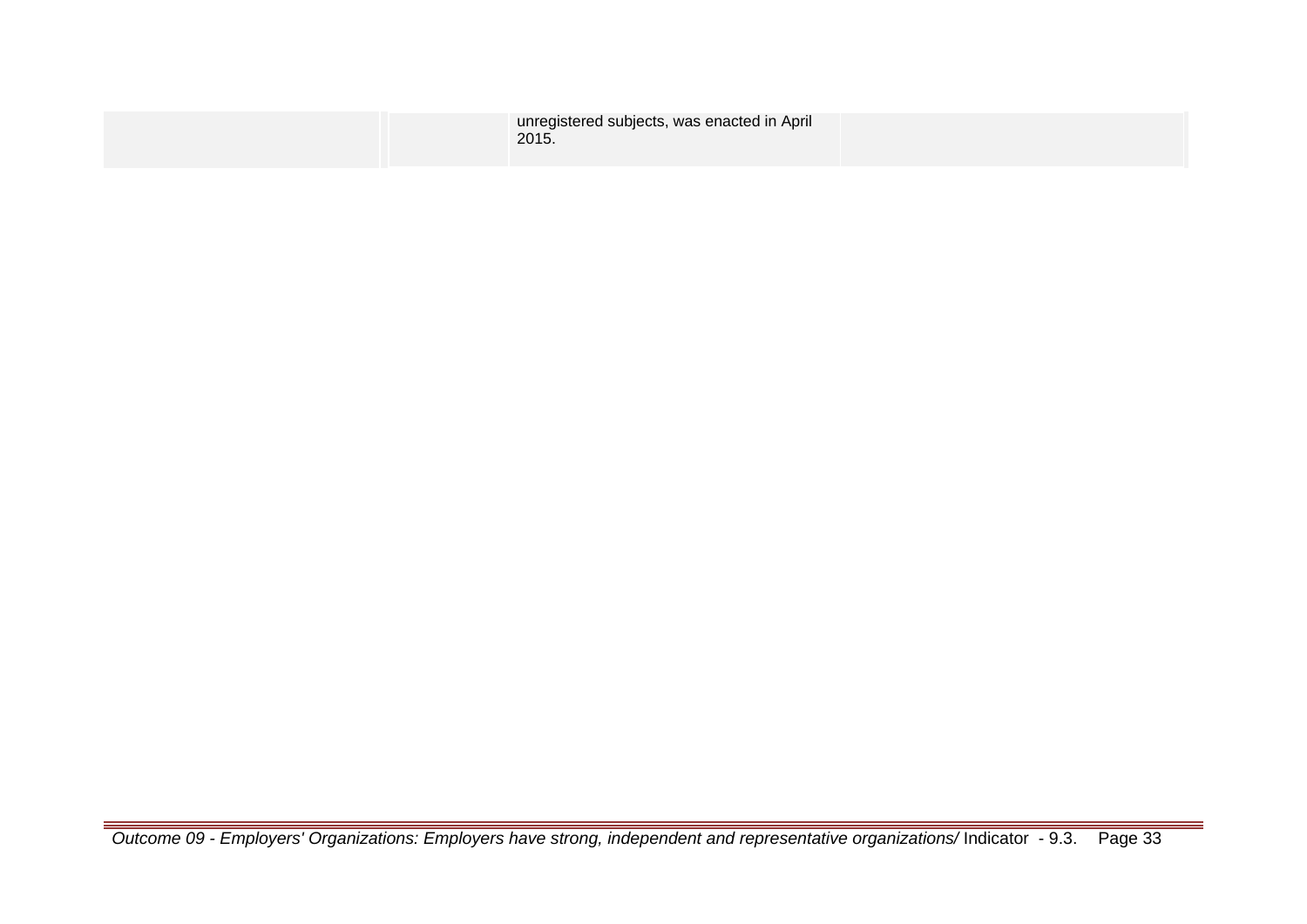|  | unregistered subjects, was enacted in April<br>2015. |  |
|--|------------------------------------------------------|--|
|  |                                                      |  |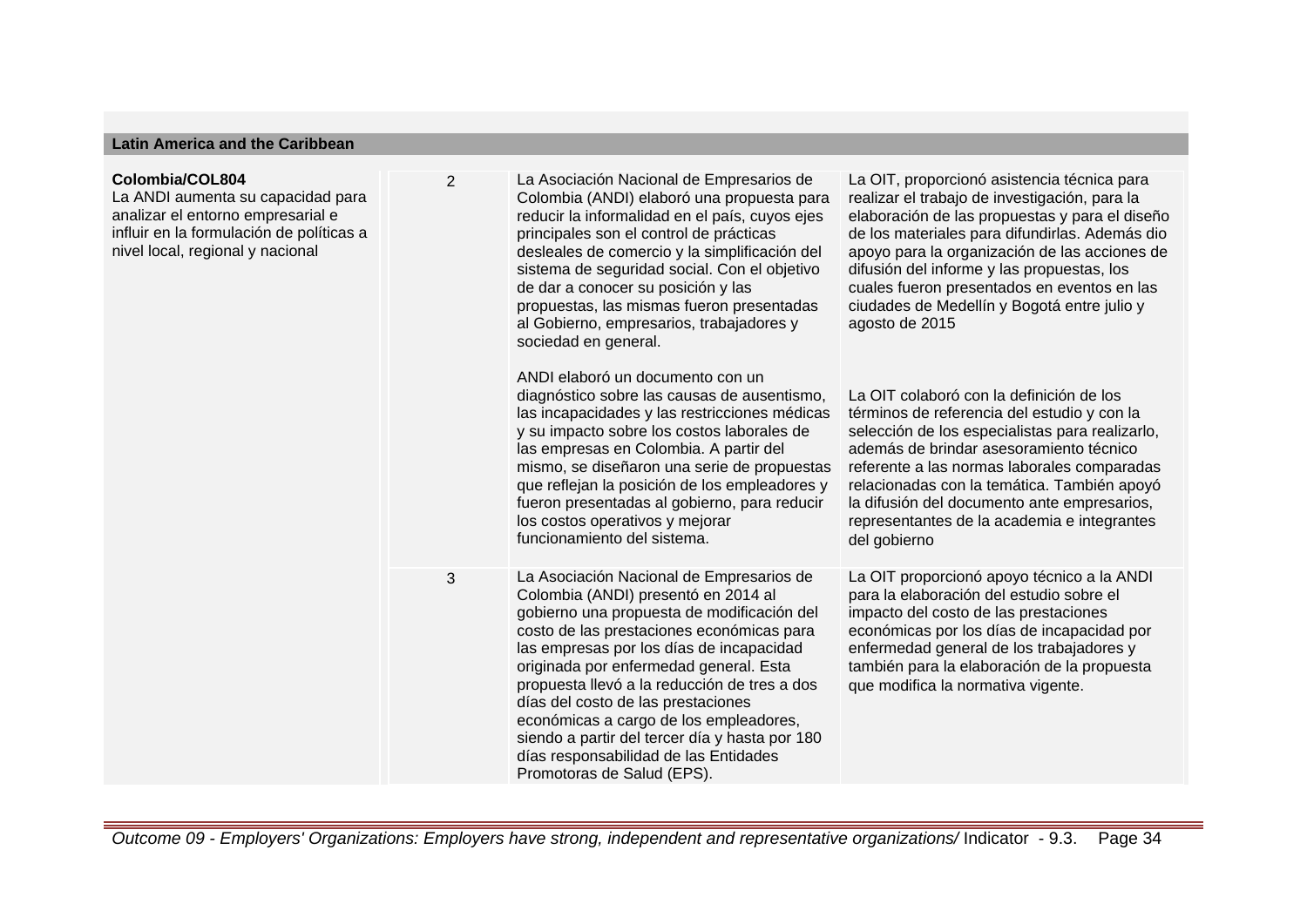## **Latin America and the Caribbean**

#### **Colombia/COL804**

La ANDI aumenta su capacidad para analizar el entorno empresarial e influir en la formulación de políticas a nivel local, regional y nacional

2 La Asociación Nacional de Empresarios de Colombia (ANDI) elaboró una propuesta para reducir la informalidad en el país, cuyos ejes principales son el control de prácticas desleales de comercio y la simplificación del sistema de seguridad social. Con el objetivo de dar a conocer su posición y las propuestas, las mismas fueron presentadas al Gobierno, empresarios, trabajadores y sociedad en general.

> ANDI elaboró un documento con un diagnóstico sobre las causas de ausentismo, las incapacidades y las restricciones médicas y su impacto sobre los costos laborales de las empresas en Colombia. A partir del mismo, se diseñaron una serie de propuestas que reflejan la posición de los empleadores y fueron presentadas al gobierno, para reducir los costos operativos y mejorar funcionamiento del sistema.

3 La Asociación Nacional de Empresarios de Colombia (ANDI) presentó en 2014 al gobierno una propuesta de modificación del costo de las prestaciones económicas para las empresas por los días de incapacidad originada por enfermedad general. Esta propuesta llevó a la reducción de tres a dos días del costo de las prestaciones económicas a cargo de los empleadores, siendo a partir del tercer día y hasta por 180 días responsabilidad de las Entidades Promotoras de Salud (EPS).

La OIT, proporcionó asistencia técnica para realizar el trabajo de investigación, para la elaboración de las propuestas y para el diseño de los materiales para difundirlas. Además dio apoyo para la organización de las acciones de difusión del informe y las propuestas, los cuales fueron presentados en eventos en las ciudades de Medellín y Bogotá entre julio y agosto de 2015

La OIT colaboró con la definición de los términos de referencia del estudio y con la selección de los especialistas para realizarlo, además de brindar asesoramiento técnico referente a las normas laborales comparadas relacionadas con la temática. También apoyó la difusión del documento ante empresarios, representantes de la academia e integrantes del gobierno

La OIT proporcionó apoyo técnico a la ANDI para la elaboración del estudio sobre el impacto del costo de las prestaciones económicas por los días de incapacidad por enfermedad general de los trabajadores y también para la elaboración de la propuesta que modifica la normativa vigente.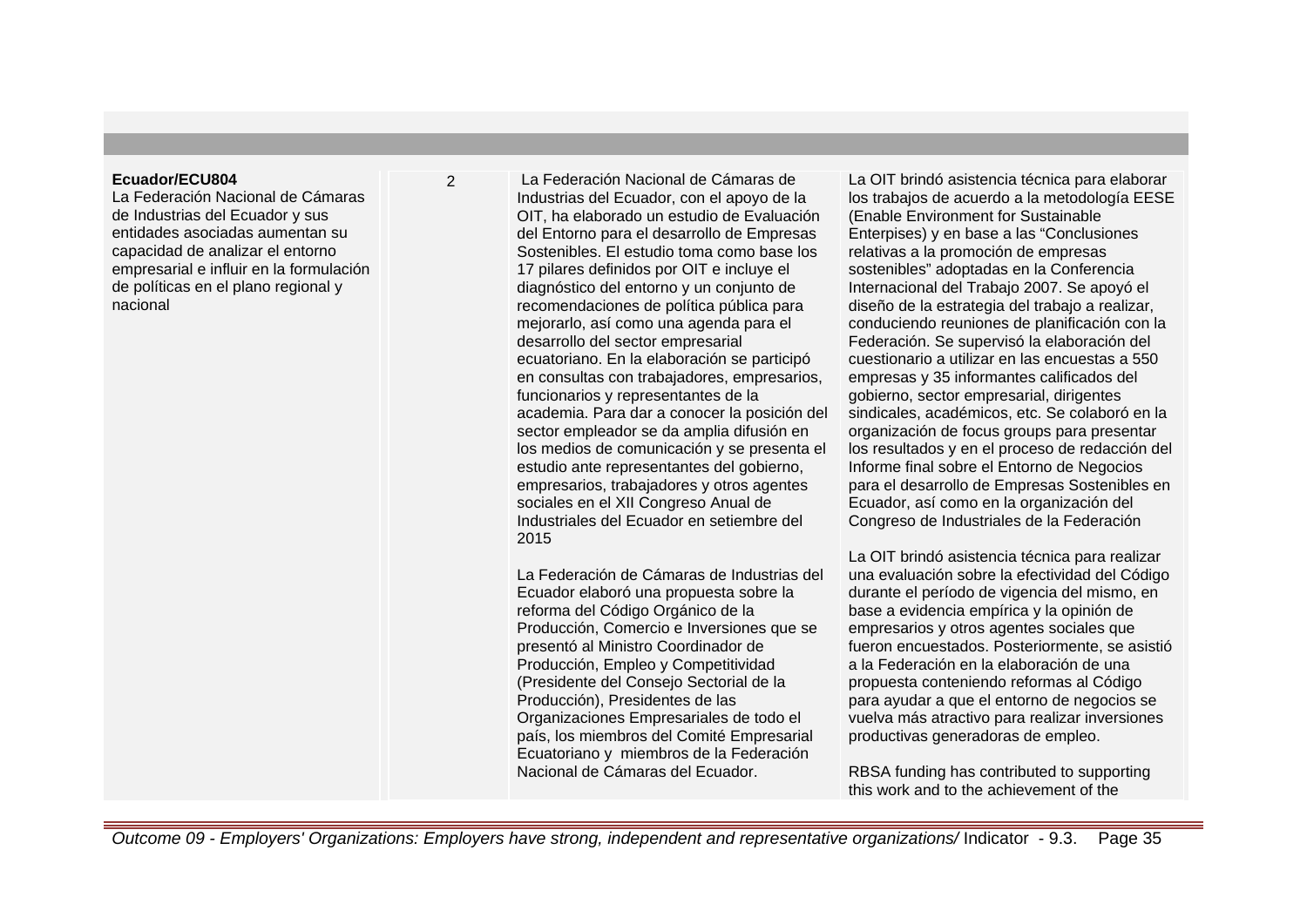### **Ecuador/ECU804**

La Federación Nacional de Cámaras de Industrias del Ecuador y sus entidades asociadas aumentan su capacidad de analizar el entorno empresarial e influir en la formulación de políticas en el plano regional y nacional

2 La Federación Nacional de Cámaras de Industrias del Ecuador, con el apoyo de la OIT, ha elaborado un estudio de Evaluación del Entorno para el desarrollo de Empresas Sostenibles. El estudio toma como base los 17 pilares definidos por OIT e incluye el diagnóstico del entorno y un conjunto de recomendaciones de política pública para mejorarlo, así como una agenda para el desarrollo del sector empresarial ecuatoriano. En la elaboración se participó en consultas con trabajadores, empresarios, funcionarios y representantes de la academia. Para dar a conocer la posición del sector empleador se da amplia difusión en los medios de comunicación y se presenta el estudio ante representantes del gobierno, empresarios, trabajadores y otros agentes sociales en el XII Congreso Anual de Industriales del Ecuador en setiembre del 2015

> La Federación de Cámaras de Industrias del Ecuador elaboró una propuesta sobre la reforma del Código Orgánico de la Producción, Comercio e Inversiones que se presentó al Ministro Coordinador de Producción, Empleo y Competitividad (Presidente del Consejo Sectorial de la Producción), Presidentes de las Organizaciones Empresariales de todo el país, los miembros del Comité Empresarial Ecuatoriano y miembros de la Federación Nacional de Cámaras del Ecuador.

La OIT brindó asistencia técnica para elaborar los trabajos de acuerdo a la metodología EESE (Enable Environment for Sustainable Enterpises) y en base a las "Conclusiones relativas a la promoción de empresas sostenibles" adoptadas en la Conferencia Internacional del Trabajo 2007. Se apoyó el diseño de la estrategia del trabajo a realizar, conduciendo reuniones de planificación con la Federación. Se supervisó la elaboración del cuestionario a utilizar en las encuestas a 550 empresas y 35 informantes calificados del gobierno, sector empresarial, dirigentes sindicales, académicos, etc. Se colaboró en la organización de focus groups para presentar los resultados y en el proceso de redacción del Informe final sobre el Entorno de Negocios para el desarrollo de Empresas Sostenibles en Ecuador, así como en la organización del Congreso de Industriales de la Federación

La OIT brindó asistencia técnica para realizar una evaluación sobre la efectividad del Código durante el período de vigencia del mismo, en base a evidencia empírica y la opinión de empresarios y otros agentes sociales que fueron encuestados. Posteriormente, se asistió a la Federación en la elaboración de una propuesta conteniendo reformas al Código para ayudar a que el entorno de negocios se vuelva más atractivo para realizar inversiones productivas generadoras de empleo.

RBSA funding has contributed to supporting this work and to the achievement of the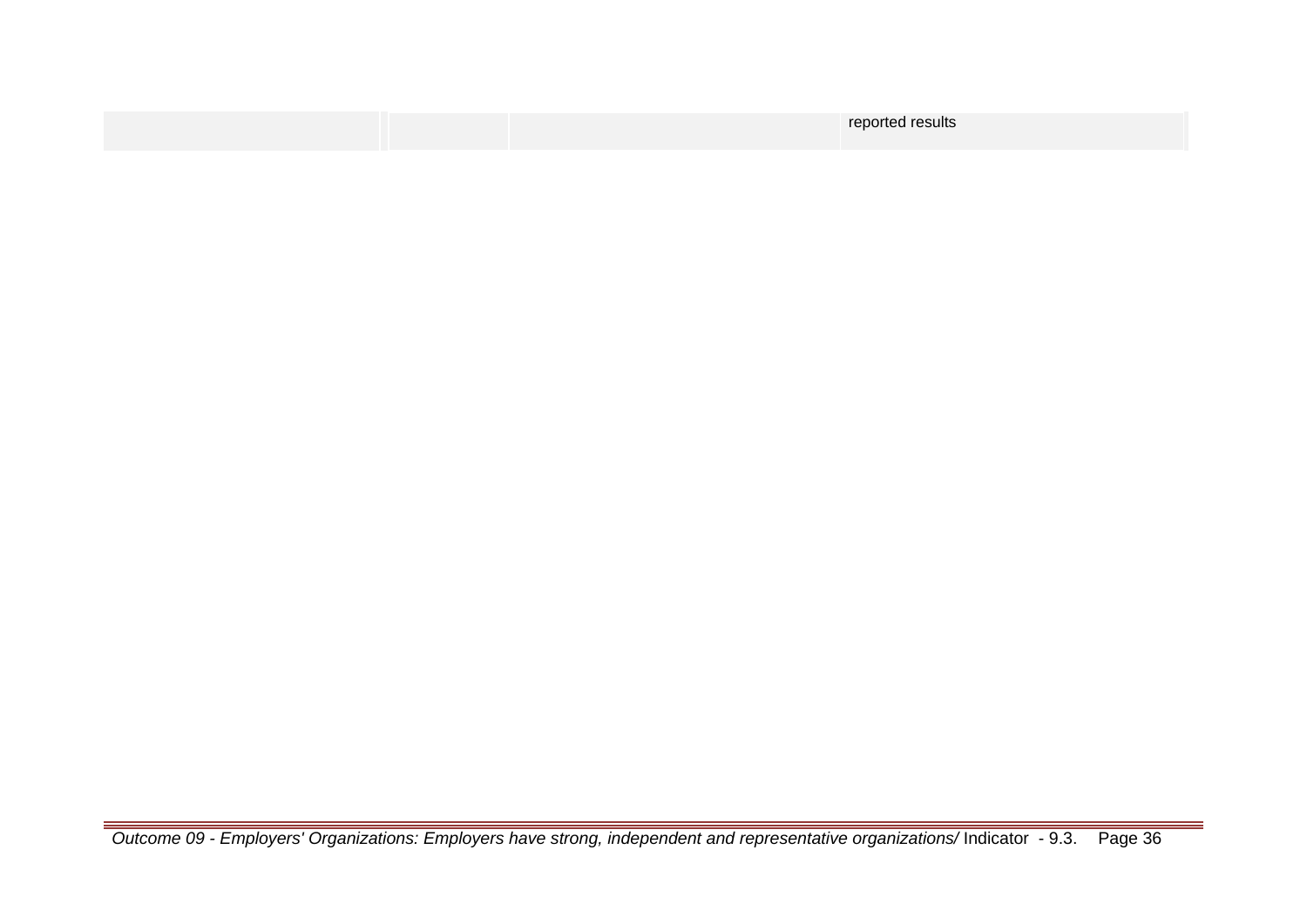|  | reported results |
|--|------------------|
|  |                  |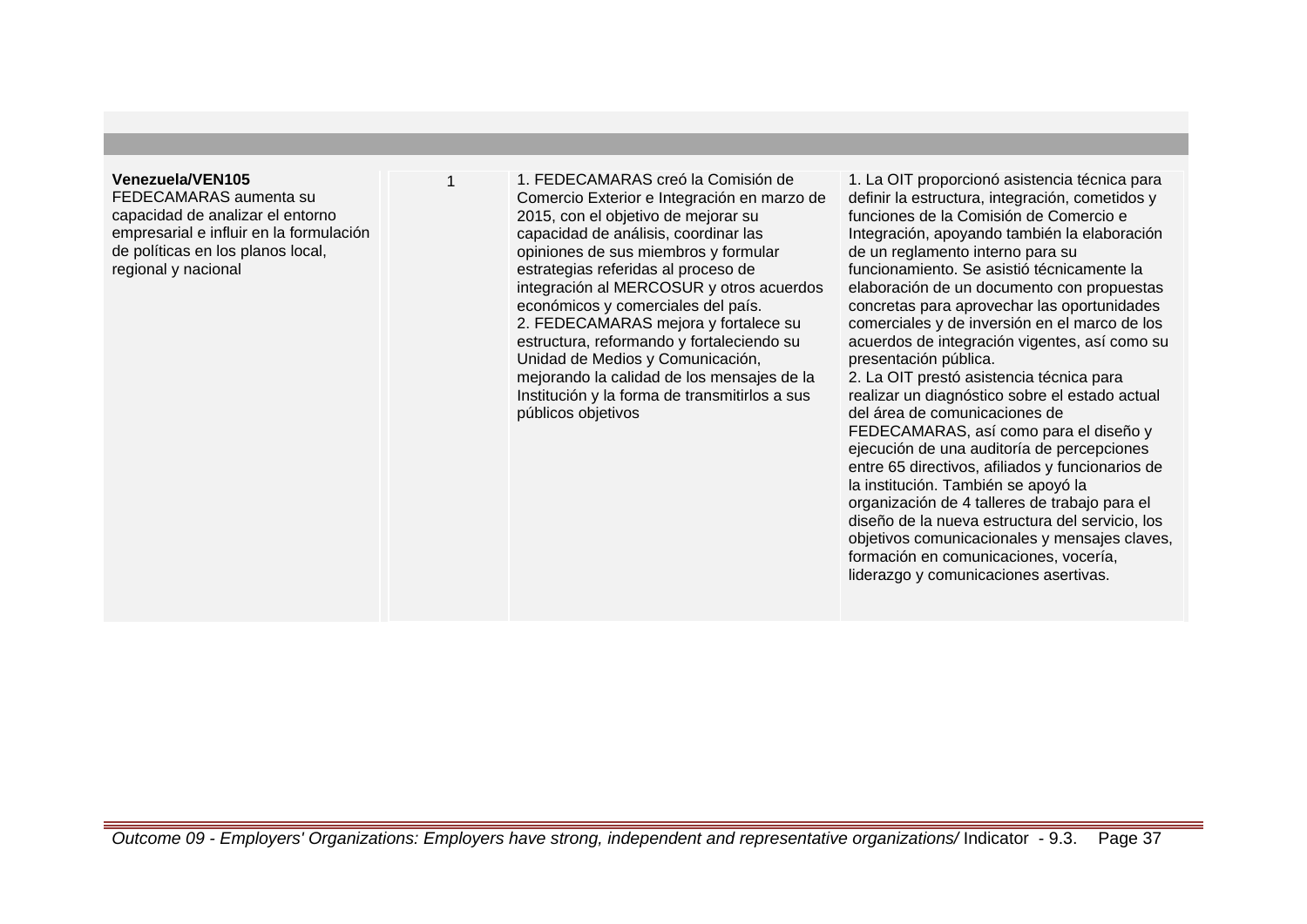#### **Venezuela/VEN105**

FEDECAMARAS aumenta su capacidad de analizar el entorno empresarial e influir en la formulación de políticas en los planos local, regional y nacional

1 1. FEDECAMARAS creó la Comisión de Comercio Exterior e Integración en marzo de 2015, con el objetivo de mejorar su capacidad de análisis, coordinar las opiniones de sus miembros y formular estrategias referidas al proceso de integración al MERCOSUR y otros acuerdos económicos y comerciales del país. 2. FEDECAMARAS mejora y fortalece su estructura, reformando y fortaleciendo su Unidad de Medios y Comunicación, mejorando la calidad de los mensajes de la Institución y la forma de transmitirlos a sus públicos objetivos

1. La OIT proporcionó asistencia técnica para definir la estructura, integración, cometidos y funciones de la Comisión de Comercio e Integración, apoyando también la elaboración de un reglamento interno para su funcionamiento. Se asistió técnicamente la elaboración de un documento con propuestas concretas para aprovechar las oportunidades comerciales y de inversión en el marco de los acuerdos de integración vigentes, así como su presentación pública. 2. La OIT prestó asistencia técnica para realizar un diagnóstico sobre el estado actual del área de comunicaciones de FEDECAMARAS, así como para el diseño y ejecución de una auditoría de percepciones entre 65 directivos, afiliados y funcionarios de la institución. También se apoyó la organización de 4 talleres de trabajo para el diseño de la nueva estructura del servicio, los objetivos comunicacionales y mensajes claves, formación en comunicaciones, vocería, liderazgo y comunicaciones asertivas.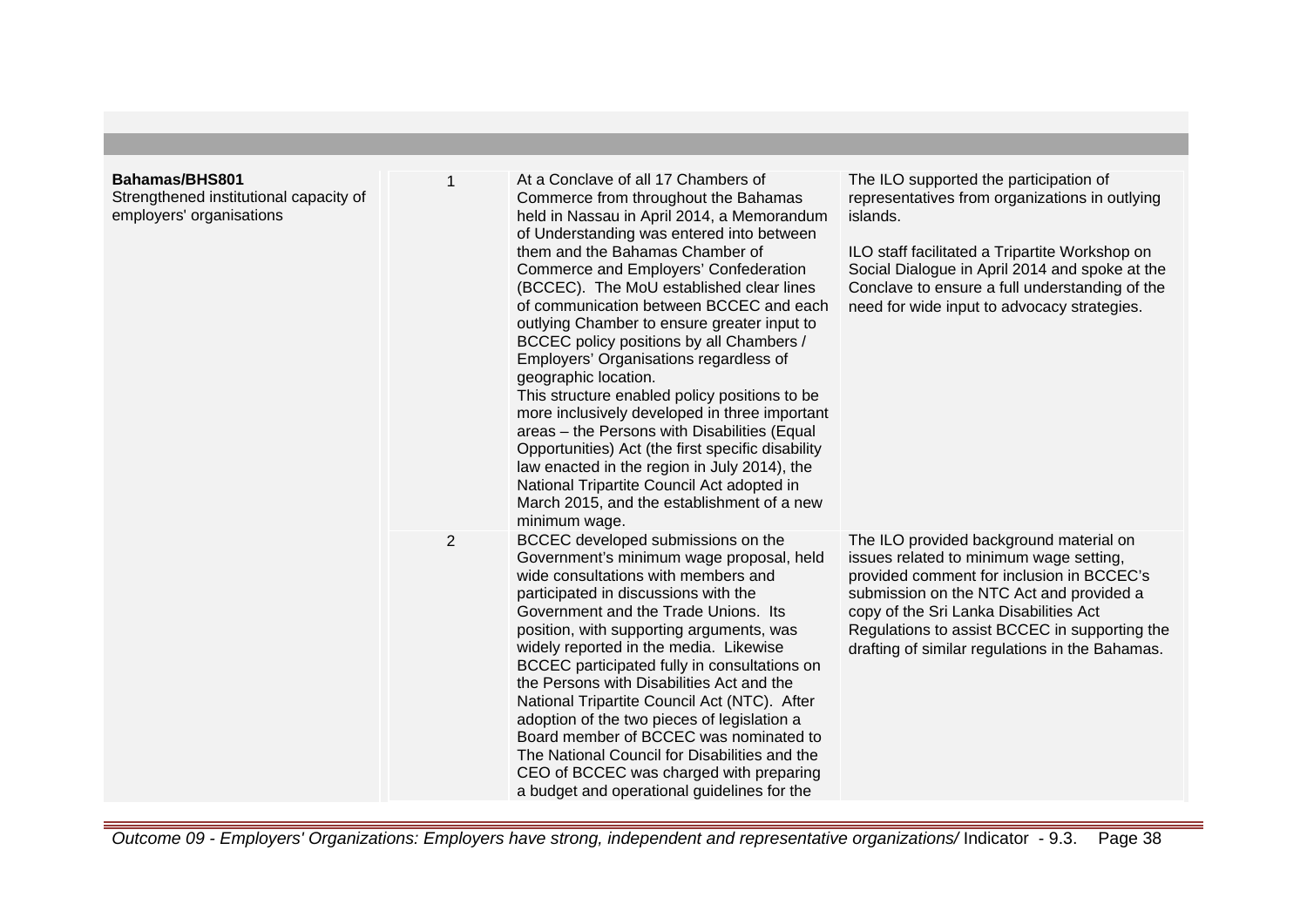| Bahamas/BHS801<br>Strengthened institutional capacity of<br>employers' organisations |                | At a Conclave of all 17 Chambers of<br>Commerce from throughout the Bahamas<br>held in Nassau in April 2014, a Memorandum<br>of Understanding was entered into between<br>them and the Bahamas Chamber of<br>Commerce and Employers' Confederation<br>(BCCEC). The MoU established clear lines<br>of communication between BCCEC and each<br>outlying Chamber to ensure greater input to<br>BCCEC policy positions by all Chambers /<br>Employers' Organisations regardless of<br>geographic location.<br>This structure enabled policy positions to be<br>more inclusively developed in three important<br>areas - the Persons with Disabilities (Equal<br>Opportunities) Act (the first specific disability<br>law enacted in the region in July 2014), the<br>National Tripartite Council Act adopted in<br>March 2015, and the establishment of a new<br>minimum wage. | The ILO supported the participation of<br>representatives from organizations in outlying<br>islands.<br>ILO staff facilitated a Tripartite Workshop on<br>Social Dialogue in April 2014 and spoke at the<br>Conclave to ensure a full understanding of the<br>need for wide input to advocacy strategies.                 |
|--------------------------------------------------------------------------------------|----------------|----------------------------------------------------------------------------------------------------------------------------------------------------------------------------------------------------------------------------------------------------------------------------------------------------------------------------------------------------------------------------------------------------------------------------------------------------------------------------------------------------------------------------------------------------------------------------------------------------------------------------------------------------------------------------------------------------------------------------------------------------------------------------------------------------------------------------------------------------------------------------|---------------------------------------------------------------------------------------------------------------------------------------------------------------------------------------------------------------------------------------------------------------------------------------------------------------------------|
|                                                                                      | $\overline{2}$ | BCCEC developed submissions on the<br>Government's minimum wage proposal, held<br>wide consultations with members and<br>participated in discussions with the<br>Government and the Trade Unions. Its<br>position, with supporting arguments, was<br>widely reported in the media. Likewise<br>BCCEC participated fully in consultations on<br>the Persons with Disabilities Act and the<br>National Tripartite Council Act (NTC). After<br>adoption of the two pieces of legislation a<br>Board member of BCCEC was nominated to<br>The National Council for Disabilities and the<br>CEO of BCCEC was charged with preparing<br>a budget and operational guidelines for the                                                                                                                                                                                               | The ILO provided background material on<br>issues related to minimum wage setting,<br>provided comment for inclusion in BCCEC's<br>submission on the NTC Act and provided a<br>copy of the Sri Lanka Disabilities Act<br>Regulations to assist BCCEC in supporting the<br>drafting of similar regulations in the Bahamas. |

Outcome 09 - Employers' Organizations: Employers have strong, independent and representative organizations/ Indicator - 9.3. Page 38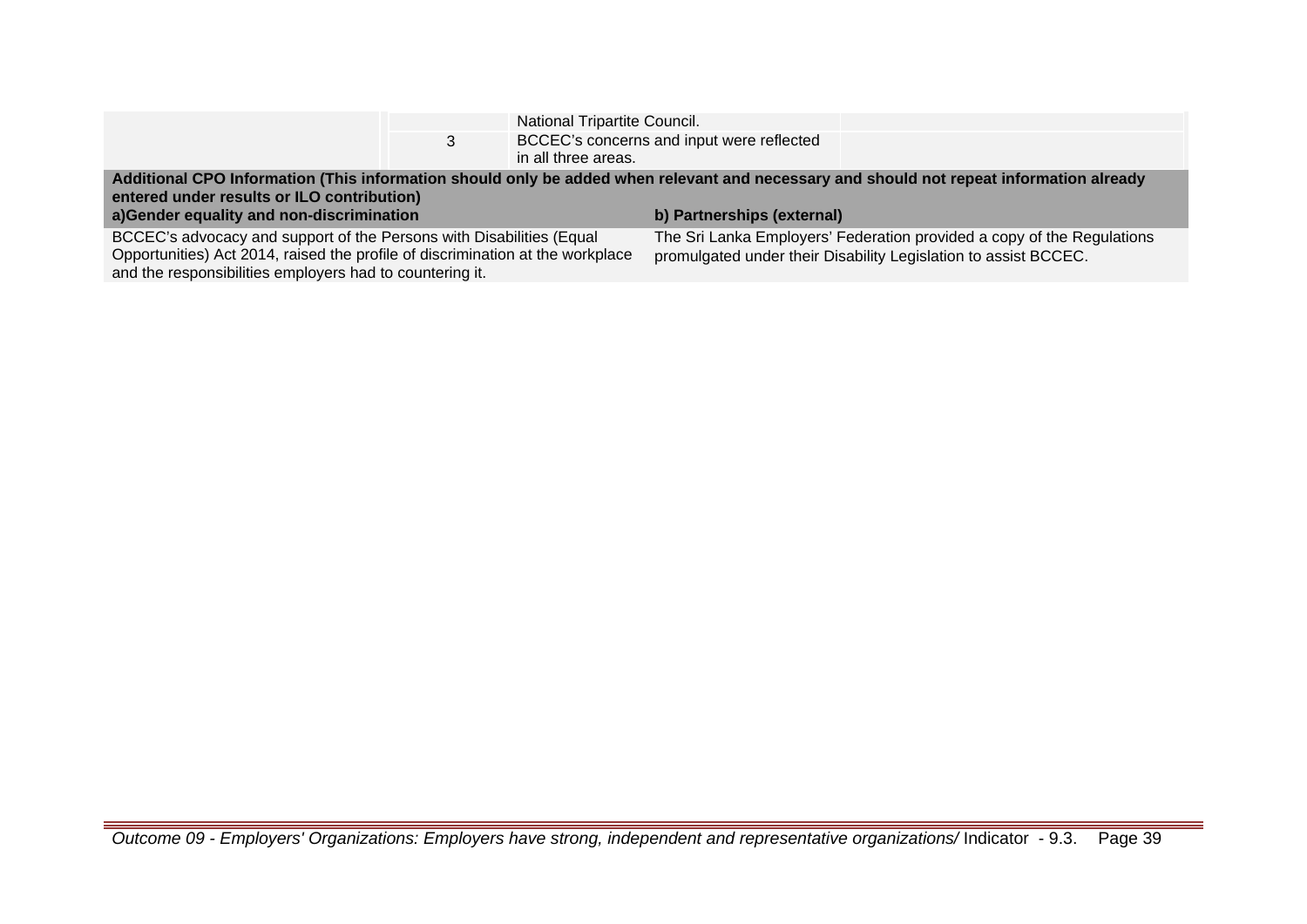|                                                                                                                                                                                       |  | National Tripartite Council.                                           |                                                                 |  |
|---------------------------------------------------------------------------------------------------------------------------------------------------------------------------------------|--|------------------------------------------------------------------------|-----------------------------------------------------------------|--|
|                                                                                                                                                                                       |  | BCCEC's concerns and input were reflected<br>in all three areas.       |                                                                 |  |
| Additional CPO Information (This information should only be added when relevant and necessary and should not repeat information already<br>entered under results or ILO contribution) |  |                                                                        |                                                                 |  |
| a)Gender equality and non-discrimination                                                                                                                                              |  | b) Partnerships (external)                                             |                                                                 |  |
| BCCEC's advocacy and support of the Persons with Disabilities (Equal                                                                                                                  |  | The Sri Lanka Employers' Federation provided a copy of the Regulations |                                                                 |  |
| Opportunities) Act 2014, raised the profile of discrimination at the workplace<br>and the responsibilities employers had to countering it.                                            |  |                                                                        | promulgated under their Disability Legislation to assist BCCEC. |  |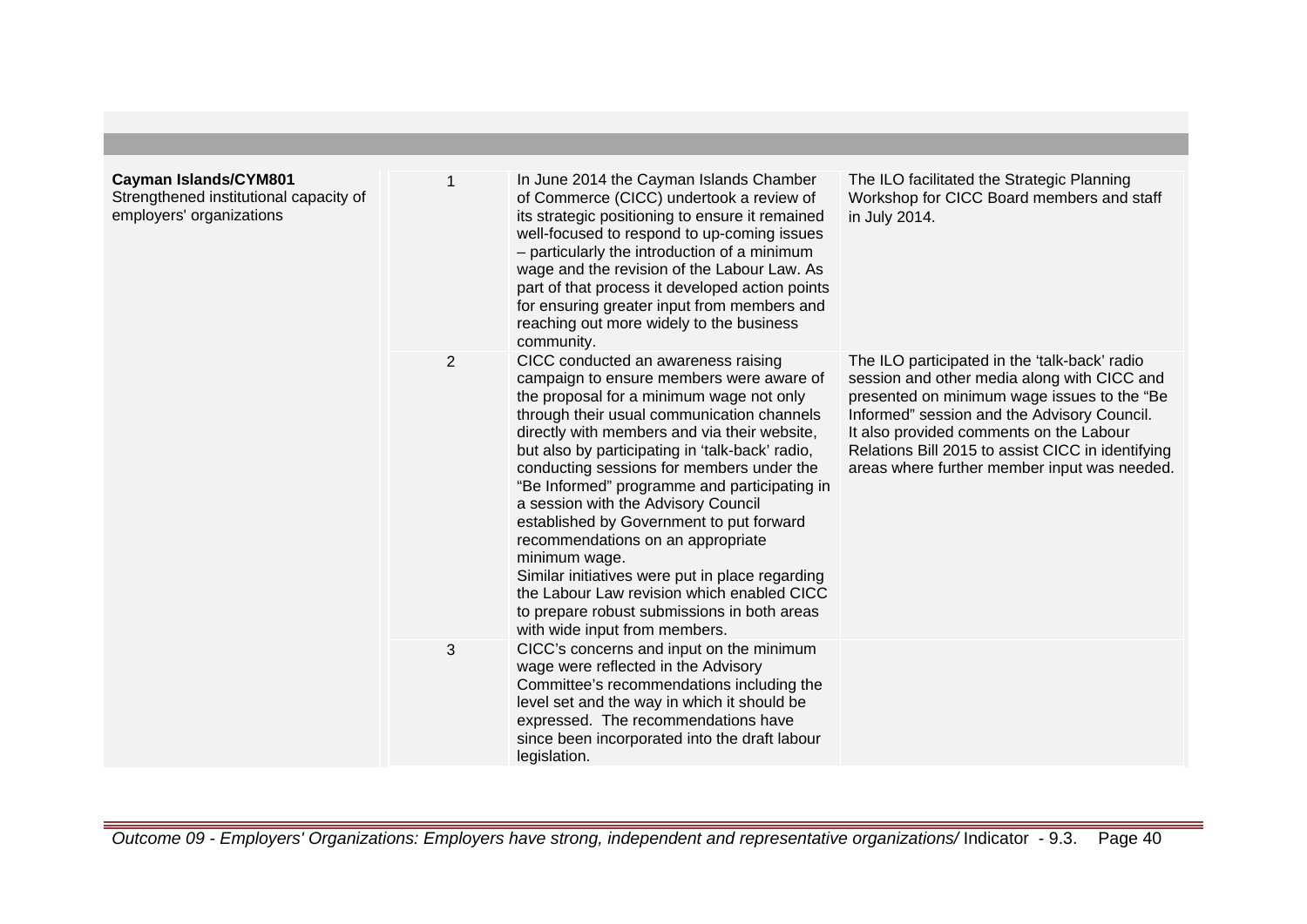| <b>Cayman Islands/CYM801</b><br>Strengthened institutional capacity of<br>employers' organizations |                | In June 2014 the Cayman Islands Chamber<br>of Commerce (CICC) undertook a review of<br>its strategic positioning to ensure it remained<br>well-focused to respond to up-coming issues<br>- particularly the introduction of a minimum<br>wage and the revision of the Labour Law. As<br>part of that process it developed action points<br>for ensuring greater input from members and<br>reaching out more widely to the business                                                                                                                                                                                                                                                                                | The ILO facilitated the Strategic Planning<br>Workshop for CICC Board members and staff<br>in July 2014.                                                                                                                                                                                                                                   |
|----------------------------------------------------------------------------------------------------|----------------|-------------------------------------------------------------------------------------------------------------------------------------------------------------------------------------------------------------------------------------------------------------------------------------------------------------------------------------------------------------------------------------------------------------------------------------------------------------------------------------------------------------------------------------------------------------------------------------------------------------------------------------------------------------------------------------------------------------------|--------------------------------------------------------------------------------------------------------------------------------------------------------------------------------------------------------------------------------------------------------------------------------------------------------------------------------------------|
|                                                                                                    | $\overline{2}$ | community.<br>CICC conducted an awareness raising<br>campaign to ensure members were aware of<br>the proposal for a minimum wage not only<br>through their usual communication channels<br>directly with members and via their website,<br>but also by participating in 'talk-back' radio,<br>conducting sessions for members under the<br>"Be Informed" programme and participating in<br>a session with the Advisory Council<br>established by Government to put forward<br>recommendations on an appropriate<br>minimum wage.<br>Similar initiatives were put in place regarding<br>the Labour Law revision which enabled CICC<br>to prepare robust submissions in both areas<br>with wide input from members. | The ILO participated in the 'talk-back' radio<br>session and other media along with CICC and<br>presented on minimum wage issues to the "Be<br>Informed" session and the Advisory Council.<br>It also provided comments on the Labour<br>Relations Bill 2015 to assist CICC in identifying<br>areas where further member input was needed. |
|                                                                                                    | 3              | CICC's concerns and input on the minimum<br>wage were reflected in the Advisory<br>Committee's recommendations including the<br>level set and the way in which it should be<br>expressed. The recommendations have<br>since been incorporated into the draft labour<br>legislation.                                                                                                                                                                                                                                                                                                                                                                                                                               |                                                                                                                                                                                                                                                                                                                                            |

Outcome 09 - Employers' Organizations: Employers have strong, independent and representative organizations/ Indicator - 9.3. Page 40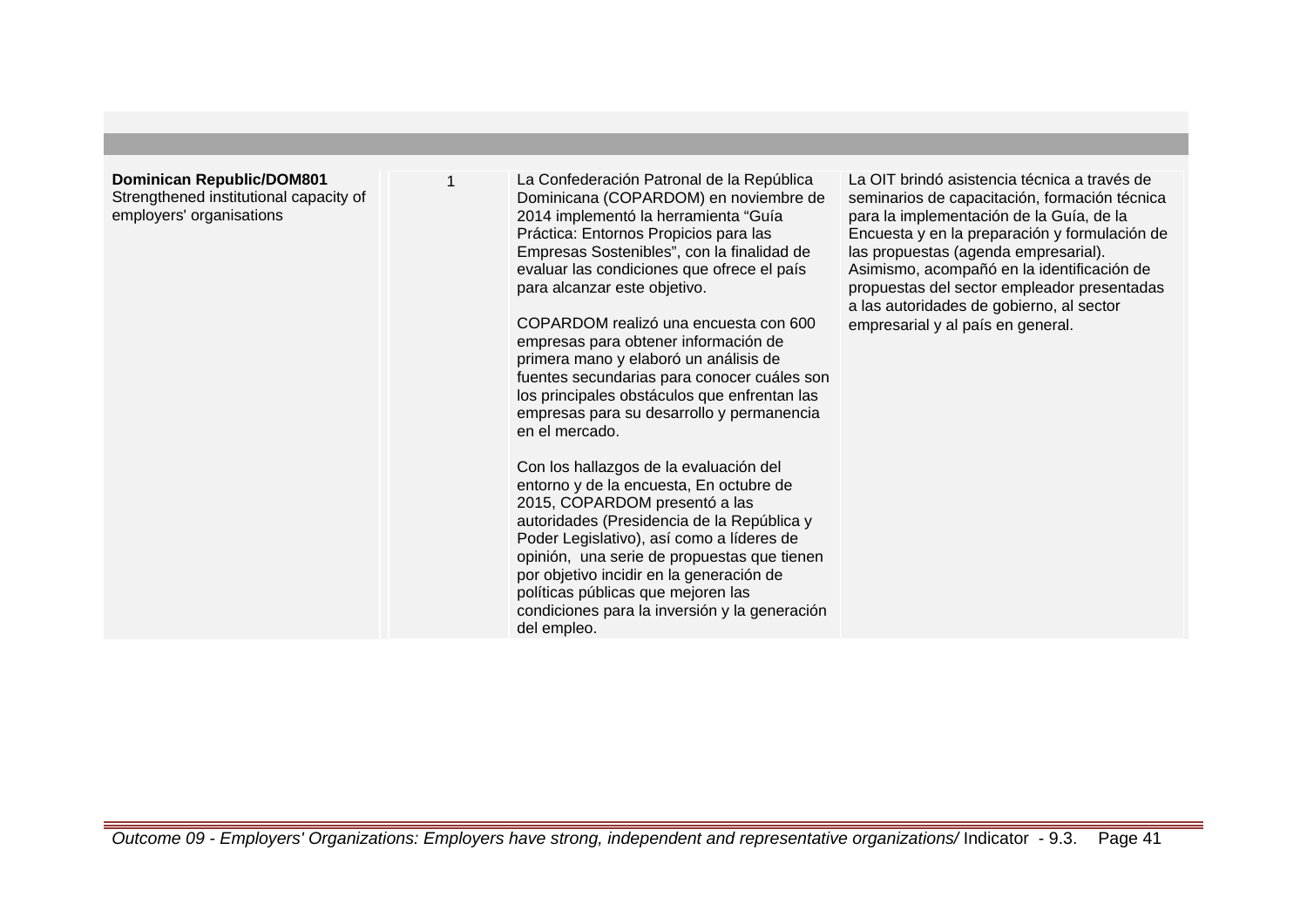## **Dominican Republic/DOM801** Strengthened institutional capacity of

employers' organisations

La Confederación Patronal de la República Dominicana (COPARDOM) en noviembre de 2014 implementó la herramienta "Guía Práctica: Entornos Propicios para las Empresas Sostenibles", con la finalidad de evaluar las condiciones que ofrece el país para alcanzar este objetivo.

COPARDOM realizó una encuesta con 600 empresas para obtener información de primera mano y elaboró un análisis de fuentes secundarias para conocer cuáles son los principales obstáculos que enfrentan las empresas para su desarrollo y permanencia en el mercado.

Con los hallazgos de la evaluación del entorno y de la encuesta, En octubre de 2015, COPARDOM presentó a las autoridades (Presidencia de la República y Poder Legislativo), así como a líderes de opinión, una serie de propuestas que tienen por objetivo incidir en la generación de políticas públicas que mejoren las condiciones para la inversión y la generación del empleo.

La OIT brindó asistencia técnica a través de seminarios de capacitación, formación técnica para la implementación de la Guía, de la Encuesta y en la preparación y formulación de las propuestas (agenda empresarial). Asimismo, acompañó en la identificación de propuestas del sector empleador presentadas a las autoridades de gobierno, al sector empresarial y al país en general.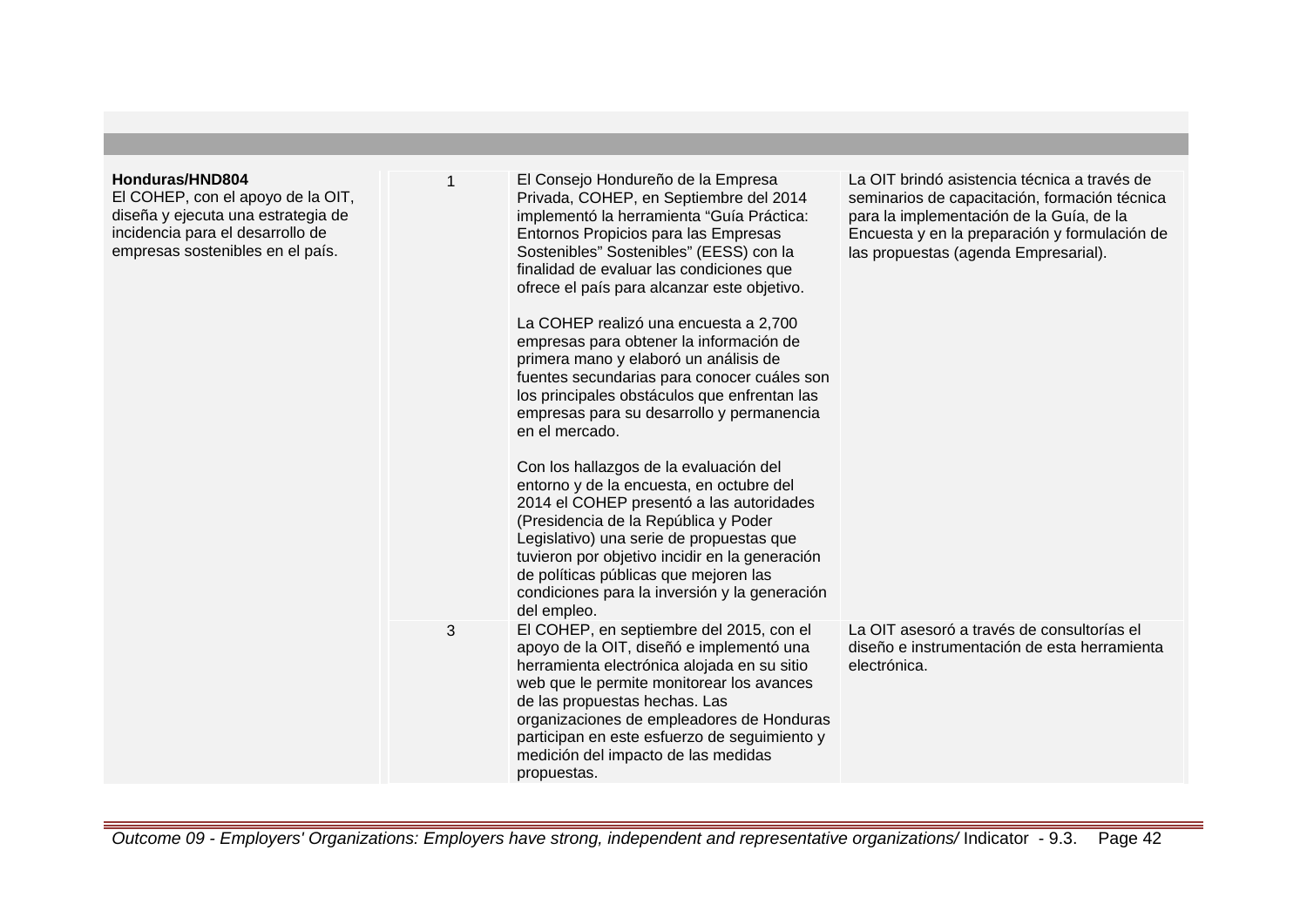| Honduras/HND804<br>El COHEP, con el apoyo de la OIT,<br>diseña y ejecuta una estrategia de<br>incidencia para el desarrollo de<br>empresas sostenibles en el país. | 1 | El Consejo Hondureño de la Empresa<br>Privada, COHEP, en Septiembre del 2014<br>implementó la herramienta "Guía Práctica:<br>Entornos Propicios para las Empresas<br>Sostenibles" Sostenibles" (EESS) con la<br>finalidad de evaluar las condiciones que<br>ofrece el país para alcanzar este objetivo.<br>La COHEP realizó una encuesta a 2,700<br>empresas para obtener la información de<br>primera mano y elaboró un análisis de<br>fuentes secundarias para conocer cuáles son<br>los principales obstáculos que enfrentan las<br>empresas para su desarrollo y permanencia<br>en el mercado.<br>Con los hallazgos de la evaluación del<br>entorno y de la encuesta, en octubre del<br>2014 el COHEP presentó a las autoridades<br>(Presidencia de la República y Poder<br>Legislativo) una serie de propuestas que<br>tuvieron por objetivo incidir en la generación<br>de políticas públicas que mejoren las<br>condiciones para la inversión y la generación<br>del empleo. | La OIT brindó asistencia técnica a través de<br>seminarios de capacitación, formación técnica<br>para la implementación de la Guía, de la<br>Encuesta y en la preparación y formulación de<br>las propuestas (agenda Empresarial). |
|--------------------------------------------------------------------------------------------------------------------------------------------------------------------|---|-------------------------------------------------------------------------------------------------------------------------------------------------------------------------------------------------------------------------------------------------------------------------------------------------------------------------------------------------------------------------------------------------------------------------------------------------------------------------------------------------------------------------------------------------------------------------------------------------------------------------------------------------------------------------------------------------------------------------------------------------------------------------------------------------------------------------------------------------------------------------------------------------------------------------------------------------------------------------------------|------------------------------------------------------------------------------------------------------------------------------------------------------------------------------------------------------------------------------------|
|                                                                                                                                                                    | 3 | El COHEP, en septiembre del 2015, con el<br>apoyo de la OIT, diseñó e implementó una<br>herramienta electrónica alojada en su sitio<br>web que le permite monitorear los avances<br>de las propuestas hechas. Las<br>organizaciones de empleadores de Honduras<br>participan en este esfuerzo de seguimiento y<br>medición del impacto de las medidas<br>propuestas.                                                                                                                                                                                                                                                                                                                                                                                                                                                                                                                                                                                                                | La OIT asesoró a través de consultorías el<br>diseño e instrumentación de esta herramienta<br>electrónica.                                                                                                                         |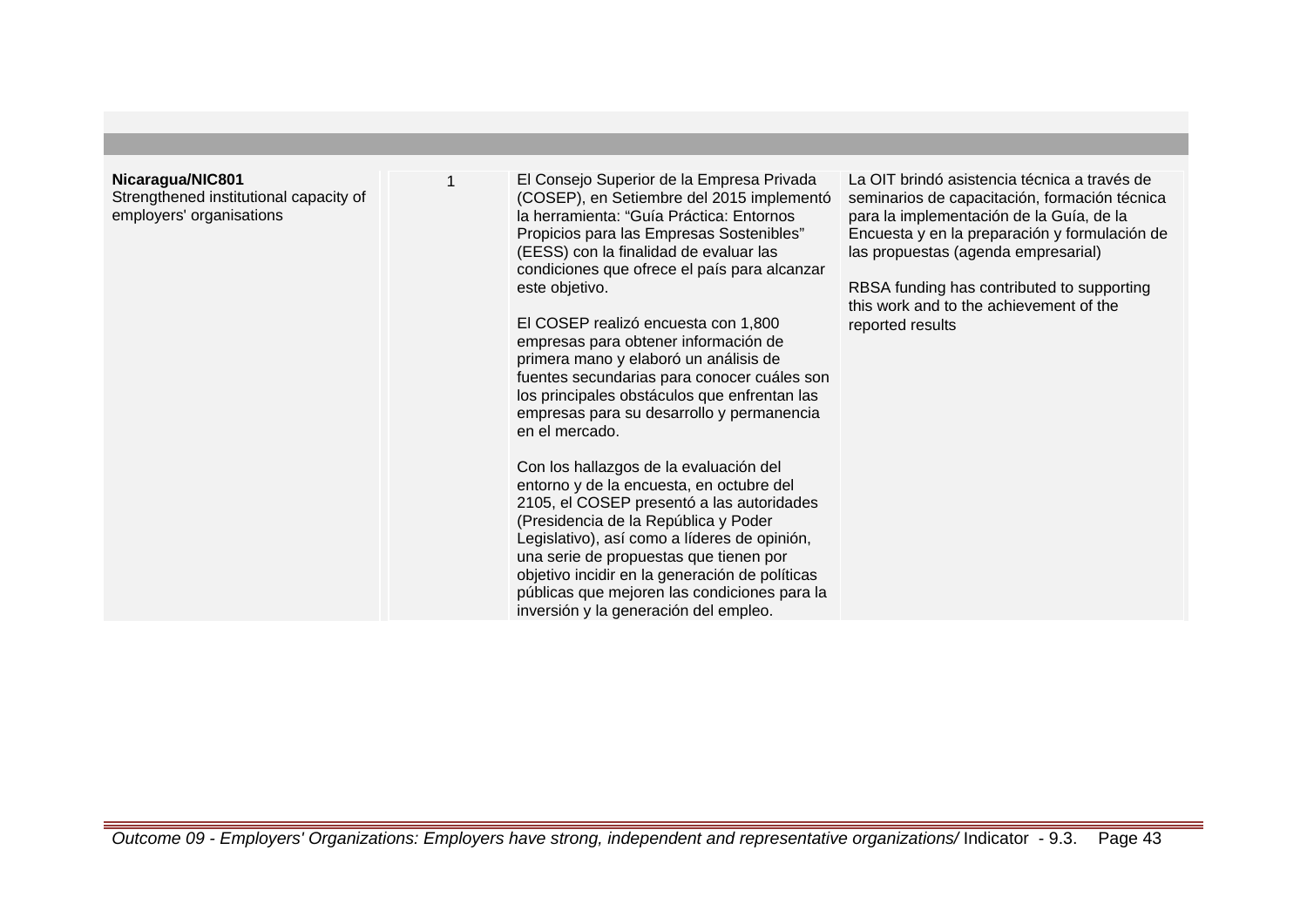## **Nicaragua/NIC801**

Strengthened institutional capacity of employers' organisations

1 El Consejo Superior de la Empresa Privada (COSEP), en Setiembre del 2015 implementó la herramienta: "Guía Práctica: Entornos Propicios para las Empresas Sostenibles" (EESS) con la finalidad de evaluar las condiciones que ofrece el país para alcanzar este objetivo.

El COSEP realizó encuesta con 1,800 empresas para obtener información de primera mano y elaboró un análisis de fuentes secundarias para conocer cuáles son los principales obstáculos que enfrentan las empresas para su desarrollo y permanencia en el mercado.

Con los hallazgos de la evaluación del entorno y de la encuesta, en octubre del 2105, el COSEP presentó a las autoridades (Presidencia de la República y Poder Legislativo), así como a líderes de opinión, una serie de propuestas que tienen por objetivo incidir en la generación de políticas públicas que mejoren las condiciones para la inversión y la generación del empleo.

La OIT brindó asistencia técnica a través de seminarios de capacitación, formación técnica para la implementación de la Guía, de la Encuesta y en la preparación y formulación de las propuestas (agenda empresarial)

RBSA funding has contributed to supporting this work and to the achievement of the reported results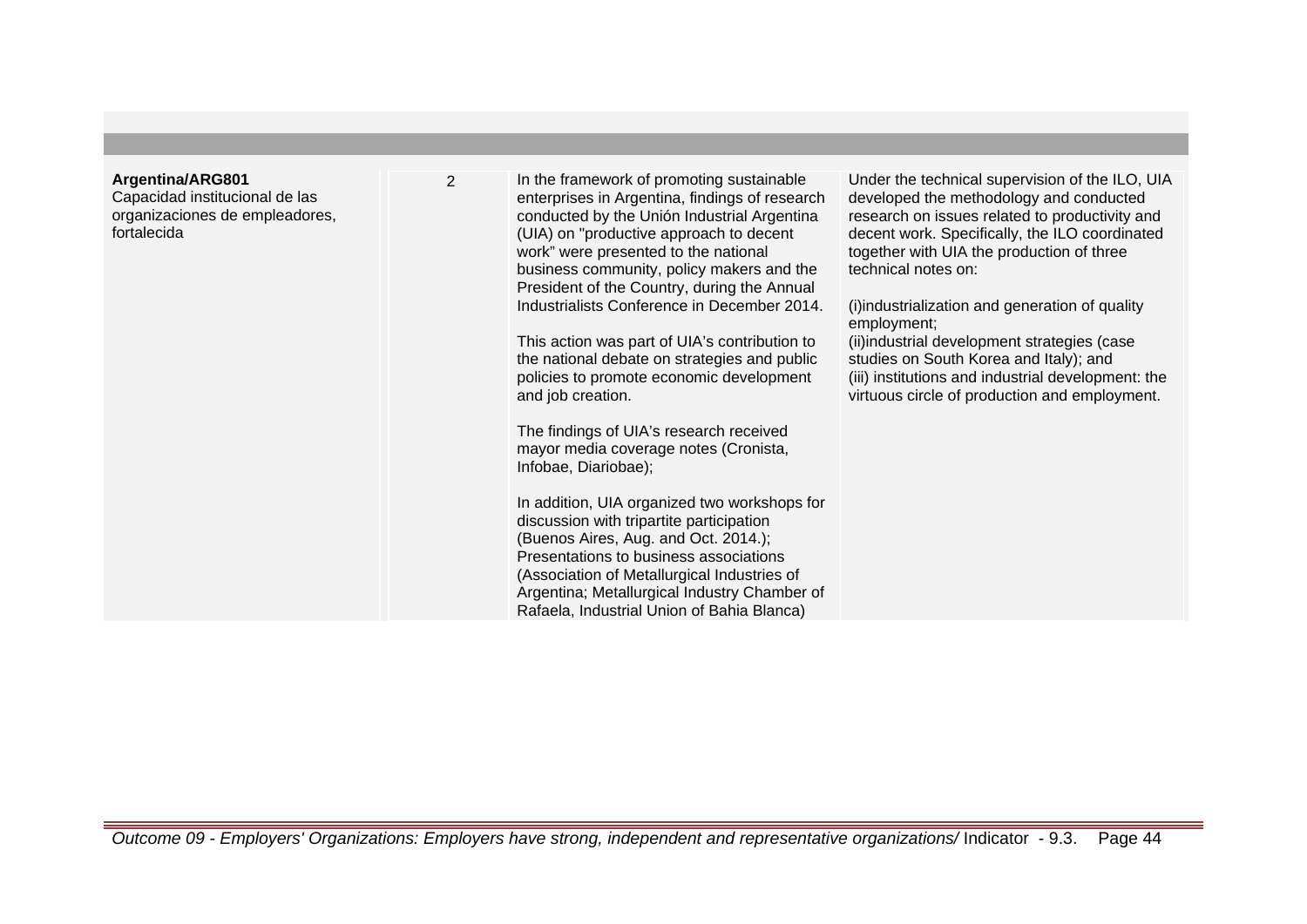## **Argentina/ARG801**

Capacidad institucional de las organizaciones de empleadores, fortalecida

2 In the framework of promoting sustainable enterprises in Argentina, findings of research conducted by the Unión Industrial Argentina (UIA) on "productive approach to decent work" were presented to the national business community, policy makers and the President of the Country, during the Annual Industrialists Conference in December 2014.

> This action was part of UIA's contribution to the national debate on strategies and public policies to promote economic development and job creation.

The findings of UIA's research received mayor media coverage notes (Cronista, Infobae, Diariobae);

In addition, UIA organized two workshops for discussion with tripartite participation (Buenos Aires, Aug. and Oct. 2014.); Presentations to business associations (Association of Metallurgical Industries of Argentina; Metallurgical Industry Chamber of Rafaela, Industrial Union of Bahia Blanca)

Under the technical supervision of the ILO, UIA developed the methodology and conducted research on issues related to productivity and decent work. Specifically, the ILO coordinated together with UIA the production of three technical notes on:

(i) industrialization and generation of quality employment;

(ii) industrial development strategies (case studies on South Korea and Italy); and (iii) institutions and industrial development: the virtuous circle of production and employment.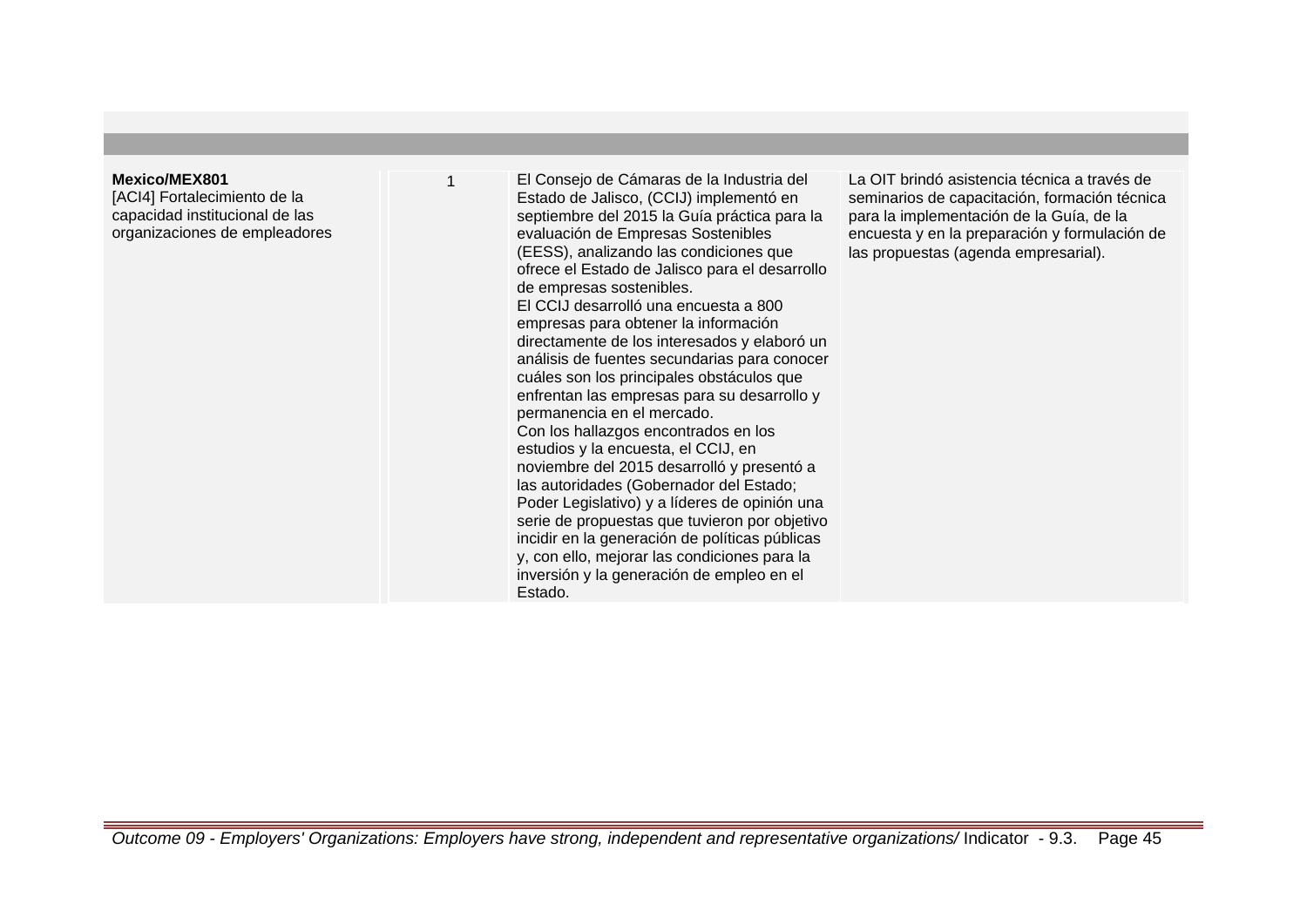## **Mexico/MEX801**

[ACI4] Fortalecimiento de la capacidad institucional de las organizaciones de empleadores

1 El Consejo de Cámaras de la Industria del Estado de Jalisco, (CCIJ) implementó en septiembre del 2015 la Guía práctica para la evaluación de Empresas Sostenibles (EESS), analizando las condiciones que ofrece el Estado de Jalisco para el desarrollo de empresas sostenibles. El CCIJ desarrolló una encuesta a 800 empresas para obtener la información directamente de los interesados y elaboró un análisis de fuentes secundarias para conocer cuáles son los principales obstáculos que enfrentan las empresas para su desarrollo y permanencia en el mercado. Con los hallazgos encontrados en los estudios y la encuesta, el CCIJ, en noviembre del 2015 desarrolló y presentó a las autoridades (Gobernador del Estado; Poder Legislativo) y a líderes de opinión una serie de propuestas que tuvieron por objetivo incidir en la generación de políticas públicas y, con ello, mejorar las condiciones para la inversión y la generación de empleo en el Estado.

La OIT brindó asistencia técnica a través de seminarios de capacitación, formación técnica para la implementación de la Guía, de la encuesta y en la preparación y formulación de las propuestas (agenda empresarial).